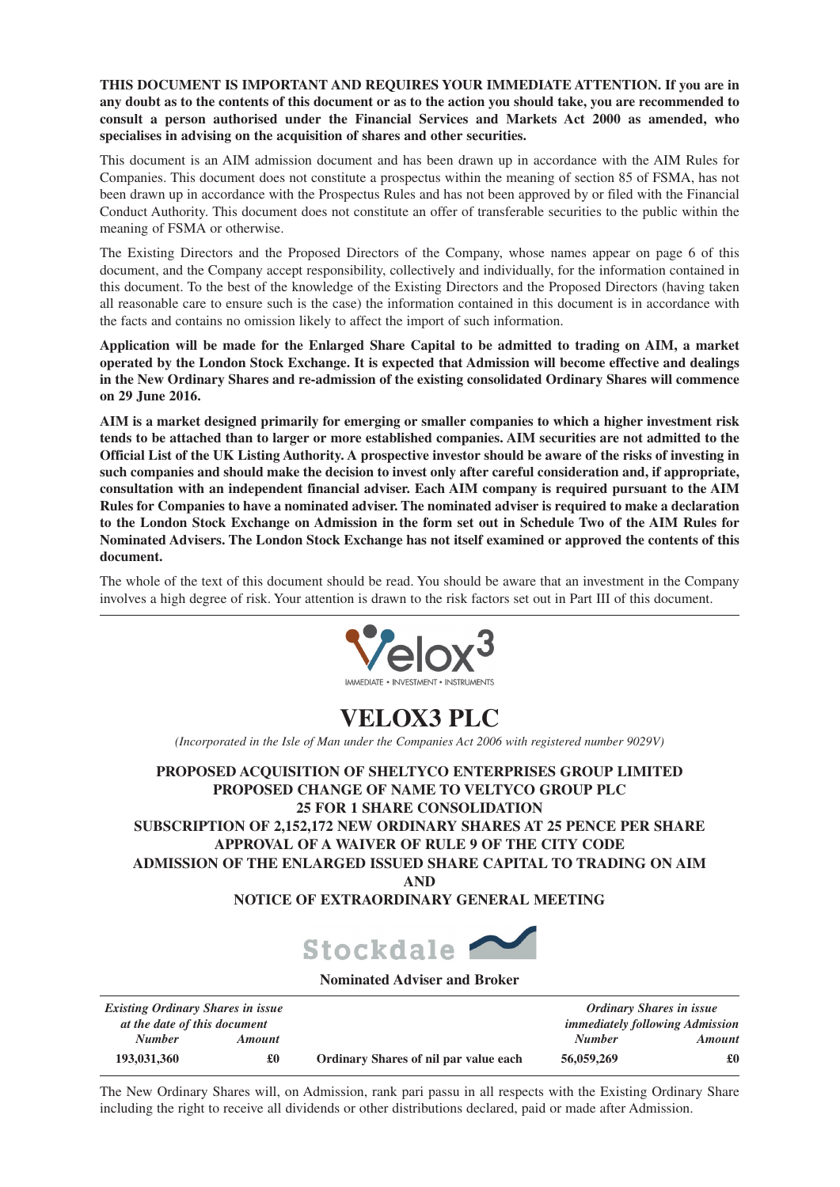**THIS DOCUMENT IS IMPORTANT AND REQUIRES YOUR IMMEDIATE ATTENTION. If you are in any doubt as to the contents of this document or as to the action you should take, you are recommended to consult a person authorised under the Financial Services and Markets Act 2000 as amended, who specialises in advising on the acquisition of shares and other securities.**

This document is an AIM admission document and has been drawn up in accordance with the AIM Rules for Companies. This document does not constitute a prospectus within the meaning of section 85 of FSMA, has not been drawn up in accordance with the Prospectus Rules and has not been approved by or filed with the Financial Conduct Authority. This document does not constitute an offer of transferable securities to the public within the meaning of FSMA or otherwise.

The Existing Directors and the Proposed Directors of the Company, whose names appear on page 6 of this document, and the Company accept responsibility, collectively and individually, for the information contained in this document. To the best of the knowledge of the Existing Directors and the Proposed Directors (having taken all reasonable care to ensure such is the case) the information contained in this document is in accordance with the facts and contains no omission likely to affect the import of such information.

**Application will be made for the Enlarged Share Capital to be admitted to trading on AIM, a market operated by the London Stock Exchange. It is expected that Admission will become effective and dealings in the New Ordinary Shares and re-admission of the existing consolidated Ordinary Shares will commence on 29 June 2016.**

**AIM is a market designed primarily for emerging or smaller companies to which a higher investment risk tends to be attached than to larger or more established companies. AIM securities are not admitted to the Official List of the UK Listing Authority. A prospective investor should be aware of the risks of investing in such companies and should make the decision to invest only after careful consideration and, if appropriate, consultation with an independent financial adviser. Each AIM company is required pursuant to the AIM Rules for Companies to have a nominated adviser. The nominated adviser is required to make a declaration to the London Stock Exchange on Admission in the form set out in Schedule Two of the AIM Rules for Nominated Advisers. The London Stock Exchange has not itself examined or approved the contents of this document.**

The whole of the text of this document should be read. You should be aware that an investment in the Company involves a high degree of risk. Your attention is drawn to the risk factors set out in Part III of this document.



# **VELOX3 PLC**

*(Incorporated in the Isle of Man under the Companies Act 2006 with registered number 9029V)*

**PROPOSED ACQUISITION OF SHELTYCO ENTERPRISES GROUP LIMITED PROPOSED CHANGE OF NAME TO VELTYCO GROUP PLC 25 FOR 1 SHARE CONSOLIDATION SUBSCRIPTION OF 2,152,172 NEW ORDINARY SHARES AT 25 PENCE PER SHARE APPROVAL OF A WAIVER OF RULE 9 OF THE CITY CODE**

**ADMISSION OF THE ENLARGED ISSUED SHARE CAPITAL TO TRADING ON AIM**

**AND**

### **NOTICE OF EXTRAORDINARY GENERAL MEETING**



**Nominated Adviser and Broker**

| <b>Existing Ordinary Shares in issue</b> |                      |                                       | <b>Ordinary Shares in issue</b>        |               |  |
|------------------------------------------|----------------------|---------------------------------------|----------------------------------------|---------------|--|
| at the date of this document             |                      |                                       | <i>immediately following Admission</i> |               |  |
| <b>Number</b>                            | <i><b>Amount</b></i> |                                       | <b>Number</b>                          | <b>Amount</b> |  |
| 193,031,360                              | £O                   | Ordinary Shares of nil par value each | 56,059,269                             | £0            |  |

The New Ordinary Shares will, on Admission, rank pari passu in all respects with the Existing Ordinary Share including the right to receive all dividends or other distributions declared, paid or made after Admission.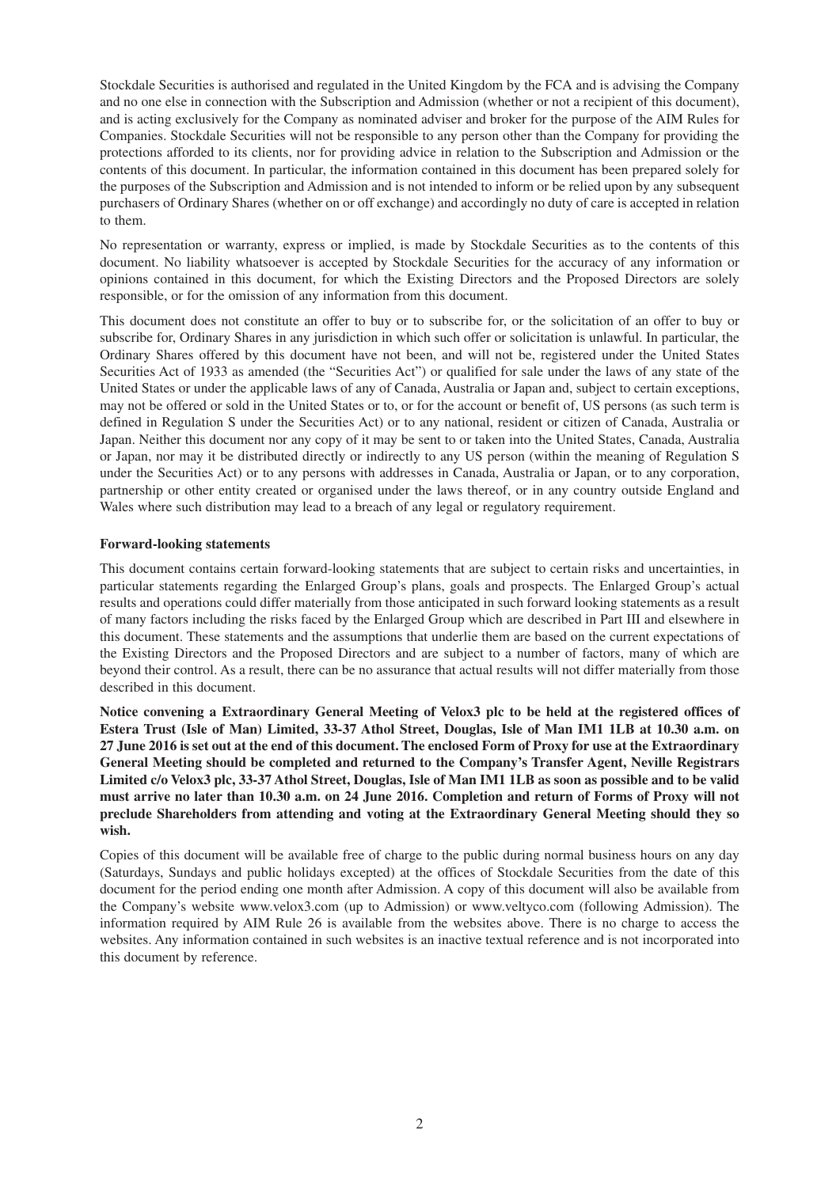Stockdale Securities is authorised and regulated in the United Kingdom by the FCA and is advising the Company and no one else in connection with the Subscription and Admission (whether or not a recipient of this document), and is acting exclusively for the Company as nominated adviser and broker for the purpose of the AIM Rules for Companies. Stockdale Securities will not be responsible to any person other than the Company for providing the protections afforded to its clients, nor for providing advice in relation to the Subscription and Admission or the contents of this document. In particular, the information contained in this document has been prepared solely for the purposes of the Subscription and Admission and is not intended to inform or be relied upon by any subsequent purchasers of Ordinary Shares (whether on or off exchange) and accordingly no duty of care is accepted in relation to them.

No representation or warranty, express or implied, is made by Stockdale Securities as to the contents of this document. No liability whatsoever is accepted by Stockdale Securities for the accuracy of any information or opinions contained in this document, for which the Existing Directors and the Proposed Directors are solely responsible, or for the omission of any information from this document.

This document does not constitute an offer to buy or to subscribe for, or the solicitation of an offer to buy or subscribe for, Ordinary Shares in any jurisdiction in which such offer or solicitation is unlawful. In particular, the Ordinary Shares offered by this document have not been, and will not be, registered under the United States Securities Act of 1933 as amended (the "Securities Act") or qualified for sale under the laws of any state of the United States or under the applicable laws of any of Canada, Australia or Japan and, subject to certain exceptions, may not be offered or sold in the United States or to, or for the account or benefit of, US persons (as such term is defined in Regulation S under the Securities Act) or to any national, resident or citizen of Canada, Australia or Japan. Neither this document nor any copy of it may be sent to or taken into the United States, Canada, Australia or Japan, nor may it be distributed directly or indirectly to any US person (within the meaning of Regulation S under the Securities Act) or to any persons with addresses in Canada, Australia or Japan, or to any corporation, partnership or other entity created or organised under the laws thereof, or in any country outside England and Wales where such distribution may lead to a breach of any legal or regulatory requirement.

#### **Forward-looking statements**

This document contains certain forward-looking statements that are subject to certain risks and uncertainties, in particular statements regarding the Enlarged Group's plans, goals and prospects. The Enlarged Group's actual results and operations could differ materially from those anticipated in such forward looking statements as a result of many factors including the risks faced by the Enlarged Group which are described in Part III and elsewhere in this document. These statements and the assumptions that underlie them are based on the current expectations of the Existing Directors and the Proposed Directors and are subject to a number of factors, many of which are beyond their control. As a result, there can be no assurance that actual results will not differ materially from those described in this document.

**Notice convening a Extraordinary General Meeting of Velox3 plc to be held at the registered offices of Estera Trust (Isle of Man) Limited, 33-37 Athol Street, Douglas, Isle of Man IM1 1LB at 10.30 a.m. on 27 June 2016 is set out at the end of this document. The enclosed Form of Proxy for use at the Extraordinary General Meeting should be completed and returned to the Company's Transfer Agent, Neville Registrars Limited c/o Velox3 plc, 33-37 Athol Street, Douglas, Isle of Man IM1 1LB as soon as possible and to be valid must arrive no later than 10.30 a.m. on 24 June 2016. Completion and return of Forms of Proxy will not preclude Shareholders from attending and voting at the Extraordinary General Meeting should they so wish.**

Copies of this document will be available free of charge to the public during normal business hours on any day (Saturdays, Sundays and public holidays excepted) at the offices of Stockdale Securities from the date of this document for the period ending one month after Admission. A copy of this document will also be available from the Company's website www.velox3.com (up to Admission) or www.veltyco.com (following Admission). The information required by AIM Rule 26 is available from the websites above. There is no charge to access the websites. Any information contained in such websites is an inactive textual reference and is not incorporated into this document by reference.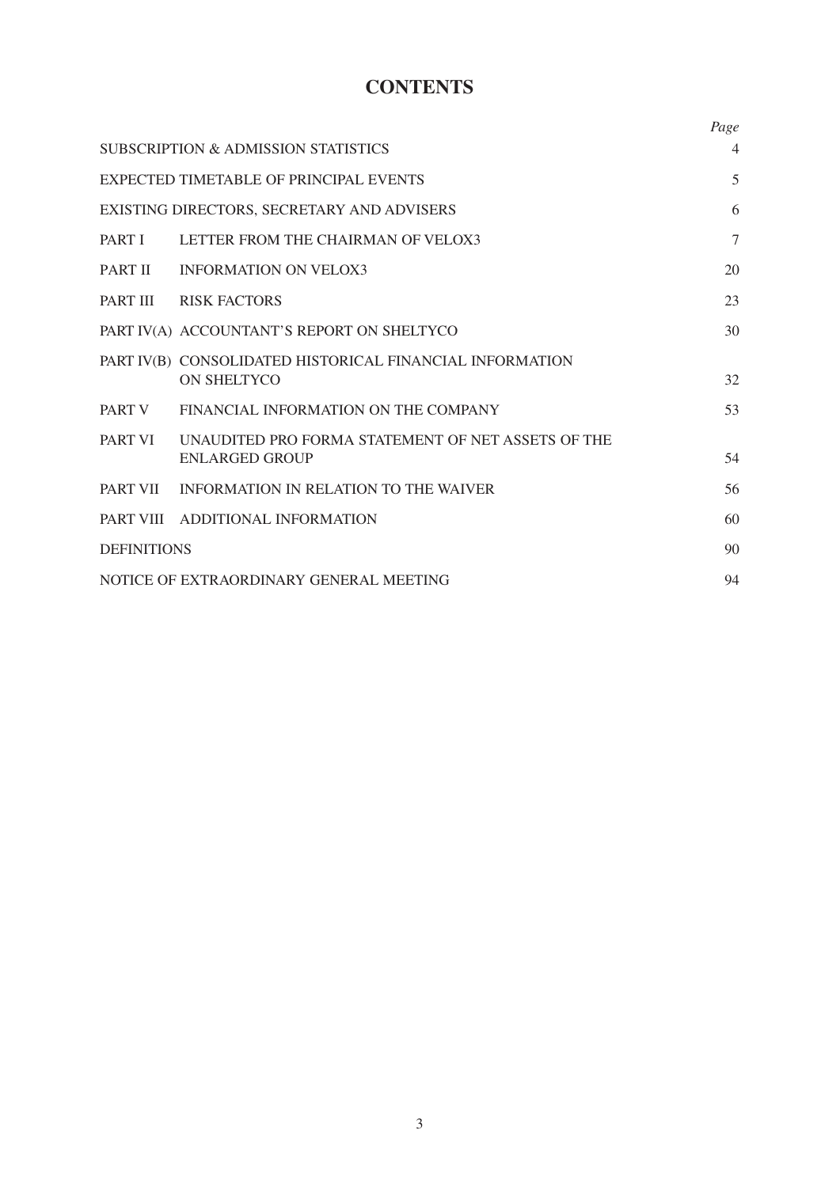# **CONTENTS**

|                    |                                                                                | Page           |
|--------------------|--------------------------------------------------------------------------------|----------------|
|                    | SUBSCRIPTION & ADMISSION STATISTICS                                            | $\overline{4}$ |
|                    | EXPECTED TIMETABLE OF PRINCIPAL EVENTS                                         | 5              |
|                    | EXISTING DIRECTORS, SECRETARY AND ADVISERS                                     | 6              |
| PART I             | LETTER FROM THE CHAIRMAN OF VELOX3                                             | 7              |
| <b>PART II</b>     | <b>INFORMATION ON VELOX3</b>                                                   | 20             |
| PART III           | RISK FACTORS                                                                   | 23             |
|                    | PART IV(A) ACCOUNTANT'S REPORT ON SHELTYCO                                     | 30             |
|                    | PART IV(B) CONSOLIDATED HISTORICAL FINANCIAL INFORMATION<br><b>ON SHELTYCO</b> | 32             |
| PART V             | FINANCIAL INFORMATION ON THE COMPANY                                           | 53             |
| PART VI            | UNAUDITED PRO FORMA STATEMENT OF NET ASSETS OF THE<br><b>ENLARGED GROUP</b>    | 54             |
|                    | PART VII INFORMATION IN RELATION TO THE WAIVER                                 | 56             |
|                    | PART VIII ADDITIONAL INFORMATION                                               | 60             |
| <b>DEFINITIONS</b> |                                                                                | 90             |
|                    | NOTICE OF EXTRAORDINARY GENERAL MEETING                                        | 94             |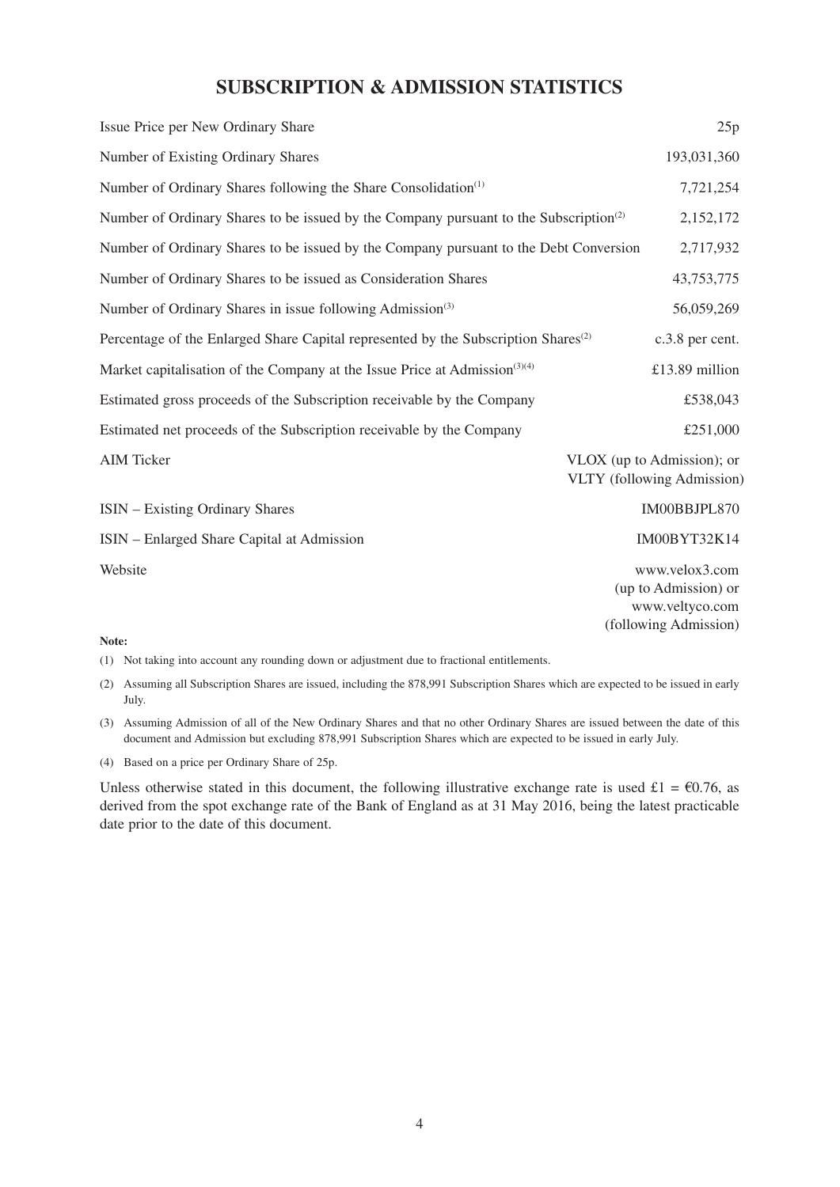# **SUBSCRIPTION & ADMISSION STATISTICS**

| Issue Price per New Ordinary Share                                                                | 25p                                                                                |
|---------------------------------------------------------------------------------------------------|------------------------------------------------------------------------------------|
| Number of Existing Ordinary Shares                                                                | 193,031,360                                                                        |
| Number of Ordinary Shares following the Share Consolidation <sup>(1)</sup>                        | 7,721,254                                                                          |
| Number of Ordinary Shares to be issued by the Company pursuant to the Subscription <sup>(2)</sup> | 2,152,172                                                                          |
| Number of Ordinary Shares to be issued by the Company pursuant to the Debt Conversion             | 2,717,932                                                                          |
| Number of Ordinary Shares to be issued as Consideration Shares                                    | 43,753,775                                                                         |
| Number of Ordinary Shares in issue following Admission <sup>(3)</sup>                             | 56,059,269                                                                         |
| Percentage of the Enlarged Share Capital represented by the Subscription Shares <sup>(2)</sup>    | c.3.8 per cent.                                                                    |
| Market capitalisation of the Company at the Issue Price at Admission <sup>(3)(4)</sup>            | £13.89 million                                                                     |
| Estimated gross proceeds of the Subscription receivable by the Company                            | £538,043                                                                           |
| Estimated net proceeds of the Subscription receivable by the Company                              | £251,000                                                                           |
| <b>AIM Ticker</b>                                                                                 | VLOX (up to Admission); or<br><b>VLTY</b> (following Admission)                    |
| <b>ISIN</b> – Existing Ordinary Shares                                                            | IM00BBJPL870                                                                       |
| ISIN – Enlarged Share Capital at Admission                                                        | IM00BYT32K14                                                                       |
| Website                                                                                           | www.velox3.com<br>(up to Admission) or<br>www.veltyco.com<br>(following Admission) |

#### **Note:**

(1) Not taking into account any rounding down or adjustment due to fractional entitlements.

(2) Assuming all Subscription Shares are issued, including the 878,991 Subscription Shares which are expected to be issued in early July.

(3) Assuming Admission of all of the New Ordinary Shares and that no other Ordinary Shares are issued between the date of this document and Admission but excluding 878,991 Subscription Shares which are expected to be issued in early July.

(4) Based on a price per Ordinary Share of 25p.

Unless otherwise stated in this document, the following illustrative exchange rate is used £1 =  $\epsilon$ 0.76, as derived from the spot exchange rate of the Bank of England as at 31 May 2016, being the latest practicable date prior to the date of this document.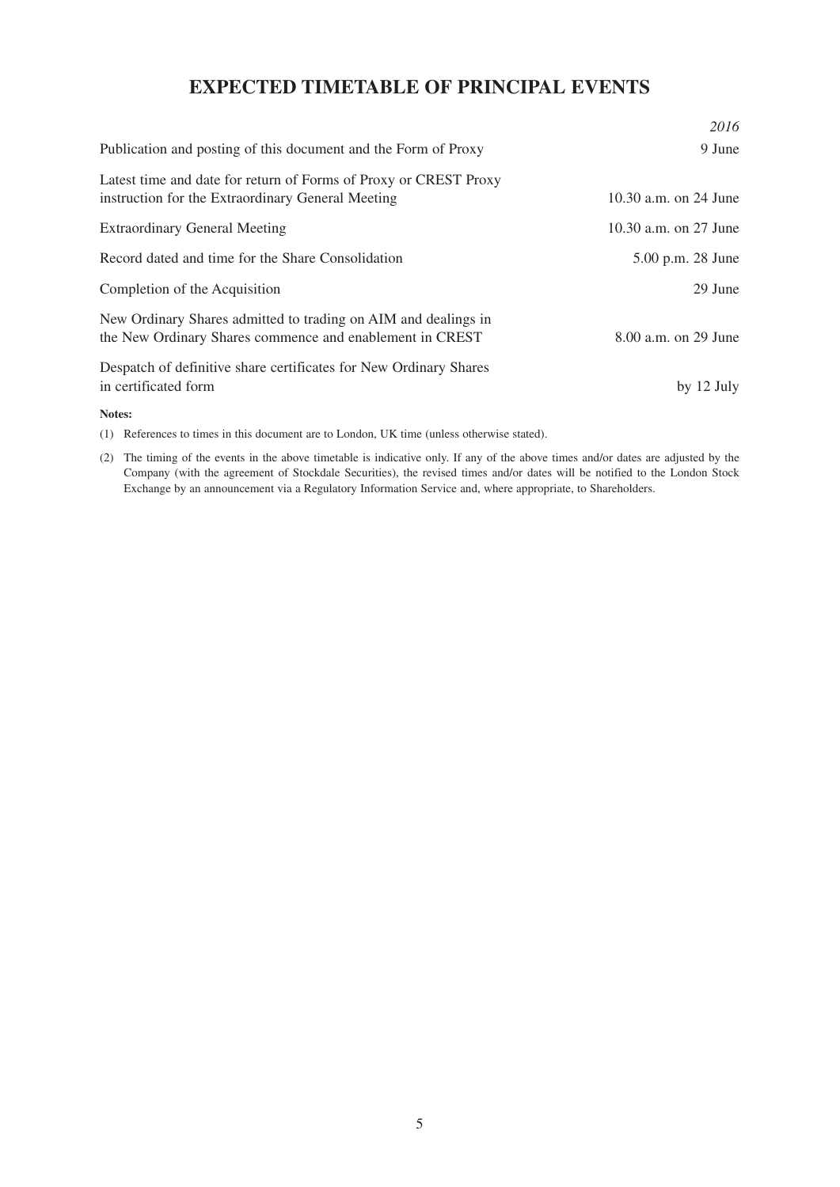# **EXPECTED TIMETABLE OF PRINCIPAL EVENTS**

|                                                                                                                            | 2016                  |
|----------------------------------------------------------------------------------------------------------------------------|-----------------------|
| Publication and posting of this document and the Form of Proxy                                                             | 9 June                |
| Latest time and date for return of Forms of Proxy or CREST Proxy<br>instruction for the Extraordinary General Meeting      | 10.30 a.m. on 24 June |
| <b>Extraordinary General Meeting</b>                                                                                       | 10.30 a.m. on 27 June |
| Record dated and time for the Share Consolidation                                                                          | 5.00 p.m. 28 June     |
| Completion of the Acquisition                                                                                              | 29 June               |
| New Ordinary Shares admitted to trading on AIM and dealings in<br>the New Ordinary Shares commence and enablement in CREST | 8.00 a.m. on 29 June  |
| Despatch of definitive share certificates for New Ordinary Shares<br>in certificated form                                  | by $12$ July          |
| Notes:                                                                                                                     |                       |

(1) References to times in this document are to London, UK time (unless otherwise stated).

(2) The timing of the events in the above timetable is indicative only. If any of the above times and/or dates are adjusted by the Company (with the agreement of Stockdale Securities), the revised times and/or dates will be notified to the London Stock Exchange by an announcement via a Regulatory Information Service and, where appropriate, to Shareholders.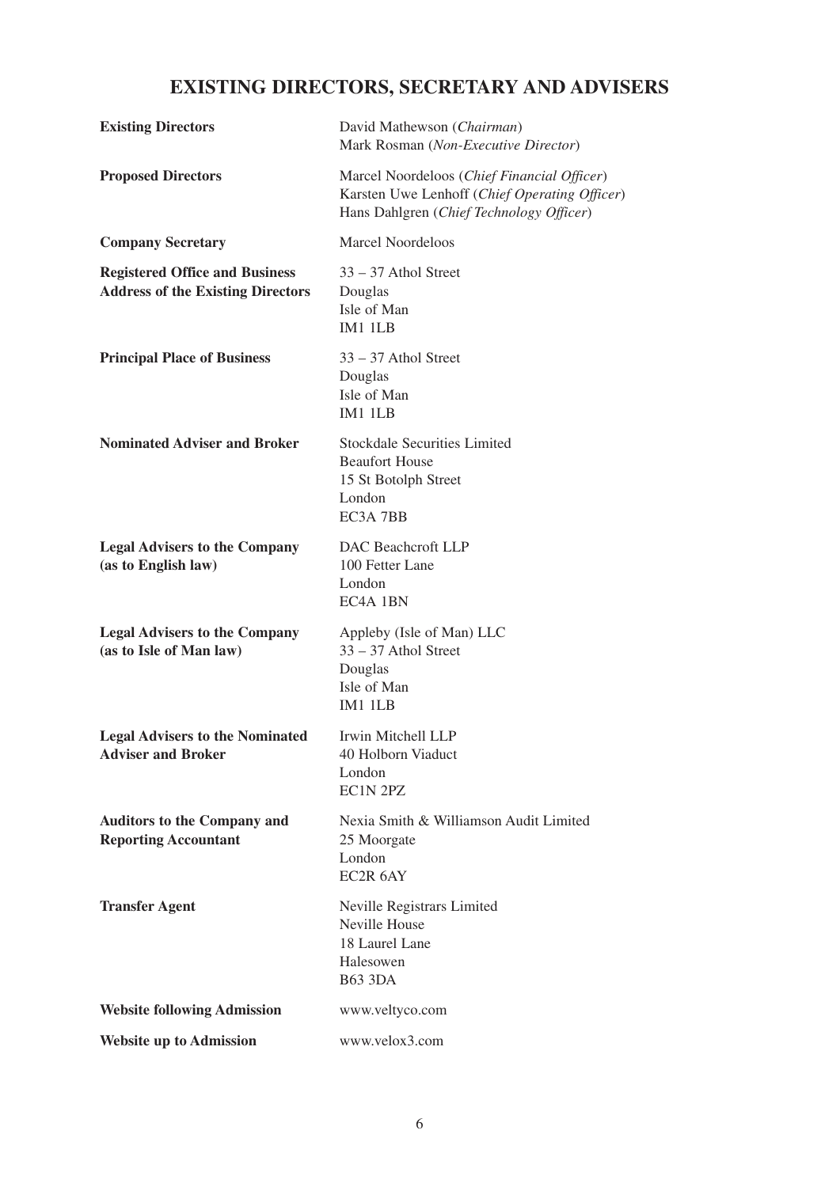# **EXISTING DIRECTORS, SECRETARY AND ADVISERS**

| <b>Existing Directors</b>                                                         | David Mathewson (Chairman)<br>Mark Rosman (Non-Executive Director)                                                                       |
|-----------------------------------------------------------------------------------|------------------------------------------------------------------------------------------------------------------------------------------|
| <b>Proposed Directors</b>                                                         | Marcel Noordeloos (Chief Financial Officer)<br>Karsten Uwe Lenhoff (Chief Operating Officer)<br>Hans Dahlgren (Chief Technology Officer) |
| <b>Company Secretary</b>                                                          | <b>Marcel Noordeloos</b>                                                                                                                 |
| <b>Registered Office and Business</b><br><b>Address of the Existing Directors</b> | $33 - 37$ Athol Street<br>Douglas<br>Isle of Man<br>IM1 1LB                                                                              |
| <b>Principal Place of Business</b>                                                | 33 - 37 Athol Street<br>Douglas<br>Isle of Man<br>IM1 1LB                                                                                |
| <b>Nominated Adviser and Broker</b>                                               | <b>Stockdale Securities Limited</b><br><b>Beaufort House</b><br>15 St Botolph Street<br>London<br>EC3A 7BB                               |
| <b>Legal Advisers to the Company</b><br>(as to English law)                       | DAC Beachcroft LLP<br>100 Fetter Lane<br>London<br>EC <sub>4</sub> A <sub>1BN</sub>                                                      |
| <b>Legal Advisers to the Company</b><br>(as to Isle of Man law)                   | Appleby (Isle of Man) LLC<br>$33 - 37$ Athol Street<br>Douglas<br>Isle of Man<br>IM1 1LB                                                 |
| <b>Legal Advisers to the Nominated</b><br><b>Adviser and Broker</b>               | Irwin Mitchell LLP<br>40 Holborn Viaduct<br>London<br>EC1N 2PZ                                                                           |
| <b>Auditors to the Company and</b><br><b>Reporting Accountant</b>                 | Nexia Smith & Williamson Audit Limited<br>25 Moorgate<br>London<br>EC2R 6AY                                                              |
| <b>Transfer Agent</b>                                                             | Neville Registrars Limited<br><b>Neville House</b><br>18 Laurel Lane<br>Halesowen<br><b>B63 3DA</b>                                      |
| <b>Website following Admission</b>                                                | www.veltyco.com                                                                                                                          |
| <b>Website up to Admission</b>                                                    | www.velox3.com                                                                                                                           |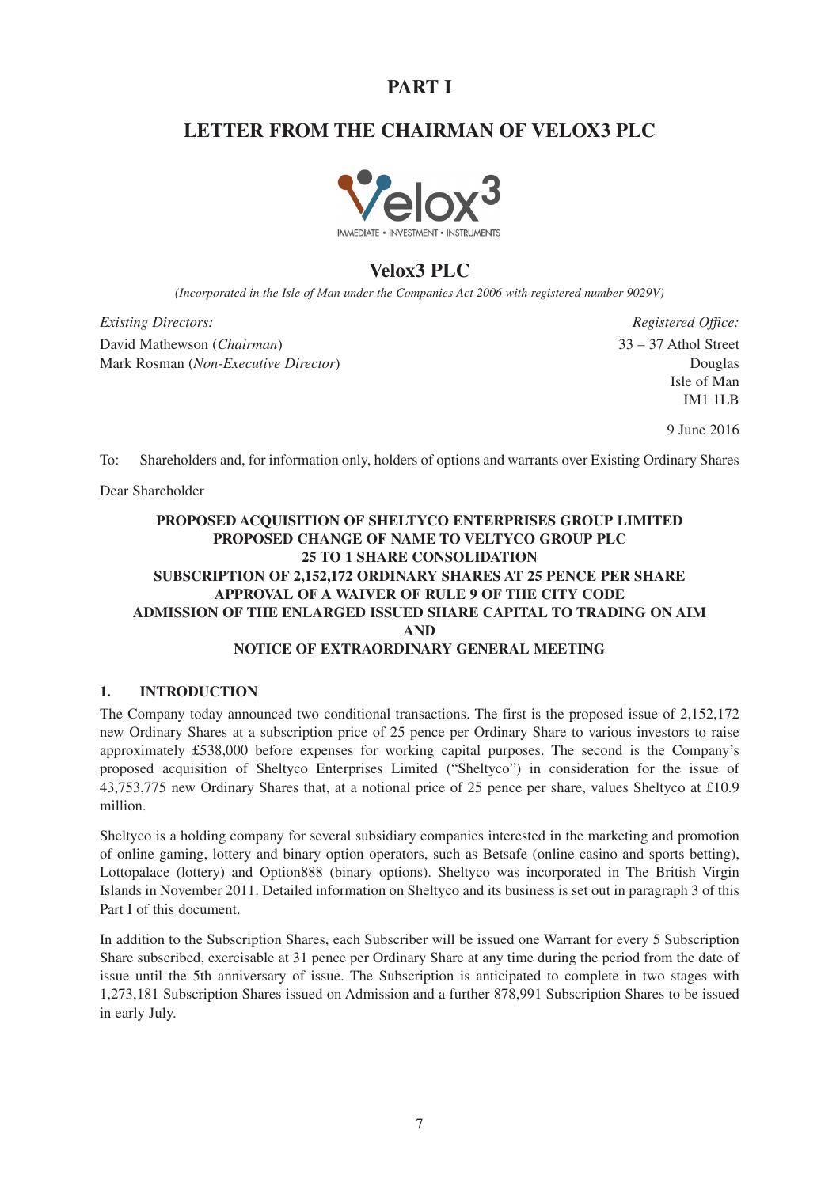# **PART I**

# **LETTER FROM THE CHAIRMAN OF VELOX3 PLC**



# **Velox3 PLC**

*(Incorporated in the Isle of Man under the Companies Act 2006 with registered number 9029V)*

*Existing Directors: Registered Office:* David Mathewson (*Chairman*) 33 – 37 Athol Street Mark Rosman (*Non-Executive Director*) Douglas

 Isle of Man IM1 1LB

9 June 2016

To: Shareholders and, for information only, holders of options and warrants over Existing Ordinary Shares

Dear Shareholder

### **PROPOSED ACQUISITION OF SHELTYCO ENTERPRISES GROUP LIMITED PROPOSED CHANGE OF NAME TO VELTYCO GROUP PLC 25 TO 1 SHARE CONSOLIDATION SUBSCRIPTION OF 2,152,172 ORDINARY SHARES AT 25 PENCE PER SHARE APPROVAL OF A WAIVER OF RULE 9 OF THE CITY CODE ADMISSION OF THE ENLARGED ISSUED SHARE CAPITAL TO TRADING ON AIM AND NOTICE OF EXTRAORDINARY GENERAL MEETING**

### **1. INTRODUCTION**

The Company today announced two conditional transactions. The first is the proposed issue of 2,152,172 new Ordinary Shares at a subscription price of 25 pence per Ordinary Share to various investors to raise approximately £538,000 before expenses for working capital purposes. The second is the Company's proposed acquisition of Sheltyco Enterprises Limited ("Sheltyco") in consideration for the issue of 43,753,775 new Ordinary Shares that, at a notional price of 25 pence per share, values Sheltyco at £10.9 million.

Sheltyco is a holding company for several subsidiary companies interested in the marketing and promotion of online gaming, lottery and binary option operators, such as Betsafe (online casino and sports betting), Lottopalace (lottery) and Option888 (binary options). Sheltyco was incorporated in The British Virgin Islands in November 2011. Detailed information on Sheltyco and its business is set out in paragraph 3 of this Part I of this document.

In addition to the Subscription Shares, each Subscriber will be issued one Warrant for every 5 Subscription Share subscribed, exercisable at 31 pence per Ordinary Share at any time during the period from the date of issue until the 5th anniversary of issue. The Subscription is anticipated to complete in two stages with 1,273,181 Subscription Shares issued on Admission and a further 878,991 Subscription Shares to be issued in early July.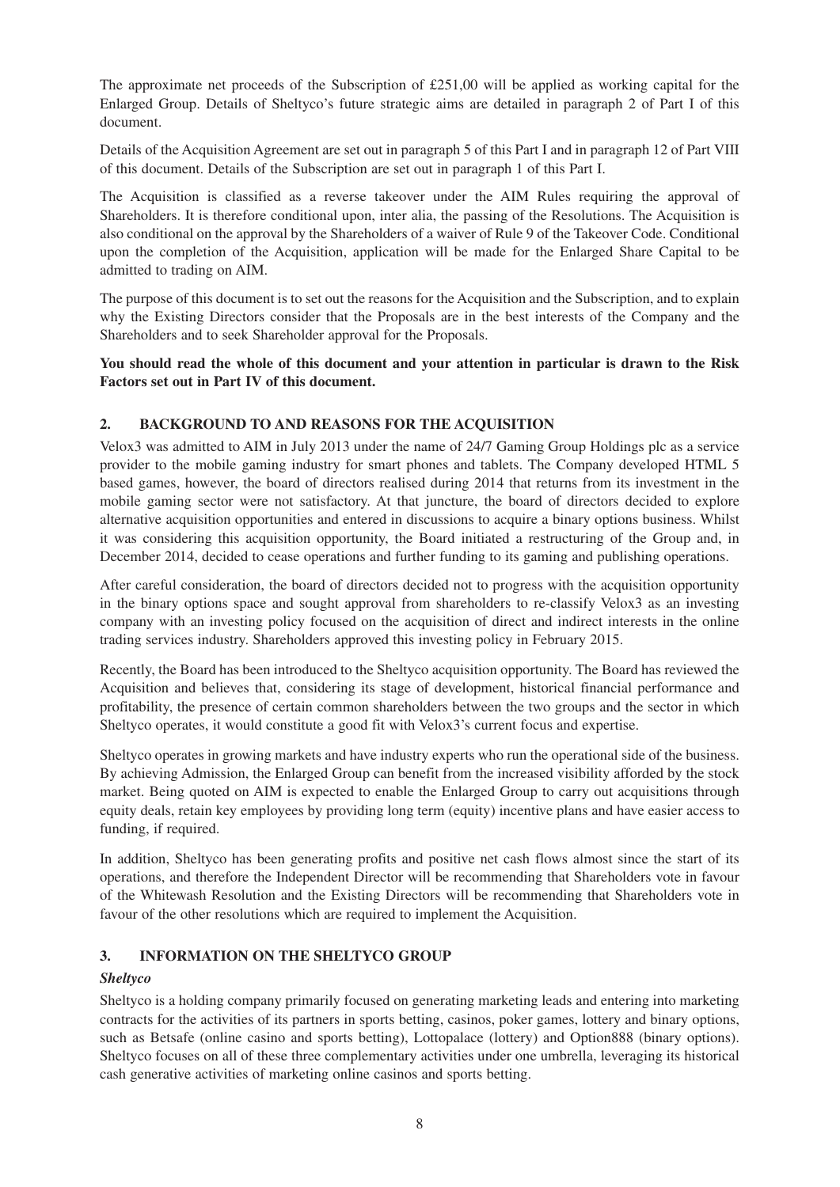The approximate net proceeds of the Subscription of £251,00 will be applied as working capital for the Enlarged Group. Details of Sheltyco's future strategic aims are detailed in paragraph 2 of Part I of this document.

Details of the Acquisition Agreement are set out in paragraph 5 of this Part I and in paragraph 12 of Part VIII of this document. Details of the Subscription are set out in paragraph 1 of this Part I.

The Acquisition is classified as a reverse takeover under the AIM Rules requiring the approval of Shareholders. It is therefore conditional upon, inter alia, the passing of the Resolutions. The Acquisition is also conditional on the approval by the Shareholders of a waiver of Rule 9 of the Takeover Code. Conditional upon the completion of the Acquisition, application will be made for the Enlarged Share Capital to be admitted to trading on AIM.

The purpose of this document is to set out the reasons for the Acquisition and the Subscription, and to explain why the Existing Directors consider that the Proposals are in the best interests of the Company and the Shareholders and to seek Shareholder approval for the Proposals.

### **You should read the whole of this document and your attention in particular is drawn to the Risk Factors set out in Part IV of this document.**

### **2. BACKGROUND TO AND REASONS FOR THE ACQUISITION**

Velox3 was admitted to AIM in July 2013 under the name of 24/7 Gaming Group Holdings plc as a service provider to the mobile gaming industry for smart phones and tablets. The Company developed HTML 5 based games, however, the board of directors realised during 2014 that returns from its investment in the mobile gaming sector were not satisfactory. At that juncture, the board of directors decided to explore alternative acquisition opportunities and entered in discussions to acquire a binary options business. Whilst it was considering this acquisition opportunity, the Board initiated a restructuring of the Group and, in December 2014, decided to cease operations and further funding to its gaming and publishing operations.

After careful consideration, the board of directors decided not to progress with the acquisition opportunity in the binary options space and sought approval from shareholders to re-classify Velox3 as an investing company with an investing policy focused on the acquisition of direct and indirect interests in the online trading services industry. Shareholders approved this investing policy in February 2015.

Recently, the Board has been introduced to the Sheltyco acquisition opportunity. The Board has reviewed the Acquisition and believes that, considering its stage of development, historical financial performance and profitability, the presence of certain common shareholders between the two groups and the sector in which Sheltyco operates, it would constitute a good fit with Velox3's current focus and expertise.

Sheltyco operates in growing markets and have industry experts who run the operational side of the business. By achieving Admission, the Enlarged Group can benefit from the increased visibility afforded by the stock market. Being quoted on AIM is expected to enable the Enlarged Group to carry out acquisitions through equity deals, retain key employees by providing long term (equity) incentive plans and have easier access to funding, if required.

In addition, Sheltyco has been generating profits and positive net cash flows almost since the start of its operations, and therefore the Independent Director will be recommending that Shareholders vote in favour of the Whitewash Resolution and the Existing Directors will be recommending that Shareholders vote in favour of the other resolutions which are required to implement the Acquisition.

### **3. INFORMATION ON THE SHELTYCO GROUP**

### *Sheltyco*

Sheltyco is a holding company primarily focused on generating marketing leads and entering into marketing contracts for the activities of its partners in sports betting, casinos, poker games, lottery and binary options, such as Betsafe (online casino and sports betting), Lottopalace (lottery) and Option888 (binary options). Sheltyco focuses on all of these three complementary activities under one umbrella, leveraging its historical cash generative activities of marketing online casinos and sports betting.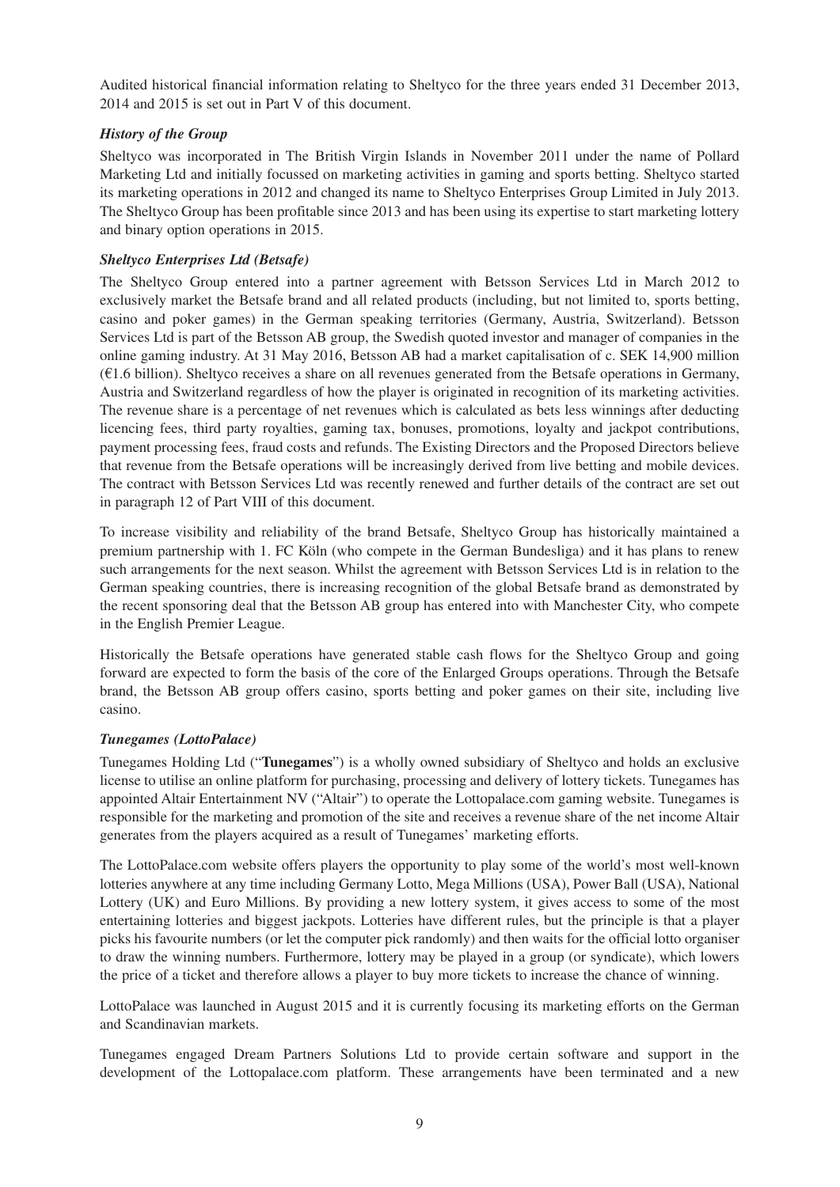Audited historical financial information relating to Sheltyco for the three years ended 31 December 2013, 2014 and 2015 is set out in Part V of this document.

# *History of the Group*

Sheltyco was incorporated in The British Virgin Islands in November 2011 under the name of Pollard Marketing Ltd and initially focussed on marketing activities in gaming and sports betting. Sheltyco started its marketing operations in 2012 and changed its name to Sheltyco Enterprises Group Limited in July 2013. The Sheltyco Group has been profitable since 2013 and has been using its expertise to start marketing lottery and binary option operations in 2015.

### *Sheltyco Enterprises Ltd (Betsafe)*

The Sheltyco Group entered into a partner agreement with Betsson Services Ltd in March 2012 to exclusively market the Betsafe brand and all related products (including, but not limited to, sports betting, casino and poker games) in the German speaking territories (Germany, Austria, Switzerland). Betsson Services Ltd is part of the Betsson AB group, the Swedish quoted investor and manager of companies in the online gaming industry. At 31 May 2016, Betsson AB had a market capitalisation of c. SEK 14,900 million  $(€1.6$  billion). Sheltyco receives a share on all revenues generated from the Betsafe operations in Germany, Austria and Switzerland regardless of how the player is originated in recognition of its marketing activities. The revenue share is a percentage of net revenues which is calculated as bets less winnings after deducting licencing fees, third party royalties, gaming tax, bonuses, promotions, loyalty and jackpot contributions, payment processing fees, fraud costs and refunds. The Existing Directors and the Proposed Directors believe that revenue from the Betsafe operations will be increasingly derived from live betting and mobile devices. The contract with Betsson Services Ltd was recently renewed and further details of the contract are set out in paragraph 12 of Part VIII of this document.

To increase visibility and reliability of the brand Betsafe, Sheltyco Group has historically maintained a premium partnership with 1. FC Köln (who compete in the German Bundesliga) and it has plans to renew such arrangements for the next season. Whilst the agreement with Betsson Services Ltd is in relation to the German speaking countries, there is increasing recognition of the global Betsafe brand as demonstrated by the recent sponsoring deal that the Betsson AB group has entered into with Manchester City, who compete in the English Premier League.

Historically the Betsafe operations have generated stable cash flows for the Sheltyco Group and going forward are expected to form the basis of the core of the Enlarged Groups operations. Through the Betsafe brand, the Betsson AB group offers casino, sports betting and poker games on their site, including live casino.

### *Tunegames (LottoPalace)*

Tunegames Holding Ltd ("**Tunegames**") is a wholly owned subsidiary of Sheltyco and holds an exclusive license to utilise an online platform for purchasing, processing and delivery of lottery tickets. Tunegames has appointed Altair Entertainment NV ("Altair") to operate the Lottopalace.com gaming website. Tunegames is responsible for the marketing and promotion of the site and receives a revenue share of the net income Altair generates from the players acquired as a result of Tunegames' marketing efforts.

The LottoPalace.com website offers players the opportunity to play some of the world's most well-known lotteries anywhere at any time including Germany Lotto, Mega Millions (USA), Power Ball (USA), National Lottery (UK) and Euro Millions. By providing a new lottery system, it gives access to some of the most entertaining lotteries and biggest jackpots. Lotteries have different rules, but the principle is that a player picks his favourite numbers (or let the computer pick randomly) and then waits for the official lotto organiser to draw the winning numbers. Furthermore, lottery may be played in a group (or syndicate), which lowers the price of a ticket and therefore allows a player to buy more tickets to increase the chance of winning.

LottoPalace was launched in August 2015 and it is currently focusing its marketing efforts on the German and Scandinavian markets.

Tunegames engaged Dream Partners Solutions Ltd to provide certain software and support in the development of the Lottopalace.com platform. These arrangements have been terminated and a new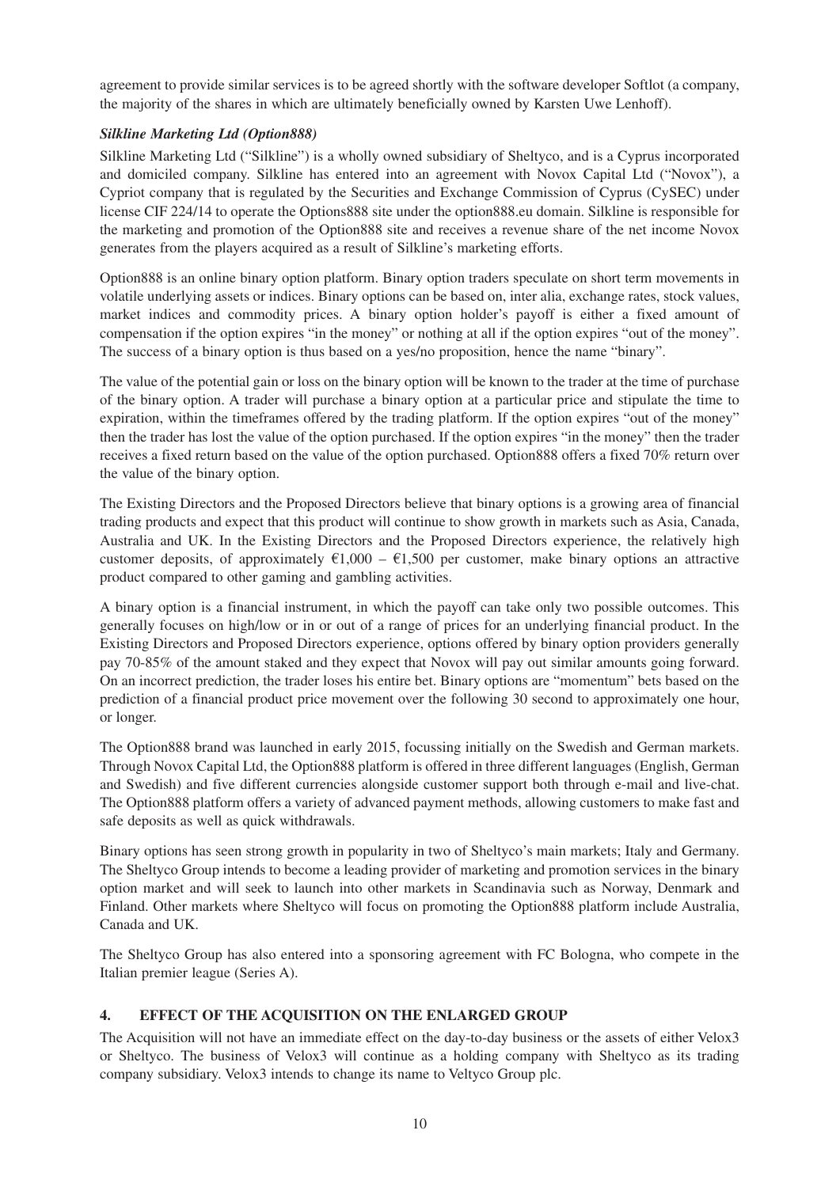agreement to provide similar services is to be agreed shortly with the software developer Softlot (a company, the majority of the shares in which are ultimately beneficially owned by Karsten Uwe Lenhoff).

# *Silkline Marketing Ltd (Option888)*

Silkline Marketing Ltd ("Silkline") is a wholly owned subsidiary of Sheltyco, and is a Cyprus incorporated and domiciled company. Silkline has entered into an agreement with Novox Capital Ltd ("Novox"), a Cypriot company that is regulated by the Securities and Exchange Commission of Cyprus (CySEC) under license CIF 224/14 to operate the Options888 site under the option888.eu domain. Silkline is responsible for the marketing and promotion of the Option888 site and receives a revenue share of the net income Novox generates from the players acquired as a result of Silkline's marketing efforts.

Option888 is an online binary option platform. Binary option traders speculate on short term movements in volatile underlying assets or indices. Binary options can be based on, inter alia, exchange rates, stock values, market indices and commodity prices. A binary option holder's payoff is either a fixed amount of compensation if the option expires "in the money" or nothing at all if the option expires "out of the money". The success of a binary option is thus based on a yes/no proposition, hence the name "binary".

The value of the potential gain or loss on the binary option will be known to the trader at the time of purchase of the binary option. A trader will purchase a binary option at a particular price and stipulate the time to expiration, within the timeframes offered by the trading platform. If the option expires "out of the money" then the trader has lost the value of the option purchased. If the option expires "in the money" then the trader receives a fixed return based on the value of the option purchased. Option888 offers a fixed 70% return over the value of the binary option.

The Existing Directors and the Proposed Directors believe that binary options is a growing area of financial trading products and expect that this product will continue to show growth in markets such as Asia, Canada, Australia and UK. In the Existing Directors and the Proposed Directors experience, the relatively high customer deposits, of approximately  $\epsilon$ 1,000 –  $\epsilon$ 1,500 per customer, make binary options an attractive product compared to other gaming and gambling activities.

A binary option is a financial instrument, in which the payoff can take only two possible outcomes. This generally focuses on high/low or in or out of a range of prices for an underlying financial product. In the Existing Directors and Proposed Directors experience, options offered by binary option providers generally pay 70-85% of the amount staked and they expect that Novox will pay out similar amounts going forward. On an incorrect prediction, the trader loses his entire bet. Binary options are "momentum" bets based on the prediction of a financial product price movement over the following 30 second to approximately one hour, or longer.

The Option888 brand was launched in early 2015, focussing initially on the Swedish and German markets. Through Novox Capital Ltd, the Option888 platform is offered in three different languages (English, German and Swedish) and five different currencies alongside customer support both through e-mail and live-chat. The Option888 platform offers a variety of advanced payment methods, allowing customers to make fast and safe deposits as well as quick withdrawals.

Binary options has seen strong growth in popularity in two of Sheltyco's main markets; Italy and Germany. The Sheltyco Group intends to become a leading provider of marketing and promotion services in the binary option market and will seek to launch into other markets in Scandinavia such as Norway, Denmark and Finland. Other markets where Sheltyco will focus on promoting the Option888 platform include Australia, Canada and UK.

The Sheltyco Group has also entered into a sponsoring agreement with FC Bologna, who compete in the Italian premier league (Series A).

# **4. EFFECT OF THE ACQUISITION ON THE ENLARGED GROUP**

The Acquisition will not have an immediate effect on the day-to-day business or the assets of either Velox3 or Sheltyco. The business of Velox3 will continue as a holding company with Sheltyco as its trading company subsidiary. Velox3 intends to change its name to Veltyco Group plc.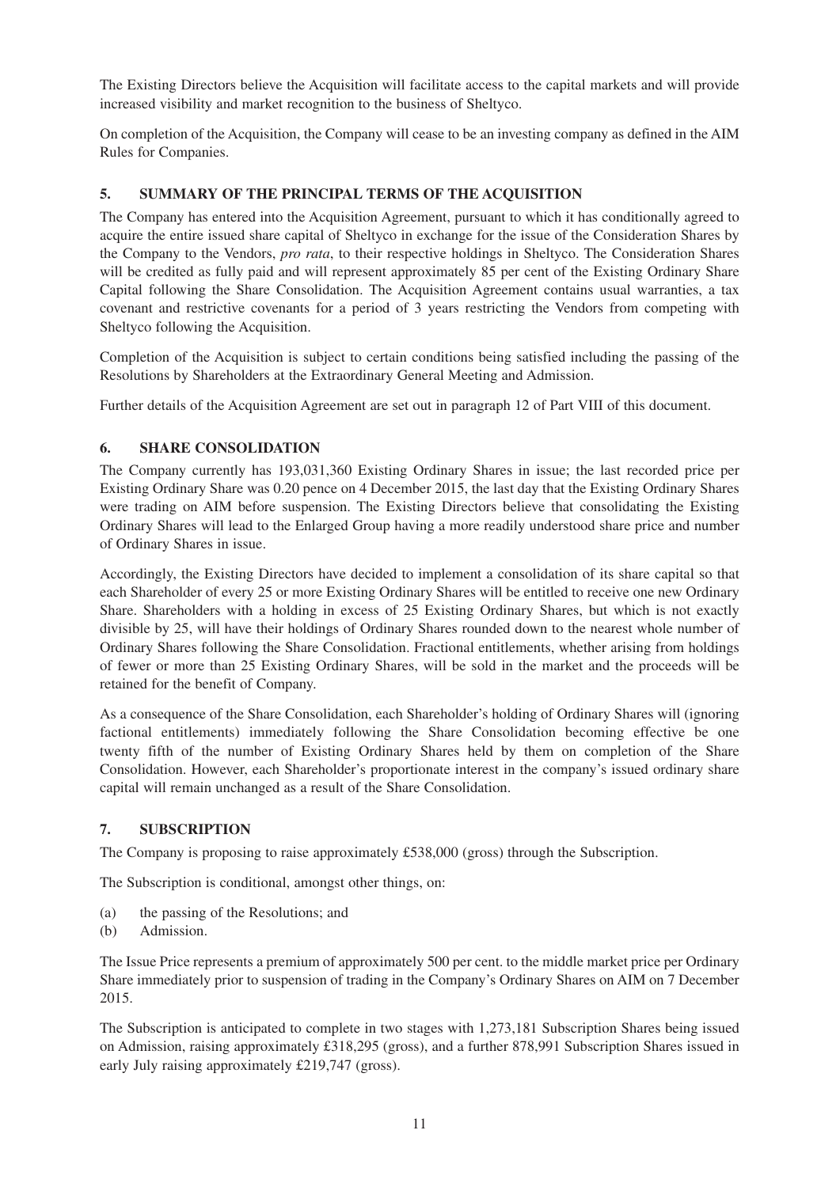The Existing Directors believe the Acquisition will facilitate access to the capital markets and will provide increased visibility and market recognition to the business of Sheltyco.

On completion of the Acquisition, the Company will cease to be an investing company as defined in the AIM Rules for Companies.

# **5. SUMMARY OF THE PRINCIPAL TERMS OF THE ACQUISITION**

The Company has entered into the Acquisition Agreement, pursuant to which it has conditionally agreed to acquire the entire issued share capital of Sheltyco in exchange for the issue of the Consideration Shares by the Company to the Vendors, *pro rata*, to their respective holdings in Sheltyco. The Consideration Shares will be credited as fully paid and will represent approximately 85 per cent of the Existing Ordinary Share Capital following the Share Consolidation. The Acquisition Agreement contains usual warranties, a tax covenant and restrictive covenants for a period of 3 years restricting the Vendors from competing with Sheltyco following the Acquisition.

Completion of the Acquisition is subject to certain conditions being satisfied including the passing of the Resolutions by Shareholders at the Extraordinary General Meeting and Admission.

Further details of the Acquisition Agreement are set out in paragraph 12 of Part VIII of this document.

### **6. SHARE CONSOLIDATION**

The Company currently has 193,031,360 Existing Ordinary Shares in issue; the last recorded price per Existing Ordinary Share was 0.20 pence on 4 December 2015, the last day that the Existing Ordinary Shares were trading on AIM before suspension. The Existing Directors believe that consolidating the Existing Ordinary Shares will lead to the Enlarged Group having a more readily understood share price and number of Ordinary Shares in issue.

Accordingly, the Existing Directors have decided to implement a consolidation of its share capital so that each Shareholder of every 25 or more Existing Ordinary Shares will be entitled to receive one new Ordinary Share. Shareholders with a holding in excess of 25 Existing Ordinary Shares, but which is not exactly divisible by 25, will have their holdings of Ordinary Shares rounded down to the nearest whole number of Ordinary Shares following the Share Consolidation. Fractional entitlements, whether arising from holdings of fewer or more than 25 Existing Ordinary Shares, will be sold in the market and the proceeds will be retained for the benefit of Company.

As a consequence of the Share Consolidation, each Shareholder's holding of Ordinary Shares will (ignoring factional entitlements) immediately following the Share Consolidation becoming effective be one twenty fifth of the number of Existing Ordinary Shares held by them on completion of the Share Consolidation. However, each Shareholder's proportionate interest in the company's issued ordinary share capital will remain unchanged as a result of the Share Consolidation.

# **7. SUBSCRIPTION**

The Company is proposing to raise approximately £538,000 (gross) through the Subscription.

The Subscription is conditional, amongst other things, on:

- (a) the passing of the Resolutions; and
- (b) Admission.

The Issue Price represents a premium of approximately 500 per cent. to the middle market price per Ordinary Share immediately prior to suspension of trading in the Company's Ordinary Shares on AIM on 7 December 2015.

The Subscription is anticipated to complete in two stages with 1,273,181 Subscription Shares being issued on Admission, raising approximately £318,295 (gross), and a further 878,991 Subscription Shares issued in early July raising approximately £219,747 (gross).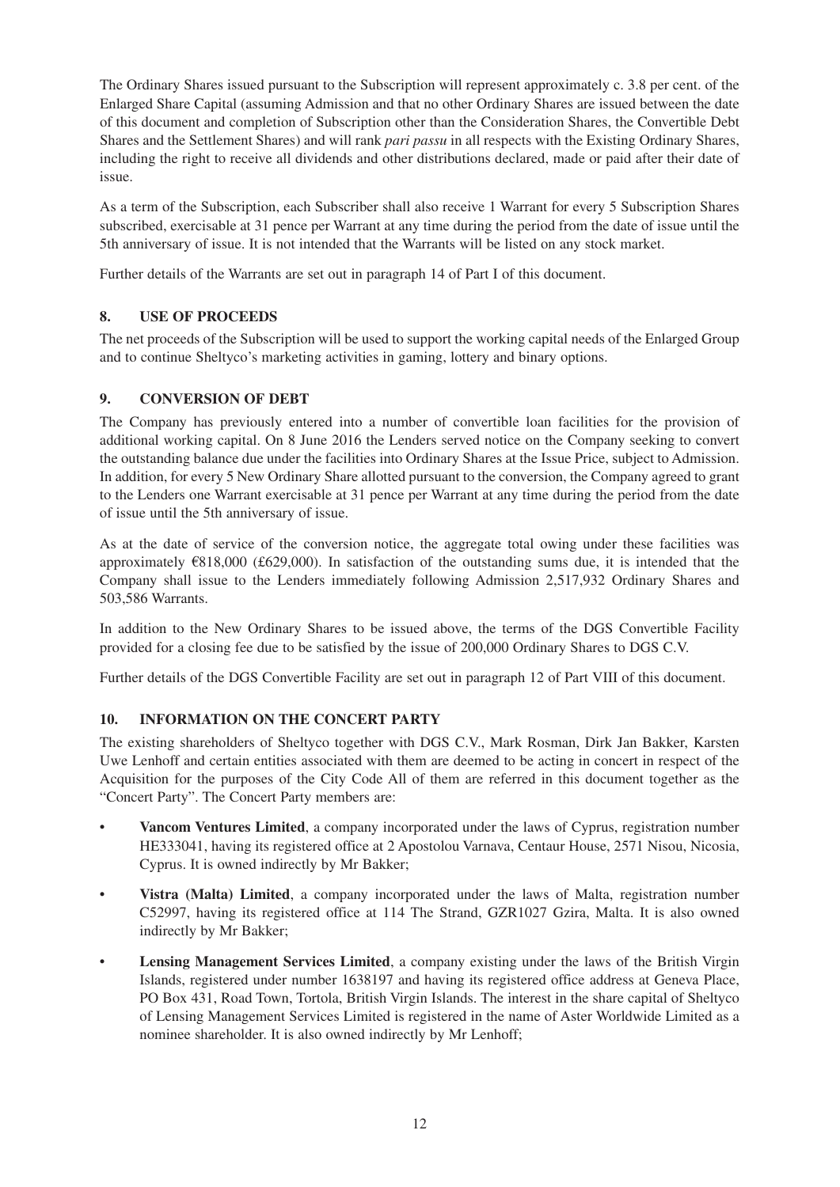The Ordinary Shares issued pursuant to the Subscription will represent approximately c. 3.8 per cent. of the Enlarged Share Capital (assuming Admission and that no other Ordinary Shares are issued between the date of this document and completion of Subscription other than the Consideration Shares, the Convertible Debt Shares and the Settlement Shares) and will rank *pari passu* in all respects with the Existing Ordinary Shares, including the right to receive all dividends and other distributions declared, made or paid after their date of issue.

As a term of the Subscription, each Subscriber shall also receive 1 Warrant for every 5 Subscription Shares subscribed, exercisable at 31 pence per Warrant at any time during the period from the date of issue until the 5th anniversary of issue. It is not intended that the Warrants will be listed on any stock market.

Further details of the Warrants are set out in paragraph 14 of Part I of this document.

# **8. USE OF PROCEEDS**

The net proceeds of the Subscription will be used to support the working capital needs of the Enlarged Group and to continue Sheltyco's marketing activities in gaming, lottery and binary options.

# **9. CONVERSION OF DEBT**

The Company has previously entered into a number of convertible loan facilities for the provision of additional working capital. On 8 June 2016 the Lenders served notice on the Company seeking to convert the outstanding balance due under the facilities into Ordinary Shares at the Issue Price, subject to Admission. In addition, for every 5 New Ordinary Share allotted pursuant to the conversion, the Company agreed to grant to the Lenders one Warrant exercisable at 31 pence per Warrant at any time during the period from the date of issue until the 5th anniversary of issue.

As at the date of service of the conversion notice, the aggregate total owing under these facilities was approximately  $\epsilon$ 818,000 (£629,000). In satisfaction of the outstanding sums due, it is intended that the Company shall issue to the Lenders immediately following Admission 2,517,932 Ordinary Shares and 503,586 Warrants.

In addition to the New Ordinary Shares to be issued above, the terms of the DGS Convertible Facility provided for a closing fee due to be satisfied by the issue of 200,000 Ordinary Shares to DGS C.V.

Further details of the DGS Convertible Facility are set out in paragraph 12 of Part VIII of this document.

# **10. INFORMATION ON THE CONCERT PARTY**

The existing shareholders of Sheltyco together with DGS C.V., Mark Rosman, Dirk Jan Bakker, Karsten Uwe Lenhoff and certain entities associated with them are deemed to be acting in concert in respect of the Acquisition for the purposes of the City Code All of them are referred in this document together as the "Concert Party". The Concert Party members are:

- **Vancom Ventures Limited**, a company incorporated under the laws of Cyprus, registration number HE333041, having its registered office at 2 Apostolou Varnava, Centaur House, 2571 Nisou, Nicosia, Cyprus. It is owned indirectly by Mr Bakker;
- **Vistra (Malta) Limited**, a company incorporated under the laws of Malta, registration number C52997, having its registered office at 114 The Strand, GZR1027 Gzira, Malta. It is also owned indirectly by Mr Bakker;
- **Lensing Management Services Limited**, a company existing under the laws of the British Virgin Islands, registered under number 1638197 and having its registered office address at Geneva Place, PO Box 431, Road Town, Tortola, British Virgin Islands. The interest in the share capital of Sheltyco of Lensing Management Services Limited is registered in the name of Aster Worldwide Limited as a nominee shareholder. It is also owned indirectly by Mr Lenhoff;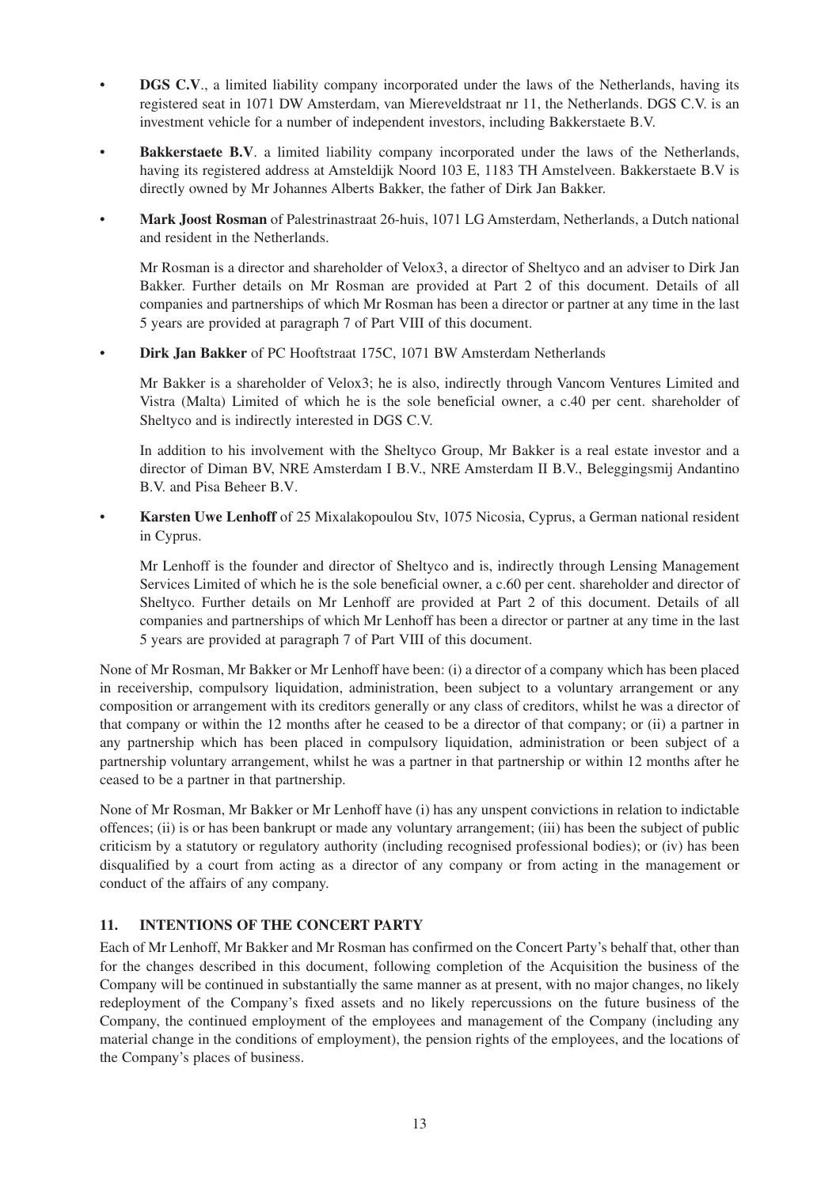- **DGS C.V.**, a limited liability company incorporated under the laws of the Netherlands, having its registered seat in 1071 DW Amsterdam, van Miereveldstraat nr 11, the Netherlands. DGS C.V. is an investment vehicle for a number of independent investors, including Bakkerstaete B.V.
- **Bakkerstaete B.V**. a limited liability company incorporated under the laws of the Netherlands, having its registered address at Amsteldijk Noord 103 E, 1183 TH Amstelveen. Bakkerstaete B.V is directly owned by Mr Johannes Alberts Bakker, the father of Dirk Jan Bakker.
- **Mark Joost Rosman** of Palestrinastraat 26-huis, 1071 LG Amsterdam, Netherlands, a Dutch national and resident in the Netherlands.

Mr Rosman is a director and shareholder of Velox3, a director of Sheltyco and an adviser to Dirk Jan Bakker. Further details on Mr Rosman are provided at Part 2 of this document. Details of all companies and partnerships of which Mr Rosman has been a director or partner at any time in the last 5 years are provided at paragraph 7 of Part VIII of this document.

• **Dirk Jan Bakker** of PC Hooftstraat 175C, 1071 BW Amsterdam Netherlands

Mr Bakker is a shareholder of Velox3; he is also, indirectly through Vancom Ventures Limited and Vistra (Malta) Limited of which he is the sole beneficial owner, a c.40 per cent. shareholder of Sheltyco and is indirectly interested in DGS C.V.

 In addition to his involvement with the Sheltyco Group, Mr Bakker is a real estate investor and a director of Diman BV, NRE Amsterdam I B.V., NRE Amsterdam II B.V., Beleggingsmij Andantino B.V. and Pisa Beheer B.V.

• **Karsten Uwe Lenhoff** of 25 Mixalakopoulou Stv, 1075 Nicosia, Cyprus, a German national resident in Cyprus.

 Mr Lenhoff is the founder and director of Sheltyco and is, indirectly through Lensing Management Services Limited of which he is the sole beneficial owner, a c.60 per cent. shareholder and director of Sheltyco. Further details on Mr Lenhoff are provided at Part 2 of this document. Details of all companies and partnerships of which Mr Lenhoff has been a director or partner at any time in the last 5 years are provided at paragraph 7 of Part VIII of this document.

None of Mr Rosman, Mr Bakker or Mr Lenhoff have been: (i) a director of a company which has been placed in receivership, compulsory liquidation, administration, been subject to a voluntary arrangement or any composition or arrangement with its creditors generally or any class of creditors, whilst he was a director of that company or within the 12 months after he ceased to be a director of that company; or (ii) a partner in any partnership which has been placed in compulsory liquidation, administration or been subject of a partnership voluntary arrangement, whilst he was a partner in that partnership or within 12 months after he ceased to be a partner in that partnership.

None of Mr Rosman, Mr Bakker or Mr Lenhoff have (i) has any unspent convictions in relation to indictable offences; (ii) is or has been bankrupt or made any voluntary arrangement; (iii) has been the subject of public criticism by a statutory or regulatory authority (including recognised professional bodies); or (iv) has been disqualified by a court from acting as a director of any company or from acting in the management or conduct of the affairs of any company.

# **11. INTENTIONS OF THE CONCERT PARTY**

Each of Mr Lenhoff, Mr Bakker and Mr Rosman has confirmed on the Concert Party's behalf that, other than for the changes described in this document, following completion of the Acquisition the business of the Company will be continued in substantially the same manner as at present, with no major changes, no likely redeployment of the Company's fixed assets and no likely repercussions on the future business of the Company, the continued employment of the employees and management of the Company (including any material change in the conditions of employment), the pension rights of the employees, and the locations of the Company's places of business.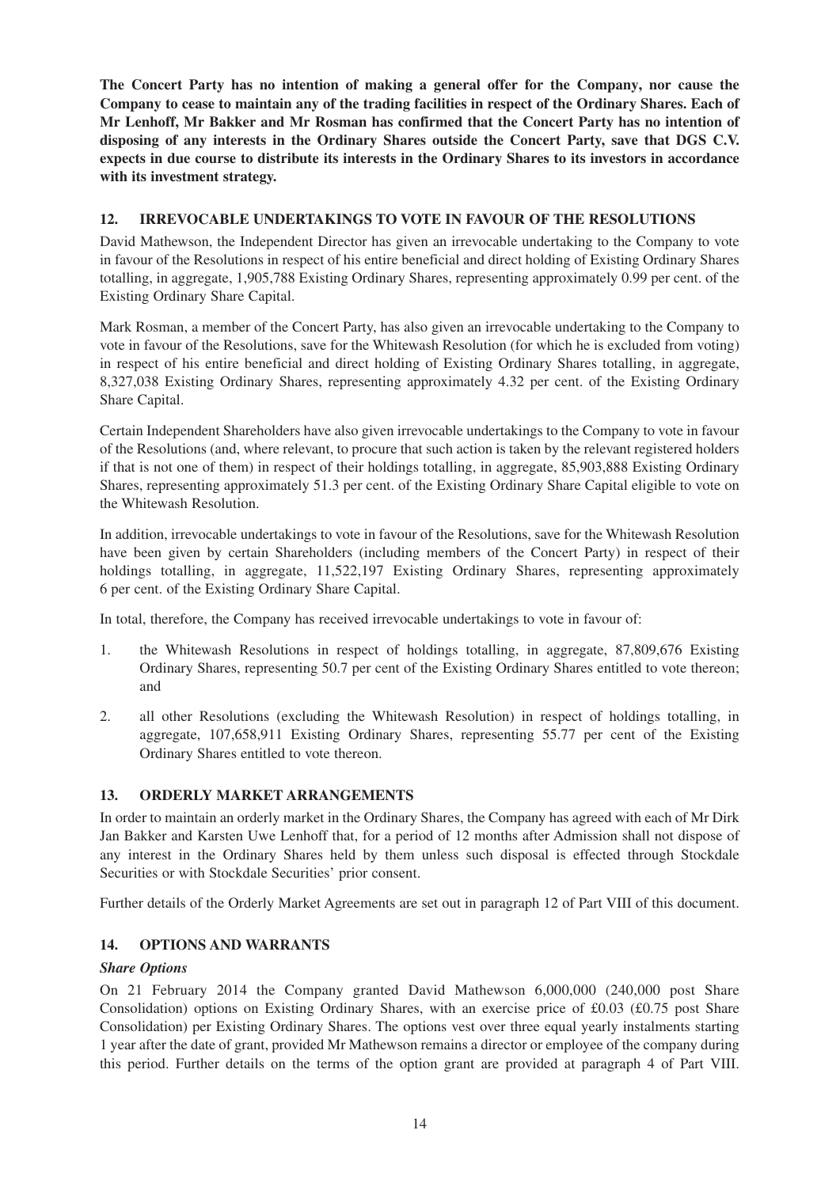**The Concert Party has no intention of making a general offer for the Company, nor cause the Company to cease to maintain any of the trading facilities in respect of the Ordinary Shares. Each of Mr Lenhoff, Mr Bakker and Mr Rosman has confirmed that the Concert Party has no intention of disposing of any interests in the Ordinary Shares outside the Concert Party, save that DGS C.V. expects in due course to distribute its interests in the Ordinary Shares to its investors in accordance with its investment strategy.**

# **12. IRREVOCABLE UNDERTAKINGS TO VOTE IN FAVOUR OF THE RESOLUTIONS**

David Mathewson, the Independent Director has given an irrevocable undertaking to the Company to vote in favour of the Resolutions in respect of his entire beneficial and direct holding of Existing Ordinary Shares totalling, in aggregate, 1,905,788 Existing Ordinary Shares, representing approximately 0.99 per cent. of the Existing Ordinary Share Capital.

Mark Rosman, a member of the Concert Party, has also given an irrevocable undertaking to the Company to vote in favour of the Resolutions, save for the Whitewash Resolution (for which he is excluded from voting) in respect of his entire beneficial and direct holding of Existing Ordinary Shares totalling, in aggregate, 8,327,038 Existing Ordinary Shares, representing approximately 4.32 per cent. of the Existing Ordinary Share Capital.

Certain Independent Shareholders have also given irrevocable undertakings to the Company to vote in favour of the Resolutions (and, where relevant, to procure that such action is taken by the relevant registered holders if that is not one of them) in respect of their holdings totalling, in aggregate, 85,903,888 Existing Ordinary Shares, representing approximately 51.3 per cent. of the Existing Ordinary Share Capital eligible to vote on the Whitewash Resolution.

In addition, irrevocable undertakings to vote in favour of the Resolutions, save for the Whitewash Resolution have been given by certain Shareholders (including members of the Concert Party) in respect of their holdings totalling, in aggregate, 11,522,197 Existing Ordinary Shares, representing approximately 6 per cent. of the Existing Ordinary Share Capital.

In total, therefore, the Company has received irrevocable undertakings to vote in favour of:

- 1. the Whitewash Resolutions in respect of holdings totalling, in aggregate, 87,809,676 Existing Ordinary Shares, representing 50.7 per cent of the Existing Ordinary Shares entitled to vote thereon; and
- 2. all other Resolutions (excluding the Whitewash Resolution) in respect of holdings totalling, in aggregate, 107,658,911 Existing Ordinary Shares, representing 55.77 per cent of the Existing Ordinary Shares entitled to vote thereon.

# **13. ORDERLY MARKET ARRANGEMENTS**

In order to maintain an orderly market in the Ordinary Shares, the Company has agreed with each of Mr Dirk Jan Bakker and Karsten Uwe Lenhoff that, for a period of 12 months after Admission shall not dispose of any interest in the Ordinary Shares held by them unless such disposal is effected through Stockdale Securities or with Stockdale Securities' prior consent.

Further details of the Orderly Market Agreements are set out in paragraph 12 of Part VIII of this document.

# **14. OPTIONS AND WARRANTS**

### *Share Options*

On 21 February 2014 the Company granted David Mathewson 6,000,000 (240,000 post Share Consolidation) options on Existing Ordinary Shares, with an exercise price of £0.03 (£0.75 post Share Consolidation) per Existing Ordinary Shares. The options vest over three equal yearly instalments starting 1 year after the date of grant, provided Mr Mathewson remains a director or employee of the company during this period. Further details on the terms of the option grant are provided at paragraph 4 of Part VIII.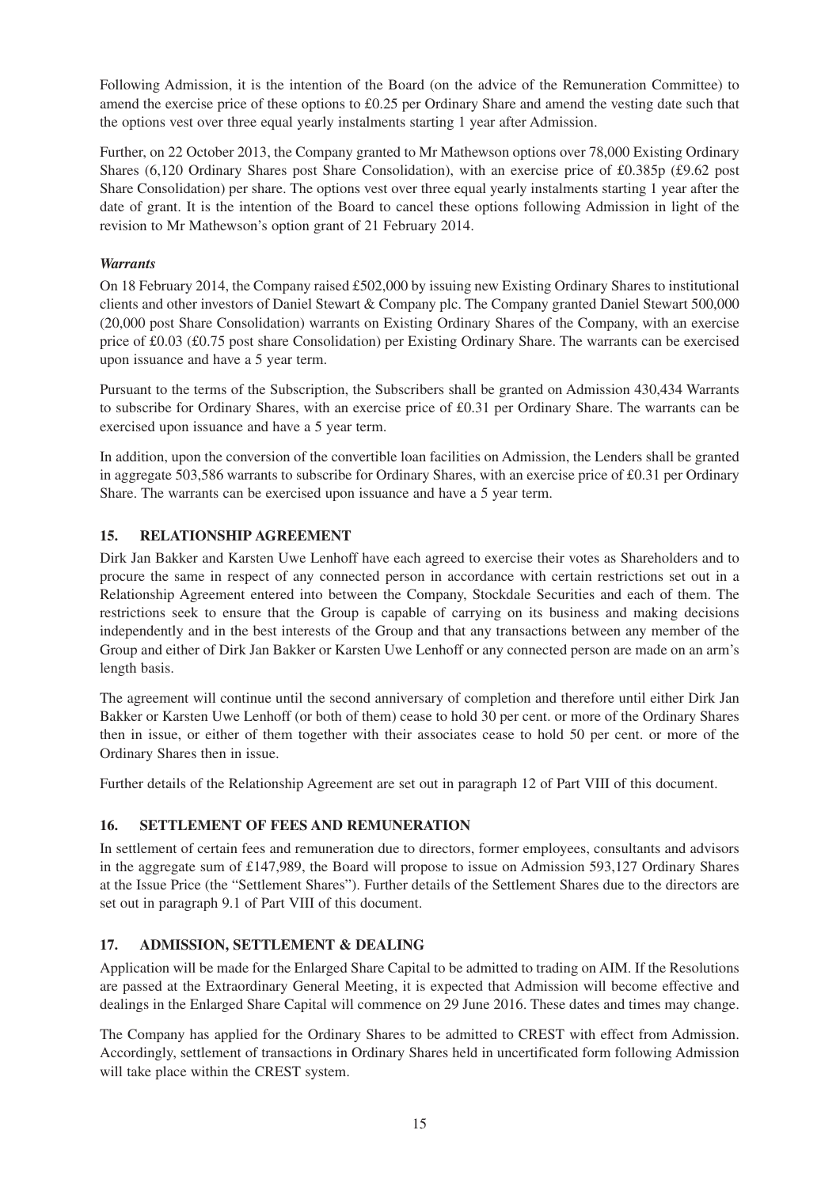Following Admission, it is the intention of the Board (on the advice of the Remuneration Committee) to amend the exercise price of these options to £0.25 per Ordinary Share and amend the vesting date such that the options vest over three equal yearly instalments starting 1 year after Admission.

Further, on 22 October 2013, the Company granted to Mr Mathewson options over 78,000 Existing Ordinary Shares (6,120 Ordinary Shares post Share Consolidation), with an exercise price of £0.385p (£9.62 post Share Consolidation) per share. The options vest over three equal yearly instalments starting 1 year after the date of grant. It is the intention of the Board to cancel these options following Admission in light of the revision to Mr Mathewson's option grant of 21 February 2014.

# *Warrants*

On 18 February 2014, the Company raised £502,000 by issuing new Existing Ordinary Shares to institutional clients and other investors of Daniel Stewart & Company plc. The Company granted Daniel Stewart 500,000 (20,000 post Share Consolidation) warrants on Existing Ordinary Shares of the Company, with an exercise price of £0.03 (£0.75 post share Consolidation) per Existing Ordinary Share. The warrants can be exercised upon issuance and have a 5 year term.

Pursuant to the terms of the Subscription, the Subscribers shall be granted on Admission 430,434 Warrants to subscribe for Ordinary Shares, with an exercise price of £0.31 per Ordinary Share. The warrants can be exercised upon issuance and have a 5 year term.

In addition, upon the conversion of the convertible loan facilities on Admission, the Lenders shall be granted in aggregate 503,586 warrants to subscribe for Ordinary Shares, with an exercise price of £0.31 per Ordinary Share. The warrants can be exercised upon issuance and have a 5 year term.

# **15. RELATIONSHIP AGREEMENT**

Dirk Jan Bakker and Karsten Uwe Lenhoff have each agreed to exercise their votes as Shareholders and to procure the same in respect of any connected person in accordance with certain restrictions set out in a Relationship Agreement entered into between the Company, Stockdale Securities and each of them. The restrictions seek to ensure that the Group is capable of carrying on its business and making decisions independently and in the best interests of the Group and that any transactions between any member of the Group and either of Dirk Jan Bakker or Karsten Uwe Lenhoff or any connected person are made on an arm's length basis.

The agreement will continue until the second anniversary of completion and therefore until either Dirk Jan Bakker or Karsten Uwe Lenhoff (or both of them) cease to hold 30 per cent. or more of the Ordinary Shares then in issue, or either of them together with their associates cease to hold 50 per cent. or more of the Ordinary Shares then in issue.

Further details of the Relationship Agreement are set out in paragraph 12 of Part VIII of this document.

# **16. SETTLEMENT OF FEES AND REMUNERATION**

In settlement of certain fees and remuneration due to directors, former employees, consultants and advisors in the aggregate sum of £147,989, the Board will propose to issue on Admission 593,127 Ordinary Shares at the Issue Price (the "Settlement Shares"). Further details of the Settlement Shares due to the directors are set out in paragraph 9.1 of Part VIII of this document.

# **17. ADMISSION, SETTLEMENT & DEALING**

Application will be made for the Enlarged Share Capital to be admitted to trading on AIM. If the Resolutions are passed at the Extraordinary General Meeting, it is expected that Admission will become effective and dealings in the Enlarged Share Capital will commence on 29 June 2016. These dates and times may change.

The Company has applied for the Ordinary Shares to be admitted to CREST with effect from Admission. Accordingly, settlement of transactions in Ordinary Shares held in uncertificated form following Admission will take place within the CREST system.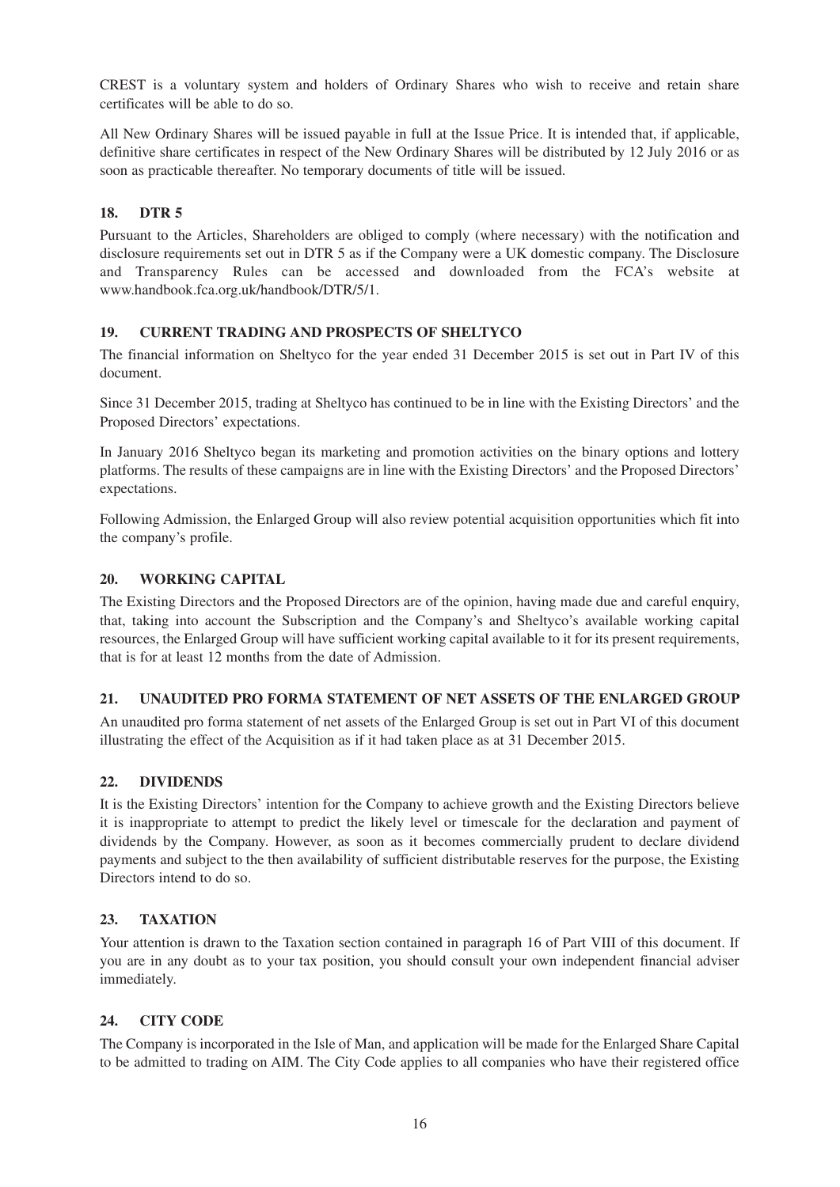CREST is a voluntary system and holders of Ordinary Shares who wish to receive and retain share certificates will be able to do so.

All New Ordinary Shares will be issued payable in full at the Issue Price. It is intended that, if applicable, definitive share certificates in respect of the New Ordinary Shares will be distributed by 12 July 2016 or as soon as practicable thereafter. No temporary documents of title will be issued.

# **18. DTR 5**

Pursuant to the Articles, Shareholders are obliged to comply (where necessary) with the notification and disclosure requirements set out in DTR 5 as if the Company were a UK domestic company. The Disclosure and Transparency Rules can be accessed and downloaded from the FCA's website at www.handbook.fca.org.uk/handbook/DTR/5/1.

# **19. CURRENT TRADING AND PROSPECTS OF SHELTYCO**

The financial information on Sheltyco for the year ended 31 December 2015 is set out in Part IV of this document.

Since 31 December 2015, trading at Sheltyco has continued to be in line with the Existing Directors' and the Proposed Directors' expectations.

In January 2016 Sheltyco began its marketing and promotion activities on the binary options and lottery platforms. The results of these campaigns are in line with the Existing Directors' and the Proposed Directors' expectations.

Following Admission, the Enlarged Group will also review potential acquisition opportunities which fit into the company's profile.

### **20. WORKING CAPITAL**

The Existing Directors and the Proposed Directors are of the opinion, having made due and careful enquiry, that, taking into account the Subscription and the Company's and Sheltyco's available working capital resources, the Enlarged Group will have sufficient working capital available to it for its present requirements, that is for at least 12 months from the date of Admission.

### **21. UNAUDITED PRO FORMA STATEMENT OF NET ASSETS OF THE ENLARGED GROUP**

An unaudited pro forma statement of net assets of the Enlarged Group is set out in Part VI of this document illustrating the effect of the Acquisition as if it had taken place as at 31 December 2015.

### **22. DIVIDENDS**

It is the Existing Directors' intention for the Company to achieve growth and the Existing Directors believe it is inappropriate to attempt to predict the likely level or timescale for the declaration and payment of dividends by the Company. However, as soon as it becomes commercially prudent to declare dividend payments and subject to the then availability of sufficient distributable reserves for the purpose, the Existing Directors intend to do so.

### **23. TAXATION**

Your attention is drawn to the Taxation section contained in paragraph 16 of Part VIII of this document. If you are in any doubt as to your tax position, you should consult your own independent financial adviser immediately.

### **24. CITY CODE**

The Company is incorporated in the Isle of Man, and application will be made for the Enlarged Share Capital to be admitted to trading on AIM. The City Code applies to all companies who have their registered office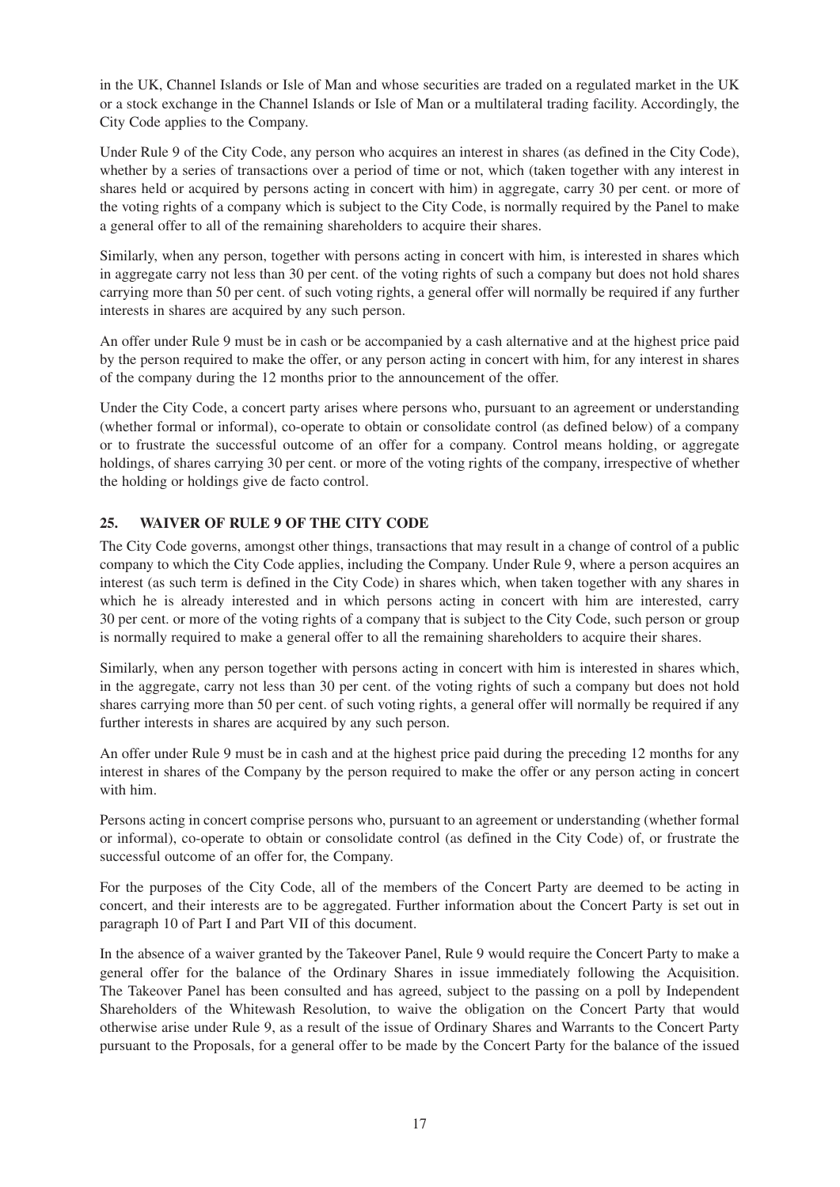in the UK, Channel Islands or Isle of Man and whose securities are traded on a regulated market in the UK or a stock exchange in the Channel Islands or Isle of Man or a multilateral trading facility. Accordingly, the City Code applies to the Company.

Under Rule 9 of the City Code, any person who acquires an interest in shares (as defined in the City Code), whether by a series of transactions over a period of time or not, which (taken together with any interest in shares held or acquired by persons acting in concert with him) in aggregate, carry 30 per cent. or more of the voting rights of a company which is subject to the City Code, is normally required by the Panel to make a general offer to all of the remaining shareholders to acquire their shares.

Similarly, when any person, together with persons acting in concert with him, is interested in shares which in aggregate carry not less than 30 per cent. of the voting rights of such a company but does not hold shares carrying more than 50 per cent. of such voting rights, a general offer will normally be required if any further interests in shares are acquired by any such person.

An offer under Rule 9 must be in cash or be accompanied by a cash alternative and at the highest price paid by the person required to make the offer, or any person acting in concert with him, for any interest in shares of the company during the 12 months prior to the announcement of the offer.

Under the City Code, a concert party arises where persons who, pursuant to an agreement or understanding (whether formal or informal), co-operate to obtain or consolidate control (as defined below) of a company or to frustrate the successful outcome of an offer for a company. Control means holding, or aggregate holdings, of shares carrying 30 per cent. or more of the voting rights of the company, irrespective of whether the holding or holdings give de facto control.

# **25. WAIVER OF RULE 9 OF THE CITY CODE**

The City Code governs, amongst other things, transactions that may result in a change of control of a public company to which the City Code applies, including the Company. Under Rule 9, where a person acquires an interest (as such term is defined in the City Code) in shares which, when taken together with any shares in which he is already interested and in which persons acting in concert with him are interested, carry 30 per cent. or more of the voting rights of a company that is subject to the City Code, such person or group is normally required to make a general offer to all the remaining shareholders to acquire their shares.

Similarly, when any person together with persons acting in concert with him is interested in shares which, in the aggregate, carry not less than 30 per cent. of the voting rights of such a company but does not hold shares carrying more than 50 per cent. of such voting rights, a general offer will normally be required if any further interests in shares are acquired by any such person.

An offer under Rule 9 must be in cash and at the highest price paid during the preceding 12 months for any interest in shares of the Company by the person required to make the offer or any person acting in concert with him.

Persons acting in concert comprise persons who, pursuant to an agreement or understanding (whether formal or informal), co-operate to obtain or consolidate control (as defined in the City Code) of, or frustrate the successful outcome of an offer for, the Company.

For the purposes of the City Code, all of the members of the Concert Party are deemed to be acting in concert, and their interests are to be aggregated. Further information about the Concert Party is set out in paragraph 10 of Part I and Part VII of this document.

In the absence of a waiver granted by the Takeover Panel, Rule 9 would require the Concert Party to make a general offer for the balance of the Ordinary Shares in issue immediately following the Acquisition. The Takeover Panel has been consulted and has agreed, subject to the passing on a poll by Independent Shareholders of the Whitewash Resolution, to waive the obligation on the Concert Party that would otherwise arise under Rule 9, as a result of the issue of Ordinary Shares and Warrants to the Concert Party pursuant to the Proposals, for a general offer to be made by the Concert Party for the balance of the issued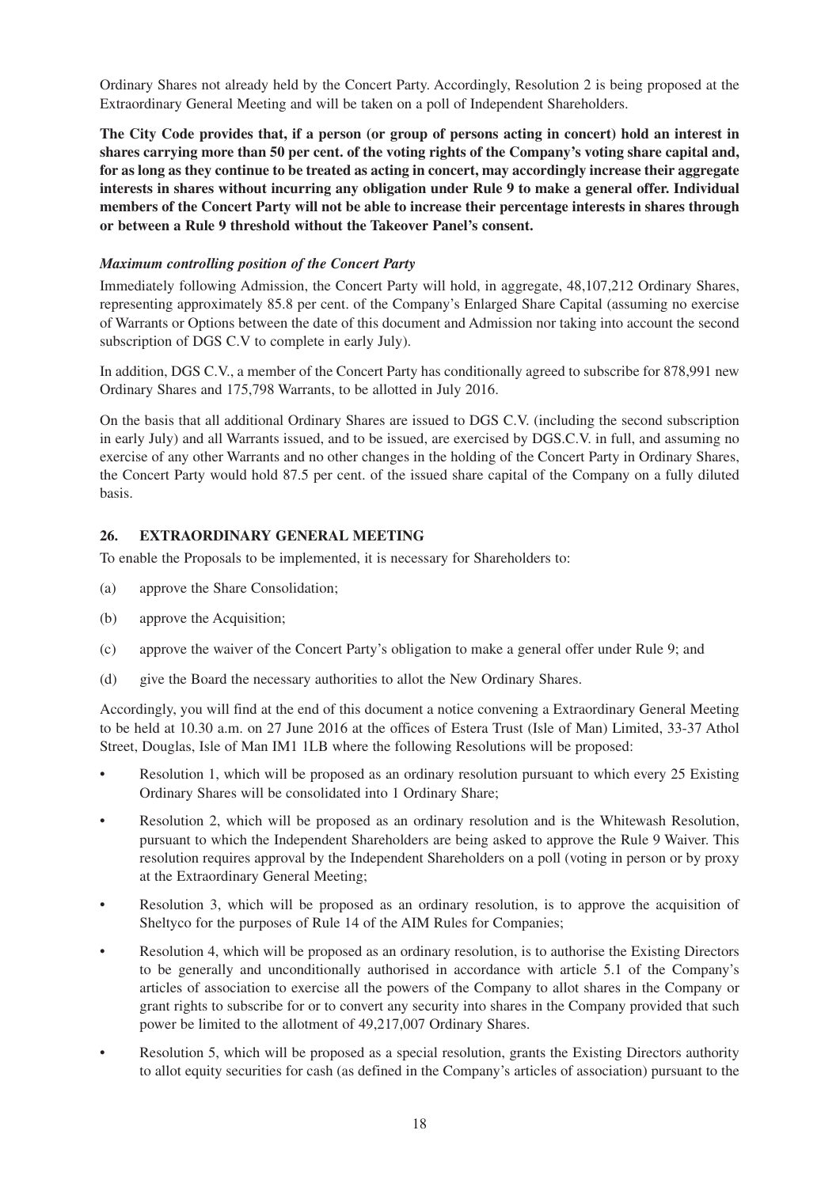Ordinary Shares not already held by the Concert Party. Accordingly, Resolution 2 is being proposed at the Extraordinary General Meeting and will be taken on a poll of Independent Shareholders.

**The City Code provides that, if a person (or group of persons acting in concert) hold an interest in shares carrying more than 50 per cent. of the voting rights of the Company's voting share capital and, for as long as they continue to be treated as acting in concert, may accordingly increase their aggregate interests in shares without incurring any obligation under Rule 9 to make a general offer. Individual members of the Concert Party will not be able to increase their percentage interests in shares through or between a Rule 9 threshold without the Takeover Panel's consent.**

# *Maximum controlling position of the Concert Party*

Immediately following Admission, the Concert Party will hold, in aggregate, 48,107,212 Ordinary Shares, representing approximately 85.8 per cent. of the Company's Enlarged Share Capital (assuming no exercise of Warrants or Options between the date of this document and Admission nor taking into account the second subscription of DGS C.V to complete in early July).

In addition, DGS C.V., a member of the Concert Party has conditionally agreed to subscribe for 878,991 new Ordinary Shares and 175,798 Warrants, to be allotted in July 2016.

On the basis that all additional Ordinary Shares are issued to DGS C.V. (including the second subscription in early July) and all Warrants issued, and to be issued, are exercised by DGS.C.V. in full, and assuming no exercise of any other Warrants and no other changes in the holding of the Concert Party in Ordinary Shares, the Concert Party would hold 87.5 per cent. of the issued share capital of the Company on a fully diluted basis.

### **26. EXTRAORDINARY GENERAL MEETING**

To enable the Proposals to be implemented, it is necessary for Shareholders to:

- (a) approve the Share Consolidation;
- (b) approve the Acquisition;
- (c) approve the waiver of the Concert Party's obligation to make a general offer under Rule 9; and
- (d) give the Board the necessary authorities to allot the New Ordinary Shares.

Accordingly, you will find at the end of this document a notice convening a Extraordinary General Meeting to be held at 10.30 a.m. on 27 June 2016 at the offices of Estera Trust (Isle of Man) Limited, 33-37 Athol Street, Douglas, Isle of Man IM1 1LB where the following Resolutions will be proposed:

- Resolution 1, which will be proposed as an ordinary resolution pursuant to which every 25 Existing Ordinary Shares will be consolidated into 1 Ordinary Share;
- Resolution 2, which will be proposed as an ordinary resolution and is the Whitewash Resolution, pursuant to which the Independent Shareholders are being asked to approve the Rule 9 Waiver. This resolution requires approval by the Independent Shareholders on a poll (voting in person or by proxy at the Extraordinary General Meeting;
- Resolution 3, which will be proposed as an ordinary resolution, is to approve the acquisition of Sheltyco for the purposes of Rule 14 of the AIM Rules for Companies;
- Resolution 4, which will be proposed as an ordinary resolution, is to authorise the Existing Directors to be generally and unconditionally authorised in accordance with article 5.1 of the Company's articles of association to exercise all the powers of the Company to allot shares in the Company or grant rights to subscribe for or to convert any security into shares in the Company provided that such power be limited to the allotment of 49,217,007 Ordinary Shares.
- Resolution 5, which will be proposed as a special resolution, grants the Existing Directors authority to allot equity securities for cash (as defined in the Company's articles of association) pursuant to the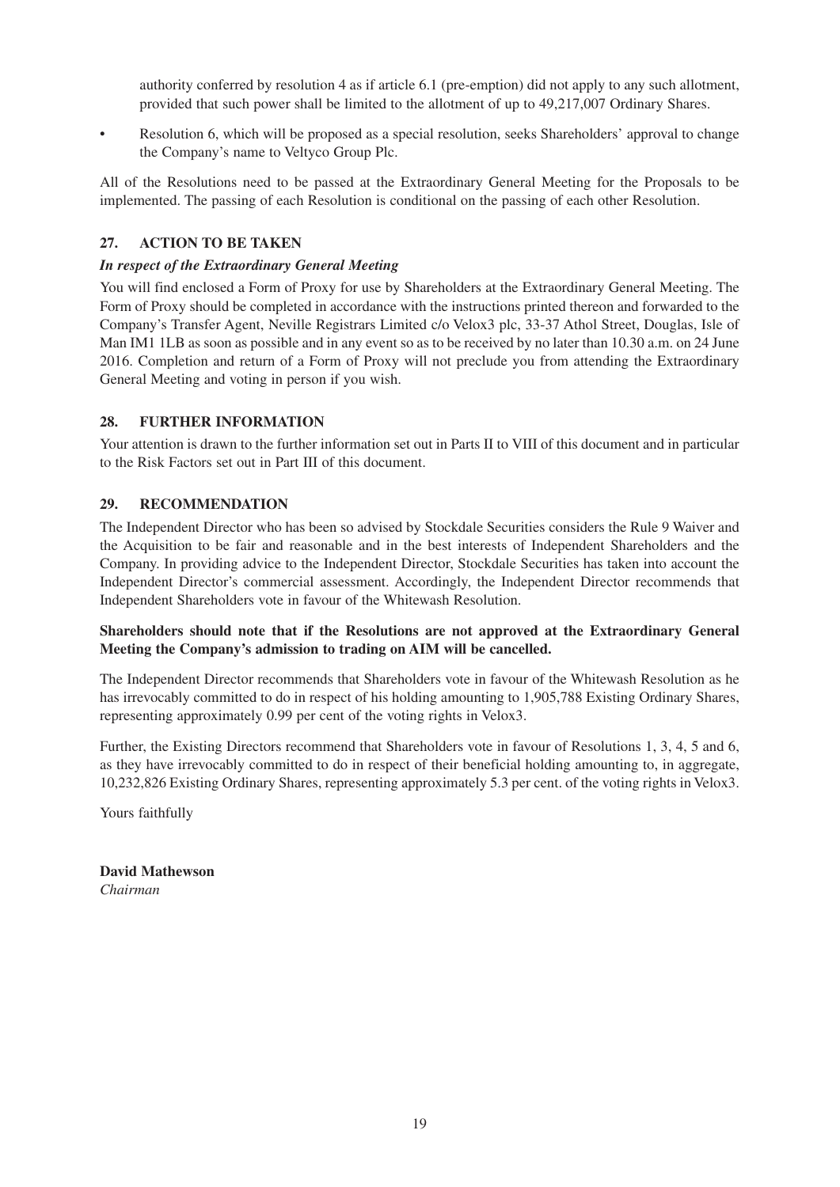authority conferred by resolution 4 as if article 6.1 (pre-emption) did not apply to any such allotment, provided that such power shall be limited to the allotment of up to 49,217,007 Ordinary Shares.

• Resolution 6, which will be proposed as a special resolution, seeks Shareholders' approval to change the Company's name to Veltyco Group Plc.

All of the Resolutions need to be passed at the Extraordinary General Meeting for the Proposals to be implemented. The passing of each Resolution is conditional on the passing of each other Resolution.

# **27. ACTION TO BE TAKEN**

#### *In respect of the Extraordinary General Meeting*

You will find enclosed a Form of Proxy for use by Shareholders at the Extraordinary General Meeting. The Form of Proxy should be completed in accordance with the instructions printed thereon and forwarded to the Company's Transfer Agent, Neville Registrars Limited c/o Velox3 plc, 33-37 Athol Street, Douglas, Isle of Man IM1 1LB as soon as possible and in any event so as to be received by no later than 10.30 a.m. on 24 June 2016. Completion and return of a Form of Proxy will not preclude you from attending the Extraordinary General Meeting and voting in person if you wish.

### **28. FURTHER INFORMATION**

Your attention is drawn to the further information set out in Parts II to VIII of this document and in particular to the Risk Factors set out in Part III of this document.

#### **29. RECOMMENDATION**

The Independent Director who has been so advised by Stockdale Securities considers the Rule 9 Waiver and the Acquisition to be fair and reasonable and in the best interests of Independent Shareholders and the Company. In providing advice to the Independent Director, Stockdale Securities has taken into account the Independent Director's commercial assessment. Accordingly, the Independent Director recommends that Independent Shareholders vote in favour of the Whitewash Resolution.

### **Shareholders should note that if the Resolutions are not approved at the Extraordinary General Meeting the Company's admission to trading on AIM will be cancelled.**

The Independent Director recommends that Shareholders vote in favour of the Whitewash Resolution as he has irrevocably committed to do in respect of his holding amounting to 1,905,788 Existing Ordinary Shares, representing approximately 0.99 per cent of the voting rights in Velox3.

Further, the Existing Directors recommend that Shareholders vote in favour of Resolutions 1, 3, 4, 5 and 6, as they have irrevocably committed to do in respect of their beneficial holding amounting to, in aggregate, 10,232,826 Existing Ordinary Shares, representing approximately 5.3 per cent. of the voting rights in Velox3.

Yours faithfully

**David Mathewson** *Chairman*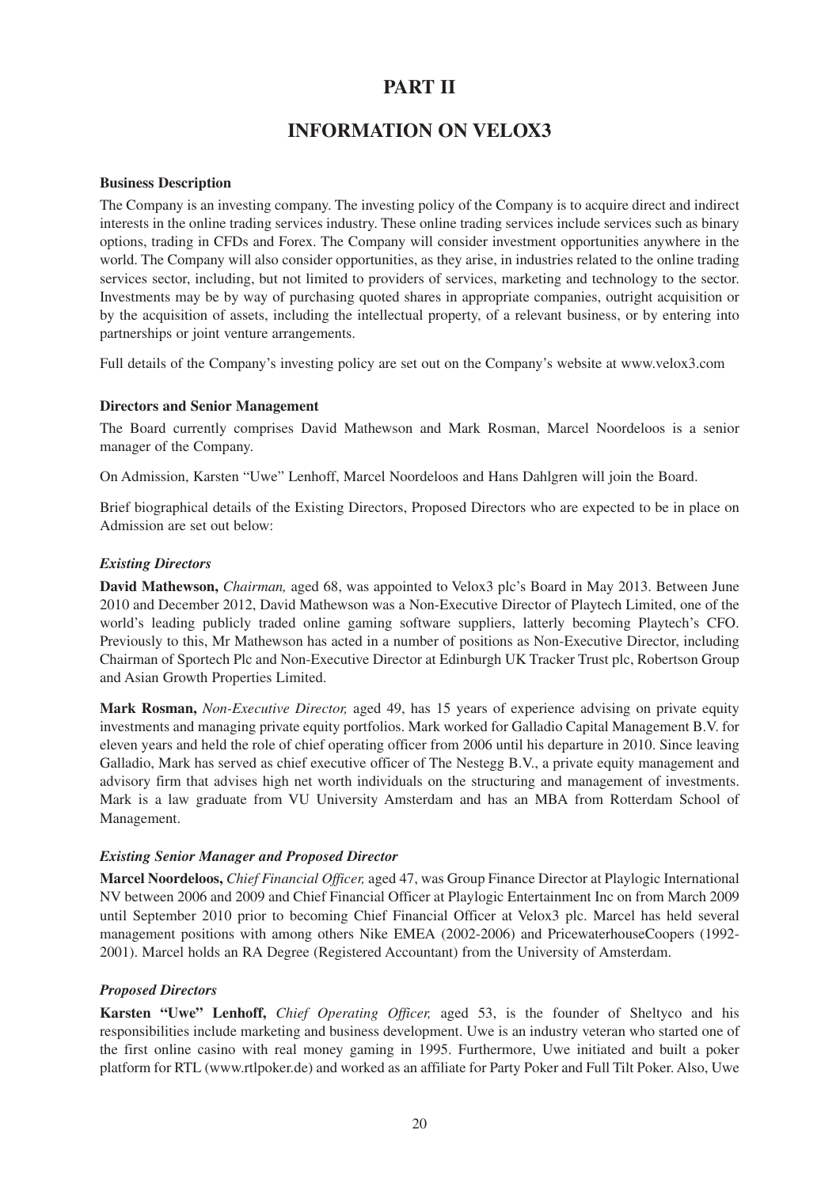# **PART II**

# **INFORMATION ON VELOX3**

#### **Business Description**

The Company is an investing company. The investing policy of the Company is to acquire direct and indirect interests in the online trading services industry. These online trading services include services such as binary options, trading in CFDs and Forex. The Company will consider investment opportunities anywhere in the world. The Company will also consider opportunities, as they arise, in industries related to the online trading services sector, including, but not limited to providers of services, marketing and technology to the sector. Investments may be by way of purchasing quoted shares in appropriate companies, outright acquisition or by the acquisition of assets, including the intellectual property, of a relevant business, or by entering into partnerships or joint venture arrangements.

Full details of the Company's investing policy are set out on the Company's website at www.velox3.com

#### **Directors and Senior Management**

The Board currently comprises David Mathewson and Mark Rosman, Marcel Noordeloos is a senior manager of the Company.

On Admission, Karsten "Uwe" Lenhoff, Marcel Noordeloos and Hans Dahlgren will join the Board.

Brief biographical details of the Existing Directors, Proposed Directors who are expected to be in place on Admission are set out below:

### *Existing Directors*

**David Mathewson,** *Chairman,* aged 68, was appointed to Velox3 plc's Board in May 2013. Between June 2010 and December 2012, David Mathewson was a Non-Executive Director of Playtech Limited, one of the world's leading publicly traded online gaming software suppliers, latterly becoming Playtech's CFO. Previously to this, Mr Mathewson has acted in a number of positions as Non-Executive Director, including Chairman of Sportech Plc and Non-Executive Director at Edinburgh UK Tracker Trust plc, Robertson Group and Asian Growth Properties Limited.

**Mark Rosman,** *Non-Executive Director,* aged 49, has 15 years of experience advising on private equity investments and managing private equity portfolios. Mark worked for Galladio Capital Management B.V. for eleven years and held the role of chief operating officer from 2006 until his departure in 2010. Since leaving Galladio, Mark has served as chief executive officer of The Nestegg B.V., a private equity management and advisory firm that advises high net worth individuals on the structuring and management of investments. Mark is a law graduate from VU University Amsterdam and has an MBA from Rotterdam School of Management.

### *Existing Senior Manager and Proposed Director*

**Marcel Noordeloos,** *Chief Financial Officer,* aged 47, was Group Finance Director at Playlogic International NV between 2006 and 2009 and Chief Financial Officer at Playlogic Entertainment Inc on from March 2009 until September 2010 prior to becoming Chief Financial Officer at Velox3 plc. Marcel has held several management positions with among others Nike EMEA (2002-2006) and PricewaterhouseCoopers (1992- 2001). Marcel holds an RA Degree (Registered Accountant) from the University of Amsterdam.

### *Proposed Directors*

**Karsten "Uwe" Lenhoff,** *Chief Operating Officer,* aged 53, is the founder of Sheltyco and his responsibilities include marketing and business development. Uwe is an industry veteran who started one of the first online casino with real money gaming in 1995. Furthermore, Uwe initiated and built a poker platform for RTL (www.rtlpoker.de) and worked as an affiliate for Party Poker and Full Tilt Poker. Also, Uwe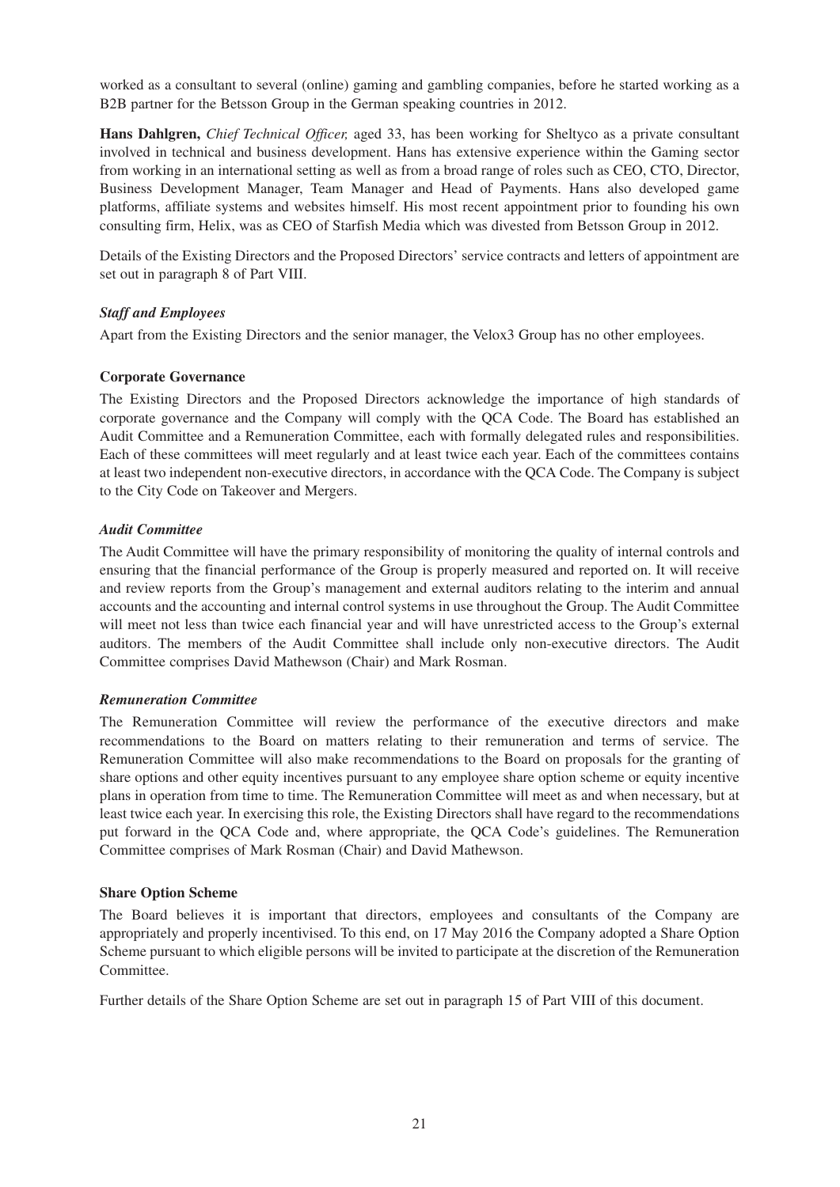worked as a consultant to several (online) gaming and gambling companies, before he started working as a B2B partner for the Betsson Group in the German speaking countries in 2012.

**Hans Dahlgren,** *Chief Technical Officer,* aged 33, has been working for Sheltyco as a private consultant involved in technical and business development. Hans has extensive experience within the Gaming sector from working in an international setting as well as from a broad range of roles such as CEO, CTO, Director, Business Development Manager, Team Manager and Head of Payments. Hans also developed game platforms, affiliate systems and websites himself. His most recent appointment prior to founding his own consulting firm, Helix, was as CEO of Starfish Media which was divested from Betsson Group in 2012.

Details of the Existing Directors and the Proposed Directors' service contracts and letters of appointment are set out in paragraph 8 of Part VIII.

### *Staff and Employees*

Apart from the Existing Directors and the senior manager, the Velox3 Group has no other employees.

### **Corporate Governance**

The Existing Directors and the Proposed Directors acknowledge the importance of high standards of corporate governance and the Company will comply with the QCA Code. The Board has established an Audit Committee and a Remuneration Committee, each with formally delegated rules and responsibilities. Each of these committees will meet regularly and at least twice each year. Each of the committees contains at least two independent non-executive directors, in accordance with the QCA Code. The Company is subject to the City Code on Takeover and Mergers.

### *Audit Committee*

The Audit Committee will have the primary responsibility of monitoring the quality of internal controls and ensuring that the financial performance of the Group is properly measured and reported on. It will receive and review reports from the Group's management and external auditors relating to the interim and annual accounts and the accounting and internal control systems in use throughout the Group. The Audit Committee will meet not less than twice each financial year and will have unrestricted access to the Group's external auditors. The members of the Audit Committee shall include only non-executive directors. The Audit Committee comprises David Mathewson (Chair) and Mark Rosman.

### *Remuneration Committee*

The Remuneration Committee will review the performance of the executive directors and make recommendations to the Board on matters relating to their remuneration and terms of service. The Remuneration Committee will also make recommendations to the Board on proposals for the granting of share options and other equity incentives pursuant to any employee share option scheme or equity incentive plans in operation from time to time. The Remuneration Committee will meet as and when necessary, but at least twice each year. In exercising this role, the Existing Directors shall have regard to the recommendations put forward in the QCA Code and, where appropriate, the QCA Code's guidelines. The Remuneration Committee comprises of Mark Rosman (Chair) and David Mathewson.

### **Share Option Scheme**

The Board believes it is important that directors, employees and consultants of the Company are appropriately and properly incentivised. To this end, on 17 May 2016 the Company adopted a Share Option Scheme pursuant to which eligible persons will be invited to participate at the discretion of the Remuneration Committee.

Further details of the Share Option Scheme are set out in paragraph 15 of Part VIII of this document.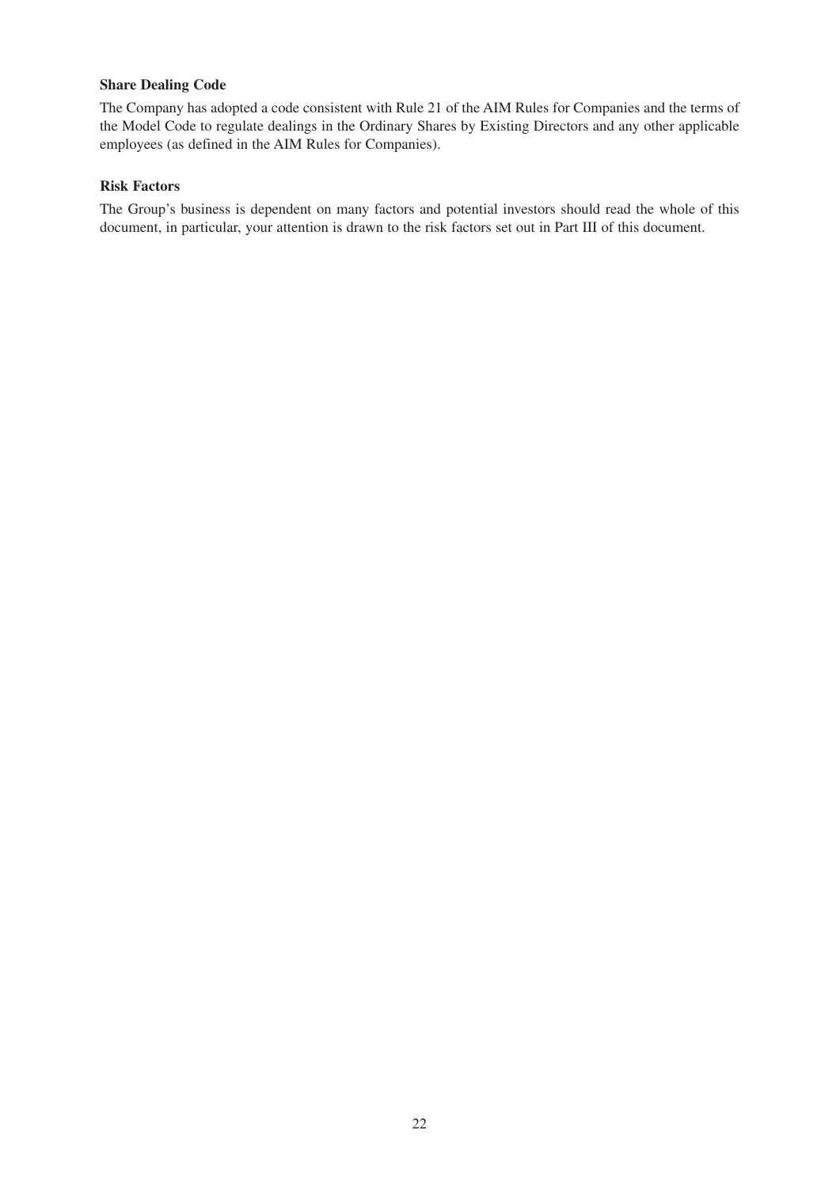### **Share Dealing Code**

The Company has adopted a code consistent with Rule 21 of the AIM Rules for Companies and the terms of the Model Code to regulate dealings in the Ordinary Shares by Existing Directors and any other applicable employees (as defined in the AIM Rules for Companies).

### **Risk Factors**

The Group's business is dependent on many factors and potential investors should read the whole of this document, in particular, your attention is drawn to the risk factors set out in Part III of this document.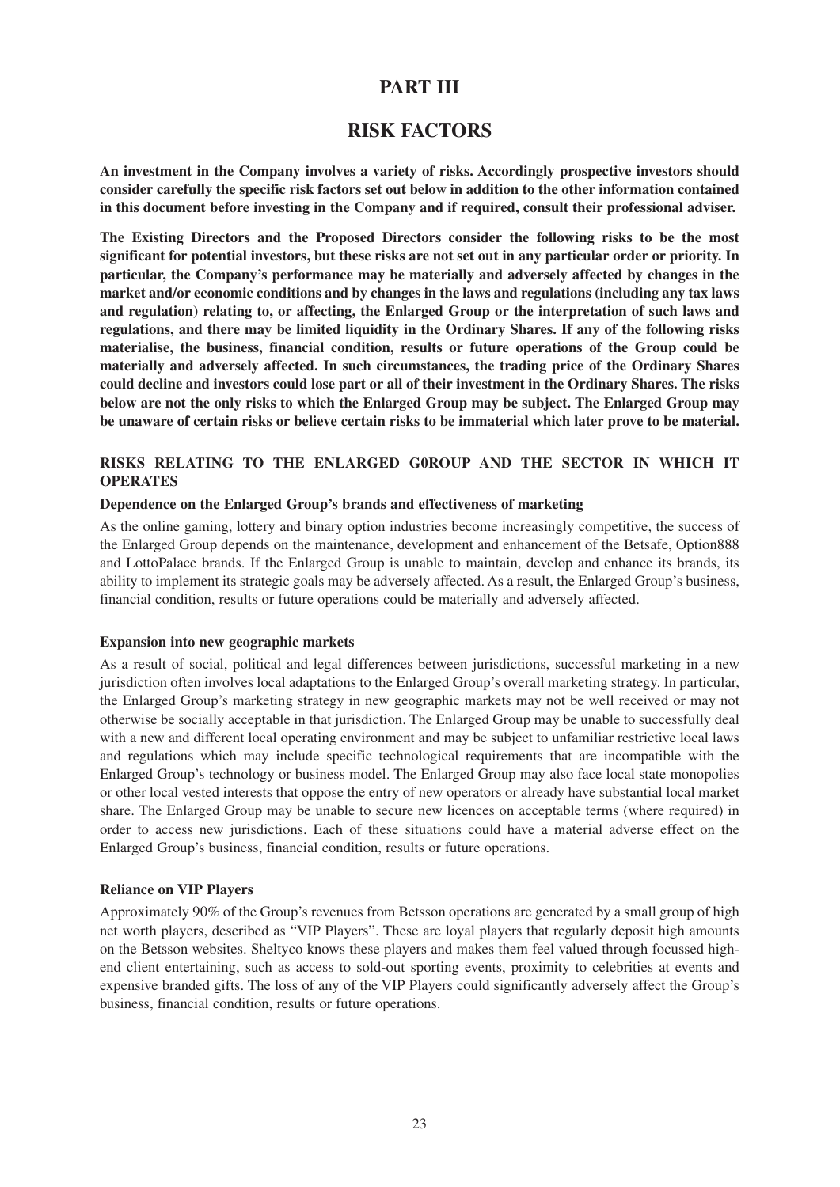# **PART III**

# **RISK FACTORS**

**An investment in the Company involves a variety of risks. Accordingly prospective investors should consider carefully the specific risk factors set out below in addition to the other information contained in this document before investing in the Company and if required, consult their professional adviser.**

**The Existing Directors and the Proposed Directors consider the following risks to be the most significant for potential investors, but these risks are not set out in any particular order or priority. In particular, the Company's performance may be materially and adversely affected by changes in the market and/or economic conditions and by changes in the laws and regulations (including any tax laws and regulation) relating to, or affecting, the Enlarged Group or the interpretation of such laws and regulations, and there may be limited liquidity in the Ordinary Shares. If any of the following risks materialise, the business, financial condition, results or future operations of the Group could be materially and adversely affected. In such circumstances, the trading price of the Ordinary Shares could decline and investors could lose part or all of their investment in the Ordinary Shares. The risks below are not the only risks to which the Enlarged Group may be subject. The Enlarged Group may be unaware of certain risks or believe certain risks to be immaterial which later prove to be material.**

### **RISKS RELATING TO THE ENLARGED G0ROUP AND THE SECTOR IN WHICH IT OPERATES**

### **Dependence on the Enlarged Group's brands and effectiveness of marketing**

As the online gaming, lottery and binary option industries become increasingly competitive, the success of the Enlarged Group depends on the maintenance, development and enhancement of the Betsafe, Option888 and LottoPalace brands. If the Enlarged Group is unable to maintain, develop and enhance its brands, its ability to implement its strategic goals may be adversely affected. As a result, the Enlarged Group's business, financial condition, results or future operations could be materially and adversely affected.

#### **Expansion into new geographic markets**

As a result of social, political and legal differences between jurisdictions, successful marketing in a new jurisdiction often involves local adaptations to the Enlarged Group's overall marketing strategy. In particular, the Enlarged Group's marketing strategy in new geographic markets may not be well received or may not otherwise be socially acceptable in that jurisdiction. The Enlarged Group may be unable to successfully deal with a new and different local operating environment and may be subject to unfamiliar restrictive local laws and regulations which may include specific technological requirements that are incompatible with the Enlarged Group's technology or business model. The Enlarged Group may also face local state monopolies or other local vested interests that oppose the entry of new operators or already have substantial local market share. The Enlarged Group may be unable to secure new licences on acceptable terms (where required) in order to access new jurisdictions. Each of these situations could have a material adverse effect on the Enlarged Group's business, financial condition, results or future operations.

#### **Reliance on VIP Players**

Approximately 90% of the Group's revenues from Betsson operations are generated by a small group of high net worth players, described as "VIP Players". These are loyal players that regularly deposit high amounts on the Betsson websites. Sheltyco knows these players and makes them feel valued through focussed highend client entertaining, such as access to sold-out sporting events, proximity to celebrities at events and expensive branded gifts. The loss of any of the VIP Players could significantly adversely affect the Group's business, financial condition, results or future operations.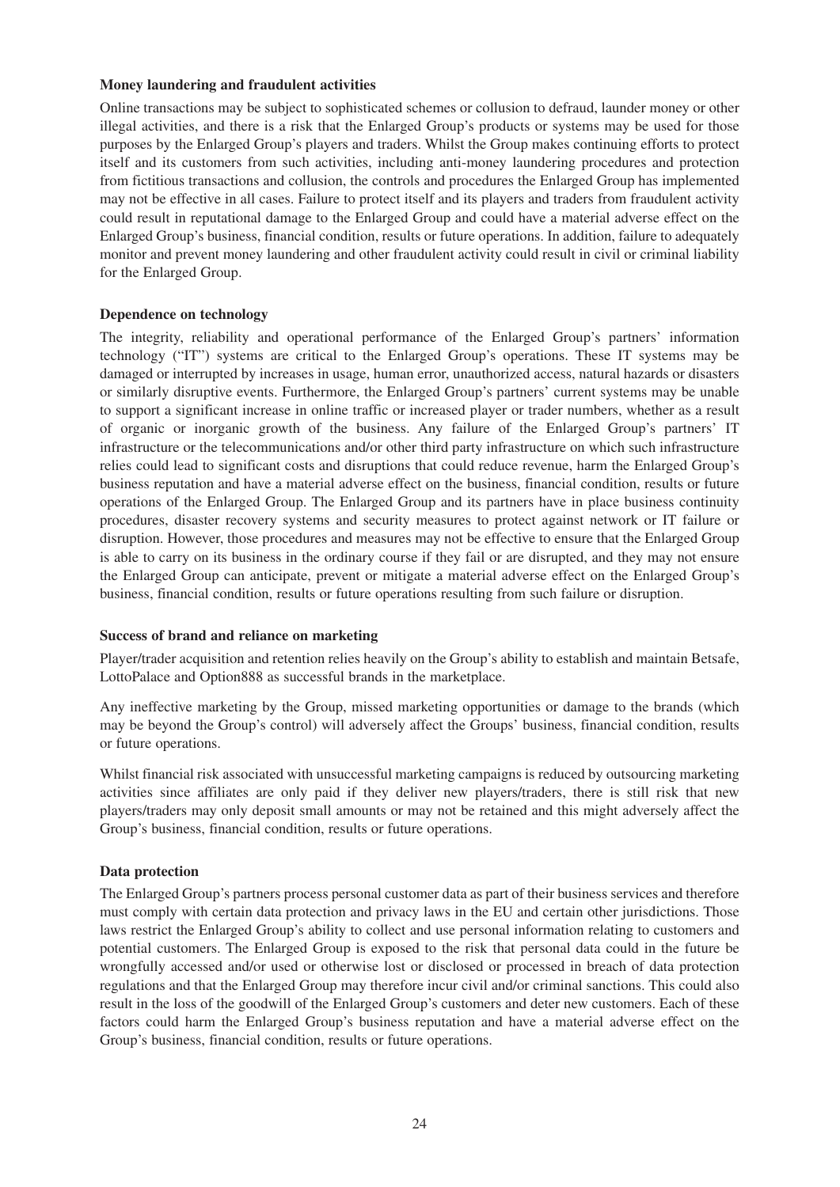#### **Money laundering and fraudulent activities**

Online transactions may be subject to sophisticated schemes or collusion to defraud, launder money or other illegal activities, and there is a risk that the Enlarged Group's products or systems may be used for those purposes by the Enlarged Group's players and traders. Whilst the Group makes continuing efforts to protect itself and its customers from such activities, including anti-money laundering procedures and protection from fictitious transactions and collusion, the controls and procedures the Enlarged Group has implemented may not be effective in all cases. Failure to protect itself and its players and traders from fraudulent activity could result in reputational damage to the Enlarged Group and could have a material adverse effect on the Enlarged Group's business, financial condition, results or future operations. In addition, failure to adequately monitor and prevent money laundering and other fraudulent activity could result in civil or criminal liability for the Enlarged Group.

#### **Dependence on technology**

The integrity, reliability and operational performance of the Enlarged Group's partners' information technology ("IT") systems are critical to the Enlarged Group's operations. These IT systems may be damaged or interrupted by increases in usage, human error, unauthorized access, natural hazards or disasters or similarly disruptive events. Furthermore, the Enlarged Group's partners' current systems may be unable to support a significant increase in online traffic or increased player or trader numbers, whether as a result of organic or inorganic growth of the business. Any failure of the Enlarged Group's partners' IT infrastructure or the telecommunications and/or other third party infrastructure on which such infrastructure relies could lead to significant costs and disruptions that could reduce revenue, harm the Enlarged Group's business reputation and have a material adverse effect on the business, financial condition, results or future operations of the Enlarged Group. The Enlarged Group and its partners have in place business continuity procedures, disaster recovery systems and security measures to protect against network or IT failure or disruption. However, those procedures and measures may not be effective to ensure that the Enlarged Group is able to carry on its business in the ordinary course if they fail or are disrupted, and they may not ensure the Enlarged Group can anticipate, prevent or mitigate a material adverse effect on the Enlarged Group's business, financial condition, results or future operations resulting from such failure or disruption.

#### **Success of brand and reliance on marketing**

Player/trader acquisition and retention relies heavily on the Group's ability to establish and maintain Betsafe, LottoPalace and Option888 as successful brands in the marketplace.

Any ineffective marketing by the Group, missed marketing opportunities or damage to the brands (which may be beyond the Group's control) will adversely affect the Groups' business, financial condition, results or future operations.

Whilst financial risk associated with unsuccessful marketing campaigns is reduced by outsourcing marketing activities since affiliates are only paid if they deliver new players/traders, there is still risk that new players/traders may only deposit small amounts or may not be retained and this might adversely affect the Group's business, financial condition, results or future operations.

### **Data protection**

The Enlarged Group's partners process personal customer data as part of their business services and therefore must comply with certain data protection and privacy laws in the EU and certain other jurisdictions. Those laws restrict the Enlarged Group's ability to collect and use personal information relating to customers and potential customers. The Enlarged Group is exposed to the risk that personal data could in the future be wrongfully accessed and/or used or otherwise lost or disclosed or processed in breach of data protection regulations and that the Enlarged Group may therefore incur civil and/or criminal sanctions. This could also result in the loss of the goodwill of the Enlarged Group's customers and deter new customers. Each of these factors could harm the Enlarged Group's business reputation and have a material adverse effect on the Group's business, financial condition, results or future operations.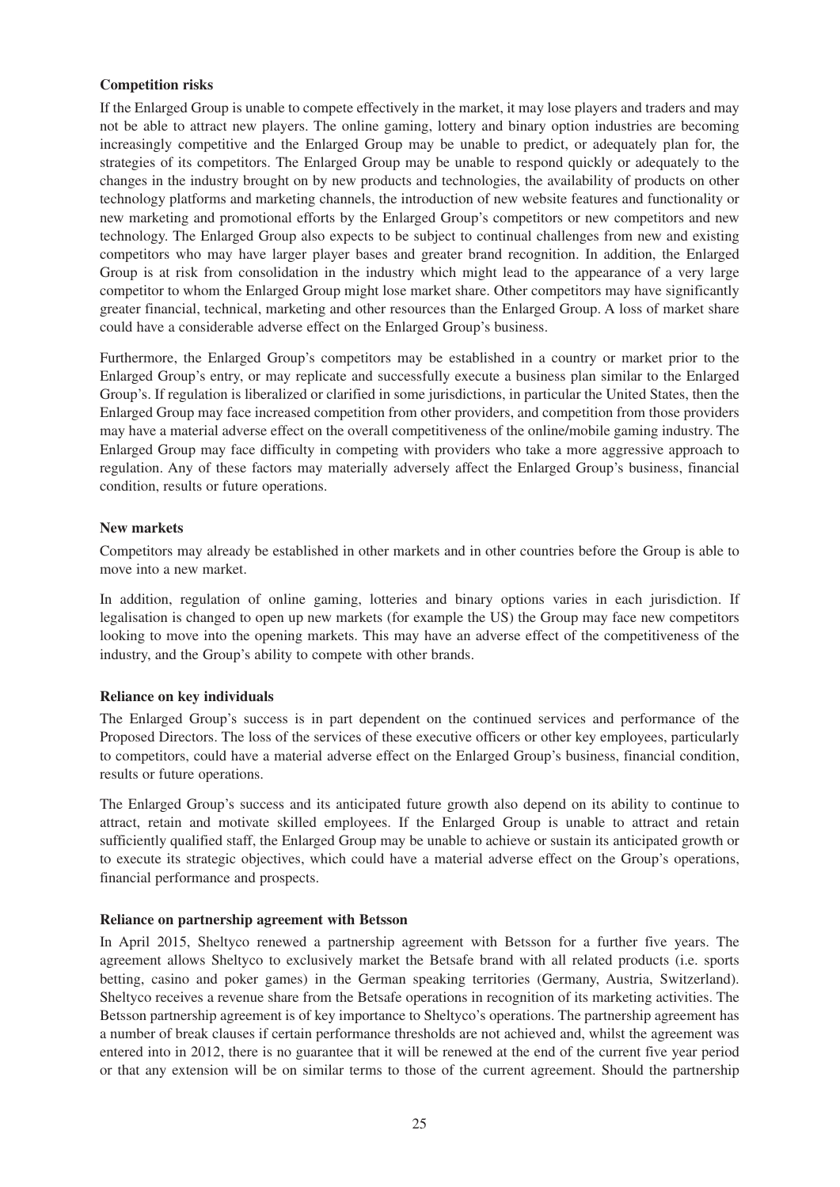### **Competition risks**

If the Enlarged Group is unable to compete effectively in the market, it may lose players and traders and may not be able to attract new players. The online gaming, lottery and binary option industries are becoming increasingly competitive and the Enlarged Group may be unable to predict, or adequately plan for, the strategies of its competitors. The Enlarged Group may be unable to respond quickly or adequately to the changes in the industry brought on by new products and technologies, the availability of products on other technology platforms and marketing channels, the introduction of new website features and functionality or new marketing and promotional efforts by the Enlarged Group's competitors or new competitors and new technology. The Enlarged Group also expects to be subject to continual challenges from new and existing competitors who may have larger player bases and greater brand recognition. In addition, the Enlarged Group is at risk from consolidation in the industry which might lead to the appearance of a very large competitor to whom the Enlarged Group might lose market share. Other competitors may have significantly greater financial, technical, marketing and other resources than the Enlarged Group. A loss of market share could have a considerable adverse effect on the Enlarged Group's business.

Furthermore, the Enlarged Group's competitors may be established in a country or market prior to the Enlarged Group's entry, or may replicate and successfully execute a business plan similar to the Enlarged Group's. If regulation is liberalized or clarified in some jurisdictions, in particular the United States, then the Enlarged Group may face increased competition from other providers, and competition from those providers may have a material adverse effect on the overall competitiveness of the online/mobile gaming industry. The Enlarged Group may face difficulty in competing with providers who take a more aggressive approach to regulation. Any of these factors may materially adversely affect the Enlarged Group's business, financial condition, results or future operations.

### **New markets**

Competitors may already be established in other markets and in other countries before the Group is able to move into a new market.

In addition, regulation of online gaming, lotteries and binary options varies in each jurisdiction. If legalisation is changed to open up new markets (for example the US) the Group may face new competitors looking to move into the opening markets. This may have an adverse effect of the competitiveness of the industry, and the Group's ability to compete with other brands.

### **Reliance on key individuals**

The Enlarged Group's success is in part dependent on the continued services and performance of the Proposed Directors. The loss of the services of these executive officers or other key employees, particularly to competitors, could have a material adverse effect on the Enlarged Group's business, financial condition, results or future operations.

The Enlarged Group's success and its anticipated future growth also depend on its ability to continue to attract, retain and motivate skilled employees. If the Enlarged Group is unable to attract and retain sufficiently qualified staff, the Enlarged Group may be unable to achieve or sustain its anticipated growth or to execute its strategic objectives, which could have a material adverse effect on the Group's operations, financial performance and prospects.

### **Reliance on partnership agreement with Betsson**

In April 2015, Sheltyco renewed a partnership agreement with Betsson for a further five years. The agreement allows Sheltyco to exclusively market the Betsafe brand with all related products (i.e. sports betting, casino and poker games) in the German speaking territories (Germany, Austria, Switzerland). Sheltyco receives a revenue share from the Betsafe operations in recognition of its marketing activities. The Betsson partnership agreement is of key importance to Sheltyco's operations. The partnership agreement has a number of break clauses if certain performance thresholds are not achieved and, whilst the agreement was entered into in 2012, there is no guarantee that it will be renewed at the end of the current five year period or that any extension will be on similar terms to those of the current agreement. Should the partnership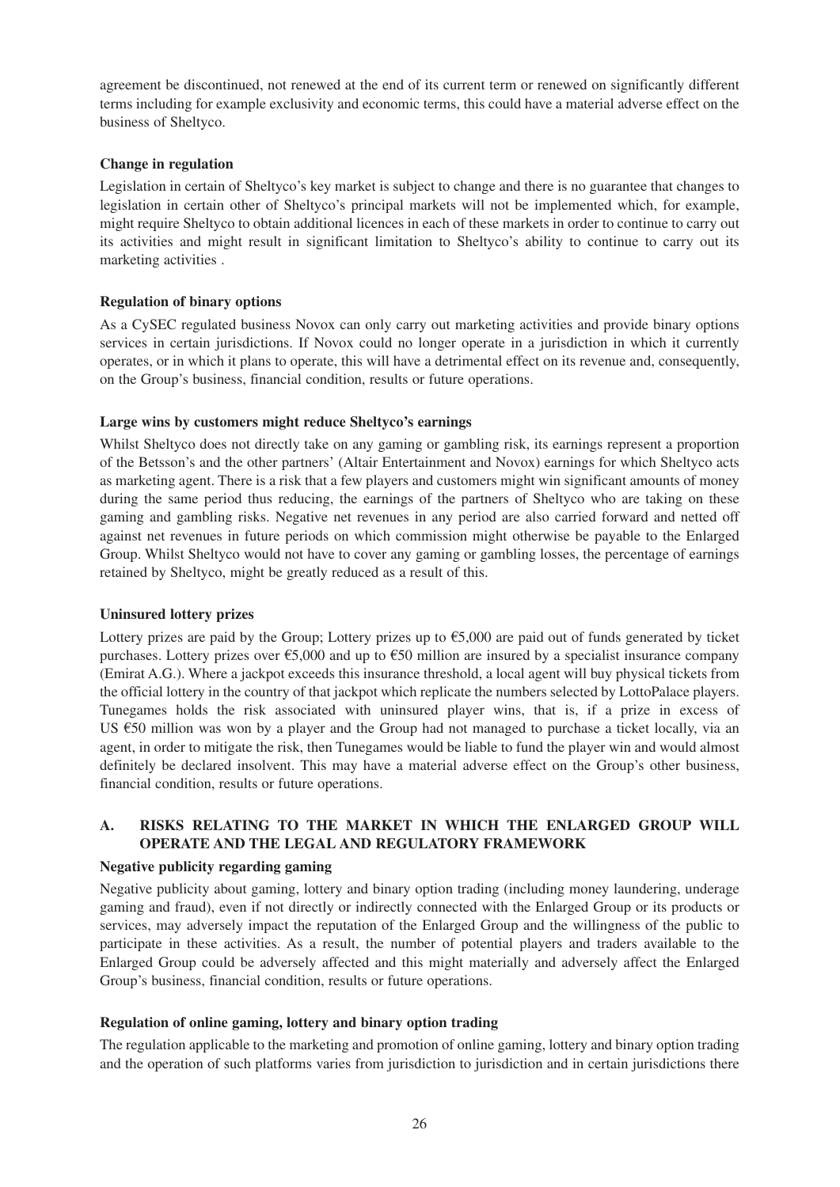agreement be discontinued, not renewed at the end of its current term or renewed on significantly different terms including for example exclusivity and economic terms, this could have a material adverse effect on the business of Sheltyco.

### **Change in regulation**

Legislation in certain of Sheltyco's key market is subject to change and there is no guarantee that changes to legislation in certain other of Sheltyco's principal markets will not be implemented which, for example, might require Sheltyco to obtain additional licences in each of these markets in order to continue to carry out its activities and might result in significant limitation to Sheltyco's ability to continue to carry out its marketing activities .

### **Regulation of binary options**

As a CySEC regulated business Novox can only carry out marketing activities and provide binary options services in certain jurisdictions. If Novox could no longer operate in a jurisdiction in which it currently operates, or in which it plans to operate, this will have a detrimental effect on its revenue and, consequently, on the Group's business, financial condition, results or future operations.

### **Large wins by customers might reduce Sheltyco's earnings**

Whilst Sheltyco does not directly take on any gaming or gambling risk, its earnings represent a proportion of the Betsson's and the other partners' (Altair Entertainment and Novox) earnings for which Sheltyco acts as marketing agent. There is a risk that a few players and customers might win significant amounts of money during the same period thus reducing, the earnings of the partners of Sheltyco who are taking on these gaming and gambling risks. Negative net revenues in any period are also carried forward and netted off against net revenues in future periods on which commission might otherwise be payable to the Enlarged Group. Whilst Sheltyco would not have to cover any gaming or gambling losses, the percentage of earnings retained by Sheltyco, might be greatly reduced as a result of this.

### **Uninsured lottery prizes**

Lottery prizes are paid by the Group; Lottery prizes up to  $\epsilon$ 5,000 are paid out of funds generated by ticket purchases. Lottery prizes over €5,000 and up to €50 million are insured by a specialist insurance company (Emirat A.G.). Where a jackpot exceeds this insurance threshold, a local agent will buy physical tickets from the official lottery in the country of that jackpot which replicate the numbers selected by LottoPalace players. Tunegames holds the risk associated with uninsured player wins, that is, if a prize in excess of US €50 million was won by a player and the Group had not managed to purchase a ticket locally, via an agent, in order to mitigate the risk, then Tunegames would be liable to fund the player win and would almost definitely be declared insolvent. This may have a material adverse effect on the Group's other business, financial condition, results or future operations.

# **A. RISKS RELATING TO THE MARKET IN WHICH THE ENLARGED GROUP WILL OPERATE AND THE LEGAL AND REGULATORY FRAMEWORK**

### **Negative publicity regarding gaming**

Negative publicity about gaming, lottery and binary option trading (including money laundering, underage gaming and fraud), even if not directly or indirectly connected with the Enlarged Group or its products or services, may adversely impact the reputation of the Enlarged Group and the willingness of the public to participate in these activities. As a result, the number of potential players and traders available to the Enlarged Group could be adversely affected and this might materially and adversely affect the Enlarged Group's business, financial condition, results or future operations.

# **Regulation of online gaming, lottery and binary option trading**

The regulation applicable to the marketing and promotion of online gaming, lottery and binary option trading and the operation of such platforms varies from jurisdiction to jurisdiction and in certain jurisdictions there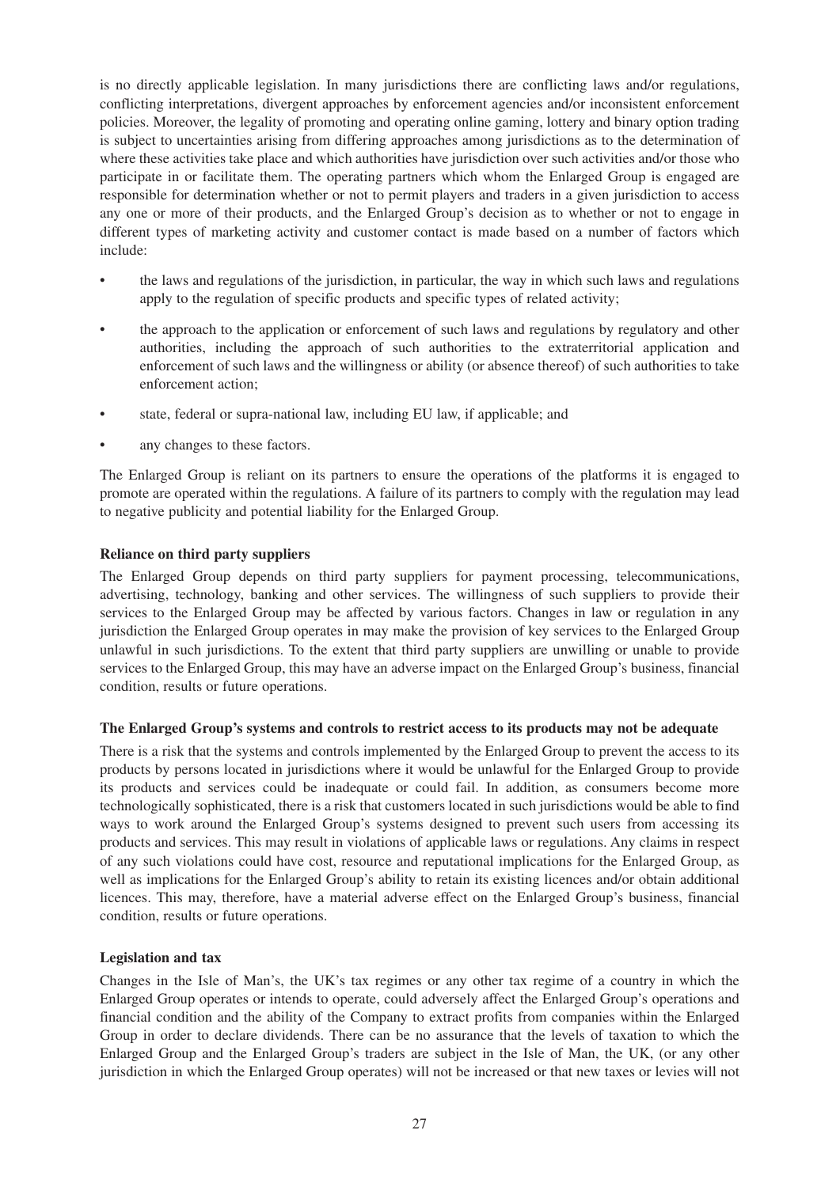is no directly applicable legislation. In many jurisdictions there are conflicting laws and/or regulations, conflicting interpretations, divergent approaches by enforcement agencies and/or inconsistent enforcement policies. Moreover, the legality of promoting and operating online gaming, lottery and binary option trading is subject to uncertainties arising from differing approaches among jurisdictions as to the determination of where these activities take place and which authorities have jurisdiction over such activities and/or those who participate in or facilitate them. The operating partners which whom the Enlarged Group is engaged are responsible for determination whether or not to permit players and traders in a given jurisdiction to access any one or more of their products, and the Enlarged Group's decision as to whether or not to engage in different types of marketing activity and customer contact is made based on a number of factors which include:

- the laws and regulations of the jurisdiction, in particular, the way in which such laws and regulations apply to the regulation of specific products and specific types of related activity;
- the approach to the application or enforcement of such laws and regulations by regulatory and other authorities, including the approach of such authorities to the extraterritorial application and enforcement of such laws and the willingness or ability (or absence thereof) of such authorities to take enforcement action;
- state, federal or supra-national law, including EU law, if applicable; and
- any changes to these factors.

The Enlarged Group is reliant on its partners to ensure the operations of the platforms it is engaged to promote are operated within the regulations. A failure of its partners to comply with the regulation may lead to negative publicity and potential liability for the Enlarged Group.

### **Reliance on third party suppliers**

The Enlarged Group depends on third party suppliers for payment processing, telecommunications, advertising, technology, banking and other services. The willingness of such suppliers to provide their services to the Enlarged Group may be affected by various factors. Changes in law or regulation in any jurisdiction the Enlarged Group operates in may make the provision of key services to the Enlarged Group unlawful in such jurisdictions. To the extent that third party suppliers are unwilling or unable to provide services to the Enlarged Group, this may have an adverse impact on the Enlarged Group's business, financial condition, results or future operations.

### **The Enlarged Group's systems and controls to restrict access to its products may not be adequate**

There is a risk that the systems and controls implemented by the Enlarged Group to prevent the access to its products by persons located in jurisdictions where it would be unlawful for the Enlarged Group to provide its products and services could be inadequate or could fail. In addition, as consumers become more technologically sophisticated, there is a risk that customers located in such jurisdictions would be able to find ways to work around the Enlarged Group's systems designed to prevent such users from accessing its products and services. This may result in violations of applicable laws or regulations. Any claims in respect of any such violations could have cost, resource and reputational implications for the Enlarged Group, as well as implications for the Enlarged Group's ability to retain its existing licences and/or obtain additional licences. This may, therefore, have a material adverse effect on the Enlarged Group's business, financial condition, results or future operations.

### **Legislation and tax**

Changes in the Isle of Man's, the UK's tax regimes or any other tax regime of a country in which the Enlarged Group operates or intends to operate, could adversely affect the Enlarged Group's operations and financial condition and the ability of the Company to extract profits from companies within the Enlarged Group in order to declare dividends. There can be no assurance that the levels of taxation to which the Enlarged Group and the Enlarged Group's traders are subject in the Isle of Man, the UK, (or any other jurisdiction in which the Enlarged Group operates) will not be increased or that new taxes or levies will not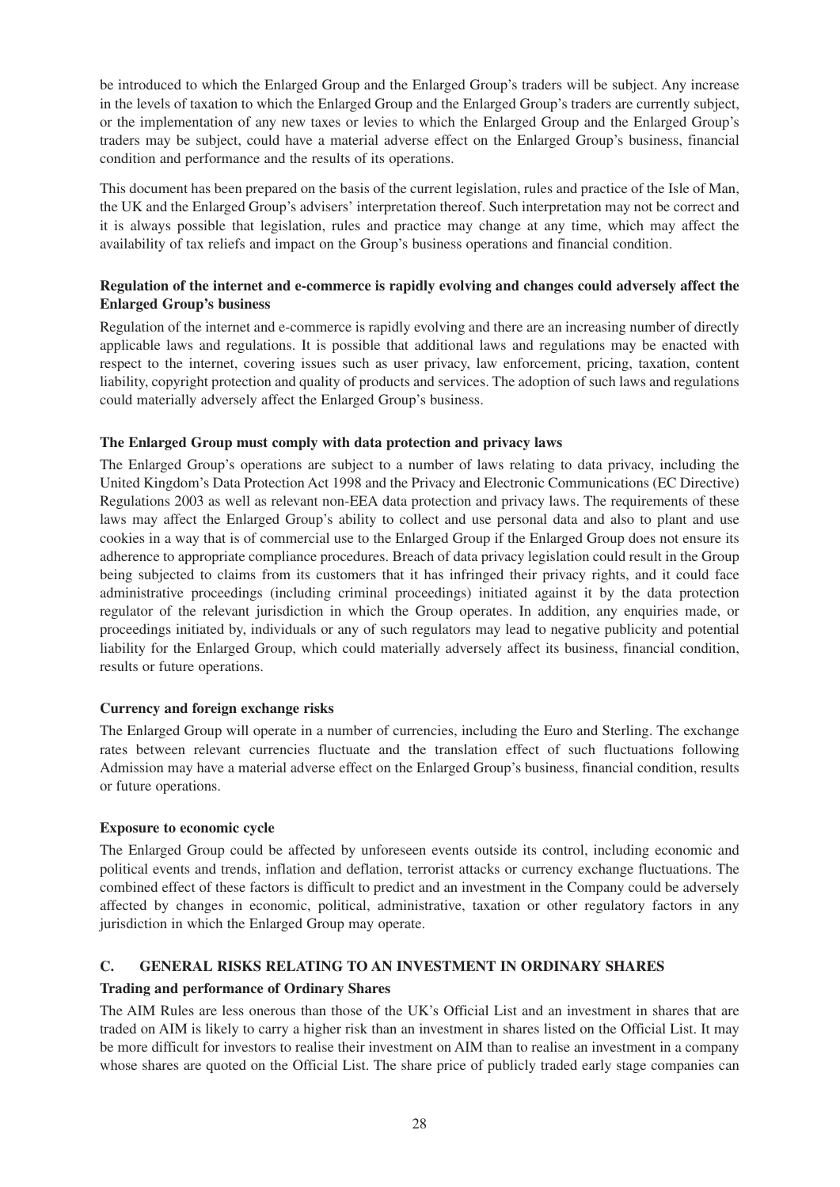be introduced to which the Enlarged Group and the Enlarged Group's traders will be subject. Any increase in the levels of taxation to which the Enlarged Group and the Enlarged Group's traders are currently subject, or the implementation of any new taxes or levies to which the Enlarged Group and the Enlarged Group's traders may be subject, could have a material adverse effect on the Enlarged Group's business, financial condition and performance and the results of its operations.

This document has been prepared on the basis of the current legislation, rules and practice of the Isle of Man, the UK and the Enlarged Group's advisers' interpretation thereof. Such interpretation may not be correct and it is always possible that legislation, rules and practice may change at any time, which may affect the availability of tax reliefs and impact on the Group's business operations and financial condition.

# **Regulation of the internet and e-commerce is rapidly evolving and changes could adversely affect the Enlarged Group's business**

Regulation of the internet and e-commerce is rapidly evolving and there are an increasing number of directly applicable laws and regulations. It is possible that additional laws and regulations may be enacted with respect to the internet, covering issues such as user privacy, law enforcement, pricing, taxation, content liability, copyright protection and quality of products and services. The adoption of such laws and regulations could materially adversely affect the Enlarged Group's business.

### **The Enlarged Group must comply with data protection and privacy laws**

The Enlarged Group's operations are subject to a number of laws relating to data privacy, including the United Kingdom's Data Protection Act 1998 and the Privacy and Electronic Communications (EC Directive) Regulations 2003 as well as relevant non-EEA data protection and privacy laws. The requirements of these laws may affect the Enlarged Group's ability to collect and use personal data and also to plant and use cookies in a way that is of commercial use to the Enlarged Group if the Enlarged Group does not ensure its adherence to appropriate compliance procedures. Breach of data privacy legislation could result in the Group being subjected to claims from its customers that it has infringed their privacy rights, and it could face administrative proceedings (including criminal proceedings) initiated against it by the data protection regulator of the relevant jurisdiction in which the Group operates. In addition, any enquiries made, or proceedings initiated by, individuals or any of such regulators may lead to negative publicity and potential liability for the Enlarged Group, which could materially adversely affect its business, financial condition, results or future operations.

### **Currency and foreign exchange risks**

The Enlarged Group will operate in a number of currencies, including the Euro and Sterling. The exchange rates between relevant currencies fluctuate and the translation effect of such fluctuations following Admission may have a material adverse effect on the Enlarged Group's business, financial condition, results or future operations.

### **Exposure to economic cycle**

The Enlarged Group could be affected by unforeseen events outside its control, including economic and political events and trends, inflation and deflation, terrorist attacks or currency exchange fluctuations. The combined effect of these factors is difficult to predict and an investment in the Company could be adversely affected by changes in economic, political, administrative, taxation or other regulatory factors in any jurisdiction in which the Enlarged Group may operate.

# **C. GENERAL RISKS RELATING TO AN INVESTMENT IN ORDINARY SHARES**

### **Trading and performance of Ordinary Shares**

The AIM Rules are less onerous than those of the UK's Official List and an investment in shares that are traded on AIM is likely to carry a higher risk than an investment in shares listed on the Official List. It may be more difficult for investors to realise their investment on AIM than to realise an investment in a company whose shares are quoted on the Official List. The share price of publicly traded early stage companies can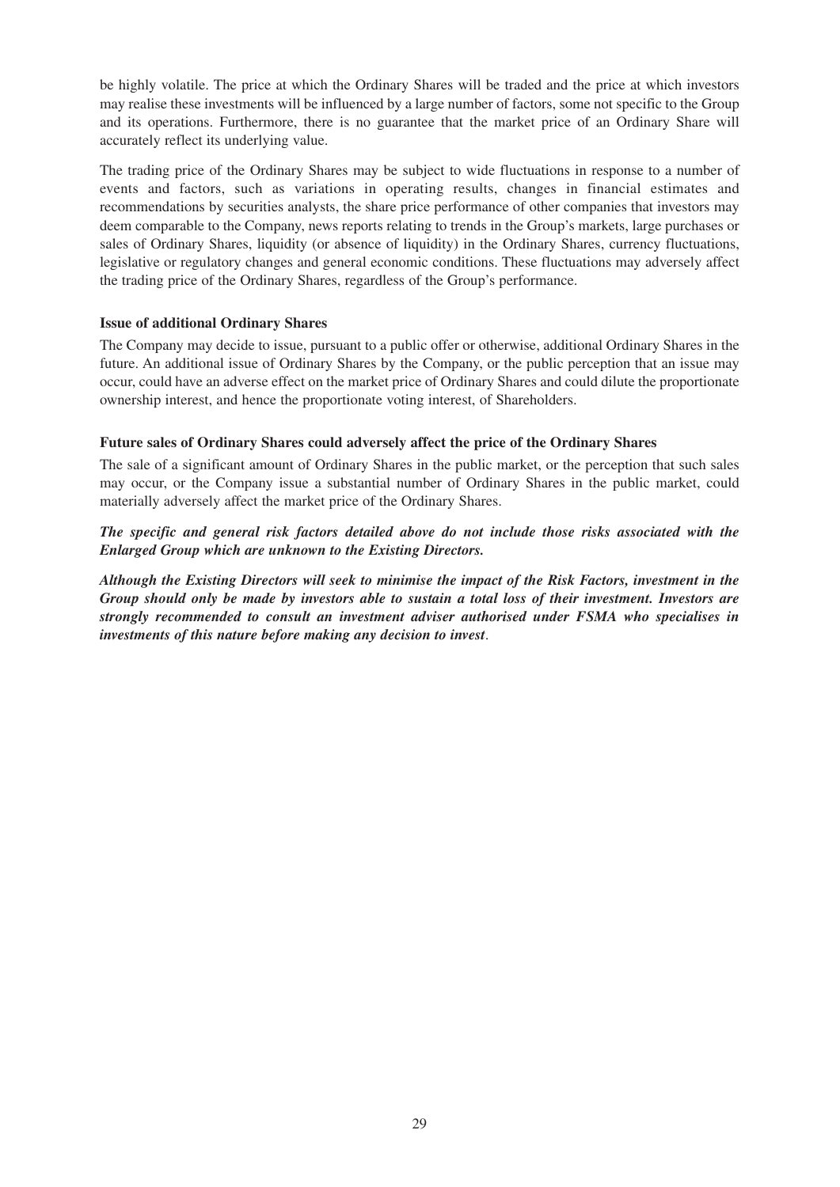be highly volatile. The price at which the Ordinary Shares will be traded and the price at which investors may realise these investments will be influenced by a large number of factors, some not specific to the Group and its operations. Furthermore, there is no guarantee that the market price of an Ordinary Share will accurately reflect its underlying value.

The trading price of the Ordinary Shares may be subject to wide fluctuations in response to a number of events and factors, such as variations in operating results, changes in financial estimates and recommendations by securities analysts, the share price performance of other companies that investors may deem comparable to the Company, news reports relating to trends in the Group's markets, large purchases or sales of Ordinary Shares, liquidity (or absence of liquidity) in the Ordinary Shares, currency fluctuations, legislative or regulatory changes and general economic conditions. These fluctuations may adversely affect the trading price of the Ordinary Shares, regardless of the Group's performance.

### **Issue of additional Ordinary Shares**

The Company may decide to issue, pursuant to a public offer or otherwise, additional Ordinary Shares in the future. An additional issue of Ordinary Shares by the Company, or the public perception that an issue may occur, could have an adverse effect on the market price of Ordinary Shares and could dilute the proportionate ownership interest, and hence the proportionate voting interest, of Shareholders.

### **Future sales of Ordinary Shares could adversely affect the price of the Ordinary Shares**

The sale of a significant amount of Ordinary Shares in the public market, or the perception that such sales may occur, or the Company issue a substantial number of Ordinary Shares in the public market, could materially adversely affect the market price of the Ordinary Shares.

### *The specific and general risk factors detailed above do not include those risks associated with the Enlarged Group which are unknown to the Existing Directors.*

*Although the Existing Directors will seek to minimise the impact of the Risk Factors, investment in the Group should only be made by investors able to sustain a total loss of their investment. Investors are strongly recommended to consult an investment adviser authorised under FSMA who specialises in investments of this nature before making any decision to invest*.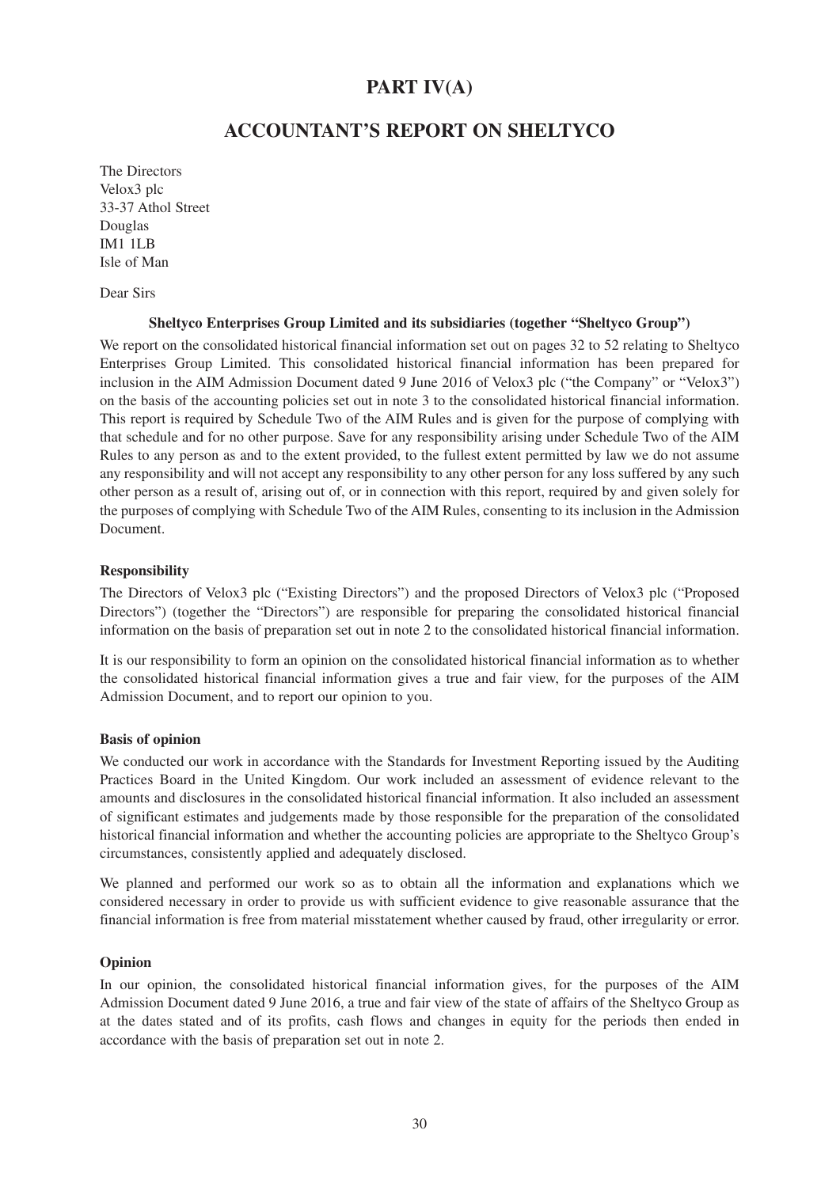# **PART IV(A)**

# **ACCOUNTANT'S REPORT ON SHELTYCO**

The Directors Velox3 plc 33-37 Athol Street Douglas IM1 1LB Isle of Man

Dear Sirs

#### **Sheltyco Enterprises Group Limited and its subsidiaries (together "Sheltyco Group")**

We report on the consolidated historical financial information set out on pages 32 to 52 relating to Sheltyco Enterprises Group Limited. This consolidated historical financial information has been prepared for inclusion in the AIM Admission Document dated 9 June 2016 of Velox3 plc ("the Company" or "Velox3") on the basis of the accounting policies set out in note 3 to the consolidated historical financial information. This report is required by Schedule Two of the AIM Rules and is given for the purpose of complying with that schedule and for no other purpose. Save for any responsibility arising under Schedule Two of the AIM Rules to any person as and to the extent provided, to the fullest extent permitted by law we do not assume any responsibility and will not accept any responsibility to any other person for any loss suffered by any such other person as a result of, arising out of, or in connection with this report, required by and given solely for the purposes of complying with Schedule Two of the AIM Rules, consenting to its inclusion in the Admission Document.

#### **Responsibility**

The Directors of Velox3 plc ("Existing Directors") and the proposed Directors of Velox3 plc ("Proposed Directors") (together the "Directors") are responsible for preparing the consolidated historical financial information on the basis of preparation set out in note 2 to the consolidated historical financial information.

It is our responsibility to form an opinion on the consolidated historical financial information as to whether the consolidated historical financial information gives a true and fair view, for the purposes of the AIM Admission Document, and to report our opinion to you.

#### **Basis of opinion**

We conducted our work in accordance with the Standards for Investment Reporting issued by the Auditing Practices Board in the United Kingdom. Our work included an assessment of evidence relevant to the amounts and disclosures in the consolidated historical financial information. It also included an assessment of significant estimates and judgements made by those responsible for the preparation of the consolidated historical financial information and whether the accounting policies are appropriate to the Sheltyco Group's circumstances, consistently applied and adequately disclosed.

We planned and performed our work so as to obtain all the information and explanations which we considered necessary in order to provide us with sufficient evidence to give reasonable assurance that the financial information is free from material misstatement whether caused by fraud, other irregularity or error.

### **Opinion**

In our opinion, the consolidated historical financial information gives, for the purposes of the AIM Admission Document dated 9 June 2016, a true and fair view of the state of affairs of the Sheltyco Group as at the dates stated and of its profits, cash flows and changes in equity for the periods then ended in accordance with the basis of preparation set out in note 2.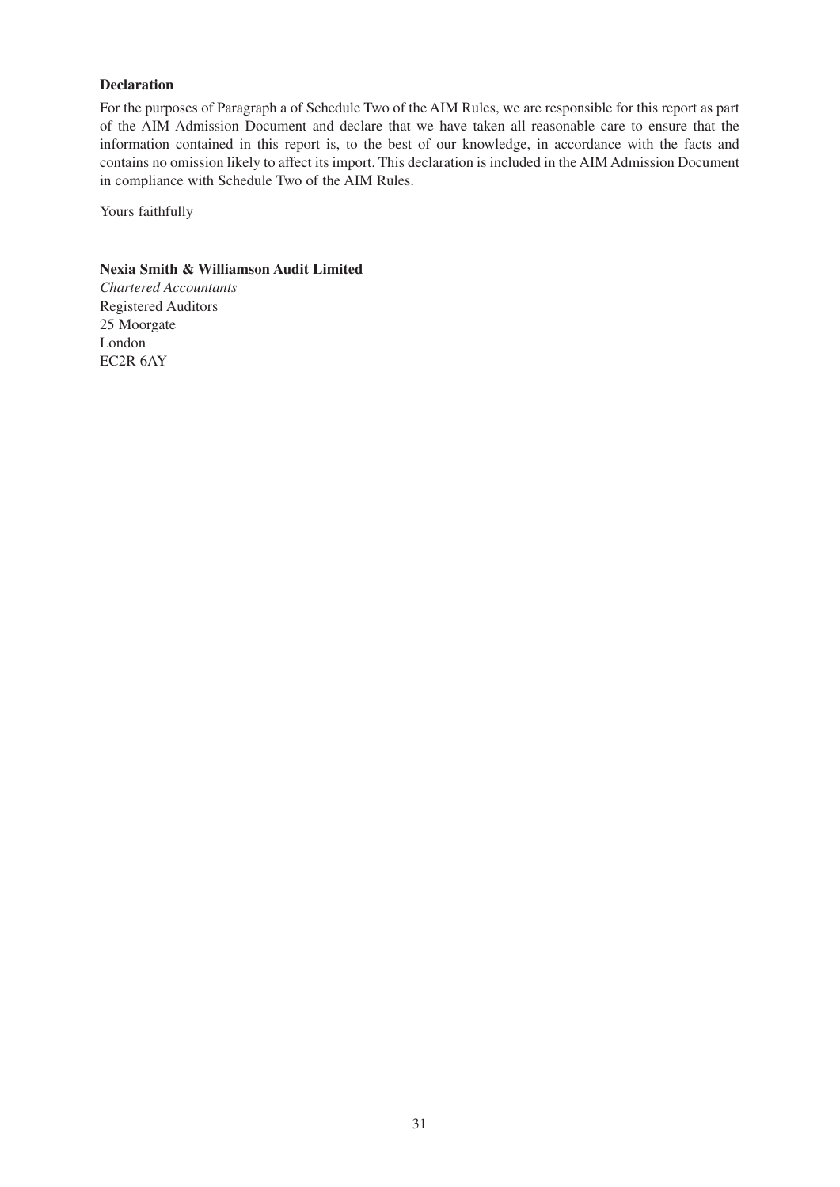# **Declaration**

For the purposes of Paragraph a of Schedule Two of the AIM Rules, we are responsible for this report as part of the AIM Admission Document and declare that we have taken all reasonable care to ensure that the information contained in this report is, to the best of our knowledge, in accordance with the facts and contains no omission likely to affect its import. This declaration is included in the AIM Admission Document in compliance with Schedule Two of the AIM Rules.

Yours faithfully

### **Nexia Smith & Williamson Audit Limited**

*Chartered Accountants* Registered Auditors 25 Moorgate London EC2R 6AY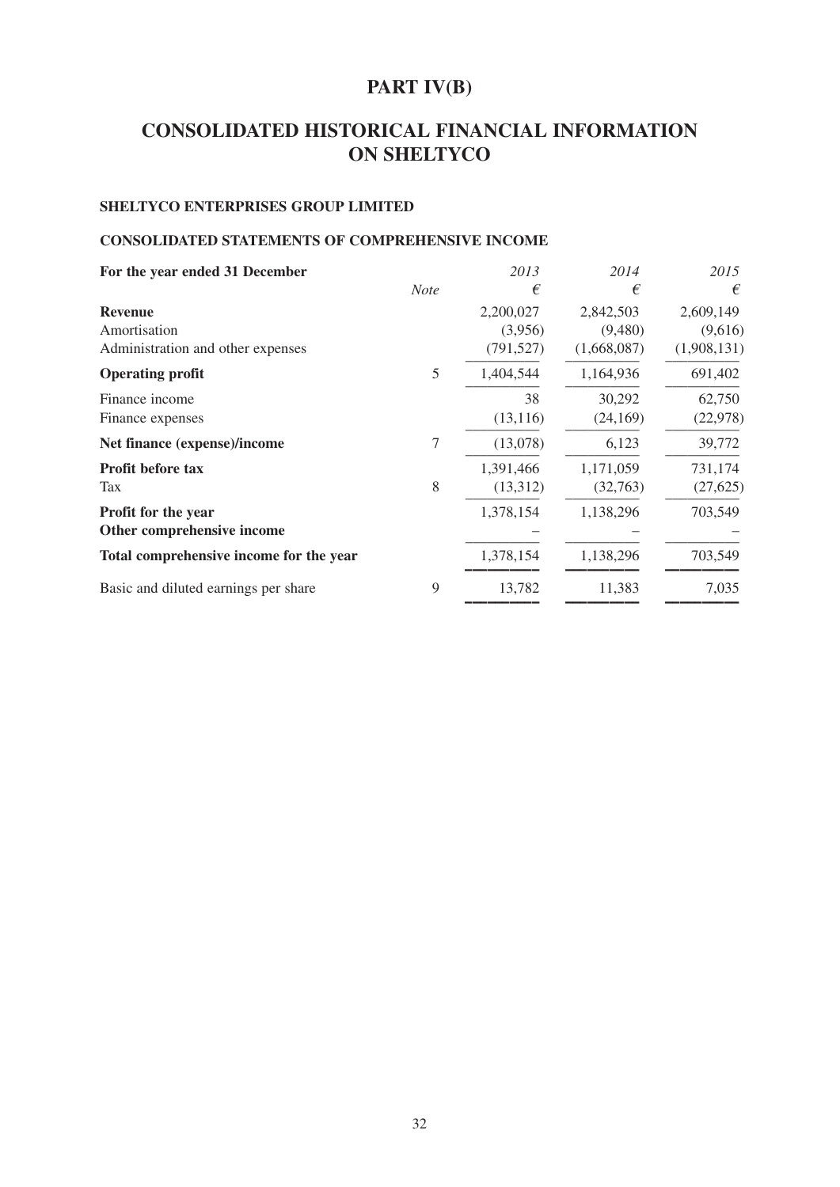# **PART IV(B)**

# **CONSOLIDATED HISTORICAL FINANCIAL INFORMATION ON SHELTYCO**

# **SHELTYCO ENTERPRISES GROUP LIMITED**

# **CONSOLIDATED STATEMENTS OF COMPREHENSIVE INCOME**

| For the year ended 31 December          |             | 2013       | 2014        | 2015        |
|-----------------------------------------|-------------|------------|-------------|-------------|
|                                         | <b>Note</b> | €          | €           | €           |
| <b>Revenue</b>                          |             | 2,200,027  | 2,842,503   | 2,609,149   |
| Amortisation                            |             | (3,956)    | (9,480)     | (9,616)     |
| Administration and other expenses       |             | (791, 527) | (1,668,087) | (1,908,131) |
| <b>Operating profit</b>                 | 5           | 1,404,544  | 1,164,936   | 691,402     |
| Finance income                          |             | 38         | 30,292      | 62,750      |
| Finance expenses                        |             | (13, 116)  | (24, 169)   | (22, 978)   |
| Net finance (expense)/income            | 7           | (13,078)   | 6,123       | 39,772      |
| Profit before tax                       |             | 1,391,466  | 1,171,059   | 731,174     |
| Tax                                     | 8           | (13,312)   | (32,763)    | (27, 625)   |
| Profit for the year                     |             | 1,378,154  | 1,138,296   | 703,549     |
| Other comprehensive income              |             |            |             |             |
| Total comprehensive income for the year |             | 1,378,154  | 1,138,296   | 703,549     |
| Basic and diluted earnings per share    | 9           | 13,782     | 11,383      | 7,035       |
|                                         |             |            |             |             |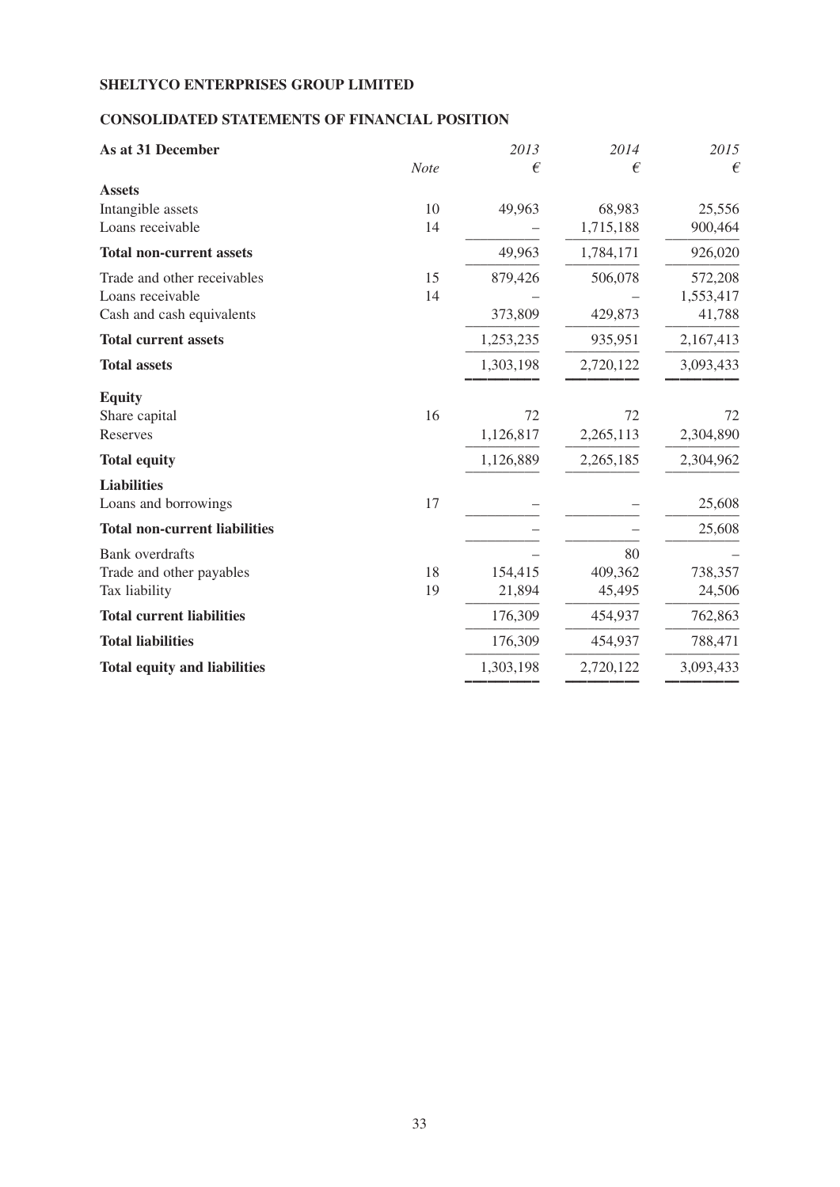# **SHELTYCO ENTERPRISES GROUP LIMITED**

# **CONSOLIDATED STATEMENTS OF FINANCIAL POSITION**

| As at 31 December                    |      | 2013      | 2014      | 2015      |
|--------------------------------------|------|-----------|-----------|-----------|
|                                      | Note | €         | €         | €         |
| <b>Assets</b>                        |      |           |           |           |
| Intangible assets                    | 10   | 49,963    | 68,983    | 25,556    |
| Loans receivable                     | 14   |           | 1,715,188 | 900,464   |
| <b>Total non-current assets</b>      |      | 49,963    | 1,784,171 | 926,020   |
| Trade and other receivables          | 15   | 879,426   | 506,078   | 572,208   |
| Loans receivable                     | 14   |           |           | 1,553,417 |
| Cash and cash equivalents            |      | 373,809   | 429,873   | 41,788    |
| <b>Total current assets</b>          |      | 1,253,235 | 935,951   | 2,167,413 |
| <b>Total assets</b>                  |      | 1,303,198 | 2,720,122 | 3,093,433 |
| <b>Equity</b>                        |      |           |           |           |
| Share capital                        | 16   | 72        | 72        | 72        |
| Reserves                             |      | 1,126,817 | 2,265,113 | 2,304,890 |
| <b>Total equity</b>                  |      | 1,126,889 | 2,265,185 | 2,304,962 |
| <b>Liabilities</b>                   |      |           |           |           |
| Loans and borrowings                 | 17   |           |           | 25,608    |
| <b>Total non-current liabilities</b> |      |           |           | 25,608    |
| <b>Bank</b> overdrafts               |      |           | 80        |           |
| Trade and other payables             | 18   | 154,415   | 409,362   | 738,357   |
| Tax liability                        | 19   | 21,894    | 45,495    | 24,506    |
| <b>Total current liabilities</b>     |      | 176,309   | 454,937   | 762,863   |
| <b>Total liabilities</b>             |      | 176,309   | 454,937   | 788,471   |
| <b>Total equity and liabilities</b>  |      | 1,303,198 | 2,720,122 | 3,093,433 |
|                                      |      |           |           |           |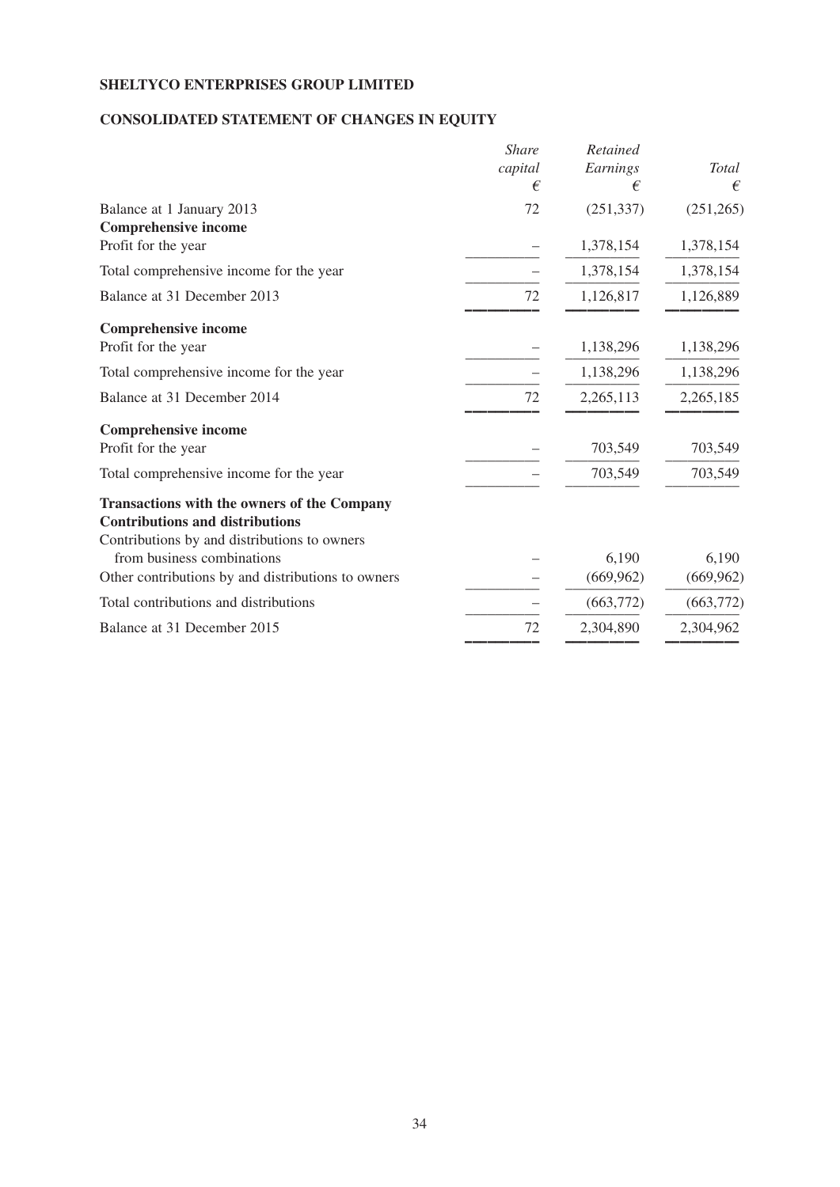# **SHELTYCO ENTERPRISES GROUP LIMITED**

# **CONSOLIDATED STATEMENT OF CHANGES IN EQUITY**

| capital<br>€<br>72 | Earnings<br>€<br>(251, 337) | <b>Total</b><br>€ |
|--------------------|-----------------------------|-------------------|
|                    |                             |                   |
|                    |                             |                   |
|                    |                             | (251, 265)        |
|                    | 1,378,154                   | 1,378,154         |
|                    | 1,378,154                   | 1,378,154         |
| 72                 | 1,126,817                   | 1,126,889         |
|                    |                             |                   |
|                    | 1,138,296                   | 1,138,296         |
|                    | 1,138,296                   | 1,138,296         |
| 72                 | 2,265,113                   | 2,265,185         |
|                    |                             |                   |
|                    | 703,549                     | 703,549           |
|                    | 703,549                     | 703,549           |
|                    |                             |                   |
|                    | 6,190                       | 6,190             |
|                    | (669, 962)                  | (669, 962)        |
|                    | (663, 772)                  | (663, 772)        |
| 72                 | 2,304,890                   | 2,304,962         |
|                    |                             |                   |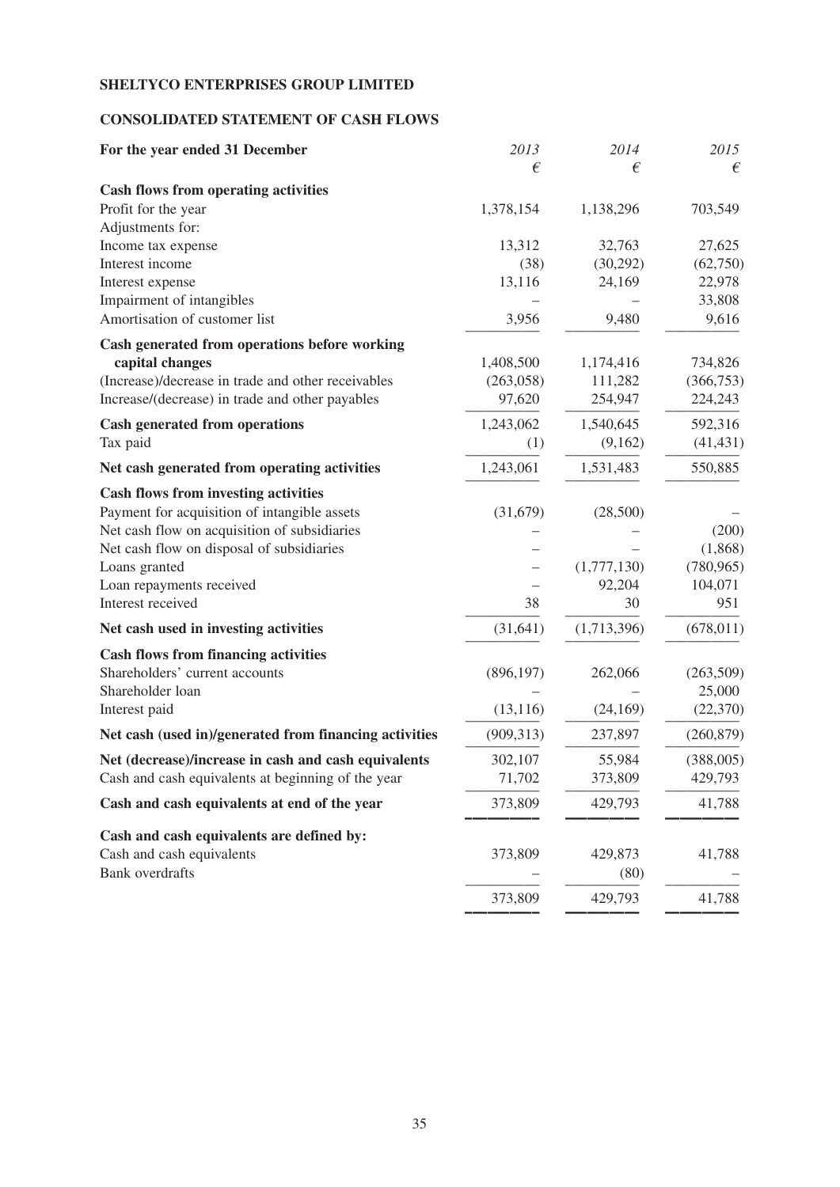# **SHELTYCO ENTERPRISES GROUP LIMITED**

# **CONSOLIDATED STATEMENT OF CASH FLOWS**

| For the year ended 31 December                         | 2013       | 2014        | 2015       |
|--------------------------------------------------------|------------|-------------|------------|
|                                                        | €          | €           | €          |
| <b>Cash flows from operating activities</b>            |            |             |            |
| Profit for the year                                    | 1,378,154  | 1,138,296   | 703,549    |
| Adjustments for:                                       |            |             |            |
| Income tax expense                                     | 13,312     | 32,763      | 27,625     |
| Interest income                                        | (38)       | (30,292)    | (62,750)   |
| Interest expense                                       | 13,116     | 24,169      | 22,978     |
| Impairment of intangibles                              |            |             | 33,808     |
| Amortisation of customer list                          | 3,956      | 9,480       | 9,616      |
| Cash generated from operations before working          |            |             |            |
| capital changes                                        | 1,408,500  | 1,174,416   | 734,826    |
| (Increase)/decrease in trade and other receivables     | (263,058)  | 111,282     | (366, 753) |
| Increase/(decrease) in trade and other payables        | 97,620     | 254,947     | 224,243    |
| <b>Cash generated from operations</b>                  | 1,243,062  | 1,540,645   | 592,316    |
| Tax paid                                               | (1)        | (9,162)     | (41, 431)  |
| Net cash generated from operating activities           | 1,243,061  | 1,531,483   | 550,885    |
| <b>Cash flows from investing activities</b>            |            |             |            |
| Payment for acquisition of intangible assets           | (31,679)   | (28,500)    |            |
| Net cash flow on acquisition of subsidiaries           |            |             | (200)      |
| Net cash flow on disposal of subsidiaries              |            |             | (1,868)    |
| Loans granted                                          |            | (1,777,130) | (780, 965) |
| Loan repayments received                               |            | 92,204      | 104,071    |
| Interest received                                      | 38         | 30          | 951        |
| Net cash used in investing activities                  | (31, 641)  | (1,713,396) | (678, 011) |
| <b>Cash flows from financing activities</b>            |            |             |            |
| Shareholders' current accounts                         | (896, 197) | 262,066     | (263,509)  |
| Shareholder loan                                       |            |             | 25,000     |
| Interest paid                                          | (13, 116)  | (24,169)    | (22, 370)  |
| Net cash (used in)/generated from financing activities | (909, 313) | 237,897     | (260, 879) |
| Net (decrease)/increase in cash and cash equivalents   | 302,107    | 55,984      | (388,005)  |
| Cash and cash equivalents at beginning of the year     | 71,702     | 373,809     | 429,793    |
| Cash and cash equivalents at end of the year           | 373,809    | 429,793     | 41,788     |
| Cash and cash equivalents are defined by:              |            |             |            |
| Cash and cash equivalents                              | 373,809    | 429,873     | 41,788     |
| <b>Bank</b> overdrafts                                 |            | (80)        |            |
|                                                        | 373,809    | 429,793     | 41,788     |

–––––––––– –––––––––– ––––––––––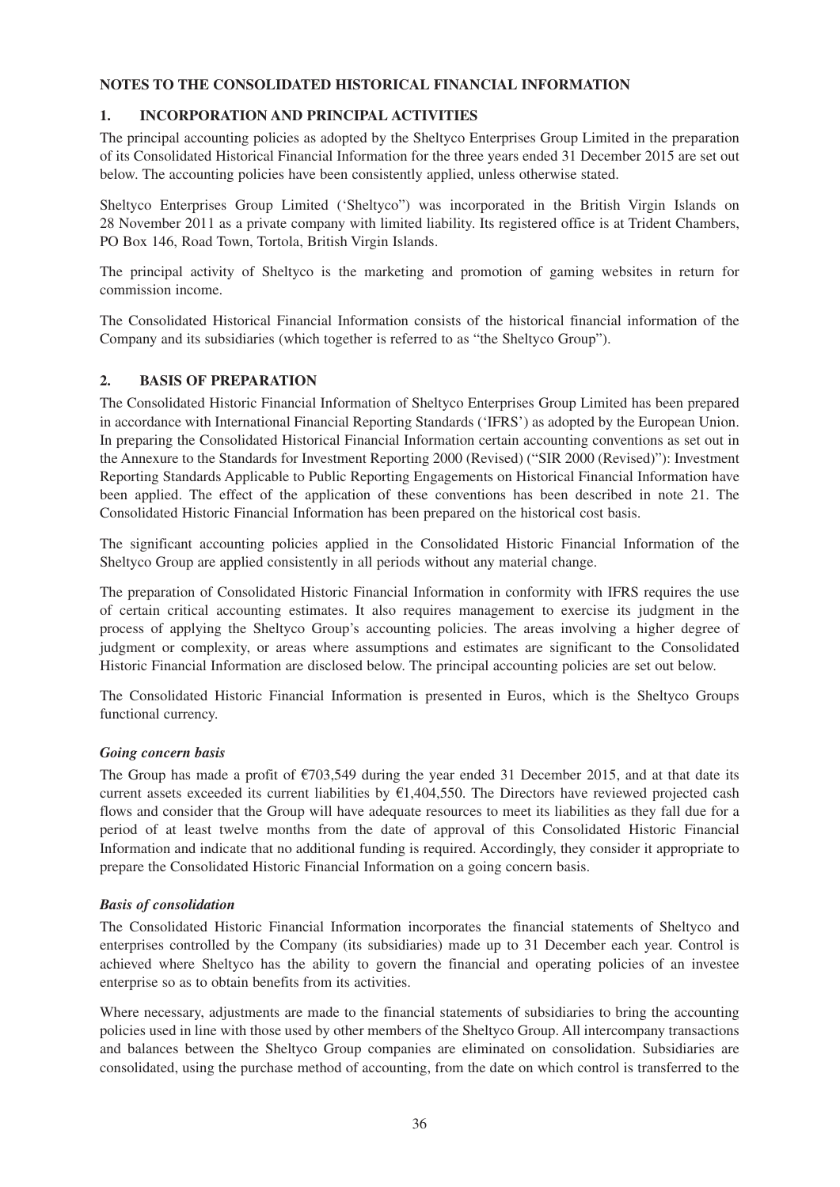### **NOTES TO THE CONSOLIDATED HISTORICAL FINANCIAL INFORMATION**

# **1. INCORPORATION AND PRINCIPAL ACTIVITIES**

The principal accounting policies as adopted by the Sheltyco Enterprises Group Limited in the preparation of its Consolidated Historical Financial Information for the three years ended 31 December 2015 are set out below. The accounting policies have been consistently applied, unless otherwise stated.

Sheltyco Enterprises Group Limited ('Sheltyco") was incorporated in the British Virgin Islands on 28 November 2011 as a private company with limited liability. Its registered office is at Trident Chambers, PO Box 146, Road Town, Tortola, British Virgin Islands.

The principal activity of Sheltyco is the marketing and promotion of gaming websites in return for commission income.

The Consolidated Historical Financial Information consists of the historical financial information of the Company and its subsidiaries (which together is referred to as "the Sheltyco Group").

### **2. BASIS OF PREPARATION**

The Consolidated Historic Financial Information of Sheltyco Enterprises Group Limited has been prepared in accordance with International Financial Reporting Standards ('IFRS') as adopted by the European Union. In preparing the Consolidated Historical Financial Information certain accounting conventions as set out in the Annexure to the Standards for Investment Reporting 2000 (Revised) ("SIR 2000 (Revised)"): Investment Reporting Standards Applicable to Public Reporting Engagements on Historical Financial Information have been applied. The effect of the application of these conventions has been described in note 21. The Consolidated Historic Financial Information has been prepared on the historical cost basis.

The significant accounting policies applied in the Consolidated Historic Financial Information of the Sheltyco Group are applied consistently in all periods without any material change.

The preparation of Consolidated Historic Financial Information in conformity with IFRS requires the use of certain critical accounting estimates. It also requires management to exercise its judgment in the process of applying the Sheltyco Group's accounting policies. The areas involving a higher degree of judgment or complexity, or areas where assumptions and estimates are significant to the Consolidated Historic Financial Information are disclosed below. The principal accounting policies are set out below.

The Consolidated Historic Financial Information is presented in Euros, which is the Sheltyco Groups functional currency.

### *Going concern basis*

The Group has made a profit of  $\epsilon$ 703,549 during the year ended 31 December 2015, and at that date its current assets exceeded its current liabilities by  $\epsilon$ 1,404,550. The Directors have reviewed projected cash flows and consider that the Group will have adequate resources to meet its liabilities as they fall due for a period of at least twelve months from the date of approval of this Consolidated Historic Financial Information and indicate that no additional funding is required. Accordingly, they consider it appropriate to prepare the Consolidated Historic Financial Information on a going concern basis.

### *Basis of consolidation*

The Consolidated Historic Financial Information incorporates the financial statements of Sheltyco and enterprises controlled by the Company (its subsidiaries) made up to 31 December each year. Control is achieved where Sheltyco has the ability to govern the financial and operating policies of an investee enterprise so as to obtain benefits from its activities.

Where necessary, adjustments are made to the financial statements of subsidiaries to bring the accounting policies used in line with those used by other members of the Sheltyco Group. All intercompany transactions and balances between the Sheltyco Group companies are eliminated on consolidation. Subsidiaries are consolidated, using the purchase method of accounting, from the date on which control is transferred to the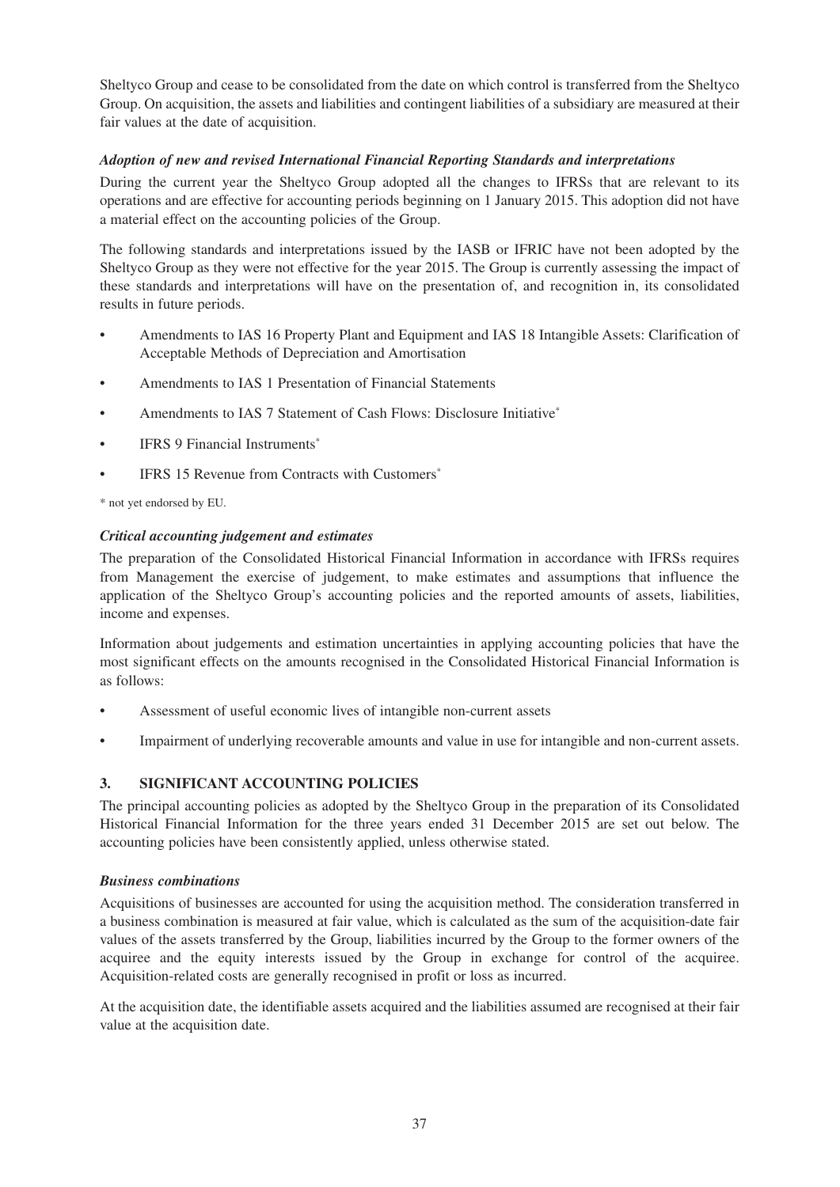Sheltyco Group and cease to be consolidated from the date on which control is transferred from the Sheltyco Group. On acquisition, the assets and liabilities and contingent liabilities of a subsidiary are measured at their fair values at the date of acquisition.

## *Adoption of new and revised International Financial Reporting Standards and interpretations*

During the current year the Sheltyco Group adopted all the changes to IFRSs that are relevant to its operations and are effective for accounting periods beginning on 1 January 2015. This adoption did not have a material effect on the accounting policies of the Group.

The following standards and interpretations issued by the IASB or IFRIC have not been adopted by the Sheltyco Group as they were not effective for the year 2015. The Group is currently assessing the impact of these standards and interpretations will have on the presentation of, and recognition in, its consolidated results in future periods.

- Amendments to IAS 16 Property Plant and Equipment and IAS 18 Intangible Assets: Clarification of Acceptable Methods of Depreciation and Amortisation
- Amendments to IAS 1 Presentation of Financial Statements
- Amendments to IAS 7 Statement of Cash Flows: Disclosure Initiative\*
- IFRS 9 Financial Instruments\*
- **IFRS 15 Revenue from Contracts with Customers**<sup>\*</sup>

\* not yet endorsed by EU.

## *Critical accounting judgement and estimates*

The preparation of the Consolidated Historical Financial Information in accordance with IFRSs requires from Management the exercise of judgement, to make estimates and assumptions that influence the application of the Sheltyco Group's accounting policies and the reported amounts of assets, liabilities, income and expenses.

Information about judgements and estimation uncertainties in applying accounting policies that have the most significant effects on the amounts recognised in the Consolidated Historical Financial Information is as follows:

- Assessment of useful economic lives of intangible non-current assets
- Impairment of underlying recoverable amounts and value in use for intangible and non-current assets.

## **3. SIGNIFICANT ACCOUNTING POLICIES**

The principal accounting policies as adopted by the Sheltyco Group in the preparation of its Consolidated Historical Financial Information for the three years ended 31 December 2015 are set out below. The accounting policies have been consistently applied, unless otherwise stated.

## *Business combinations*

Acquisitions of businesses are accounted for using the acquisition method. The consideration transferred in a business combination is measured at fair value, which is calculated as the sum of the acquisition-date fair values of the assets transferred by the Group, liabilities incurred by the Group to the former owners of the acquiree and the equity interests issued by the Group in exchange for control of the acquiree. Acquisition-related costs are generally recognised in profit or loss as incurred.

At the acquisition date, the identifiable assets acquired and the liabilities assumed are recognised at their fair value at the acquisition date.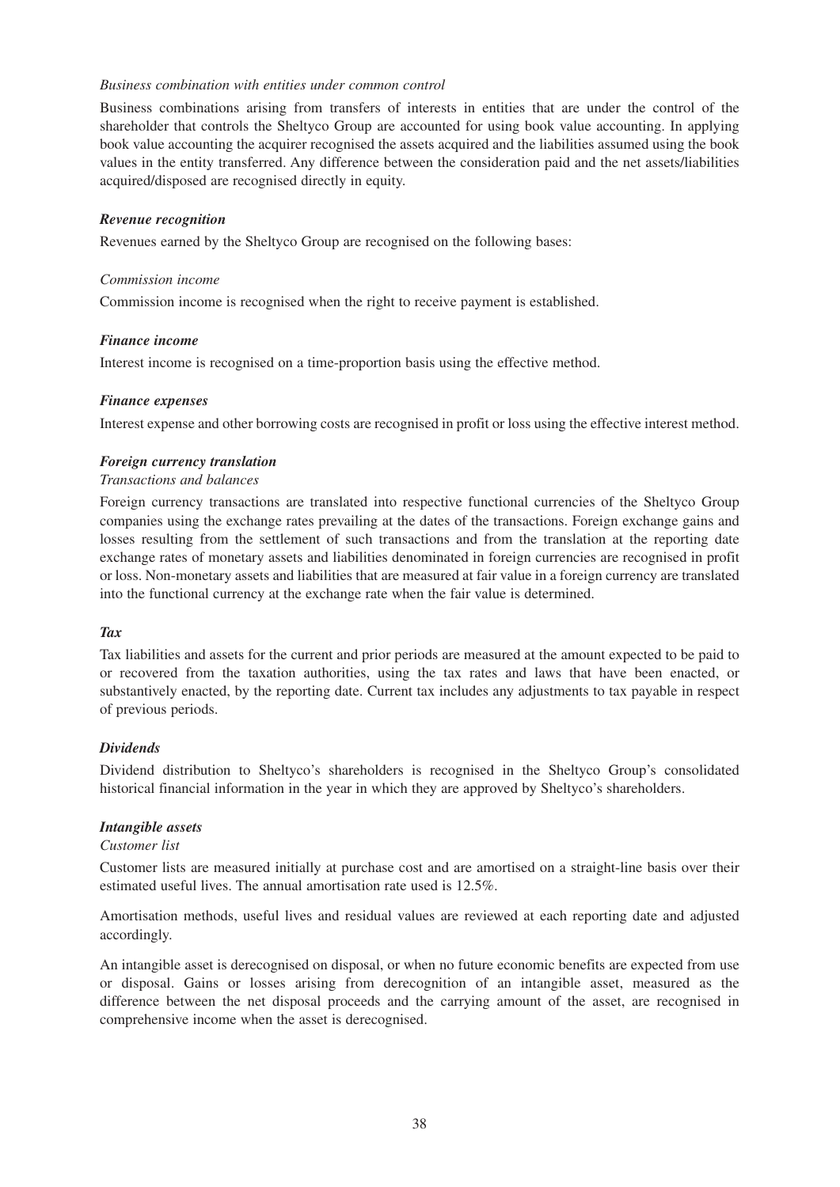#### *Business combination with entities under common control*

Business combinations arising from transfers of interests in entities that are under the control of the shareholder that controls the Sheltyco Group are accounted for using book value accounting. In applying book value accounting the acquirer recognised the assets acquired and the liabilities assumed using the book values in the entity transferred. Any difference between the consideration paid and the net assets/liabilities acquired/disposed are recognised directly in equity.

#### *Revenue recognition*

Revenues earned by the Sheltyco Group are recognised on the following bases:

#### *Commission income*

Commission income is recognised when the right to receive payment is established.

#### *Finance income*

Interest income is recognised on a time-proportion basis using the effective method.

#### *Finance expenses*

Interest expense and other borrowing costs are recognised in profit or loss using the effective interest method.

#### *Foreign currency translation*

#### *Transactions and balances*

Foreign currency transactions are translated into respective functional currencies of the Sheltyco Group companies using the exchange rates prevailing at the dates of the transactions. Foreign exchange gains and losses resulting from the settlement of such transactions and from the translation at the reporting date exchange rates of monetary assets and liabilities denominated in foreign currencies are recognised in profit or loss. Non-monetary assets and liabilities that are measured at fair value in a foreign currency are translated into the functional currency at the exchange rate when the fair value is determined.

## *Tax*

Tax liabilities and assets for the current and prior periods are measured at the amount expected to be paid to or recovered from the taxation authorities, using the tax rates and laws that have been enacted, or substantively enacted, by the reporting date. Current tax includes any adjustments to tax payable in respect of previous periods.

## *Dividends*

Dividend distribution to Sheltyco's shareholders is recognised in the Sheltyco Group's consolidated historical financial information in the year in which they are approved by Sheltyco's shareholders.

## *Intangible assets*

#### *Customer list*

Customer lists are measured initially at purchase cost and are amortised on a straight-line basis over their estimated useful lives. The annual amortisation rate used is 12.5%.

Amortisation methods, useful lives and residual values are reviewed at each reporting date and adjusted accordingly.

An intangible asset is derecognised on disposal, or when no future economic benefits are expected from use or disposal. Gains or losses arising from derecognition of an intangible asset, measured as the difference between the net disposal proceeds and the carrying amount of the asset, are recognised in comprehensive income when the asset is derecognised.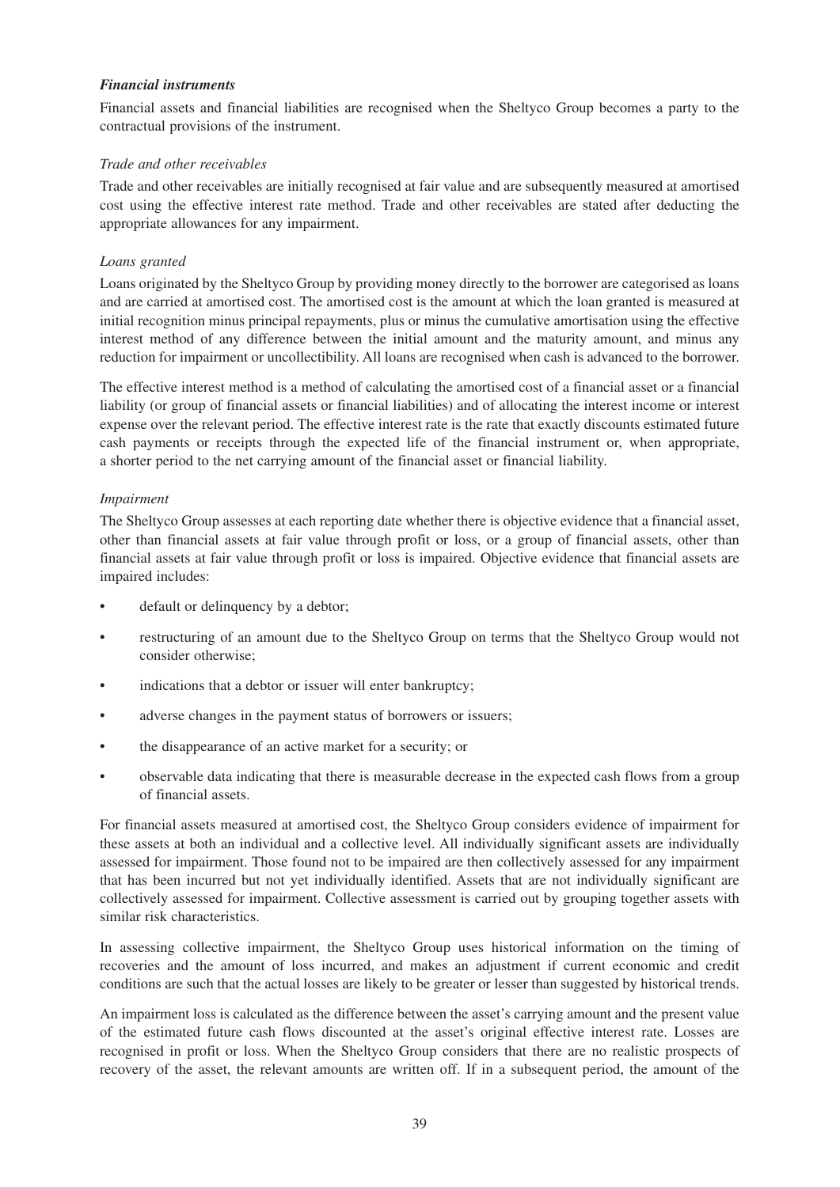#### *Financial instruments*

Financial assets and financial liabilities are recognised when the Sheltyco Group becomes a party to the contractual provisions of the instrument.

## *Trade and other receivables*

Trade and other receivables are initially recognised at fair value and are subsequently measured at amortised cost using the effective interest rate method. Trade and other receivables are stated after deducting the appropriate allowances for any impairment.

## *Loans granted*

Loans originated by the Sheltyco Group by providing money directly to the borrower are categorised as loans and are carried at amortised cost. The amortised cost is the amount at which the loan granted is measured at initial recognition minus principal repayments, plus or minus the cumulative amortisation using the effective interest method of any difference between the initial amount and the maturity amount, and minus any reduction for impairment or uncollectibility. All loans are recognised when cash is advanced to the borrower.

The effective interest method is a method of calculating the amortised cost of a financial asset or a financial liability (or group of financial assets or financial liabilities) and of allocating the interest income or interest expense over the relevant period. The effective interest rate is the rate that exactly discounts estimated future cash payments or receipts through the expected life of the financial instrument or, when appropriate, a shorter period to the net carrying amount of the financial asset or financial liability.

## *Impairment*

The Sheltyco Group assesses at each reporting date whether there is objective evidence that a financial asset, other than financial assets at fair value through profit or loss, or a group of financial assets, other than financial assets at fair value through profit or loss is impaired. Objective evidence that financial assets are impaired includes:

- default or delinquency by a debtor;
- restructuring of an amount due to the Sheltyco Group on terms that the Sheltyco Group would not consider otherwise;
- indications that a debtor or issuer will enter bankruptcy;
- adverse changes in the payment status of borrowers or issuers;
- the disappearance of an active market for a security; or
- observable data indicating that there is measurable decrease in the expected cash flows from a group of financial assets.

For financial assets measured at amortised cost, the Sheltyco Group considers evidence of impairment for these assets at both an individual and a collective level. All individually significant assets are individually assessed for impairment. Those found not to be impaired are then collectively assessed for any impairment that has been incurred but not yet individually identified. Assets that are not individually significant are collectively assessed for impairment. Collective assessment is carried out by grouping together assets with similar risk characteristics.

In assessing collective impairment, the Sheltyco Group uses historical information on the timing of recoveries and the amount of loss incurred, and makes an adjustment if current economic and credit conditions are such that the actual losses are likely to be greater or lesser than suggested by historical trends.

An impairment loss is calculated as the difference between the asset's carrying amount and the present value of the estimated future cash flows discounted at the asset's original effective interest rate. Losses are recognised in profit or loss. When the Sheltyco Group considers that there are no realistic prospects of recovery of the asset, the relevant amounts are written off. If in a subsequent period, the amount of the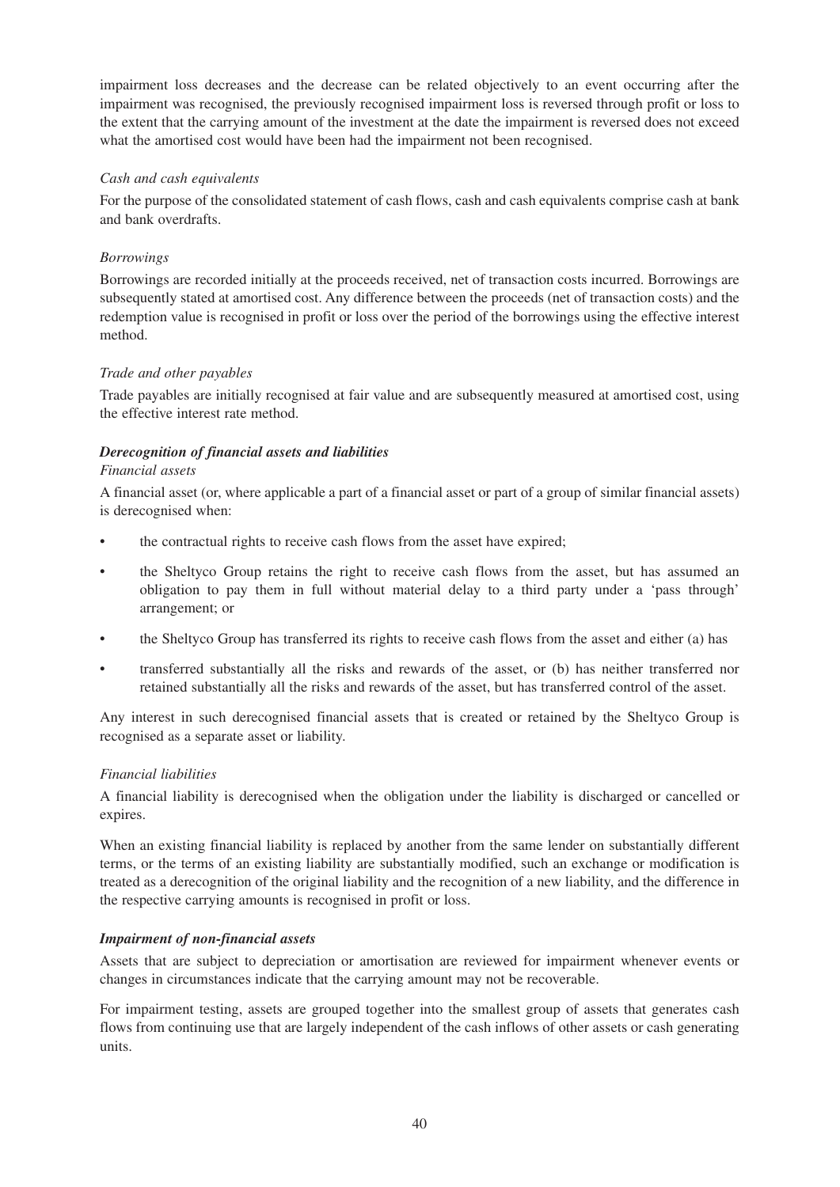impairment loss decreases and the decrease can be related objectively to an event occurring after the impairment was recognised, the previously recognised impairment loss is reversed through profit or loss to the extent that the carrying amount of the investment at the date the impairment is reversed does not exceed what the amortised cost would have been had the impairment not been recognised.

## *Cash and cash equivalents*

For the purpose of the consolidated statement of cash flows, cash and cash equivalents comprise cash at bank and bank overdrafts.

## *Borrowings*

Borrowings are recorded initially at the proceeds received, net of transaction costs incurred. Borrowings are subsequently stated at amortised cost. Any difference between the proceeds (net of transaction costs) and the redemption value is recognised in profit or loss over the period of the borrowings using the effective interest method.

## *Trade and other payables*

Trade payables are initially recognised at fair value and are subsequently measured at amortised cost, using the effective interest rate method.

## *Derecognition of financial assets and liabilities*

## *Financial assets*

A financial asset (or, where applicable a part of a financial asset or part of a group of similar financial assets) is derecognised when:

- the contractual rights to receive cash flows from the asset have expired;
- the Sheltyco Group retains the right to receive cash flows from the asset, but has assumed an obligation to pay them in full without material delay to a third party under a 'pass through' arrangement; or
- the Sheltyco Group has transferred its rights to receive cash flows from the asset and either (a) has
- transferred substantially all the risks and rewards of the asset, or (b) has neither transferred nor retained substantially all the risks and rewards of the asset, but has transferred control of the asset.

Any interest in such derecognised financial assets that is created or retained by the Sheltyco Group is recognised as a separate asset or liability.

## *Financial liabilities*

A financial liability is derecognised when the obligation under the liability is discharged or cancelled or expires.

When an existing financial liability is replaced by another from the same lender on substantially different terms, or the terms of an existing liability are substantially modified, such an exchange or modification is treated as a derecognition of the original liability and the recognition of a new liability, and the difference in the respective carrying amounts is recognised in profit or loss.

## *Impairment of non-financial assets*

Assets that are subject to depreciation or amortisation are reviewed for impairment whenever events or changes in circumstances indicate that the carrying amount may not be recoverable.

For impairment testing, assets are grouped together into the smallest group of assets that generates cash flows from continuing use that are largely independent of the cash inflows of other assets or cash generating units.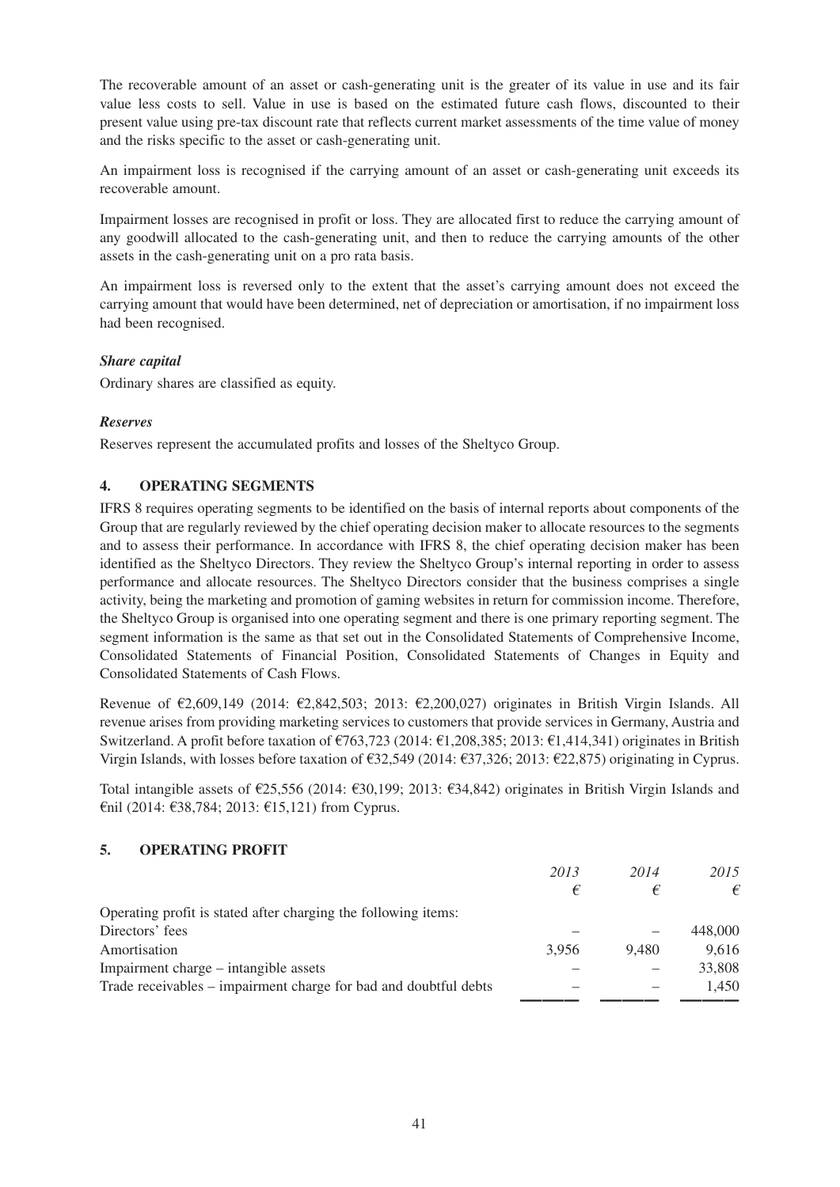The recoverable amount of an asset or cash-generating unit is the greater of its value in use and its fair value less costs to sell. Value in use is based on the estimated future cash flows, discounted to their present value using pre-tax discount rate that reflects current market assessments of the time value of money and the risks specific to the asset or cash-generating unit.

An impairment loss is recognised if the carrying amount of an asset or cash-generating unit exceeds its recoverable amount.

Impairment losses are recognised in profit or loss. They are allocated first to reduce the carrying amount of any goodwill allocated to the cash-generating unit, and then to reduce the carrying amounts of the other assets in the cash-generating unit on a pro rata basis.

An impairment loss is reversed only to the extent that the asset's carrying amount does not exceed the carrying amount that would have been determined, net of depreciation or amortisation, if no impairment loss had been recognised.

## *Share capital*

Ordinary shares are classified as equity.

## *Reserves*

Reserves represent the accumulated profits and losses of the Sheltyco Group.

## **4. OPERATING SEGMENTS**

IFRS 8 requires operating segments to be identified on the basis of internal reports about components of the Group that are regularly reviewed by the chief operating decision maker to allocate resources to the segments and to assess their performance. In accordance with IFRS 8, the chief operating decision maker has been identified as the Sheltyco Directors. They review the Sheltyco Group's internal reporting in order to assess performance and allocate resources. The Sheltyco Directors consider that the business comprises a single activity, being the marketing and promotion of gaming websites in return for commission income. Therefore, the Sheltyco Group is organised into one operating segment and there is one primary reporting segment. The segment information is the same as that set out in the Consolidated Statements of Comprehensive Income, Consolidated Statements of Financial Position, Consolidated Statements of Changes in Equity and Consolidated Statements of Cash Flows.

Revenue of €2,609,149 (2014: €2,842,503; 2013: €2,200,027) originates in British Virgin Islands. All revenue arises from providing marketing services to customers that provide services in Germany, Austria and Switzerland. A profit before taxation of €763,723 (2014: €1,208,385; 2013: €1,414,341) originates in British Virgin Islands, with losses before taxation of €32,549 (2014: €37,326; 2013: €22,875) originating in Cyprus.

Total intangible assets of €25,556 (2014: €30,199; 2013: €34,842) originates in British Virgin Islands and €nil (2014: €38,784; 2013: €15,121) from Cyprus.

## **5. OPERATING PROFIT**

|                                                                  | 2013  | 2014  | 2015    |
|------------------------------------------------------------------|-------|-------|---------|
|                                                                  | €     | €     | €       |
| Operating profit is stated after charging the following items:   |       |       |         |
| Directors' fees                                                  |       |       | 448,000 |
| Amortisation                                                     | 3.956 | 9.480 | 9,616   |
| Impairment charge – intangible assets                            |       |       | 33,808  |
| Trade receivables – impairment charge for bad and doubtful debts |       |       | 1.450   |
|                                                                  |       |       |         |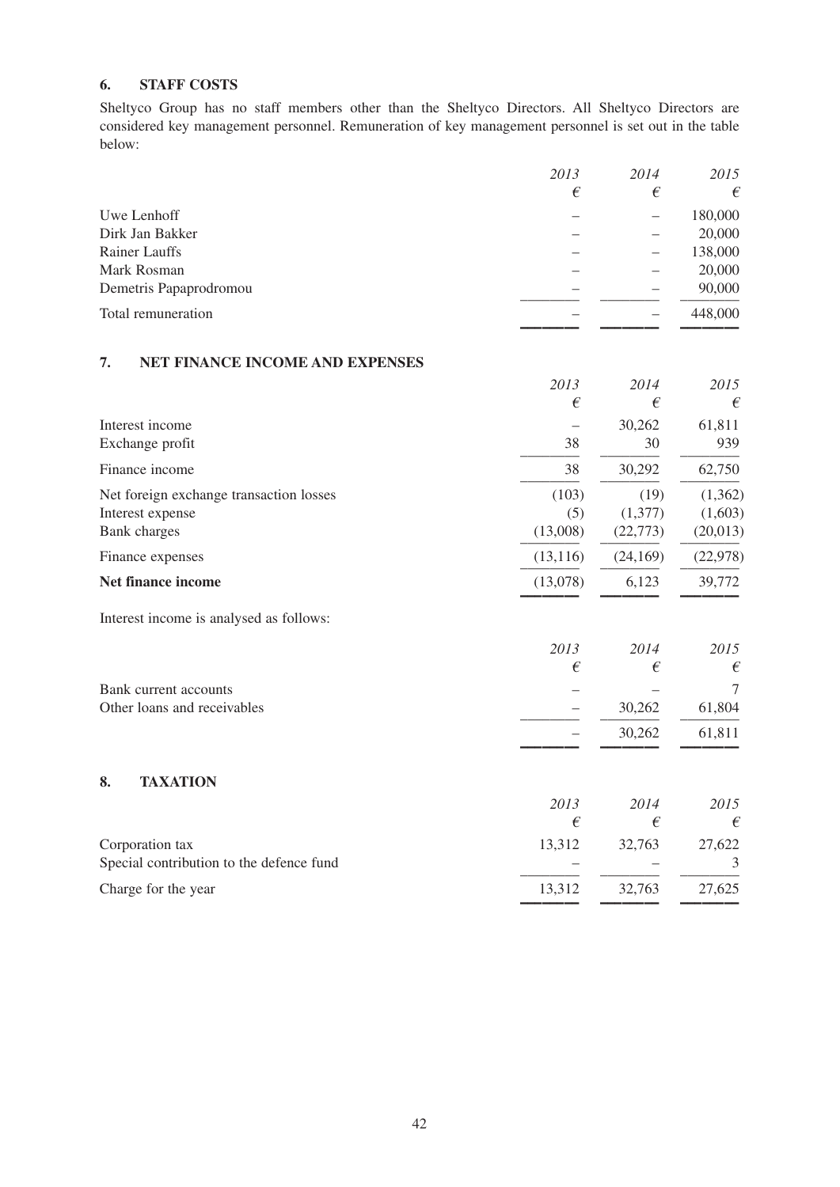## **6. STAFF COSTS**

Sheltyco Group has no staff members other than the Sheltyco Directors. All Sheltyco Directors are considered key management personnel. Remuneration of key management personnel is set out in the table below:

|                                          | 2013       | 2014      | 2015      |
|------------------------------------------|------------|-----------|-----------|
|                                          | $\epsilon$ | €         | €         |
| Uwe Lenhoff                              |            |           | 180,000   |
| Dirk Jan Bakker                          |            |           | 20,000    |
| Rainer Lauffs                            |            |           | 138,000   |
| Mark Rosman                              |            |           | 20,000    |
| Demetris Papaprodromou                   |            |           | 90,000    |
| Total remuneration                       |            |           | 448,000   |
| 7.<br>NET FINANCE INCOME AND EXPENSES    |            |           |           |
|                                          | 2013       | 2014      | 2015      |
|                                          | €          | €         | €         |
| Interest income                          |            | 30,262    | 61,811    |
| Exchange profit                          | 38         | 30        | 939       |
| Finance income                           | 38         | 30,292    | 62,750    |
| Net foreign exchange transaction losses  | (103)      | (19)      | (1,362)   |
| Interest expense                         | (5)        | (1,377)   | (1,603)   |
| <b>Bank</b> charges                      | (13,008)   | (22, 773) | (20, 013) |
| Finance expenses                         | (13, 116)  | (24, 169) | (22, 978) |
| Net finance income                       | (13,078)   | 6,123     | 39,772    |
| Interest income is analysed as follows:  |            |           |           |
|                                          | 2013       | 2014      | 2015      |
|                                          | €          | €         | €         |
| Bank current accounts                    |            |           | 7         |
| Other loans and receivables              |            | 30,262    | 61,804    |
|                                          |            | 30,262    | 61,811    |
| 8.<br><b>TAXATION</b>                    |            |           |           |
|                                          | 2013       | 2014      | 2015      |
|                                          | $\epsilon$ | €         | €         |
| Corporation tax                          | 13,312     | 32,763    | 27,622    |
| Special contribution to the defence fund |            |           | 3         |
| Charge for the year                      | 13,312     | 32,763    | 27,625    |
|                                          |            |           |           |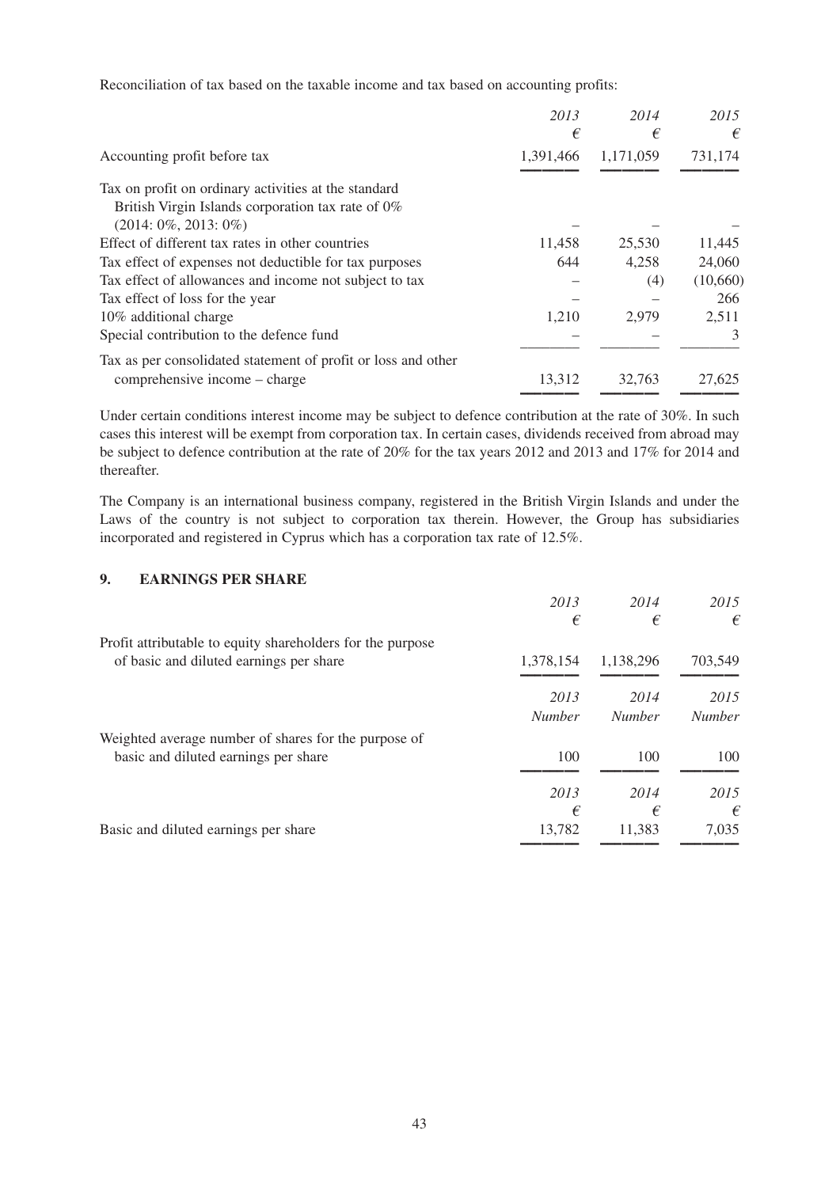Reconciliation of tax based on the taxable income and tax based on accounting profits:

|                                                                                                | 2013      | 2014      | 2015     |
|------------------------------------------------------------------------------------------------|-----------|-----------|----------|
|                                                                                                | €         | €         | €        |
| Accounting profit before tax                                                                   | 1,391,466 | 1,171,059 | 731,174  |
| Tax on profit on ordinary activities at the standard                                           |           |           |          |
| British Virgin Islands corporation tax rate of 0%                                              |           |           |          |
| $(2014:0\%, 2013:0\%)$                                                                         |           |           |          |
| Effect of different tax rates in other countries                                               | 11,458    | 25,530    | 11,445   |
| Tax effect of expenses not deductible for tax purposes                                         | 644       | 4,258     | 24,060   |
| Tax effect of allowances and income not subject to tax                                         |           | (4)       | (10,660) |
| Tax effect of loss for the year                                                                |           |           | 266      |
| 10% additional charge                                                                          | 1.210     | 2,979     | 2,511    |
| Special contribution to the defence fund                                                       |           |           | 3        |
| Tax as per consolidated statement of profit or loss and other<br>comprehensive income – charge | 13,312    | 32,763    | 27,625   |
|                                                                                                |           |           |          |

Under certain conditions interest income may be subject to defence contribution at the rate of 30%. In such cases this interest will be exempt from corporation tax. In certain cases, dividends received from abroad may be subject to defence contribution at the rate of 20% for the tax years 2012 and 2013 and 17% for 2014 and thereafter.

The Company is an international business company, registered in the British Virgin Islands and under the Laws of the country is not subject to corporation tax therein. However, the Group has subsidiaries incorporated and registered in Cyprus which has a corporation tax rate of 12.5%.

## **9. EARNINGS PER SHARE**

|                                                                                                       | 2013                  | 2014                  | 2015                  |
|-------------------------------------------------------------------------------------------------------|-----------------------|-----------------------|-----------------------|
|                                                                                                       | €                     | €                     | €                     |
| Profit attributable to equity shareholders for the purpose<br>of basic and diluted earnings per share | 1,378,154             | 1,138,296             | 703,549               |
|                                                                                                       | 2013<br><b>Number</b> | 2014<br><b>Number</b> | 2015<br><b>Number</b> |
| Weighted average number of shares for the purpose of<br>basic and diluted earnings per share          | 100                   | 100                   | 100                   |
|                                                                                                       | 2013<br>€             | 2014<br>€             | 2015<br>€             |
| Basic and diluted earnings per share                                                                  | 13,782                | 11,383                | 7,035                 |
|                                                                                                       |                       |                       |                       |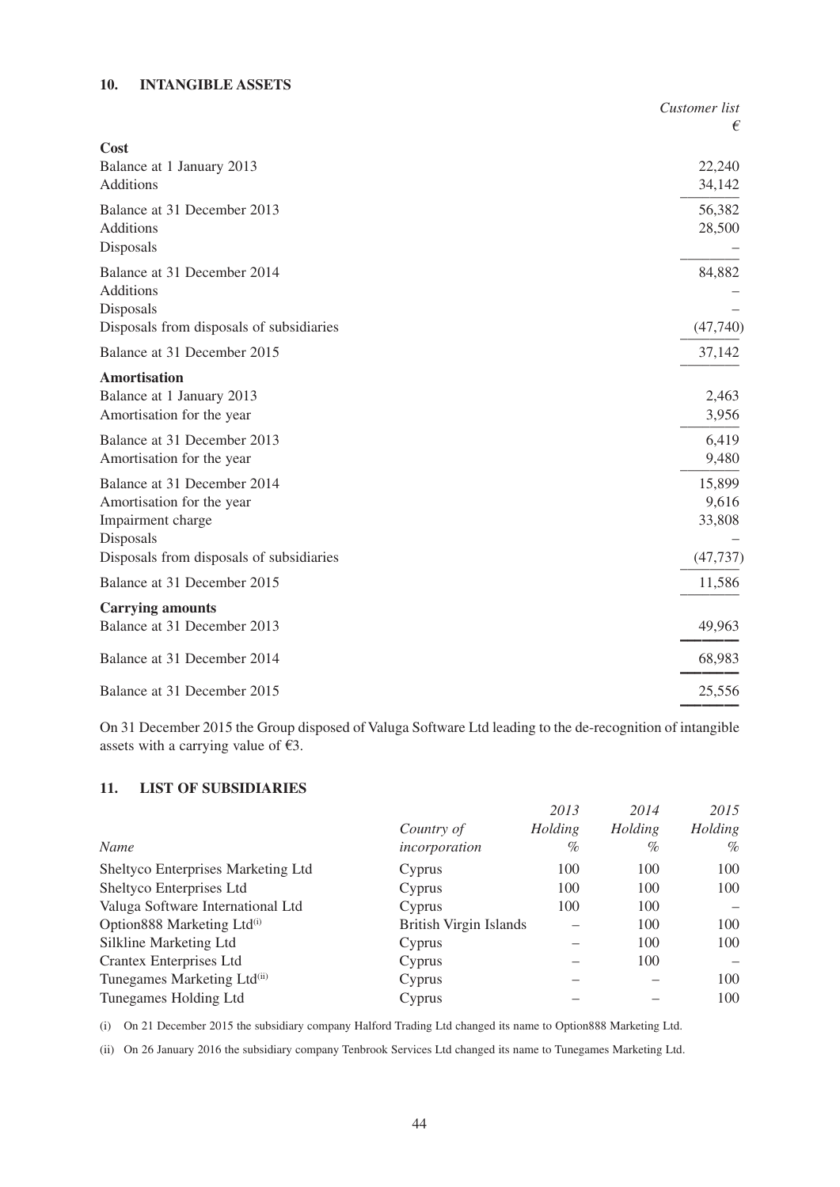## **10. INTANGIBLE ASSETS**

|                                                                                                                                        | Customer list                          |
|----------------------------------------------------------------------------------------------------------------------------------------|----------------------------------------|
|                                                                                                                                        | €                                      |
| Cost<br>Balance at 1 January 2013<br>Additions                                                                                         | 22,240<br>34,142                       |
| Balance at 31 December 2013<br><b>Additions</b><br>Disposals                                                                           | 56,382<br>28,500                       |
| Balance at 31 December 2014<br><b>Additions</b><br>Disposals<br>Disposals from disposals of subsidiaries                               | 84,882<br>(47,740)                     |
| Balance at 31 December 2015                                                                                                            | 37,142                                 |
| <b>Amortisation</b><br>Balance at 1 January 2013<br>Amortisation for the year                                                          | 2,463<br>3,956                         |
| Balance at 31 December 2013<br>Amortisation for the year                                                                               | 6,419<br>9,480                         |
| Balance at 31 December 2014<br>Amortisation for the year<br>Impairment charge<br>Disposals<br>Disposals from disposals of subsidiaries | 15,899<br>9,616<br>33,808<br>(47, 737) |
| Balance at 31 December 2015                                                                                                            | 11,586                                 |
| <b>Carrying amounts</b><br>Balance at 31 December 2013                                                                                 | 49,963                                 |
| Balance at 31 December 2014                                                                                                            | 68,983                                 |
| Balance at 31 December 2015                                                                                                            | 25,556                                 |

On 31 December 2015 the Group disposed of Valuga Software Ltd leading to the de-recognition of intangible assets with a carrying value of  $\epsilon$ 3.

## **11. LIST OF SUBSIDIARIES**

|                                         |                               | 2013    | 2014    | 2015    |
|-----------------------------------------|-------------------------------|---------|---------|---------|
|                                         | Country of                    | Holding | Holding | Holding |
| Name                                    | incorporation                 | $\%$    | $\%$    | $\%$    |
| Sheltyco Enterprises Marketing Ltd      | Cyprus                        | 100     | 100     | 100     |
| Sheltyco Enterprises Ltd                | Cyprus                        | 100     | 100     | 100     |
| Valuga Software International Ltd       | Cyprus                        | 100     | 100     |         |
| Option888 Marketing Ltd <sup>(i)</sup>  | <b>British Virgin Islands</b> |         | 100     | 100     |
| Silkline Marketing Ltd                  | Cyprus                        |         | 100     | 100     |
| Crantex Enterprises Ltd                 | Cyprus                        |         | 100     |         |
| Tunegames Marketing Ltd <sup>(ii)</sup> | Cyprus                        |         |         | 100     |
| Tunegames Holding Ltd                   | Cyprus                        |         |         | 100     |

(i) On 21 December 2015 the subsidiary company Halford Trading Ltd changed its name to Option888 Marketing Ltd.

(ii) On 26 January 2016 the subsidiary company Tenbrook Services Ltd changed its name to Tunegames Marketing Ltd.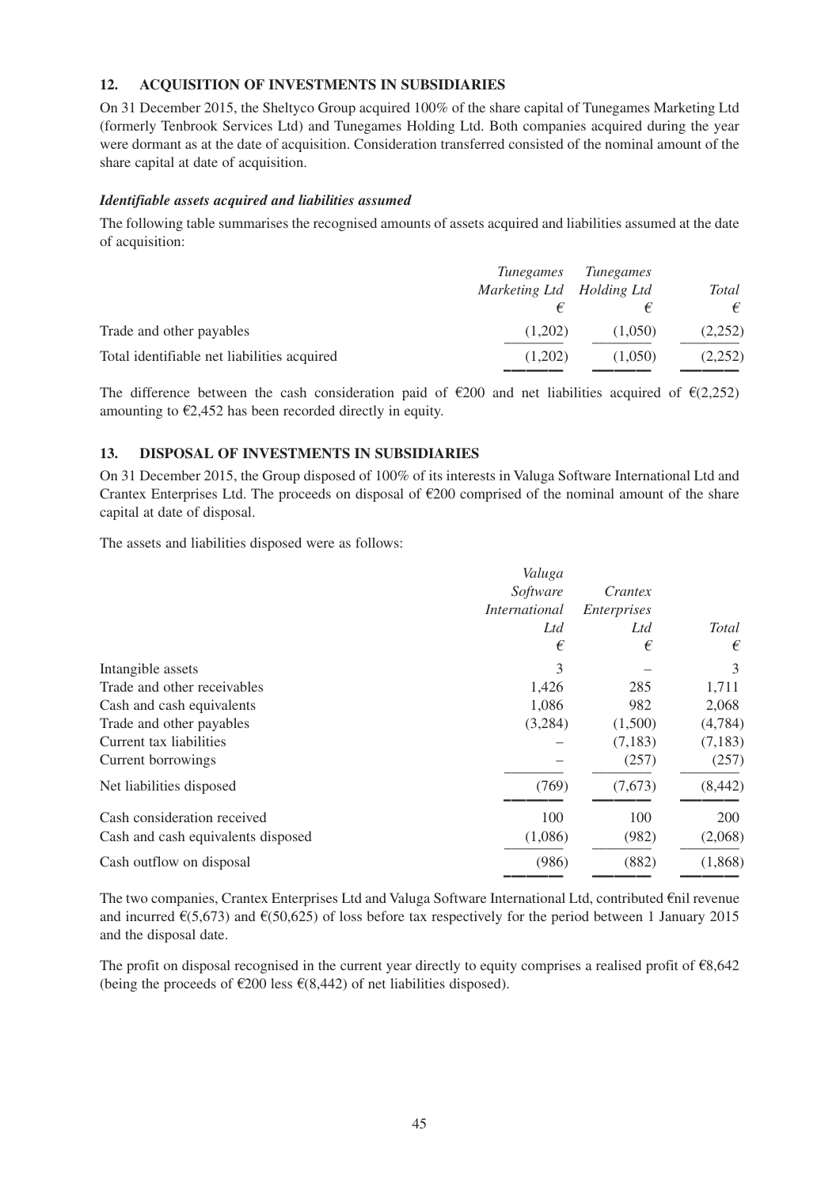## **12. ACQUISITION OF INVESTMENTS IN SUBSIDIARIES**

On 31 December 2015, the Sheltyco Group acquired 100% of the share capital of Tunegames Marketing Ltd (formerly Tenbrook Services Ltd) and Tunegames Holding Ltd. Both companies acquired during the year were dormant as at the date of acquisition. Consideration transferred consisted of the nominal amount of the share capital at date of acquisition.

## *Identifiable assets acquired and liabilities assumed*

The following table summarises the recognised amounts of assets acquired and liabilities assumed at the date of acquisition:

|                                             | <i>Tunegames</i>          | <i>Tunegames</i> |         |
|---------------------------------------------|---------------------------|------------------|---------|
|                                             | Marketing Ltd Holding Ltd |                  | Total   |
|                                             |                           | €                | €       |
| Trade and other payables                    | (1,202)                   | (1,050)          | (2,252) |
| Total identifiable net liabilities acquired | (1,202)                   | (1.050)          | (2,252) |
|                                             |                           |                  |         |

The difference between the cash consideration paid of  $\epsilon$ 200 and net liabilities acquired of  $\epsilon$ (2,252) amounting to  $\epsilon$ 2,452 has been recorded directly in equity.

## **13. DISPOSAL OF INVESTMENTS IN SUBSIDIARIES**

On 31 December 2015, the Group disposed of 100% of its interests in Valuga Software International Ltd and Crantex Enterprises Ltd. The proceeds on disposal of  $\epsilon$ 200 comprised of the nominal amount of the share capital at date of disposal.

The assets and liabilities disposed were as follows:

|                                    | Valuga               |                    |              |
|------------------------------------|----------------------|--------------------|--------------|
|                                    | Software             | Crantex            |              |
|                                    | <i>International</i> | <i>Enterprises</i> |              |
|                                    | Ltd                  | Ltd                | <b>Total</b> |
|                                    | €                    | €                  | €            |
| Intangible assets                  | 3                    |                    | 3            |
| Trade and other receivables        | 1,426                | 285                | 1,711        |
| Cash and cash equivalents          | 1,086                | 982                | 2,068        |
| Trade and other payables           | (3,284)              | (1,500)            | (4,784)      |
| Current tax liabilities            |                      | (7,183)            | (7,183)      |
| Current borrowings                 |                      | (257)              | (257)        |
| Net liabilities disposed           | (769)                | (7,673)            | (8, 442)     |
| Cash consideration received        | 100                  | 100                | 200          |
| Cash and cash equivalents disposed | (1,086)              | (982)              | (2,068)      |
| Cash outflow on disposal           | (986)                | (882)              | (1,868)      |
|                                    |                      |                    |              |

The two companies, Crantex Enterprises Ltd and Valuga Software International Ltd, contributed €nil revenue and incurred  $\mathcal{E}(5,673)$  and  $\mathcal{E}(50,625)$  of loss before tax respectively for the period between 1 January 2015 and the disposal date.

The profit on disposal recognised in the current year directly to equity comprises a realised profit of  $\epsilon$ 8,642 (being the proceeds of  $\epsilon$ 200 less  $\epsilon$ (8.442) of net liabilities disposed).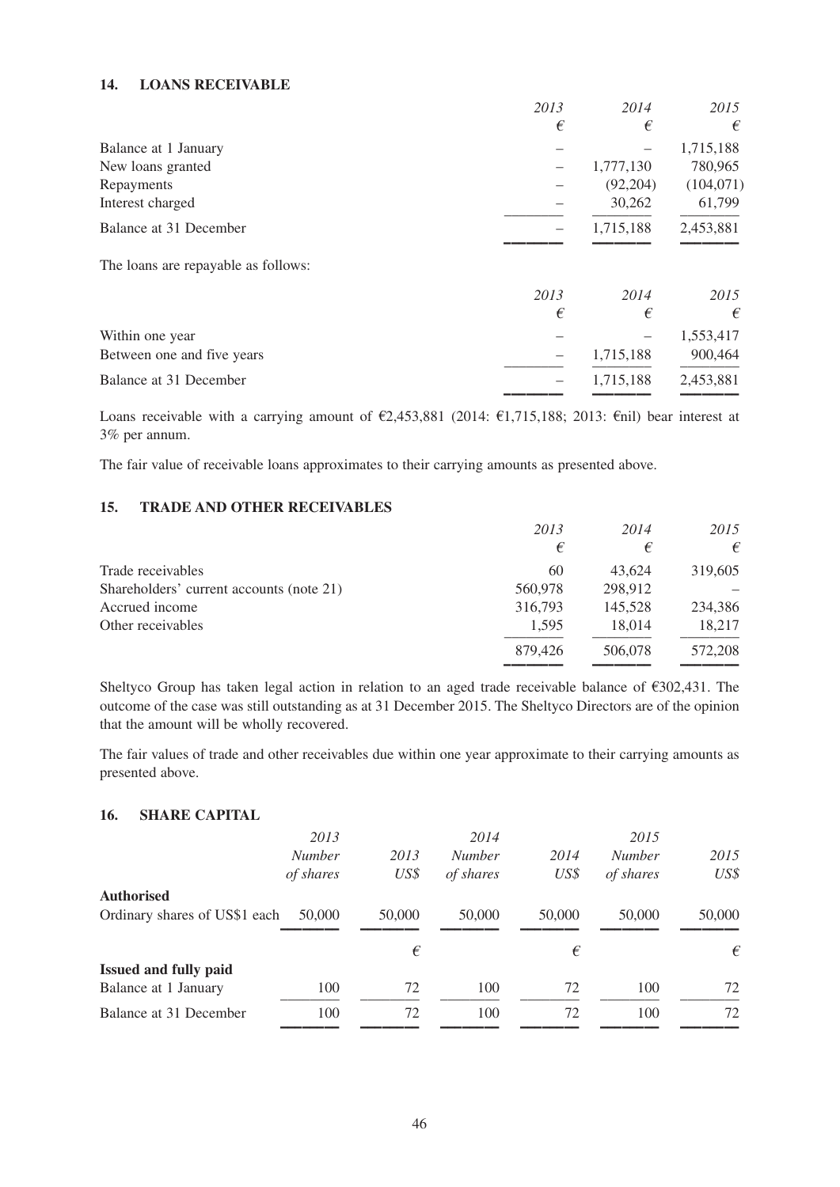## **14. LOANS RECEIVABLE**

|                                     | 2013 | 2014      | 2015       |
|-------------------------------------|------|-----------|------------|
|                                     | €    | €         | €          |
| Balance at 1 January                |      |           | 1,715,188  |
| New loans granted                   |      | 1,777,130 | 780,965    |
| Repayments                          |      | (92, 204) | (104, 071) |
| Interest charged                    |      | 30,262    | 61,799     |
| Balance at 31 December              |      | 1,715,188 | 2,453,881  |
| The loans are repayable as follows: |      |           |            |
|                                     | 2013 | 2014      | 2015       |
|                                     | €    | €         | €          |
| Within one year                     |      |           | 1,553,417  |
| Between one and five years          |      | 1,715,188 | 900,464    |
| Balance at 31 December              |      | 1,715,188 | 2,453,881  |

 –––––––– –––––––– –––––––– Loans receivable with a carrying amount of €2,453,881 (2014: €1,715,188; 2013: €nil) bear interest at 3% per annum.

The fair value of receivable loans approximates to their carrying amounts as presented above.

## **15. TRADE AND OTHER RECEIVABLES**

|                                          | 2013    | 2014    | 2015    |
|------------------------------------------|---------|---------|---------|
|                                          | €       | €       | €       |
| Trade receivables                        | 60      | 43.624  | 319,605 |
| Shareholders' current accounts (note 21) | 560,978 | 298,912 |         |
| Accrued income                           | 316,793 | 145,528 | 234,386 |
| Other receivables                        | 1,595   | 18,014  | 18,217  |
|                                          | 879,426 | 506,078 | 572,208 |
|                                          |         |         |         |

Sheltyco Group has taken legal action in relation to an aged trade receivable balance of €302,431. The outcome of the case was still outstanding as at 31 December 2015. The Sheltyco Directors are of the opinion that the amount will be wholly recovered.

The fair values of trade and other receivables due within one year approximate to their carrying amounts as presented above.

## **16. SHARE CAPITAL**

|                               | 2013          |        | 2014          |        | 2015          |        |
|-------------------------------|---------------|--------|---------------|--------|---------------|--------|
|                               | <b>Number</b> | 2013   | <b>Number</b> | 2014   | <b>Number</b> | 2015   |
|                               | of shares     | US\$   | of shares     | US\$   | of shares     | US\$   |
| <b>Authorised</b>             |               |        |               |        |               |        |
| Ordinary shares of US\$1 each | 50,000        | 50,000 | 50,000        | 50,000 | 50,000        | 50,000 |
|                               |               | €      |               | €      |               | €      |
| <b>Issued and fully paid</b>  |               |        |               |        |               |        |
| Balance at 1 January          | 100           | 72     | 100           | 72     | 100           | 72     |
| Balance at 31 December        | 100           | 72     | 100           | 72     | 100           | 72     |
|                               |               |        |               |        |               |        |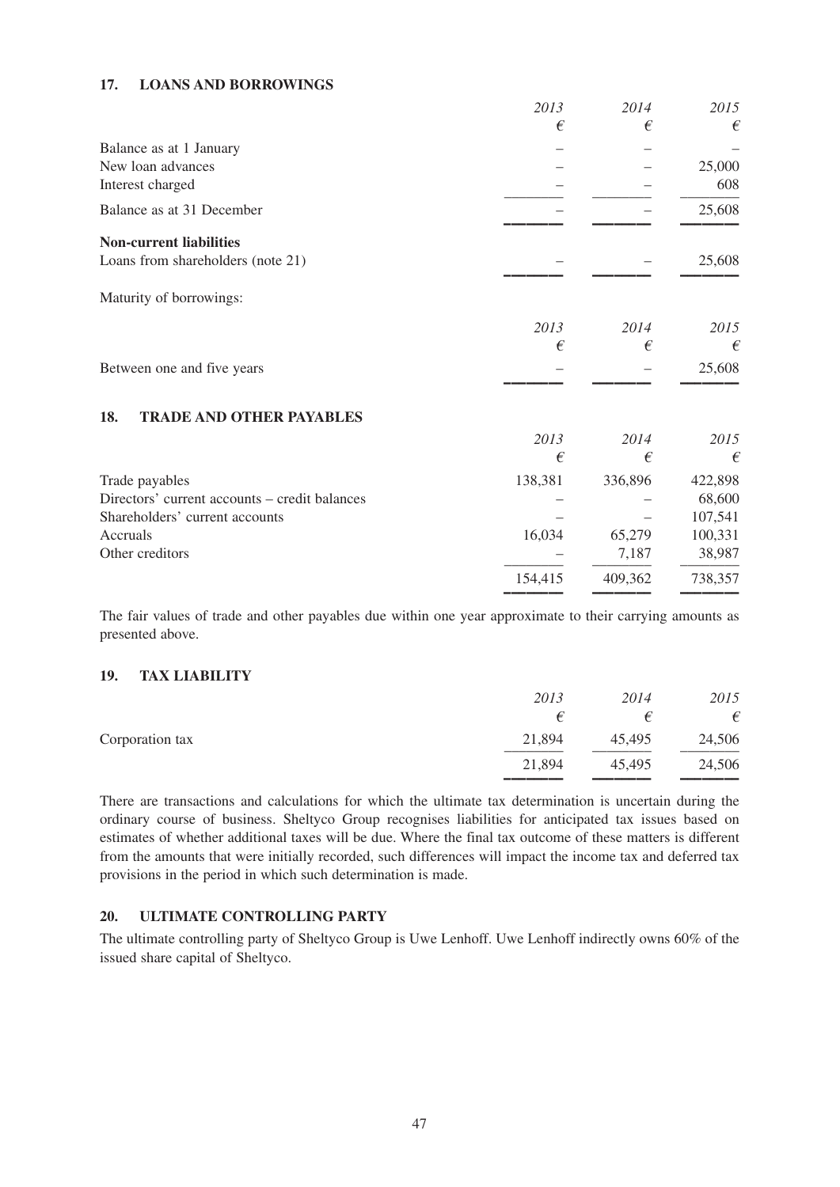## **17. LOANS AND BORROWINGS**

| 2013    | 2014    | 2015    |
|---------|---------|---------|
| €       | €       | €       |
|         |         |         |
|         |         | 25,000  |
|         |         | 608     |
|         |         | 25,608  |
|         |         |         |
|         |         | 25,608  |
|         |         |         |
| 2013    | 2014    | 2015    |
| €       | €       | €       |
|         |         | 25,608  |
|         |         |         |
| 2013    | 2014    | 2015    |
| €       | €       | €       |
| 138,381 | 336,896 | 422,898 |
|         |         | 68,600  |
|         |         | 107,541 |
| 16,034  | 65,279  | 100,331 |
|         | 7,187   | 38,987  |
| 154,415 | 409,362 | 738,357 |
|         |         |         |

The fair values of trade and other payables due within one year approximate to their carrying amounts as presented above.

## **19. TAX LIABILITY**

|                 | 2013   | 2014   | 2015      |
|-----------------|--------|--------|-----------|
|                 | €      | ₽      | €         |
| Corporation tax | 21,894 | 45,495 | 24,506    |
|                 | 21,894 | 45,495 | 24,506    |
|                 |        |        | _________ |

There are transactions and calculations for which the ultimate tax determination is uncertain during the ordinary course of business. Sheltyco Group recognises liabilities for anticipated tax issues based on estimates of whether additional taxes will be due. Where the final tax outcome of these matters is different from the amounts that were initially recorded, such differences will impact the income tax and deferred tax provisions in the period in which such determination is made.

#### **20. ULTIMATE CONTROLLING PARTY**

The ultimate controlling party of Sheltyco Group is Uwe Lenhoff. Uwe Lenhoff indirectly owns 60% of the issued share capital of Sheltyco.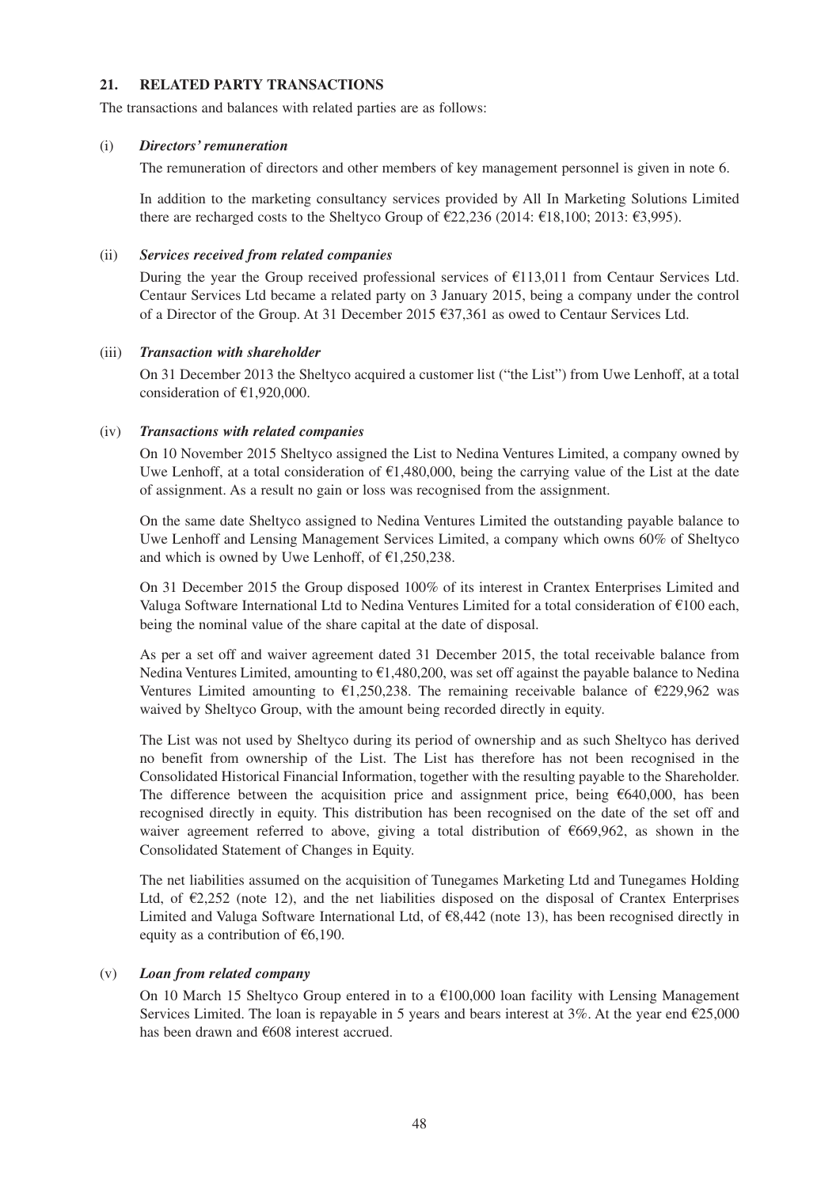#### **21. RELATED PARTY TRANSACTIONS**

The transactions and balances with related parties are as follows:

#### (i) *Directors' remuneration*

The remuneration of directors and other members of key management personnel is given in note 6.

In addition to the marketing consultancy services provided by All In Marketing Solutions Limited there are recharged costs to the Sheltyco Group of  $\epsilon$ 22,236 (2014:  $\epsilon$ 18,100; 2013:  $\epsilon$ 3,995).

## (ii) *Services received from related companies*

During the year the Group received professional services of  $\epsilon$ 113,011 from Centaur Services Ltd. Centaur Services Ltd became a related party on 3 January 2015, being a company under the control of a Director of the Group. At 31 December 2015 €37,361 as owed to Centaur Services Ltd.

## (iii) *Transaction with shareholder*

On 31 December 2013 the Sheltyco acquired a customer list ("the List") from Uwe Lenhoff, at a total consideration of €1,920,000.

## (iv) *Transactions with related companies*

On 10 November 2015 Sheltyco assigned the List to Nedina Ventures Limited, a company owned by Uwe Lenhoff, at a total consideration of  $\epsilon$ 1,480,000, being the carrying value of the List at the date of assignment. As a result no gain or loss was recognised from the assignment.

On the same date Sheltyco assigned to Nedina Ventures Limited the outstanding payable balance to Uwe Lenhoff and Lensing Management Services Limited, a company which owns 60% of Sheltyco and which is owned by Uwe Lenhoff, of  $\text{\textsterling}1,250,238$ .

On 31 December 2015 the Group disposed 100% of its interest in Crantex Enterprises Limited and Valuga Software International Ltd to Nedina Ventures Limited for a total consideration of  $\epsilon$ 100 each, being the nominal value of the share capital at the date of disposal.

As per a set off and waiver agreement dated 31 December 2015, the total receivable balance from Nedina Ventures Limited, amounting to  $\epsilon$ 1.480,200, was set off against the payable balance to Nedina Ventures Limited amounting to  $\epsilon$ 1,250,238. The remaining receivable balance of  $\epsilon$ 229,962 was waived by Sheltyco Group, with the amount being recorded directly in equity.

The List was not used by Sheltyco during its period of ownership and as such Sheltyco has derived no benefit from ownership of the List. The List has therefore has not been recognised in the Consolidated Historical Financial Information, together with the resulting payable to the Shareholder. The difference between the acquisition price and assignment price, being  $€640,000$ , has been recognised directly in equity. This distribution has been recognised on the date of the set off and waiver agreement referred to above, giving a total distribution of  $€669,962$ , as shown in the Consolidated Statement of Changes in Equity.

The net liabilities assumed on the acquisition of Tunegames Marketing Ltd and Tunegames Holding Ltd, of  $\epsilon$ 2,252 (note 12), and the net liabilities disposed on the disposal of Crantex Enterprises Limited and Valuga Software International Ltd, of €8,442 (note 13), has been recognised directly in equity as a contribution of  $\epsilon$ 6,190.

## (v) *Loan from related company*

On 10 March 15 Sheltyco Group entered in to a  $\epsilon$ 100,000 loan facility with Lensing Management Services Limited. The loan is repayable in 5 years and bears interest at  $3\%$ . At the year end  $\epsilon$ 25,000 has been drawn and €608 interest accrued.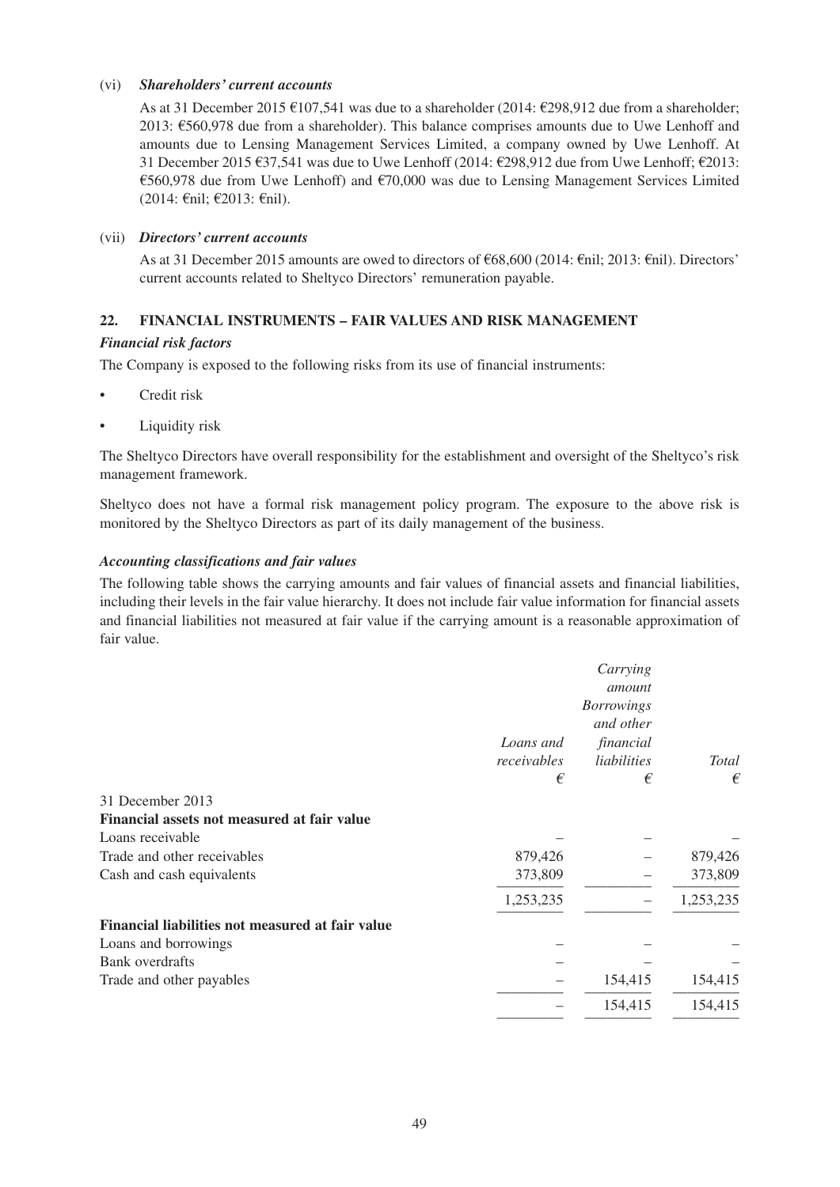#### (vi) *Shareholders' current accounts*

As at 31 December 2015  $\text{\textsterling}107,541$  was due to a shareholder (2014:  $\text{\textsterling}298.912$  due from a shareholder; 2013: €560,978 due from a shareholder). This balance comprises amounts due to Uwe Lenhoff and amounts due to Lensing Management Services Limited, a company owned by Uwe Lenhoff. At 31 December 2015 €37,541 was due to Uwe Lenhoff (2014: €298,912 due from Uwe Lenhoff; €2013: €560,978 due from Uwe Lenhoff) and €70,000 was due to Lensing Management Services Limited (2014: €nil; €2013: €nil).

#### (vii) *Directors' current accounts*

As at 31 December 2015 amounts are owed to directors of €68,600 (2014: €nil; 2013: €nil). Directors' current accounts related to Sheltyco Directors' remuneration payable.

## **22. FINANCIAL INSTRUMENTS – FAIR VALUES AND RISK MANAGEMENT**

## *Financial risk factors*

The Company is exposed to the following risks from its use of financial instruments:

- Credit risk
- Liquidity risk

The Sheltyco Directors have overall responsibility for the establishment and oversight of the Sheltyco's risk management framework.

Sheltyco does not have a formal risk management policy program. The exposure to the above risk is monitored by the Sheltyco Directors as part of its daily management of the business.

#### *Accounting classifications and fair values*

The following table shows the carrying amounts and fair values of financial assets and financial liabilities, including their levels in the fair value hierarchy. It does not include fair value information for financial assets and financial liabilities not measured at fair value if the carrying amount is a reasonable approximation of fair value.

|                                                  | Loans and   | Carrying<br>amount<br><b>Borrowings</b><br>and other<br>financial |           |
|--------------------------------------------------|-------------|-------------------------------------------------------------------|-----------|
|                                                  | receivables | liabilities                                                       | Total     |
|                                                  | €           | €                                                                 | €         |
| 31 December 2013                                 |             |                                                                   |           |
| Financial assets not measured at fair value      |             |                                                                   |           |
| Loans receivable                                 |             |                                                                   |           |
| Trade and other receivables                      | 879,426     |                                                                   | 879,426   |
| Cash and cash equivalents                        | 373,809     |                                                                   | 373,809   |
|                                                  | 1,253,235   |                                                                   | 1,253,235 |
| Financial liabilities not measured at fair value |             |                                                                   |           |
| Loans and borrowings                             |             |                                                                   |           |
| <b>Bank</b> overdrafts                           |             |                                                                   |           |
| Trade and other payables                         |             | 154,415                                                           | 154,415   |
|                                                  |             | 154,415                                                           | 154,415   |
|                                                  |             |                                                                   |           |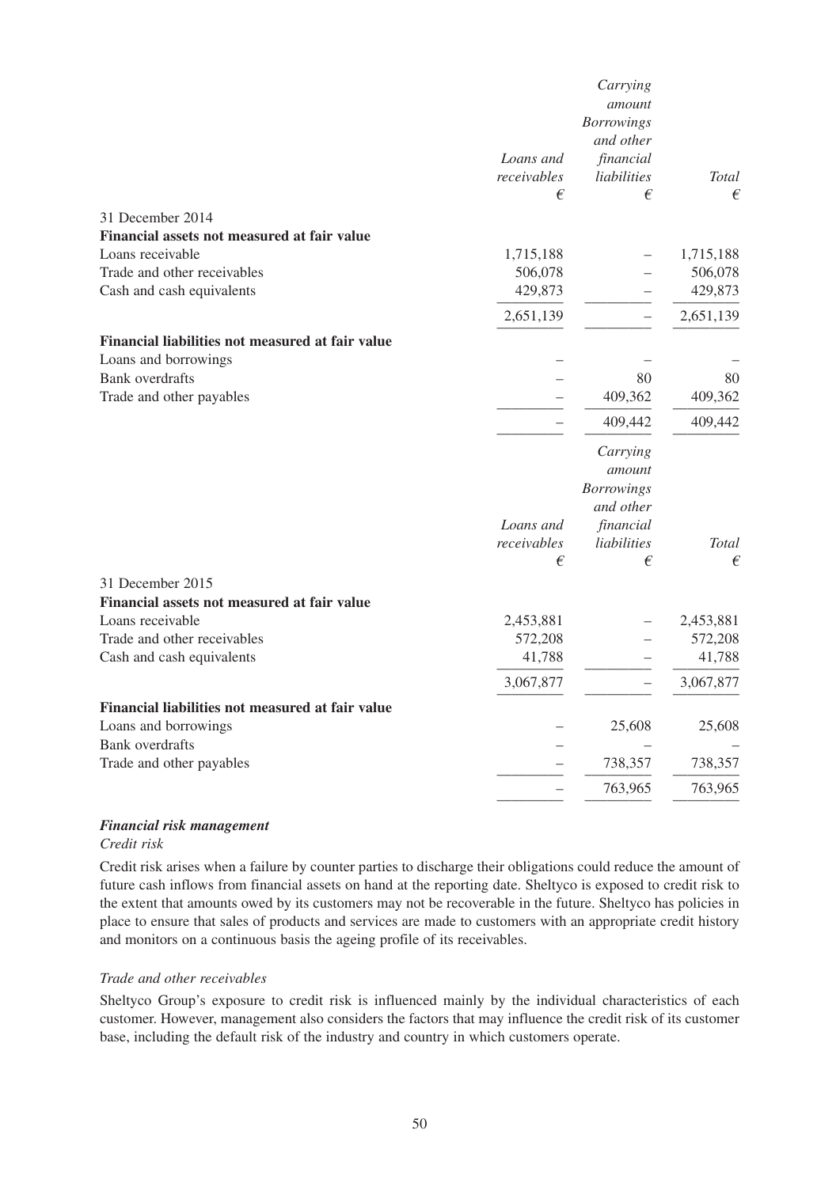|                                                  |             | Carrying<br>amount     |            |
|--------------------------------------------------|-------------|------------------------|------------|
|                                                  |             | <b>Borrowings</b>      |            |
|                                                  | Loans and   | and other<br>financial |            |
|                                                  | receivables | liabilities            | Total      |
|                                                  | €           | €                      | $\epsilon$ |
| 31 December 2014                                 |             |                        |            |
| Financial assets not measured at fair value      |             |                        |            |
| Loans receivable                                 | 1,715,188   |                        | 1,715,188  |
| Trade and other receivables                      | 506,078     |                        | 506,078    |
| Cash and cash equivalents                        | 429,873     |                        | 429,873    |
|                                                  | 2,651,139   |                        | 2,651,139  |
| Financial liabilities not measured at fair value |             |                        |            |
| Loans and borrowings                             |             |                        |            |
| <b>Bank</b> overdrafts                           |             | 80                     | 80         |
| Trade and other payables                         |             | 409,362                | 409,362    |
|                                                  |             | 409,442                | 409,442    |
|                                                  |             | Carrying               |            |
|                                                  |             | amount                 |            |
|                                                  |             | <b>Borrowings</b>      |            |
|                                                  |             | and other              |            |
|                                                  | Loans and   | financial              |            |
|                                                  | receivables | liabilities            | Total      |
|                                                  | €           | €                      | $\epsilon$ |
| 31 December 2015                                 |             |                        |            |
| Financial assets not measured at fair value      |             |                        |            |
| Loans receivable                                 | 2,453,881   |                        | 2,453,881  |
| Trade and other receivables                      | 572,208     |                        | 572,208    |
| Cash and cash equivalents                        | 41,788      |                        | 41,788     |
|                                                  | 3,067,877   |                        | 3,067,877  |
| Financial liabilities not measured at fair value |             |                        |            |
| Loans and borrowings                             |             | 25,608                 | 25,608     |
| <b>Bank</b> overdrafts                           |             |                        |            |
| Trade and other payables                         |             | 738,357                | 738,357    |
|                                                  |             | 763,965                | 763,965    |
|                                                  |             |                        |            |

## *Financial risk management*

#### *Credit risk*

Credit risk arises when a failure by counter parties to discharge their obligations could reduce the amount of future cash inflows from financial assets on hand at the reporting date. Sheltyco is exposed to credit risk to the extent that amounts owed by its customers may not be recoverable in the future. Sheltyco has policies in place to ensure that sales of products and services are made to customers with an appropriate credit history and monitors on a continuous basis the ageing profile of its receivables.

#### *Trade and other receivables*

Sheltyco Group's exposure to credit risk is influenced mainly by the individual characteristics of each customer. However, management also considers the factors that may influence the credit risk of its customer base, including the default risk of the industry and country in which customers operate.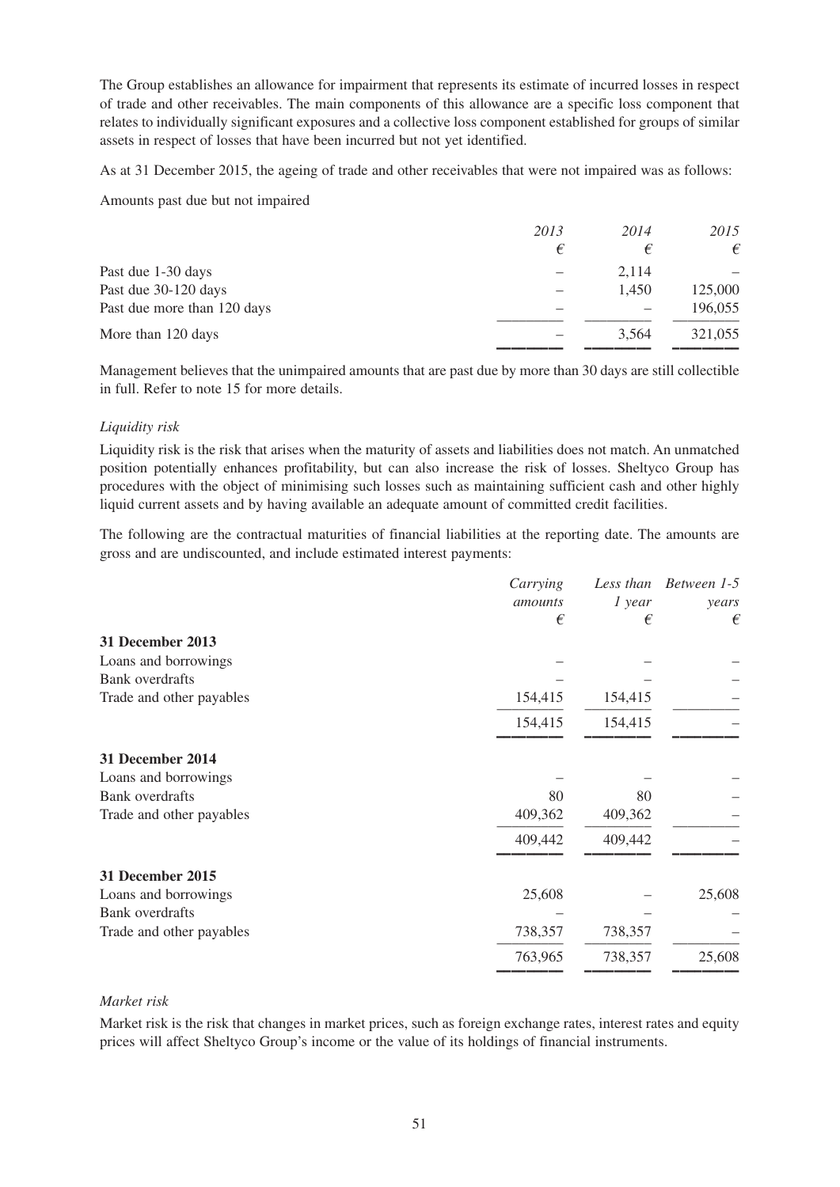The Group establishes an allowance for impairment that represents its estimate of incurred losses in respect of trade and other receivables. The main components of this allowance are a specific loss component that relates to individually significant exposures and a collective loss component established for groups of similar assets in respect of losses that have been incurred but not yet identified.

As at 31 December 2015, the ageing of trade and other receivables that were not impaired was as follows:

Amounts past due but not impaired

|                             | 2013 | 2014  | 2015    |
|-----------------------------|------|-------|---------|
|                             | €    | €     | €       |
| Past due 1-30 days          |      | 2.114 |         |
| Past due 30-120 days        |      | 1.450 | 125,000 |
| Past due more than 120 days |      |       | 196,055 |
| More than 120 days          |      | 3.564 | 321,055 |
|                             |      |       |         |

Management believes that the unimpaired amounts that are past due by more than 30 days are still collectible in full. Refer to note 15 for more details.

## *Liquidity risk*

Liquidity risk is the risk that arises when the maturity of assets and liabilities does not match. An unmatched position potentially enhances profitability, but can also increase the risk of losses. Sheltyco Group has procedures with the object of minimising such losses such as maintaining sufficient cash and other highly liquid current assets and by having available an adequate amount of committed credit facilities.

The following are the contractual maturities of financial liabilities at the reporting date. The amounts are gross and are undiscounted, and include estimated interest payments:

|                          | Carrying | Less than | Between 1-5 |
|--------------------------|----------|-----------|-------------|
|                          | amounts  | $1$ year  | years       |
|                          | €        | €         | €           |
| 31 December 2013         |          |           |             |
| Loans and borrowings     |          |           |             |
| <b>Bank</b> overdrafts   |          |           |             |
| Trade and other payables | 154,415  | 154,415   |             |
|                          | 154,415  | 154,415   |             |
| 31 December 2014         |          |           |             |
| Loans and borrowings     |          |           |             |
| <b>Bank</b> overdrafts   | 80       | 80        |             |
| Trade and other payables | 409,362  | 409,362   |             |
|                          | 409,442  | 409,442   |             |
| 31 December 2015         |          |           |             |
| Loans and borrowings     | 25,608   |           | 25,608      |
| <b>Bank</b> overdrafts   |          |           |             |
| Trade and other payables | 738,357  | 738,357   |             |
|                          | 763,965  | 738,357   | 25,608      |
|                          |          |           |             |

## *Market risk*

Market risk is the risk that changes in market prices, such as foreign exchange rates, interest rates and equity prices will affect Sheltyco Group's income or the value of its holdings of financial instruments.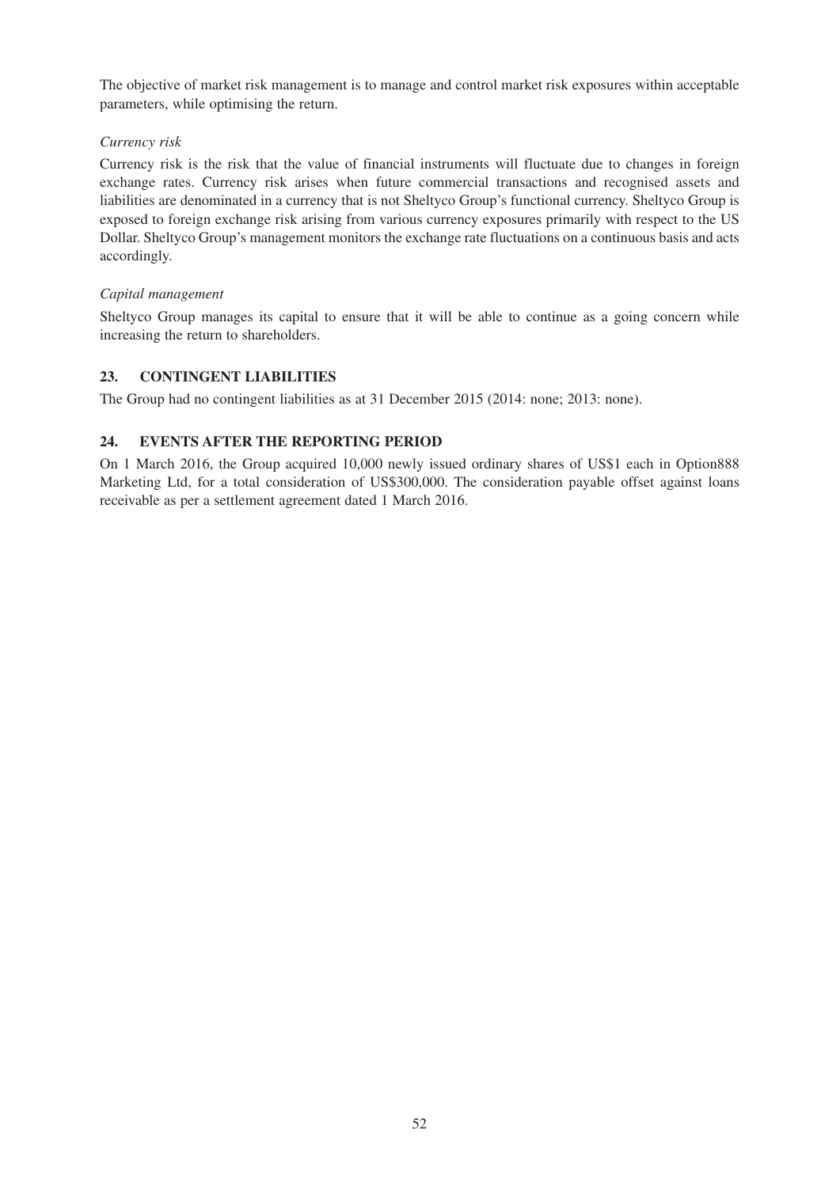The objective of market risk management is to manage and control market risk exposures within acceptable parameters, while optimising the return.

## *Currency risk*

Currency risk is the risk that the value of financial instruments will fluctuate due to changes in foreign exchange rates. Currency risk arises when future commercial transactions and recognised assets and liabilities are denominated in a currency that is not Sheltyco Group's functional currency. Sheltyco Group is exposed to foreign exchange risk arising from various currency exposures primarily with respect to the US Dollar. Sheltyco Group's management monitors the exchange rate fluctuations on a continuous basis and acts accordingly.

## *Capital management*

Sheltyco Group manages its capital to ensure that it will be able to continue as a going concern while increasing the return to shareholders.

## **23. CONTINGENT LIABILITIES**

The Group had no contingent liabilities as at 31 December 2015 (2014: none; 2013: none).

## **24. EVENTS AFTER THE REPORTING PERIOD**

On 1 March 2016, the Group acquired 10,000 newly issued ordinary shares of US\$1 each in Option888 Marketing Ltd, for a total consideration of US\$300,000. The consideration payable offset against loans receivable as per a settlement agreement dated 1 March 2016.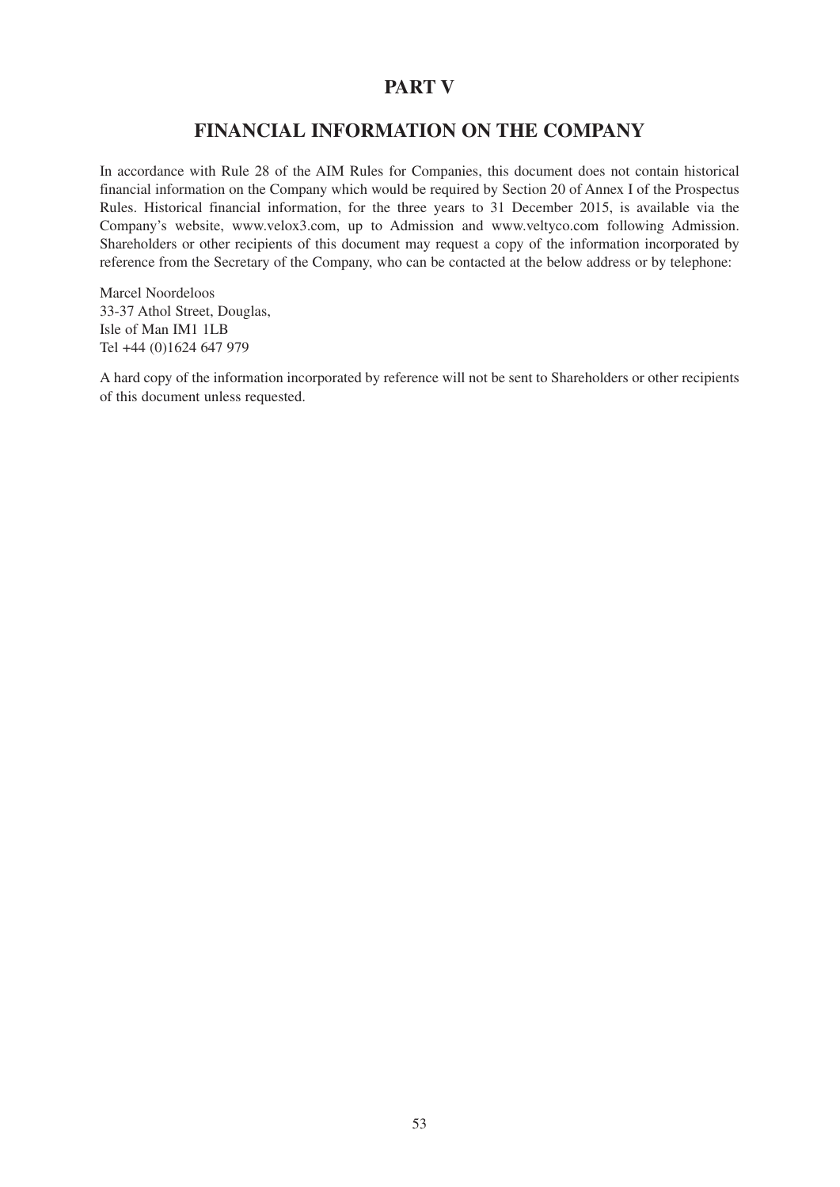# **PART V**

# **FINANCIAL INFORMATION ON THE COMPANY**

In accordance with Rule 28 of the AIM Rules for Companies, this document does not contain historical financial information on the Company which would be required by Section 20 of Annex I of the Prospectus Rules. Historical financial information, for the three years to 31 December 2015, is available via the Company's website, www.velox3.com, up to Admission and www.veltyco.com following Admission. Shareholders or other recipients of this document may request a copy of the information incorporated by reference from the Secretary of the Company, who can be contacted at the below address or by telephone:

Marcel Noordeloos 33-37 Athol Street, Douglas, Isle of Man IM1 1LB Tel +44 (0)1624 647 979

A hard copy of the information incorporated by reference will not be sent to Shareholders or other recipients of this document unless requested.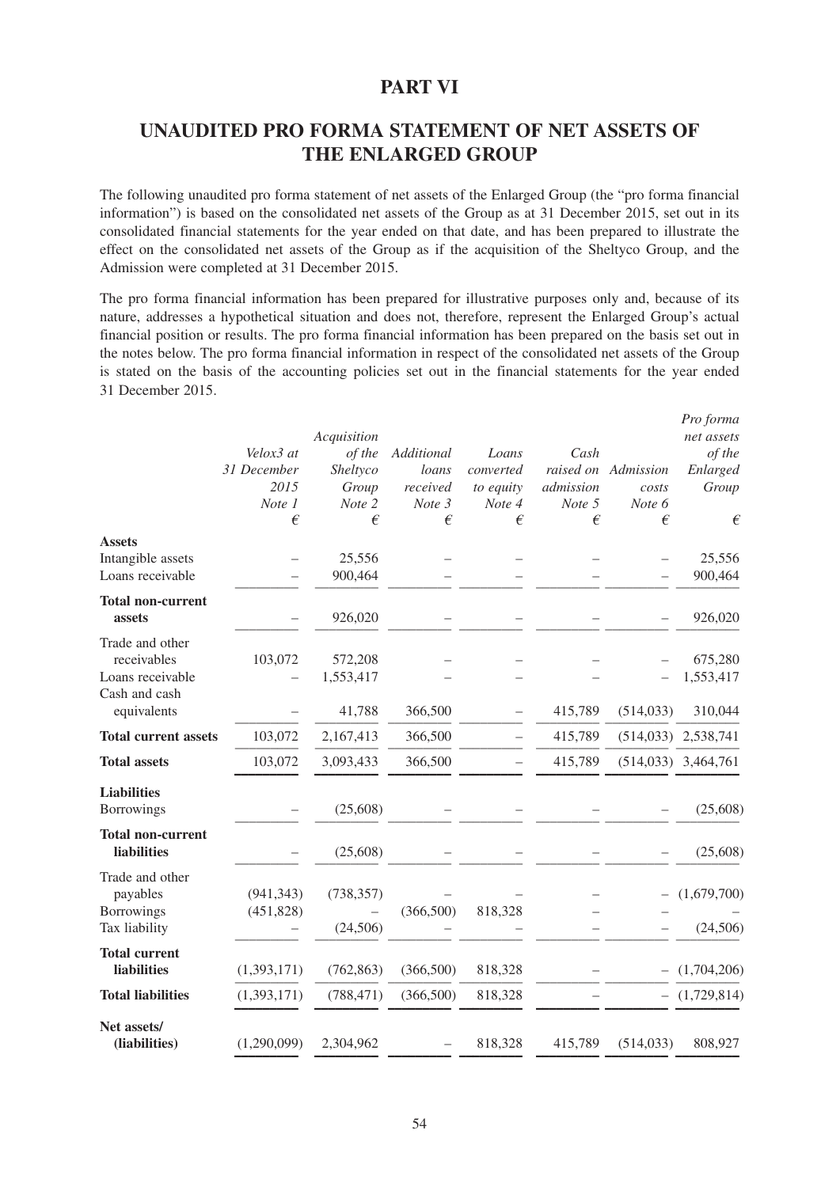## **PART VI**

# **UNAUDITED PRO FORMA STATEMENT OF NET ASSETS OF THE ENLARGED GROUP**

The following unaudited pro forma statement of net assets of the Enlarged Group (the "pro forma financial information") is based on the consolidated net assets of the Group as at 31 December 2015, set out in its consolidated financial statements for the year ended on that date, and has been prepared to illustrate the effect on the consolidated net assets of the Group as if the acquisition of the Sheltyco Group, and the Admission were completed at 31 December 2015.

The pro forma financial information has been prepared for illustrative purposes only and, because of its nature, addresses a hypothetical situation and does not, therefore, represent the Enlarged Group's actual financial position or results. The pro forma financial information has been prepared on the basis set out in the notes below. The pro forma financial information in respect of the consolidated net assets of the Group is stated on the basis of the accounting policies set out in the financial statements for the year ended 31 December 2015.

|                             |             | Acquisition |            |           |           |                     | Pro forma<br>net assets |
|-----------------------------|-------------|-------------|------------|-----------|-----------|---------------------|-------------------------|
|                             | Velox3 at   | of the      | Additional | Loans     | Cash      |                     | of the                  |
|                             | 31 December | Sheltyco    | loans      | converted |           | raised on Admission | Enlarged                |
|                             | 2015        | Group       | received   | to equity | admission | costs               | Group                   |
|                             | Note 1      | Note 2      | Note 3     | Note 4    | Note 5    | Note 6              |                         |
|                             | €           | €           | €          | €         | €         | €                   | $\epsilon$              |
| <b>Assets</b>               |             |             |            |           |           |                     |                         |
| Intangible assets           |             | 25,556      |            |           |           |                     | 25,556                  |
| Loans receivable            |             | 900,464     | $\equiv$   |           |           | $\equiv$            | 900,464                 |
| <b>Total non-current</b>    |             |             |            |           |           |                     |                         |
| assets                      |             | 926,020     |            |           |           |                     | 926,020                 |
| Trade and other             |             |             |            |           |           |                     |                         |
| receivables                 | 103,072     | 572,208     |            |           |           |                     | 675,280                 |
| Loans receivable            |             | 1,553,417   |            |           |           |                     | 1,553,417               |
| Cash and cash               |             |             |            |           |           |                     |                         |
| equivalents                 |             | 41,788      | 366,500    |           | 415,789   | (514, 033)          | 310,044                 |
| <b>Total current assets</b> | 103,072     | 2,167,413   | 366,500    |           | 415,789   |                     | $(514,033)$ 2,538,741   |
| <b>Total assets</b>         | 103,072     | 3,093,433   | 366,500    |           | 415,789   |                     | $(514,033)$ 3,464,761   |
| <b>Liabilities</b>          |             |             |            |           |           |                     |                         |
| <b>Borrowings</b>           |             | (25,608)    |            |           |           |                     | (25, 608)               |
|                             |             |             |            |           |           |                     |                         |
| <b>Total non-current</b>    |             |             |            |           |           |                     |                         |
| <b>liabilities</b>          |             | (25,608)    |            |           |           |                     | (25, 608)               |
| Trade and other             |             |             |            |           |           |                     |                         |
| payables                    | (941, 343)  | (738, 357)  |            |           |           |                     | (1,679,700)             |
| <b>Borrowings</b>           | (451, 828)  |             | (366, 500) | 818,328   |           |                     |                         |
| Tax liability               |             | (24,506)    |            |           |           |                     | (24,506)                |
| <b>Total current</b>        |             |             |            |           |           |                     |                         |
| liabilities                 | (1,393,171) | (762, 863)  | (366, 500) | 818,328   |           |                     | (1,704,206)             |
| <b>Total liabilities</b>    | (1,393,171) | (788, 471)  | (366, 500) | 818,328   |           |                     | (1,729,814)             |
| Net assets/                 |             |             |            |           |           |                     |                         |
| (liabilities)               | (1,290,099) | 2,304,962   |            | 818,328   | 415,789   | (514, 033)          | 808,927                 |
|                             |             |             |            |           |           |                     |                         |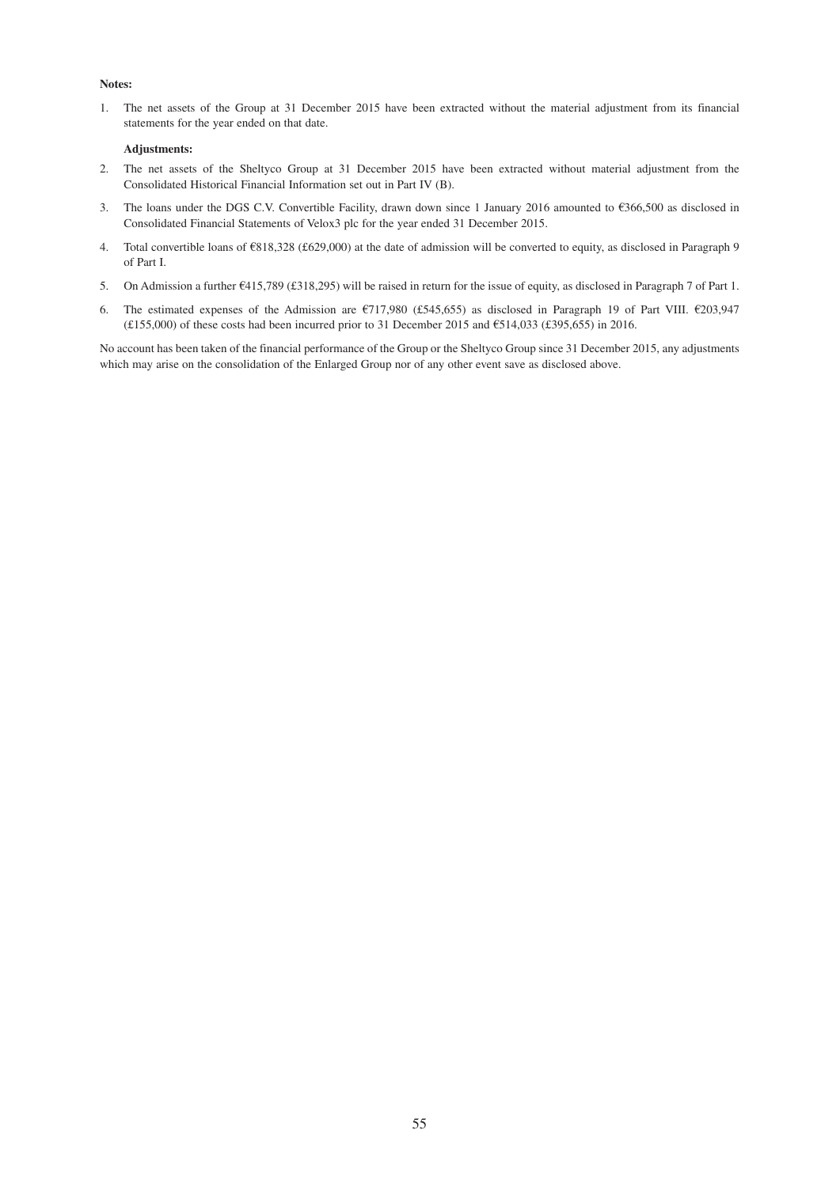#### **Notes:**

1. The net assets of the Group at 31 December 2015 have been extracted without the material adjustment from its financial statements for the year ended on that date.

#### **Adjustments:**

- 2. The net assets of the Sheltyco Group at 31 December 2015 have been extracted without material adjustment from the Consolidated Historical Financial Information set out in Part IV (B).
- 3. The loans under the DGS C.V. Convertible Facility, drawn down since 1 January 2016 amounted to €366,500 as disclosed in Consolidated Financial Statements of Velox3 plc for the year ended 31 December 2015.
- 4. Total convertible loans of €818,328 (£629,000) at the date of admission will be converted to equity, as disclosed in Paragraph 9 of Part I.
- 5. On Admission a further  $\epsilon$ 415,789 (£318,295) will be raised in return for the issue of equity, as disclosed in Paragraph 7 of Part 1.
- 6. The estimated expenses of the Admission are €717,980 (£545,655) as disclosed in Paragraph 19 of Part VIII. €203,947  $(£155,000)$  of these costs had been incurred prior to 31 December 2015 and  $€514,033$   $(£395,655)$  in 2016.

No account has been taken of the financial performance of the Group or the Sheltyco Group since 31 December 2015, any adjustments which may arise on the consolidation of the Enlarged Group nor of any other event save as disclosed above.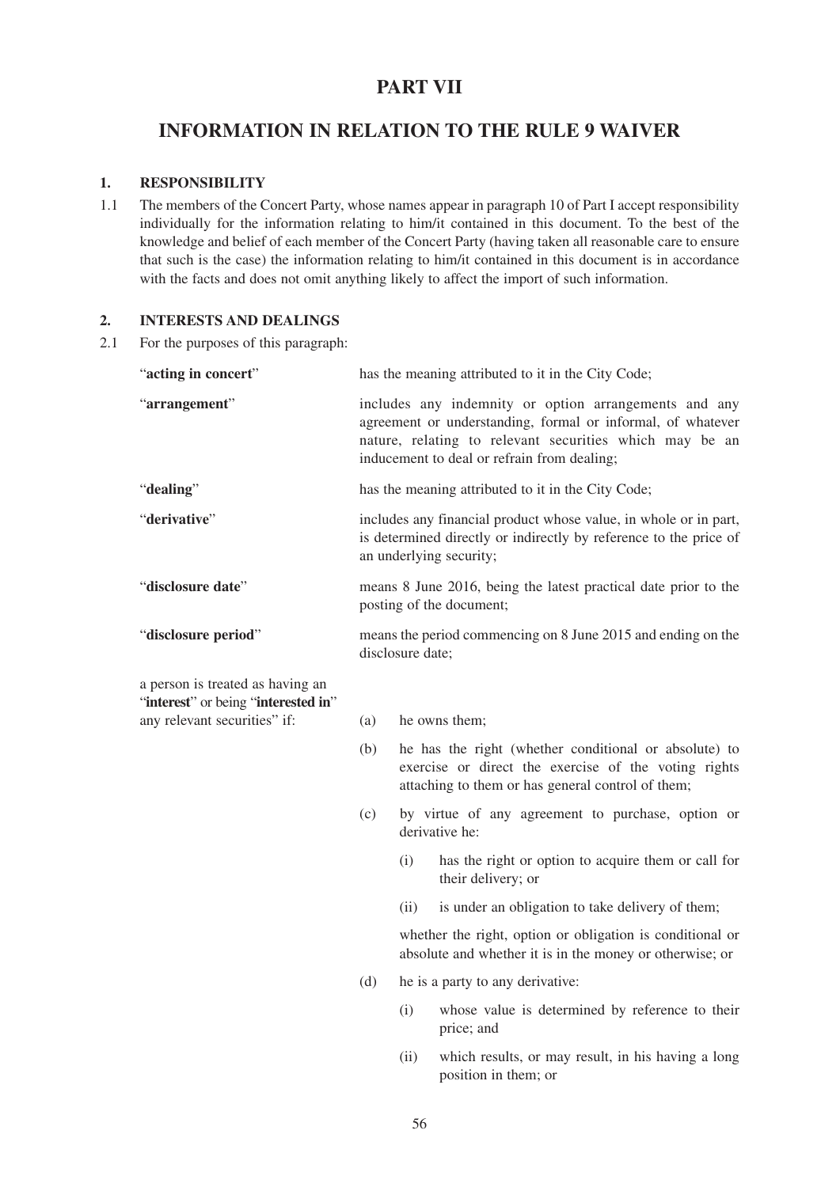# **PART VII**

# **INFORMATION IN RELATION TO THE RULE 9 WAIVER**

## **1. RESPONSIBILITY**

1.1 The members of the Concert Party, whose names appear in paragraph 10 of Part I accept responsibility individually for the information relating to him/it contained in this document. To the best of the knowledge and belief of each member of the Concert Party (having taken all reasonable care to ensure that such is the case) the information relating to him/it contained in this document is in accordance with the facts and does not omit anything likely to affect the import of such information.

## **2. INTERESTS AND DEALINGS**

2.1 For the purposes of this paragraph:

| "acting in concert"                                                     |                                                                                                                                                                                                                                | has the meaning attributed to it in the City Code;                                                                                                                 |  |  |
|-------------------------------------------------------------------------|--------------------------------------------------------------------------------------------------------------------------------------------------------------------------------------------------------------------------------|--------------------------------------------------------------------------------------------------------------------------------------------------------------------|--|--|
| "arrangement"                                                           | includes any indemnity or option arrangements and any<br>agreement or understanding, formal or informal, of whatever<br>nature, relating to relevant securities which may be an<br>inducement to deal or refrain from dealing; |                                                                                                                                                                    |  |  |
| "dealing"                                                               |                                                                                                                                                                                                                                | has the meaning attributed to it in the City Code;                                                                                                                 |  |  |
| "derivative"                                                            | includes any financial product whose value, in whole or in part,<br>is determined directly or indirectly by reference to the price of<br>an underlying security;                                                               |                                                                                                                                                                    |  |  |
| "disclosure date"                                                       |                                                                                                                                                                                                                                | means 8 June 2016, being the latest practical date prior to the<br>posting of the document;                                                                        |  |  |
| "disclosure period"                                                     | means the period commencing on 8 June 2015 and ending on the<br>disclosure date;                                                                                                                                               |                                                                                                                                                                    |  |  |
| a person is treated as having an<br>"interest" or being "interested in" |                                                                                                                                                                                                                                |                                                                                                                                                                    |  |  |
| any relevant securities" if:                                            | (a)                                                                                                                                                                                                                            | he owns them;                                                                                                                                                      |  |  |
|                                                                         | (b)                                                                                                                                                                                                                            | he has the right (whether conditional or absolute) to<br>exercise or direct the exercise of the voting rights<br>attaching to them or has general control of them; |  |  |
|                                                                         | (c)                                                                                                                                                                                                                            | by virtue of any agreement to purchase, option or<br>derivative he:                                                                                                |  |  |
|                                                                         |                                                                                                                                                                                                                                | has the right or option to acquire them or call for<br>(i)<br>their delivery; or                                                                                   |  |  |
|                                                                         |                                                                                                                                                                                                                                | (ii)<br>is under an obligation to take delivery of them;                                                                                                           |  |  |
|                                                                         |                                                                                                                                                                                                                                | whether the right, option or obligation is conditional or<br>absolute and whether it is in the money or otherwise; or                                              |  |  |
|                                                                         | (d)                                                                                                                                                                                                                            | he is a party to any derivative:                                                                                                                                   |  |  |
|                                                                         |                                                                                                                                                                                                                                | (i)<br>whose value is determined by reference to their<br>price; and                                                                                               |  |  |
|                                                                         |                                                                                                                                                                                                                                | which results, or may result, in his having a long<br>(ii)<br>position in them; or                                                                                 |  |  |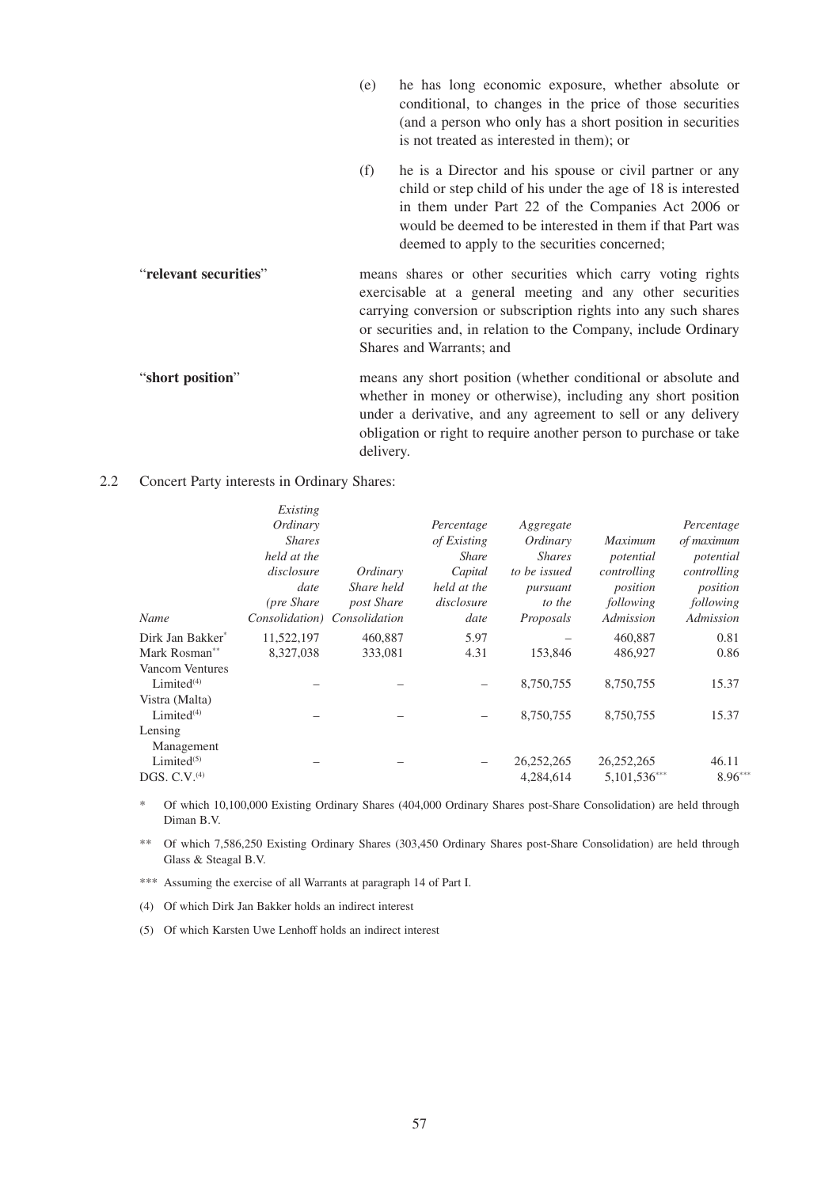| (e) | he has long economic exposure, whether absolute or         |
|-----|------------------------------------------------------------|
|     | conditional, to changes in the price of those securities   |
|     | (and a person who only has a short position in securities) |
|     | is not treated as interested in them); or                  |
|     |                                                            |

- (f) he is a Director and his spouse or civil partner or any child or step child of his under the age of 18 is interested in them under Part 22 of the Companies Act 2006 or would be deemed to be interested in them if that Part was deemed to apply to the securities concerned;
- "**relevant securities**" means shares or other securities which carry voting rights exercisable at a general meeting and any other securities carrying conversion or subscription rights into any such shares or securities and, in relation to the Company, include Ordinary Shares and Warrants; and
- "**short position**" means any short position (whether conditional or absolute and whether in money or otherwise), including any short position under a derivative, and any agreement to sell or any delivery obligation or right to require another person to purchase or take delivery.
- 2.2 Concert Party interests in Ordinary Shares:

| Existing      |            |                              |               |             |              |
|---------------|------------|------------------------------|---------------|-------------|--------------|
| Ordinary      |            | Percentage                   | Aggregate     |             | Percentage   |
| <i>Shares</i> |            | of Existing                  | Ordinary      | Maximum     | of maximum   |
| held at the   |            | <b>Share</b>                 | <b>Shares</b> | potential   | potential    |
| disclosure    | Ordinary   | Capital                      | to be issued  | controlling | controlling  |
| date          | Share held | held at the                  | pursuant      | position    | position     |
| (pre Share)   | post Share | disclosure                   | to the        | following   | following    |
|               |            | date                         | Proposals     | Admission   | Admission    |
| 11,522,197    | 460,887    | 5.97                         |               | 460,887     | 0.81         |
| 8,327,038     | 333,081    | 4.31                         | 153,846       | 486,927     | 0.86         |
|               |            |                              |               |             |              |
|               |            |                              | 8,750,755     | 8,750,755   | 15.37        |
|               |            |                              |               |             |              |
|               |            |                              | 8,750,755     | 8,750,755   | 15.37        |
|               |            |                              |               |             |              |
|               |            |                              |               |             |              |
|               |            |                              | 26, 252, 265  | 26,252,265  | 46.11        |
|               |            |                              | 4.284.614     |             | $8.96***$    |
|               |            | Consolidation) Consolidation |               |             | 5,101,536*** |

Of which 10,100,000 Existing Ordinary Shares (404,000 Ordinary Shares post-Share Consolidation) are held through Diman B.V.

\*\* Of which 7,586,250 Existing Ordinary Shares (303,450 Ordinary Shares post-Share Consolidation) are held through Glass & Steagal B.V.

\*\*\* Assuming the exercise of all Warrants at paragraph 14 of Part I.

(4) Of which Dirk Jan Bakker holds an indirect interest

(5) Of which Karsten Uwe Lenhoff holds an indirect interest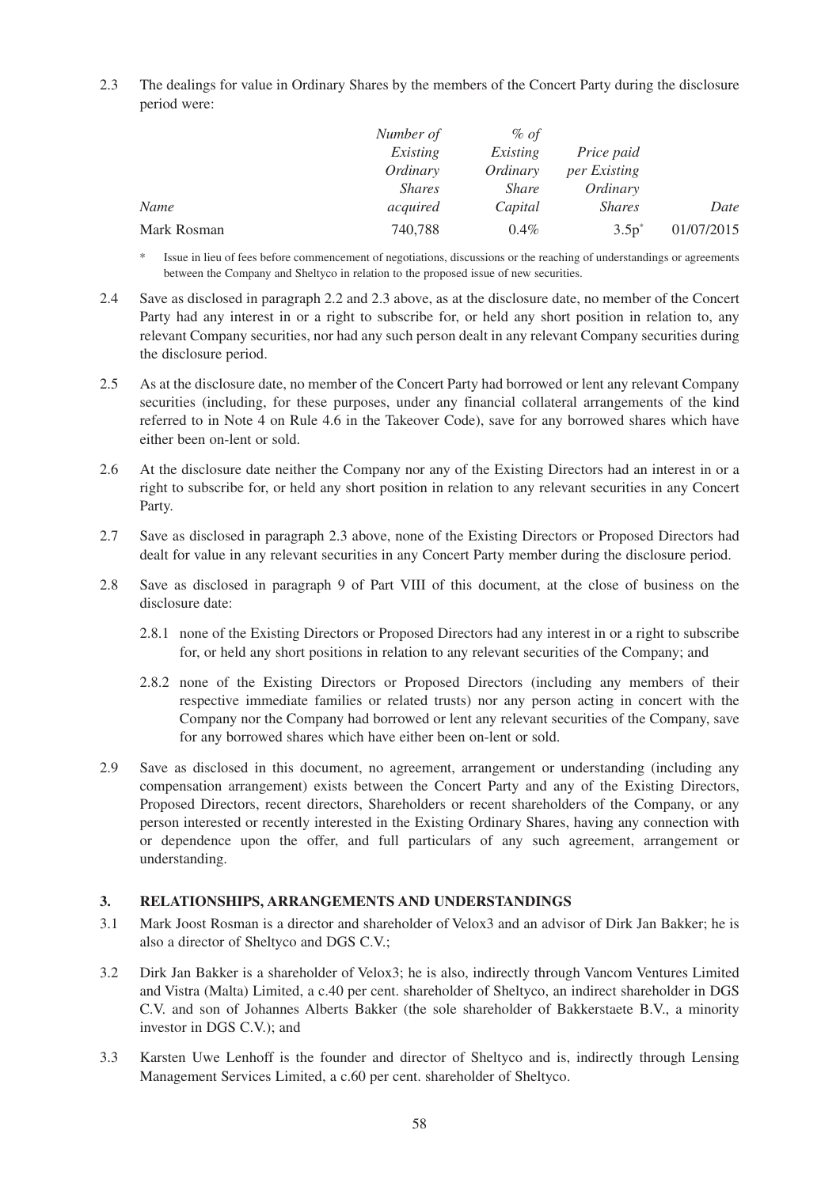2.3 The dealings for value in Ordinary Shares by the members of the Concert Party during the disclosure period were:

|             | Number of<br>Existing | $%$ of<br>Existing | Price paid    |            |
|-------------|-----------------------|--------------------|---------------|------------|
|             | Ordinary              | Ordinary           | per Existing  |            |
|             | <i>Shares</i>         | <i>Share</i>       | Ordinary      |            |
| Name        | acquired              | Capital            | <i>Shares</i> | Date       |
| Mark Rosman | 740,788               | $0.4\%$            | $3.5p^*$      | 01/07/2015 |

\* Issue in lieu of fees before commencement of negotiations, discussions or the reaching of understandings or agreements between the Company and Sheltyco in relation to the proposed issue of new securities.

- 2.4 Save as disclosed in paragraph 2.2 and 2.3 above, as at the disclosure date, no member of the Concert Party had any interest in or a right to subscribe for, or held any short position in relation to, any relevant Company securities, nor had any such person dealt in any relevant Company securities during the disclosure period.
- 2.5 As at the disclosure date, no member of the Concert Party had borrowed or lent any relevant Company securities (including, for these purposes, under any financial collateral arrangements of the kind referred to in Note 4 on Rule 4.6 in the Takeover Code), save for any borrowed shares which have either been on-lent or sold.
- 2.6 At the disclosure date neither the Company nor any of the Existing Directors had an interest in or a right to subscribe for, or held any short position in relation to any relevant securities in any Concert Party.
- 2.7 Save as disclosed in paragraph 2.3 above, none of the Existing Directors or Proposed Directors had dealt for value in any relevant securities in any Concert Party member during the disclosure period.
- 2.8 Save as disclosed in paragraph 9 of Part VIII of this document, at the close of business on the disclosure date:
	- 2.8.1 none of the Existing Directors or Proposed Directors had any interest in or a right to subscribe for, or held any short positions in relation to any relevant securities of the Company; and
	- 2.8.2 none of the Existing Directors or Proposed Directors (including any members of their respective immediate families or related trusts) nor any person acting in concert with the Company nor the Company had borrowed or lent any relevant securities of the Company, save for any borrowed shares which have either been on-lent or sold.
- 2.9 Save as disclosed in this document, no agreement, arrangement or understanding (including any compensation arrangement) exists between the Concert Party and any of the Existing Directors, Proposed Directors, recent directors, Shareholders or recent shareholders of the Company, or any person interested or recently interested in the Existing Ordinary Shares, having any connection with or dependence upon the offer, and full particulars of any such agreement, arrangement or understanding.

## **3. RELATIONSHIPS, ARRANGEMENTS AND UNDERSTANDINGS**

- 3.1 Mark Joost Rosman is a director and shareholder of Velox3 and an advisor of Dirk Jan Bakker; he is also a director of Sheltyco and DGS C.V.;
- 3.2 Dirk Jan Bakker is a shareholder of Velox3; he is also, indirectly through Vancom Ventures Limited and Vistra (Malta) Limited, a c.40 per cent. shareholder of Sheltyco, an indirect shareholder in DGS C.V. and son of Johannes Alberts Bakker (the sole shareholder of Bakkerstaete B.V., a minority investor in DGS C.V.); and
- 3.3 Karsten Uwe Lenhoff is the founder and director of Sheltyco and is, indirectly through Lensing Management Services Limited, a c.60 per cent. shareholder of Sheltyco.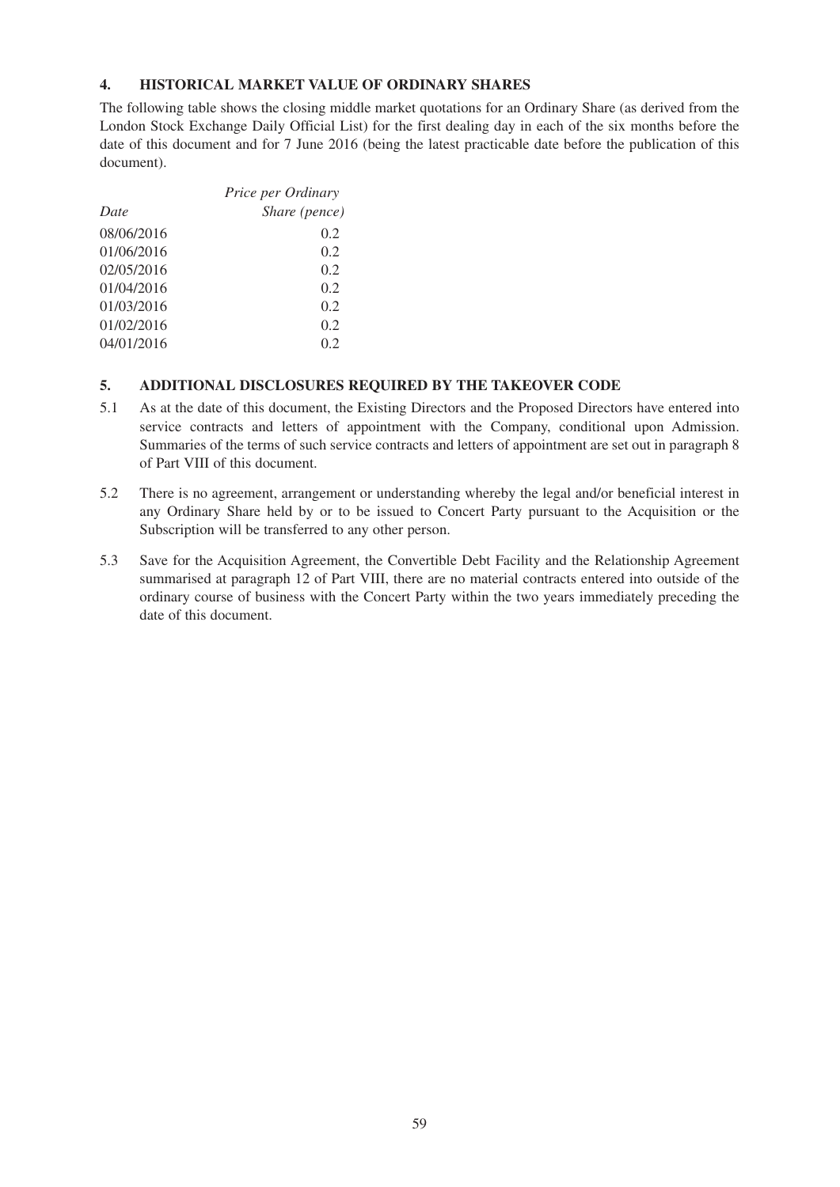## **4. HISTORICAL MARKET VALUE OF ORDINARY SHARES**

The following table shows the closing middle market quotations for an Ordinary Share (as derived from the London Stock Exchange Daily Official List) for the first dealing day in each of the six months before the date of this document and for 7 June 2016 (being the latest practicable date before the publication of this document).

|            | <i>Price per Ordinary</i> |
|------------|---------------------------|
| Date       | Share (pence)             |
| 08/06/2016 | 0.2                       |
| 01/06/2016 | 0.2                       |
| 02/05/2016 | 0.2                       |
| 01/04/2016 | 0.2                       |
| 01/03/2016 | 0.2                       |
| 01/02/2016 | 0.2                       |
| 04/01/2016 | 02                        |
|            |                           |

## **5. ADDITIONAL DISCLOSURES REQUIRED BY THE TAKEOVER CODE**

- 5.1 As at the date of this document, the Existing Directors and the Proposed Directors have entered into service contracts and letters of appointment with the Company, conditional upon Admission. Summaries of the terms of such service contracts and letters of appointment are set out in paragraph 8 of Part VIII of this document.
- 5.2 There is no agreement, arrangement or understanding whereby the legal and/or beneficial interest in any Ordinary Share held by or to be issued to Concert Party pursuant to the Acquisition or the Subscription will be transferred to any other person.
- 5.3 Save for the Acquisition Agreement, the Convertible Debt Facility and the Relationship Agreement summarised at paragraph 12 of Part VIII, there are no material contracts entered into outside of the ordinary course of business with the Concert Party within the two years immediately preceding the date of this document.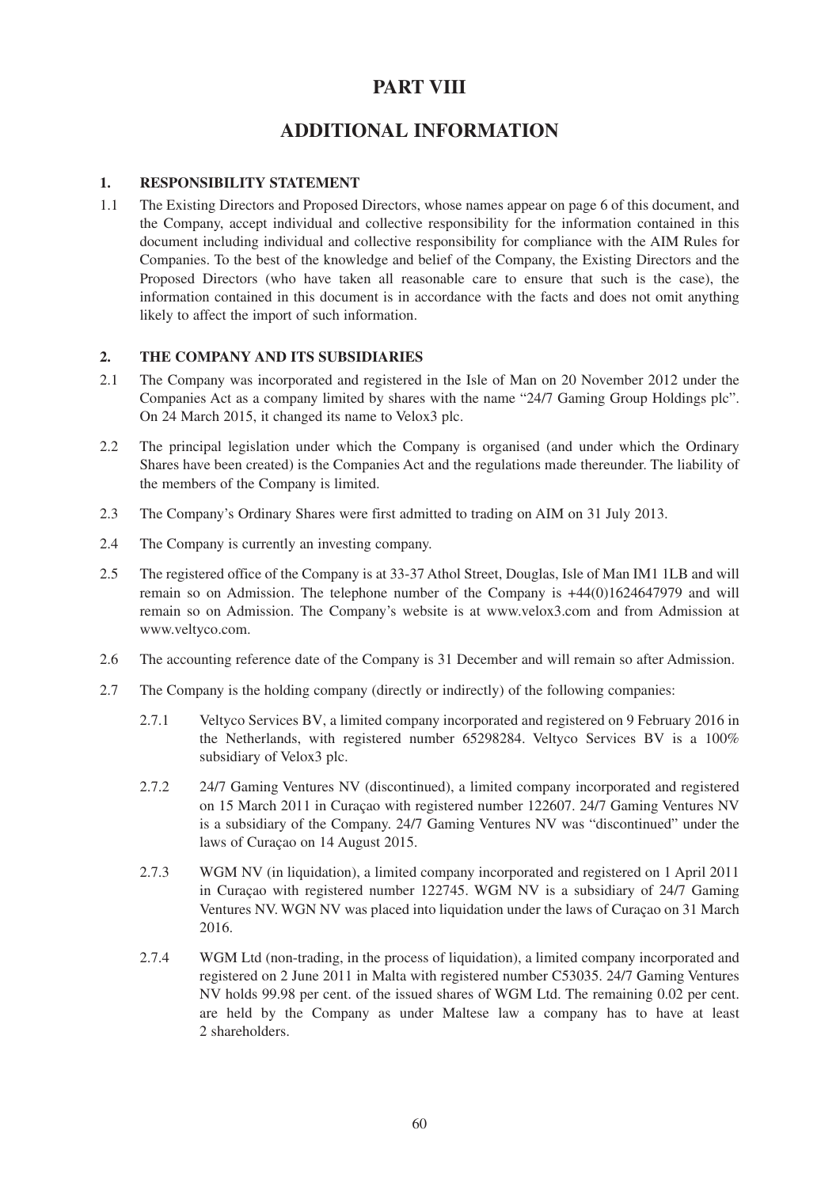# **PART VIII**

# **ADDITIONAL INFORMATION**

## **1. RESPONSIBILITY STATEMENT**

1.1 The Existing Directors and Proposed Directors, whose names appear on page 6 of this document, and the Company, accept individual and collective responsibility for the information contained in this document including individual and collective responsibility for compliance with the AIM Rules for Companies. To the best of the knowledge and belief of the Company, the Existing Directors and the Proposed Directors (who have taken all reasonable care to ensure that such is the case), the information contained in this document is in accordance with the facts and does not omit anything likely to affect the import of such information.

## **2. THE COMPANY AND ITS SUBSIDIARIES**

- 2.1 The Company was incorporated and registered in the Isle of Man on 20 November 2012 under the Companies Act as a company limited by shares with the name "24/7 Gaming Group Holdings plc". On 24 March 2015, it changed its name to Velox3 plc.
- 2.2 The principal legislation under which the Company is organised (and under which the Ordinary Shares have been created) is the Companies Act and the regulations made thereunder. The liability of the members of the Company is limited.
- 2.3 The Company's Ordinary Shares were first admitted to trading on AIM on 31 July 2013.
- 2.4 The Company is currently an investing company.
- 2.5 The registered office of the Company is at 33-37 Athol Street, Douglas, Isle of Man IM1 1LB and will remain so on Admission. The telephone number of the Company is +44(0)1624647979 and will remain so on Admission. The Company's website is at www.velox3.com and from Admission at www.veltyco.com.
- 2.6 The accounting reference date of the Company is 31 December and will remain so after Admission.
- 2.7 The Company is the holding company (directly or indirectly) of the following companies:
	- 2.7.1 Veltyco Services BV, a limited company incorporated and registered on 9 February 2016 in the Netherlands, with registered number 65298284. Veltyco Services BV is a 100% subsidiary of Velox3 plc.
	- 2.7.2 24/7 Gaming Ventures NV (discontinued), a limited company incorporated and registered on 15 March 2011 in Curaçao with registered number 122607. 24/7 Gaming Ventures NV is a subsidiary of the Company. 24/7 Gaming Ventures NV was "discontinued" under the laws of Curaçao on 14 August 2015.
	- 2.7.3 WGM NV (in liquidation), a limited company incorporated and registered on 1 April 2011 in Curaçao with registered number 122745. WGM NV is a subsidiary of 24/7 Gaming Ventures NV. WGN NV was placed into liquidation under the laws of Curaçao on 31 March 2016.
	- 2.7.4 WGM Ltd (non-trading, in the process of liquidation), a limited company incorporated and registered on 2 June 2011 in Malta with registered number C53035. 24/7 Gaming Ventures NV holds 99.98 per cent. of the issued shares of WGM Ltd. The remaining 0.02 per cent. are held by the Company as under Maltese law a company has to have at least 2 shareholders.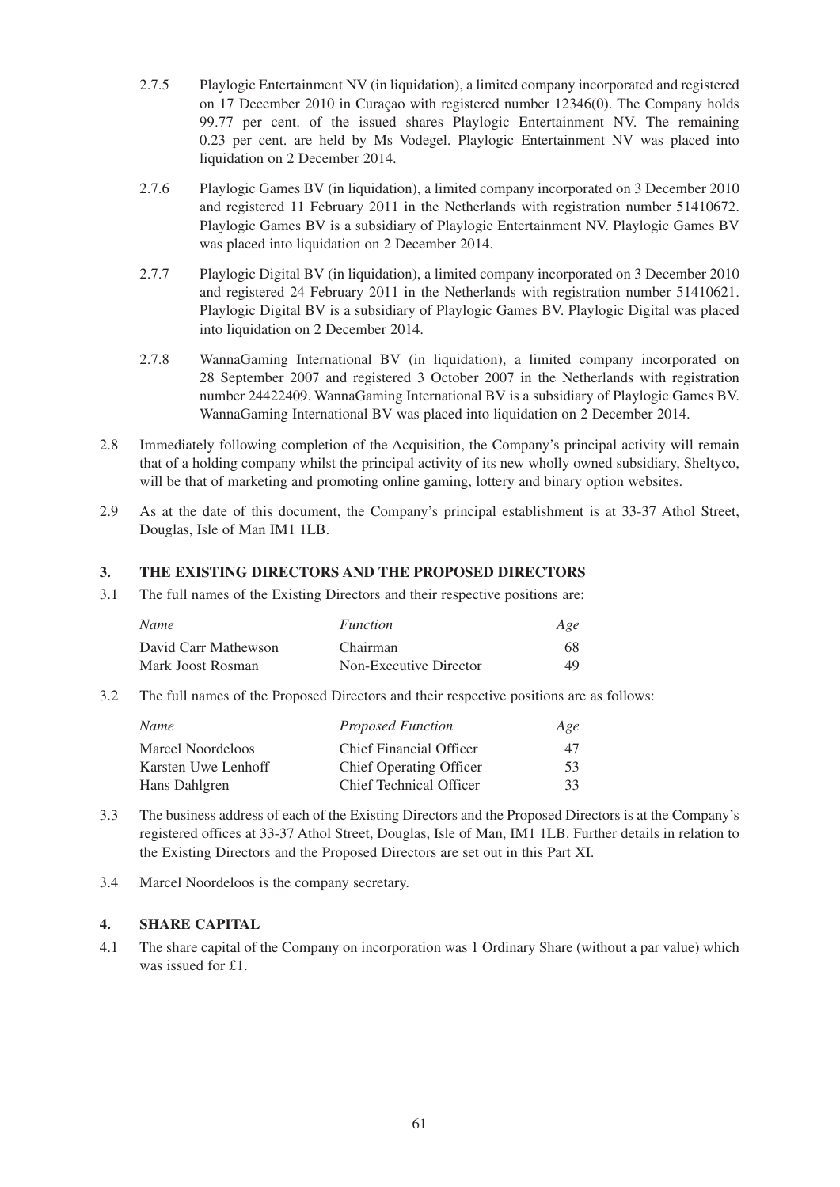- 2.7.5 Playlogic Entertainment NV (in liquidation), a limited company incorporated and registered on 17 December 2010 in Curaçao with registered number 12346(0). The Company holds 99.77 per cent. of the issued shares Playlogic Entertainment NV. The remaining 0.23 per cent. are held by Ms Vodegel. Playlogic Entertainment NV was placed into liquidation on 2 December 2014.
- 2.7.6 Playlogic Games BV (in liquidation), a limited company incorporated on 3 December 2010 and registered 11 February 2011 in the Netherlands with registration number 51410672. Playlogic Games BV is a subsidiary of Playlogic Entertainment NV. Playlogic Games BV was placed into liquidation on 2 December 2014.
- 2.7.7 Playlogic Digital BV (in liquidation), a limited company incorporated on 3 December 2010 and registered 24 February 2011 in the Netherlands with registration number 51410621. Playlogic Digital BV is a subsidiary of Playlogic Games BV. Playlogic Digital was placed into liquidation on 2 December 2014.
- 2.7.8 WannaGaming International BV (in liquidation), a limited company incorporated on 28 September 2007 and registered 3 October 2007 in the Netherlands with registration number 24422409. WannaGaming International BV is a subsidiary of Playlogic Games BV. WannaGaming International BV was placed into liquidation on 2 December 2014.
- 2.8 Immediately following completion of the Acquisition, the Company's principal activity will remain that of a holding company whilst the principal activity of its new wholly owned subsidiary, Sheltyco, will be that of marketing and promoting online gaming, lottery and binary option websites.
- 2.9 As at the date of this document, the Company's principal establishment is at 33-37 Athol Street, Douglas, Isle of Man IM1 1LB.

## **3. THE EXISTING DIRECTORS AND THE PROPOSED DIRECTORS**

3.1 The full names of the Existing Directors and their respective positions are:

| Name                 | <i>Function</i>        | Age |
|----------------------|------------------------|-----|
| David Carr Mathewson | Chairman               | 68  |
| Mark Joost Rosman    | Non-Executive Director | 49  |

3.2 The full names of the Proposed Directors and their respective positions are as follows:

| Name                     | <b>Proposed Function</b>       | Age |
|--------------------------|--------------------------------|-----|
| <b>Marcel Noordeloos</b> | <b>Chief Financial Officer</b> | 47  |
| Karsten Uwe Lenhoff      | <b>Chief Operating Officer</b> | 53  |
| Hans Dahlgren            | <b>Chief Technical Officer</b> | 33  |

- 3.3 The business address of each of the Existing Directors and the Proposed Directors is at the Company's registered offices at 33-37 Athol Street, Douglas, Isle of Man, IM1 1LB. Further details in relation to the Existing Directors and the Proposed Directors are set out in this Part XI.
- 3.4 Marcel Noordeloos is the company secretary.

## **4. SHARE CAPITAL**

4.1 The share capital of the Company on incorporation was 1 Ordinary Share (without a par value) which was issued for £1.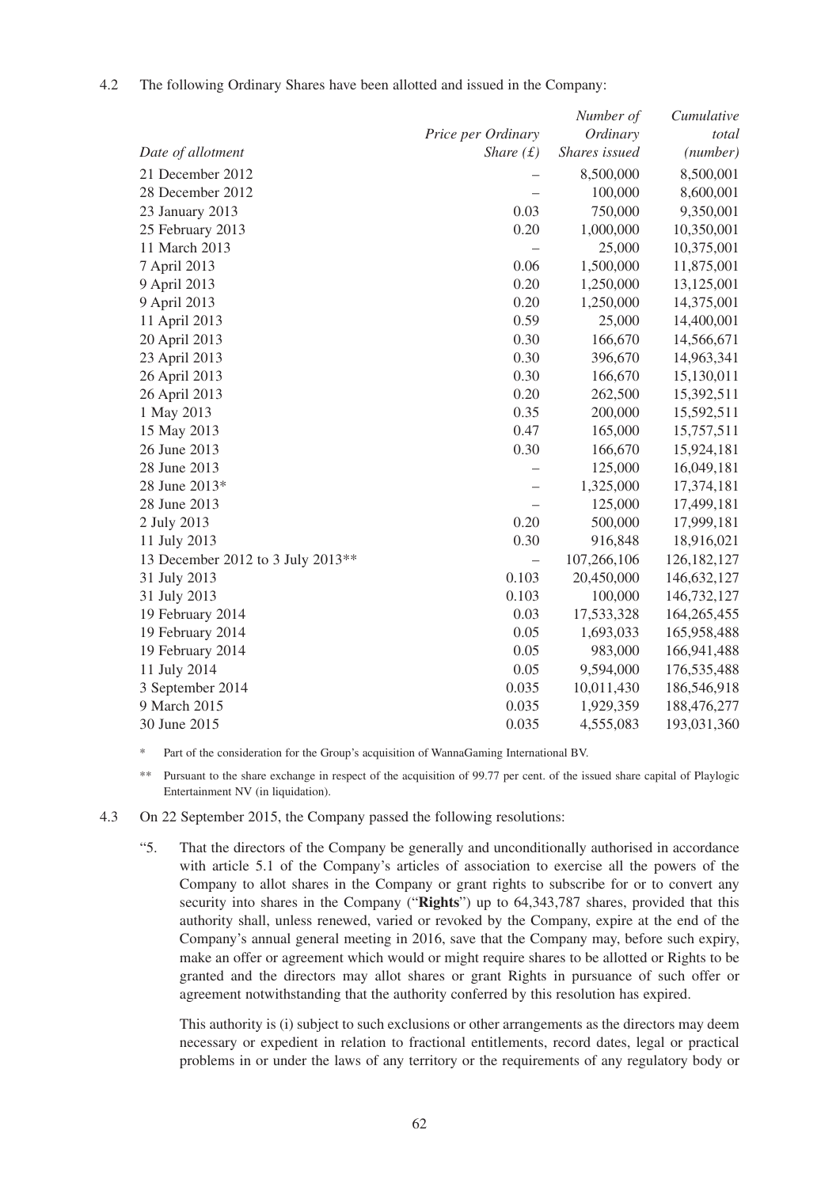|                                   |                          | Number of     | Cumulative    |
|-----------------------------------|--------------------------|---------------|---------------|
|                                   | Price per Ordinary       | Ordinary      | total         |
| Date of allotment                 | Share $(f)$              | Shares issued | (number)      |
| 21 December 2012                  |                          | 8,500,000     | 8,500,001     |
| 28 December 2012                  |                          | 100,000       | 8,600,001     |
| 23 January 2013                   | 0.03                     | 750,000       | 9,350,001     |
| 25 February 2013                  | 0.20                     | 1,000,000     | 10,350,001    |
| 11 March 2013                     |                          | 25,000        | 10,375,001    |
| 7 April 2013                      | 0.06                     | 1,500,000     | 11,875,001    |
| 9 April 2013                      | 0.20                     | 1,250,000     | 13,125,001    |
| 9 April 2013                      | 0.20                     | 1,250,000     | 14,375,001    |
| 11 April 2013                     | 0.59                     | 25,000        | 14,400,001    |
| 20 April 2013                     | 0.30                     | 166,670       | 14,566,671    |
| 23 April 2013                     | 0.30                     | 396,670       | 14,963,341    |
| 26 April 2013                     | 0.30                     | 166,670       | 15,130,011    |
| 26 April 2013                     | 0.20                     | 262,500       | 15,392,511    |
| 1 May 2013                        | 0.35                     | 200,000       | 15,592,511    |
| 15 May 2013                       | 0.47                     | 165,000       | 15,757,511    |
| 26 June 2013                      | 0.30                     | 166,670       | 15,924,181    |
| 28 June 2013                      |                          | 125,000       | 16,049,181    |
| 28 June 2013*                     |                          | 1,325,000     | 17,374,181    |
| 28 June 2013                      |                          | 125,000       | 17,499,181    |
| 2 July 2013                       | 0.20                     | 500,000       | 17,999,181    |
| 11 July 2013                      | 0.30                     | 916,848       | 18,916,021    |
| 13 December 2012 to 3 July 2013** | $\overline{\phantom{0}}$ | 107,266,106   | 126, 182, 127 |
| 31 July 2013                      | 0.103                    | 20,450,000    | 146,632,127   |
| 31 July 2013                      | 0.103                    | 100,000       | 146,732,127   |
| 19 February 2014                  | 0.03                     | 17,533,328    | 164,265,455   |
| 19 February 2014                  | 0.05                     | 1,693,033     | 165,958,488   |
| 19 February 2014                  | 0.05                     | 983,000       | 166,941,488   |
| 11 July 2014                      | 0.05                     | 9,594,000     | 176,535,488   |
| 3 September 2014                  | 0.035                    | 10,011,430    | 186,546,918   |
| 9 March 2015                      | 0.035                    | 1,929,359     | 188,476,277   |
| 30 June 2015                      | 0.035                    | 4,555,083     | 193,031,360   |

Part of the consideration for the Group's acquisition of WannaGaming International BV.

\*\* Pursuant to the share exchange in respect of the acquisition of 99.77 per cent. of the issued share capital of Playlogic Entertainment NV (in liquidation).

- 4.3 On 22 September 2015, the Company passed the following resolutions:
	- "5. That the directors of the Company be generally and unconditionally authorised in accordance with article 5.1 of the Company's articles of association to exercise all the powers of the Company to allot shares in the Company or grant rights to subscribe for or to convert any security into shares in the Company ("**Rights**") up to 64,343,787 shares, provided that this authority shall, unless renewed, varied or revoked by the Company, expire at the end of the Company's annual general meeting in 2016, save that the Company may, before such expiry, make an offer or agreement which would or might require shares to be allotted or Rights to be granted and the directors may allot shares or grant Rights in pursuance of such offer or agreement notwithstanding that the authority conferred by this resolution has expired.

This authority is (i) subject to such exclusions or other arrangements as the directors may deem necessary or expedient in relation to fractional entitlements, record dates, legal or practical problems in or under the laws of any territory or the requirements of any regulatory body or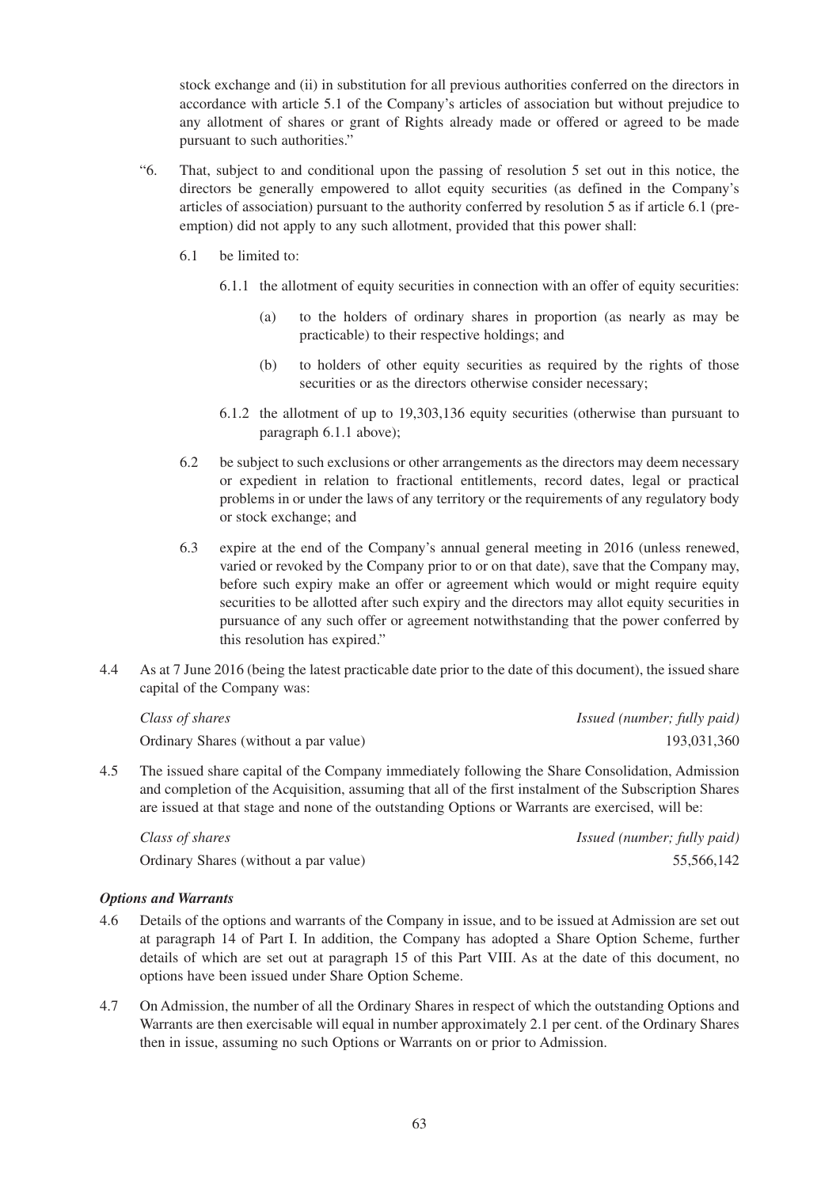stock exchange and (ii) in substitution for all previous authorities conferred on the directors in accordance with article 5.1 of the Company's articles of association but without prejudice to any allotment of shares or grant of Rights already made or offered or agreed to be made pursuant to such authorities."

- "6. That, subject to and conditional upon the passing of resolution 5 set out in this notice, the directors be generally empowered to allot equity securities (as defined in the Company's articles of association) pursuant to the authority conferred by resolution 5 as if article 6.1 (preemption) did not apply to any such allotment, provided that this power shall:
	- 6.1 be limited to:
		- 6.1.1 the allotment of equity securities in connection with an offer of equity securities:
			- (a) to the holders of ordinary shares in proportion (as nearly as may be practicable) to their respective holdings; and
			- (b) to holders of other equity securities as required by the rights of those securities or as the directors otherwise consider necessary:
		- 6.1.2 the allotment of up to 19,303,136 equity securities (otherwise than pursuant to paragraph 6.1.1 above);
	- 6.2 be subject to such exclusions or other arrangements as the directors may deem necessary or expedient in relation to fractional entitlements, record dates, legal or practical problems in or under the laws of any territory or the requirements of any regulatory body or stock exchange; and
	- 6.3 expire at the end of the Company's annual general meeting in 2016 (unless renewed, varied or revoked by the Company prior to or on that date), save that the Company may, before such expiry make an offer or agreement which would or might require equity securities to be allotted after such expiry and the directors may allot equity securities in pursuance of any such offer or agreement notwithstanding that the power conferred by this resolution has expired."
- 4.4 As at 7 June 2016 (being the latest practicable date prior to the date of this document), the issued share capital of the Company was:

| Class of shares                       | <i>Issued (number; fully paid)</i> |
|---------------------------------------|------------------------------------|
| Ordinary Shares (without a par value) | 193,031,360                        |

4.5 The issued share capital of the Company immediately following the Share Consolidation, Admission and completion of the Acquisition, assuming that all of the first instalment of the Subscription Shares are issued at that stage and none of the outstanding Options or Warrants are exercised, will be:

*Class of shares Issued (number; fully paid)* Ordinary Shares (without a par value) 55,566,142

## *Options and Warrants*

- 4.6 Details of the options and warrants of the Company in issue, and to be issued at Admission are set out at paragraph 14 of Part I. In addition, the Company has adopted a Share Option Scheme, further details of which are set out at paragraph 15 of this Part VIII. As at the date of this document, no options have been issued under Share Option Scheme.
- 4.7 On Admission, the number of all the Ordinary Shares in respect of which the outstanding Options and Warrants are then exercisable will equal in number approximately 2.1 per cent. of the Ordinary Shares then in issue, assuming no such Options or Warrants on or prior to Admission.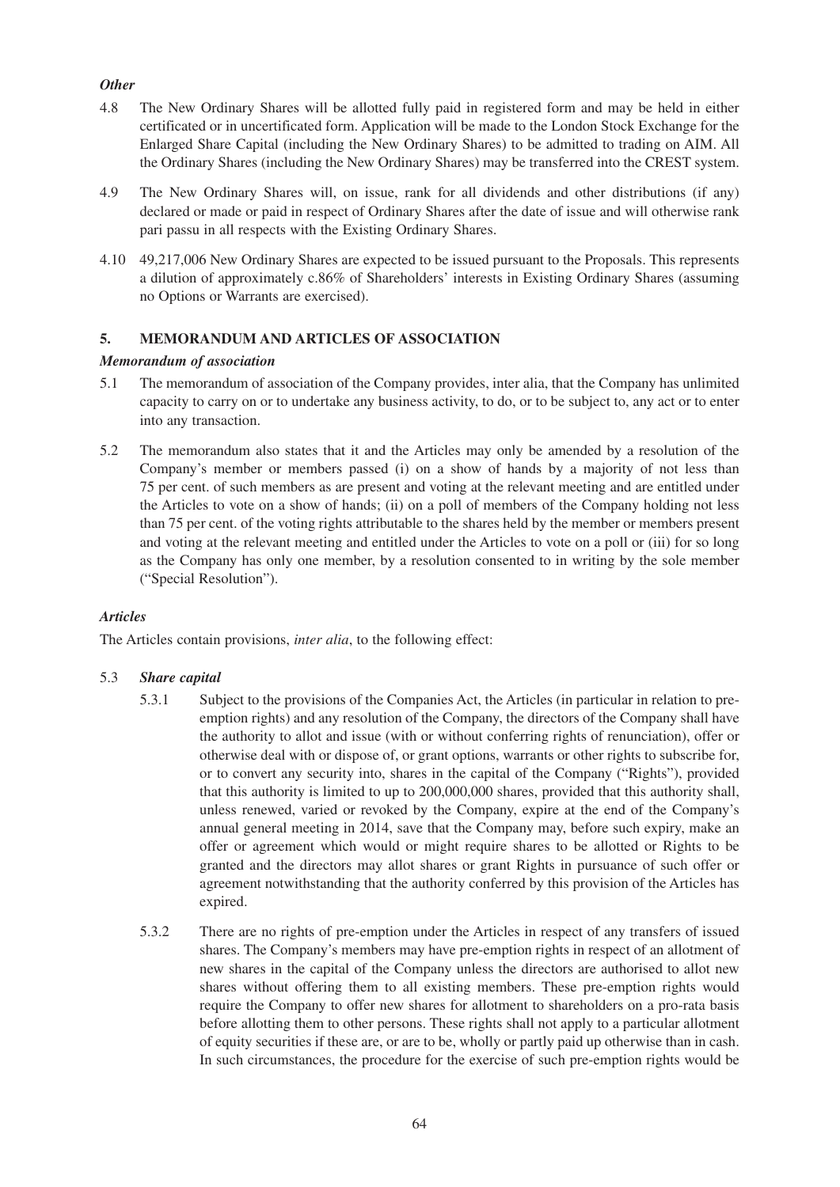## *Other*

- 4.8 The New Ordinary Shares will be allotted fully paid in registered form and may be held in either certificated or in uncertificated form. Application will be made to the London Stock Exchange for the Enlarged Share Capital (including the New Ordinary Shares) to be admitted to trading on AIM. All the Ordinary Shares (including the New Ordinary Shares) may be transferred into the CREST system.
- 4.9 The New Ordinary Shares will, on issue, rank for all dividends and other distributions (if any) declared or made or paid in respect of Ordinary Shares after the date of issue and will otherwise rank pari passu in all respects with the Existing Ordinary Shares.
- 4.10 49,217,006 New Ordinary Shares are expected to be issued pursuant to the Proposals. This represents a dilution of approximately c.86% of Shareholders' interests in Existing Ordinary Shares (assuming no Options or Warrants are exercised).

## **5. MEMORANDUM AND ARTICLES OF ASSOCIATION**

## *Memorandum of association*

- 5.1 The memorandum of association of the Company provides, inter alia, that the Company has unlimited capacity to carry on or to undertake any business activity, to do, or to be subject to, any act or to enter into any transaction.
- 5.2 The memorandum also states that it and the Articles may only be amended by a resolution of the Company's member or members passed (i) on a show of hands by a majority of not less than 75 per cent. of such members as are present and voting at the relevant meeting and are entitled under the Articles to vote on a show of hands; (ii) on a poll of members of the Company holding not less than 75 per cent. of the voting rights attributable to the shares held by the member or members present and voting at the relevant meeting and entitled under the Articles to vote on a poll or (iii) for so long as the Company has only one member, by a resolution consented to in writing by the sole member ("Special Resolution").

## *Articles*

The Articles contain provisions, *inter alia*, to the following effect:

## 5.3 *Share capital*

- 5.3.1 Subject to the provisions of the Companies Act, the Articles (in particular in relation to preemption rights) and any resolution of the Company, the directors of the Company shall have the authority to allot and issue (with or without conferring rights of renunciation), offer or otherwise deal with or dispose of, or grant options, warrants or other rights to subscribe for, or to convert any security into, shares in the capital of the Company ("Rights"), provided that this authority is limited to up to 200,000,000 shares, provided that this authority shall, unless renewed, varied or revoked by the Company, expire at the end of the Company's annual general meeting in 2014, save that the Company may, before such expiry, make an offer or agreement which would or might require shares to be allotted or Rights to be granted and the directors may allot shares or grant Rights in pursuance of such offer or agreement notwithstanding that the authority conferred by this provision of the Articles has expired.
- 5.3.2 There are no rights of pre-emption under the Articles in respect of any transfers of issued shares. The Company's members may have pre-emption rights in respect of an allotment of new shares in the capital of the Company unless the directors are authorised to allot new shares without offering them to all existing members. These pre-emption rights would require the Company to offer new shares for allotment to shareholders on a pro-rata basis before allotting them to other persons. These rights shall not apply to a particular allotment of equity securities if these are, or are to be, wholly or partly paid up otherwise than in cash. In such circumstances, the procedure for the exercise of such pre-emption rights would be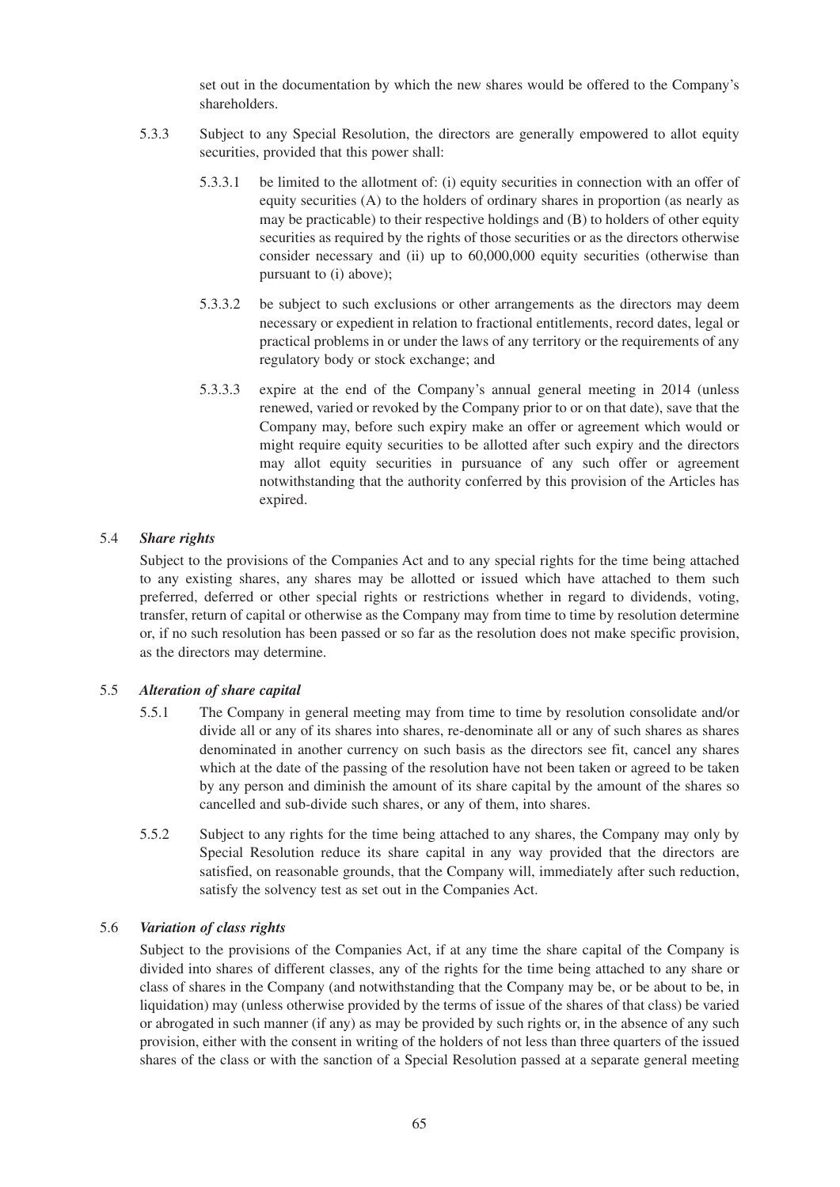set out in the documentation by which the new shares would be offered to the Company's shareholders.

- 5.3.3 Subject to any Special Resolution, the directors are generally empowered to allot equity securities, provided that this power shall:
	- 5.3.3.1 be limited to the allotment of: (i) equity securities in connection with an offer of equity securities (A) to the holders of ordinary shares in proportion (as nearly as may be practicable) to their respective holdings and (B) to holders of other equity securities as required by the rights of those securities or as the directors otherwise consider necessary and (ii) up to 60,000,000 equity securities (otherwise than pursuant to (i) above);
	- 5.3.3.2 be subject to such exclusions or other arrangements as the directors may deem necessary or expedient in relation to fractional entitlements, record dates, legal or practical problems in or under the laws of any territory or the requirements of any regulatory body or stock exchange; and
	- 5.3.3.3 expire at the end of the Company's annual general meeting in 2014 (unless renewed, varied or revoked by the Company prior to or on that date), save that the Company may, before such expiry make an offer or agreement which would or might require equity securities to be allotted after such expiry and the directors may allot equity securities in pursuance of any such offer or agreement notwithstanding that the authority conferred by this provision of the Articles has expired.

#### 5.4 *Share rights*

Subject to the provisions of the Companies Act and to any special rights for the time being attached to any existing shares, any shares may be allotted or issued which have attached to them such preferred, deferred or other special rights or restrictions whether in regard to dividends, voting, transfer, return of capital or otherwise as the Company may from time to time by resolution determine or, if no such resolution has been passed or so far as the resolution does not make specific provision, as the directors may determine.

## 5.5 *Alteration of share capital*

- 5.5.1 The Company in general meeting may from time to time by resolution consolidate and/or divide all or any of its shares into shares, re-denominate all or any of such shares as shares denominated in another currency on such basis as the directors see fit, cancel any shares which at the date of the passing of the resolution have not been taken or agreed to be taken by any person and diminish the amount of its share capital by the amount of the shares so cancelled and sub-divide such shares, or any of them, into shares.
- 5.5.2 Subject to any rights for the time being attached to any shares, the Company may only by Special Resolution reduce its share capital in any way provided that the directors are satisfied, on reasonable grounds, that the Company will, immediately after such reduction, satisfy the solvency test as set out in the Companies Act.

#### 5.6 *Variation of class rights*

Subject to the provisions of the Companies Act, if at any time the share capital of the Company is divided into shares of different classes, any of the rights for the time being attached to any share or class of shares in the Company (and notwithstanding that the Company may be, or be about to be, in liquidation) may (unless otherwise provided by the terms of issue of the shares of that class) be varied or abrogated in such manner (if any) as may be provided by such rights or, in the absence of any such provision, either with the consent in writing of the holders of not less than three quarters of the issued shares of the class or with the sanction of a Special Resolution passed at a separate general meeting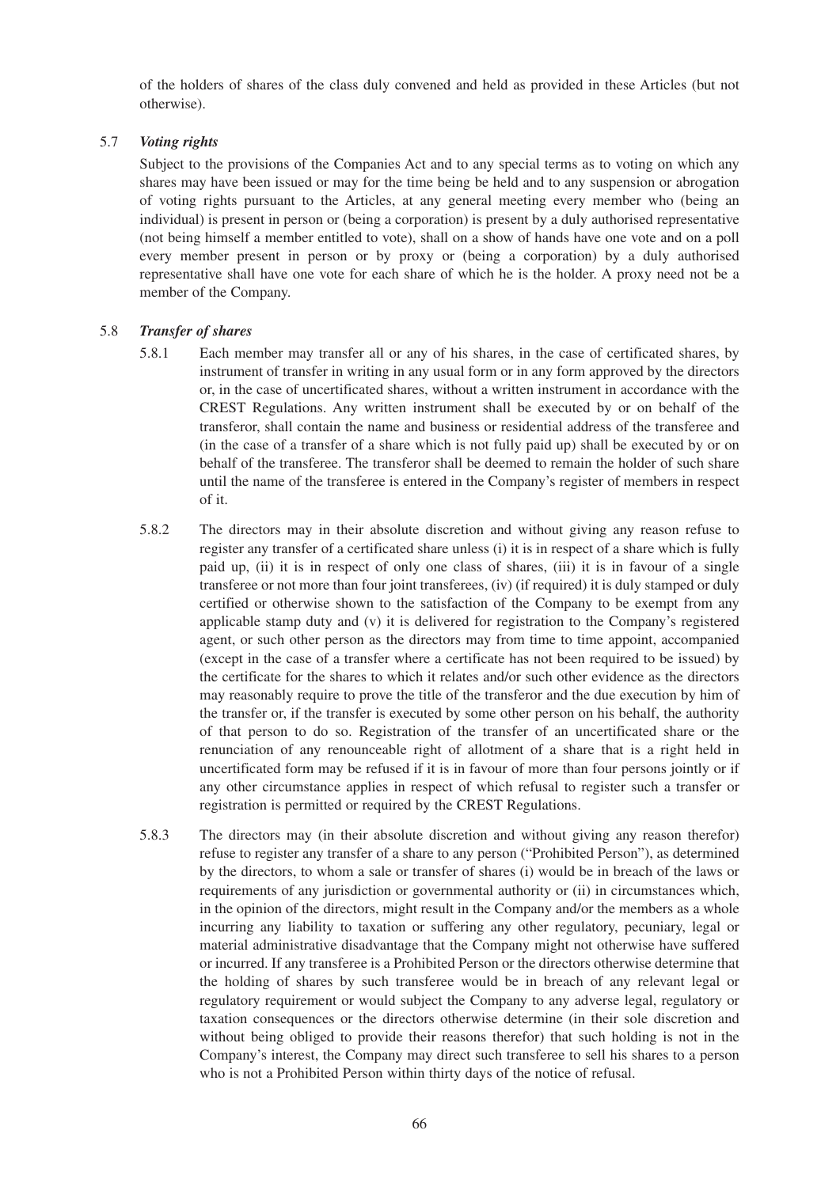of the holders of shares of the class duly convened and held as provided in these Articles (but not otherwise).

#### 5.7 *Voting rights*

Subject to the provisions of the Companies Act and to any special terms as to voting on which any shares may have been issued or may for the time being be held and to any suspension or abrogation of voting rights pursuant to the Articles, at any general meeting every member who (being an individual) is present in person or (being a corporation) is present by a duly authorised representative (not being himself a member entitled to vote), shall on a show of hands have one vote and on a poll every member present in person or by proxy or (being a corporation) by a duly authorised representative shall have one vote for each share of which he is the holder. A proxy need not be a member of the Company.

## 5.8 *Transfer of shares*

- 5.8.1 Each member may transfer all or any of his shares, in the case of certificated shares, by instrument of transfer in writing in any usual form or in any form approved by the directors or, in the case of uncertificated shares, without a written instrument in accordance with the CREST Regulations. Any written instrument shall be executed by or on behalf of the transferor, shall contain the name and business or residential address of the transferee and (in the case of a transfer of a share which is not fully paid up) shall be executed by or on behalf of the transferee. The transferor shall be deemed to remain the holder of such share until the name of the transferee is entered in the Company's register of members in respect of it.
- 5.8.2 The directors may in their absolute discretion and without giving any reason refuse to register any transfer of a certificated share unless (i) it is in respect of a share which is fully paid up, (ii) it is in respect of only one class of shares, (iii) it is in favour of a single transferee or not more than four joint transferees, (iv) (if required) it is duly stamped or duly certified or otherwise shown to the satisfaction of the Company to be exempt from any applicable stamp duty and (v) it is delivered for registration to the Company's registered agent, or such other person as the directors may from time to time appoint, accompanied (except in the case of a transfer where a certificate has not been required to be issued) by the certificate for the shares to which it relates and/or such other evidence as the directors may reasonably require to prove the title of the transferor and the due execution by him of the transfer or, if the transfer is executed by some other person on his behalf, the authority of that person to do so. Registration of the transfer of an uncertificated share or the renunciation of any renounceable right of allotment of a share that is a right held in uncertificated form may be refused if it is in favour of more than four persons jointly or if any other circumstance applies in respect of which refusal to register such a transfer or registration is permitted or required by the CREST Regulations.
- 5.8.3 The directors may (in their absolute discretion and without giving any reason therefor) refuse to register any transfer of a share to any person ("Prohibited Person"), as determined by the directors, to whom a sale or transfer of shares (i) would be in breach of the laws or requirements of any jurisdiction or governmental authority or (ii) in circumstances which, in the opinion of the directors, might result in the Company and/or the members as a whole incurring any liability to taxation or suffering any other regulatory, pecuniary, legal or material administrative disadvantage that the Company might not otherwise have suffered or incurred. If any transferee is a Prohibited Person or the directors otherwise determine that the holding of shares by such transferee would be in breach of any relevant legal or regulatory requirement or would subject the Company to any adverse legal, regulatory or taxation consequences or the directors otherwise determine (in their sole discretion and without being obliged to provide their reasons therefor) that such holding is not in the Company's interest, the Company may direct such transferee to sell his shares to a person who is not a Prohibited Person within thirty days of the notice of refusal.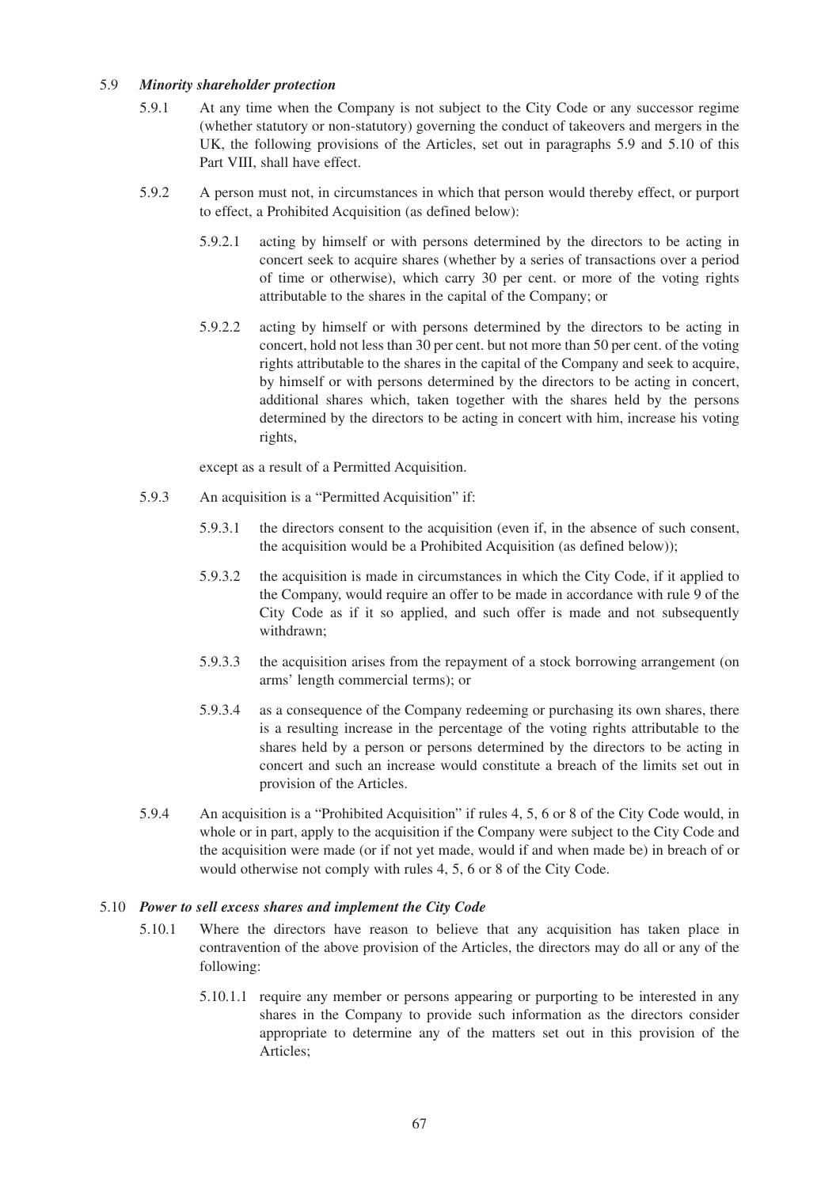## 5.9 *Minority shareholder protection*

- 5.9.1 At any time when the Company is not subject to the City Code or any successor regime (whether statutory or non-statutory) governing the conduct of takeovers and mergers in the UK, the following provisions of the Articles, set out in paragraphs 5.9 and 5.10 of this Part VIII, shall have effect.
- 5.9.2 A person must not, in circumstances in which that person would thereby effect, or purport to effect, a Prohibited Acquisition (as defined below):
	- 5.9.2.1 acting by himself or with persons determined by the directors to be acting in concert seek to acquire shares (whether by a series of transactions over a period of time or otherwise), which carry 30 per cent. or more of the voting rights attributable to the shares in the capital of the Company; or
	- 5.9.2.2 acting by himself or with persons determined by the directors to be acting in concert, hold not less than 30 per cent. but not more than 50 per cent. of the voting rights attributable to the shares in the capital of the Company and seek to acquire, by himself or with persons determined by the directors to be acting in concert, additional shares which, taken together with the shares held by the persons determined by the directors to be acting in concert with him, increase his voting rights,

except as a result of a Permitted Acquisition.

- 5.9.3 An acquisition is a "Permitted Acquisition" if:
	- 5.9.3.1 the directors consent to the acquisition (even if, in the absence of such consent, the acquisition would be a Prohibited Acquisition (as defined below));
	- 5.9.3.2 the acquisition is made in circumstances in which the City Code, if it applied to the Company, would require an offer to be made in accordance with rule 9 of the City Code as if it so applied, and such offer is made and not subsequently withdrawn;
	- 5.9.3.3 the acquisition arises from the repayment of a stock borrowing arrangement (on arms' length commercial terms); or
	- 5.9.3.4 as a consequence of the Company redeeming or purchasing its own shares, there is a resulting increase in the percentage of the voting rights attributable to the shares held by a person or persons determined by the directors to be acting in concert and such an increase would constitute a breach of the limits set out in provision of the Articles.
- 5.9.4 An acquisition is a "Prohibited Acquisition" if rules 4, 5, 6 or 8 of the City Code would, in whole or in part, apply to the acquisition if the Company were subject to the City Code and the acquisition were made (or if not yet made, would if and when made be) in breach of or would otherwise not comply with rules 4, 5, 6 or 8 of the City Code.

## 5.10 *Power to sell excess shares and implement the City Code*

- 5.10.1 Where the directors have reason to believe that any acquisition has taken place in contravention of the above provision of the Articles, the directors may do all or any of the following:
	- 5.10.1.1 require any member or persons appearing or purporting to be interested in any shares in the Company to provide such information as the directors consider appropriate to determine any of the matters set out in this provision of the Articles;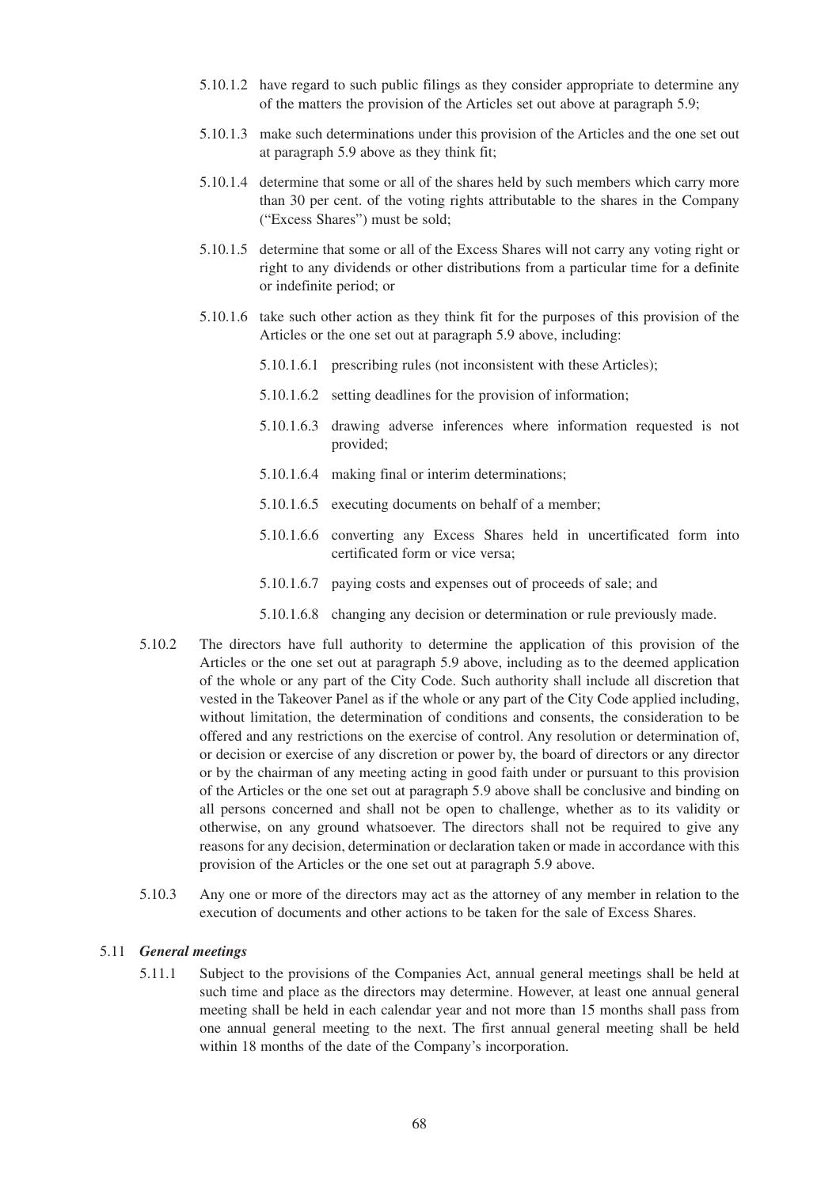- 5.10.1.2 have regard to such public filings as they consider appropriate to determine any of the matters the provision of the Articles set out above at paragraph 5.9;
- 5.10.1.3 make such determinations under this provision of the Articles and the one set out at paragraph 5.9 above as they think fit;
- 5.10.1.4 determine that some or all of the shares held by such members which carry more than 30 per cent. of the voting rights attributable to the shares in the Company ("Excess Shares") must be sold;
- 5.10.1.5 determine that some or all of the Excess Shares will not carry any voting right or right to any dividends or other distributions from a particular time for a definite or indefinite period; or
- 5.10.1.6 take such other action as they think fit for the purposes of this provision of the Articles or the one set out at paragraph 5.9 above, including:
	- 5.10.1.6.1 prescribing rules (not inconsistent with these Articles);
	- 5.10.1.6.2 setting deadlines for the provision of information;
	- 5.10.1.6.3 drawing adverse inferences where information requested is not provided;
	- 5.10.1.6.4 making final or interim determinations;
	- 5.10.1.6.5 executing documents on behalf of a member;
	- 5.10.1.6.6 converting any Excess Shares held in uncertificated form into certificated form or vice versa;
	- 5.10.1.6.7 paying costs and expenses out of proceeds of sale; and
	- 5.10.1.6.8 changing any decision or determination or rule previously made.
- 5.10.2 The directors have full authority to determine the application of this provision of the Articles or the one set out at paragraph 5.9 above, including as to the deemed application of the whole or any part of the City Code. Such authority shall include all discretion that vested in the Takeover Panel as if the whole or any part of the City Code applied including, without limitation, the determination of conditions and consents, the consideration to be offered and any restrictions on the exercise of control. Any resolution or determination of, or decision or exercise of any discretion or power by, the board of directors or any director or by the chairman of any meeting acting in good faith under or pursuant to this provision of the Articles or the one set out at paragraph 5.9 above shall be conclusive and binding on all persons concerned and shall not be open to challenge, whether as to its validity or otherwise, on any ground whatsoever. The directors shall not be required to give any reasons for any decision, determination or declaration taken or made in accordance with this provision of the Articles or the one set out at paragraph 5.9 above.
- 5.10.3 Any one or more of the directors may act as the attorney of any member in relation to the execution of documents and other actions to be taken for the sale of Excess Shares.

#### 5.11 *General meetings*

5.11.1 Subject to the provisions of the Companies Act, annual general meetings shall be held at such time and place as the directors may determine. However, at least one annual general meeting shall be held in each calendar year and not more than 15 months shall pass from one annual general meeting to the next. The first annual general meeting shall be held within 18 months of the date of the Company's incorporation.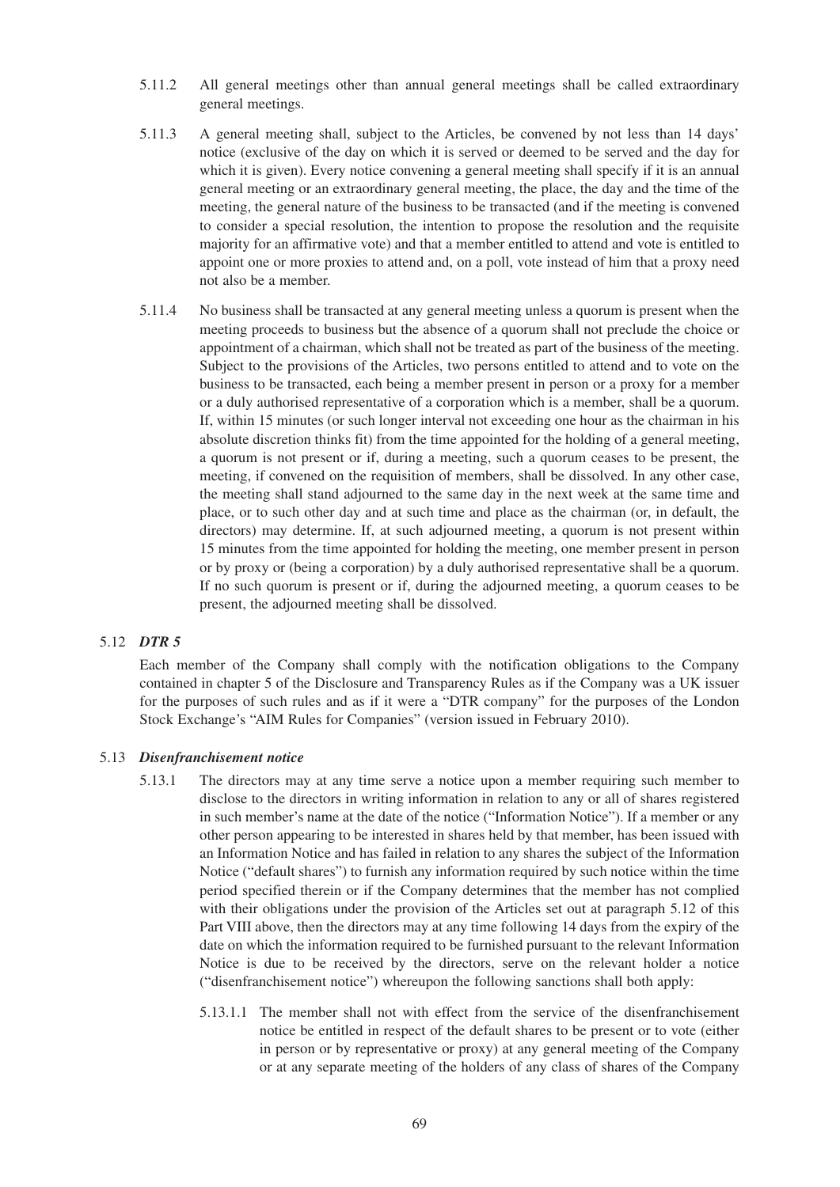- 5.11.2 All general meetings other than annual general meetings shall be called extraordinary general meetings.
- 5.11.3 A general meeting shall, subject to the Articles, be convened by not less than 14 days' notice (exclusive of the day on which it is served or deemed to be served and the day for which it is given). Every notice convening a general meeting shall specify if it is an annual general meeting or an extraordinary general meeting, the place, the day and the time of the meeting, the general nature of the business to be transacted (and if the meeting is convened to consider a special resolution, the intention to propose the resolution and the requisite majority for an affirmative vote) and that a member entitled to attend and vote is entitled to appoint one or more proxies to attend and, on a poll, vote instead of him that a proxy need not also be a member.
- 5.11.4 No business shall be transacted at any general meeting unless a quorum is present when the meeting proceeds to business but the absence of a quorum shall not preclude the choice or appointment of a chairman, which shall not be treated as part of the business of the meeting. Subject to the provisions of the Articles, two persons entitled to attend and to vote on the business to be transacted, each being a member present in person or a proxy for a member or a duly authorised representative of a corporation which is a member, shall be a quorum. If, within 15 minutes (or such longer interval not exceeding one hour as the chairman in his absolute discretion thinks fit) from the time appointed for the holding of a general meeting, a quorum is not present or if, during a meeting, such a quorum ceases to be present, the meeting, if convened on the requisition of members, shall be dissolved. In any other case, the meeting shall stand adjourned to the same day in the next week at the same time and place, or to such other day and at such time and place as the chairman (or, in default, the directors) may determine. If, at such adjourned meeting, a quorum is not present within 15 minutes from the time appointed for holding the meeting, one member present in person or by proxy or (being a corporation) by a duly authorised representative shall be a quorum. If no such quorum is present or if, during the adjourned meeting, a quorum ceases to be present, the adjourned meeting shall be dissolved.

## 5.12 *DTR 5*

Each member of the Company shall comply with the notification obligations to the Company contained in chapter 5 of the Disclosure and Transparency Rules as if the Company was a UK issuer for the purposes of such rules and as if it were a "DTR company" for the purposes of the London Stock Exchange's "AIM Rules for Companies" (version issued in February 2010).

#### 5.13 *Disenfranchisement notice*

- 5.13.1 The directors may at any time serve a notice upon a member requiring such member to disclose to the directors in writing information in relation to any or all of shares registered in such member's name at the date of the notice ("Information Notice"). If a member or any other person appearing to be interested in shares held by that member, has been issued with an Information Notice and has failed in relation to any shares the subject of the Information Notice ("default shares") to furnish any information required by such notice within the time period specified therein or if the Company determines that the member has not complied with their obligations under the provision of the Articles set out at paragraph 5.12 of this Part VIII above, then the directors may at any time following 14 days from the expiry of the date on which the information required to be furnished pursuant to the relevant Information Notice is due to be received by the directors, serve on the relevant holder a notice ("disenfranchisement notice") whereupon the following sanctions shall both apply:
	- 5.13.1.1 The member shall not with effect from the service of the disenfranchisement notice be entitled in respect of the default shares to be present or to vote (either in person or by representative or proxy) at any general meeting of the Company or at any separate meeting of the holders of any class of shares of the Company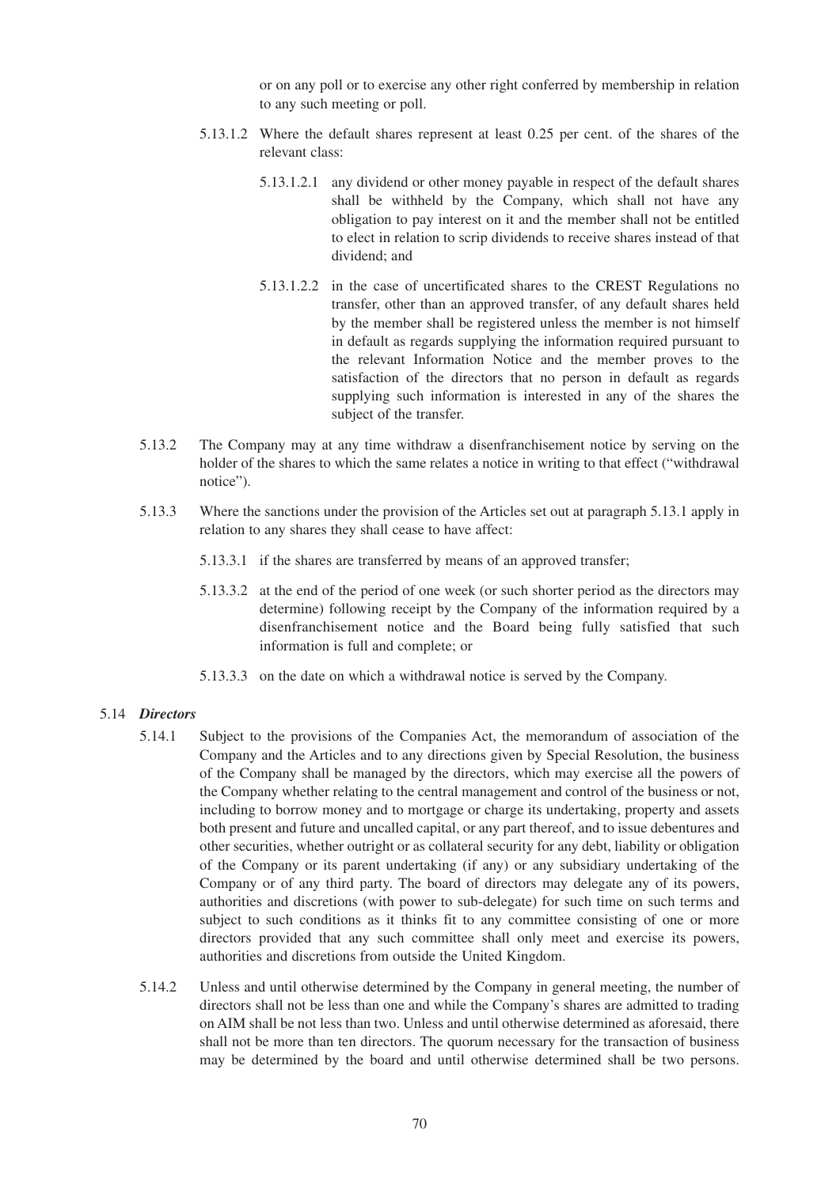or on any poll or to exercise any other right conferred by membership in relation to any such meeting or poll.

- 5.13.1.2 Where the default shares represent at least 0.25 per cent. of the shares of the relevant class:
	- 5.13.1.2.1 any dividend or other money payable in respect of the default shares shall be withheld by the Company, which shall not have any obligation to pay interest on it and the member shall not be entitled to elect in relation to scrip dividends to receive shares instead of that dividend; and
	- 5.13.1.2.2 in the case of uncertificated shares to the CREST Regulations no transfer, other than an approved transfer, of any default shares held by the member shall be registered unless the member is not himself in default as regards supplying the information required pursuant to the relevant Information Notice and the member proves to the satisfaction of the directors that no person in default as regards supplying such information is interested in any of the shares the subject of the transfer.
- 5.13.2 The Company may at any time withdraw a disenfranchisement notice by serving on the holder of the shares to which the same relates a notice in writing to that effect ("withdrawal notice").
- 5.13.3 Where the sanctions under the provision of the Articles set out at paragraph 5.13.1 apply in relation to any shares they shall cease to have affect:
	- 5.13.3.1 if the shares are transferred by means of an approved transfer;
	- 5.13.3.2 at the end of the period of one week (or such shorter period as the directors may determine) following receipt by the Company of the information required by a disenfranchisement notice and the Board being fully satisfied that such information is full and complete; or
	- 5.13.3.3 on the date on which a withdrawal notice is served by the Company.

## 5.14 *Directors*

- 5.14.1 Subject to the provisions of the Companies Act, the memorandum of association of the Company and the Articles and to any directions given by Special Resolution, the business of the Company shall be managed by the directors, which may exercise all the powers of the Company whether relating to the central management and control of the business or not, including to borrow money and to mortgage or charge its undertaking, property and assets both present and future and uncalled capital, or any part thereof, and to issue debentures and other securities, whether outright or as collateral security for any debt, liability or obligation of the Company or its parent undertaking (if any) or any subsidiary undertaking of the Company or of any third party. The board of directors may delegate any of its powers, authorities and discretions (with power to sub-delegate) for such time on such terms and subject to such conditions as it thinks fit to any committee consisting of one or more directors provided that any such committee shall only meet and exercise its powers, authorities and discretions from outside the United Kingdom.
- 5.14.2 Unless and until otherwise determined by the Company in general meeting, the number of directors shall not be less than one and while the Company's shares are admitted to trading on AIM shall be not less than two. Unless and until otherwise determined as aforesaid, there shall not be more than ten directors. The quorum necessary for the transaction of business may be determined by the board and until otherwise determined shall be two persons.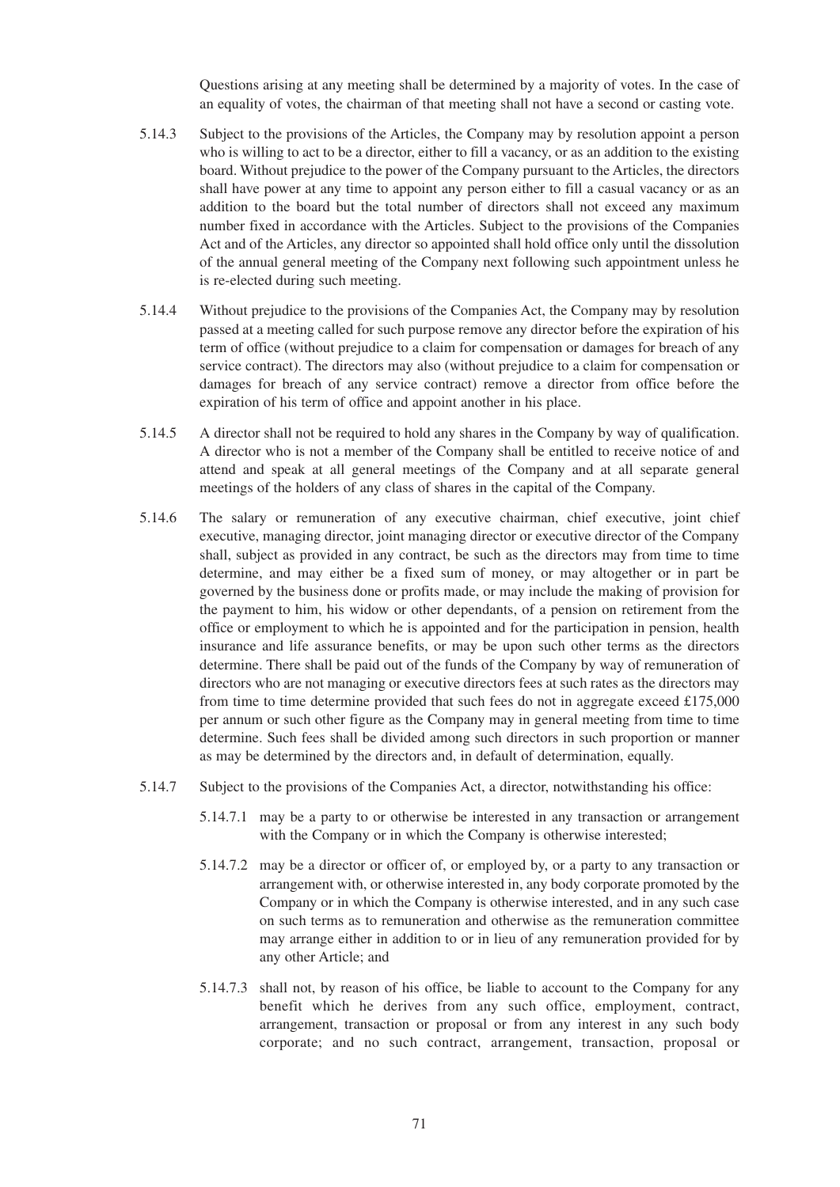Questions arising at any meeting shall be determined by a majority of votes. In the case of an equality of votes, the chairman of that meeting shall not have a second or casting vote.

- 5.14.3 Subject to the provisions of the Articles, the Company may by resolution appoint a person who is willing to act to be a director, either to fill a vacancy, or as an addition to the existing board. Without prejudice to the power of the Company pursuant to the Articles, the directors shall have power at any time to appoint any person either to fill a casual vacancy or as an addition to the board but the total number of directors shall not exceed any maximum number fixed in accordance with the Articles. Subject to the provisions of the Companies Act and of the Articles, any director so appointed shall hold office only until the dissolution of the annual general meeting of the Company next following such appointment unless he is re-elected during such meeting.
- 5.14.4 Without prejudice to the provisions of the Companies Act, the Company may by resolution passed at a meeting called for such purpose remove any director before the expiration of his term of office (without prejudice to a claim for compensation or damages for breach of any service contract). The directors may also (without prejudice to a claim for compensation or damages for breach of any service contract) remove a director from office before the expiration of his term of office and appoint another in his place.
- 5.14.5 A director shall not be required to hold any shares in the Company by way of qualification. A director who is not a member of the Company shall be entitled to receive notice of and attend and speak at all general meetings of the Company and at all separate general meetings of the holders of any class of shares in the capital of the Company.
- 5.14.6 The salary or remuneration of any executive chairman, chief executive, joint chief executive, managing director, joint managing director or executive director of the Company shall, subject as provided in any contract, be such as the directors may from time to time determine, and may either be a fixed sum of money, or may altogether or in part be governed by the business done or profits made, or may include the making of provision for the payment to him, his widow or other dependants, of a pension on retirement from the office or employment to which he is appointed and for the participation in pension, health insurance and life assurance benefits, or may be upon such other terms as the directors determine. There shall be paid out of the funds of the Company by way of remuneration of directors who are not managing or executive directors fees at such rates as the directors may from time to time determine provided that such fees do not in aggregate exceed £175,000 per annum or such other figure as the Company may in general meeting from time to time determine. Such fees shall be divided among such directors in such proportion or manner as may be determined by the directors and, in default of determination, equally.
- 5.14.7 Subject to the provisions of the Companies Act, a director, notwithstanding his office:
	- 5.14.7.1 may be a party to or otherwise be interested in any transaction or arrangement with the Company or in which the Company is otherwise interested;
	- 5.14.7.2 may be a director or officer of, or employed by, or a party to any transaction or arrangement with, or otherwise interested in, any body corporate promoted by the Company or in which the Company is otherwise interested, and in any such case on such terms as to remuneration and otherwise as the remuneration committee may arrange either in addition to or in lieu of any remuneration provided for by any other Article; and
	- 5.14.7.3 shall not, by reason of his office, be liable to account to the Company for any benefit which he derives from any such office, employment, contract, arrangement, transaction or proposal or from any interest in any such body corporate; and no such contract, arrangement, transaction, proposal or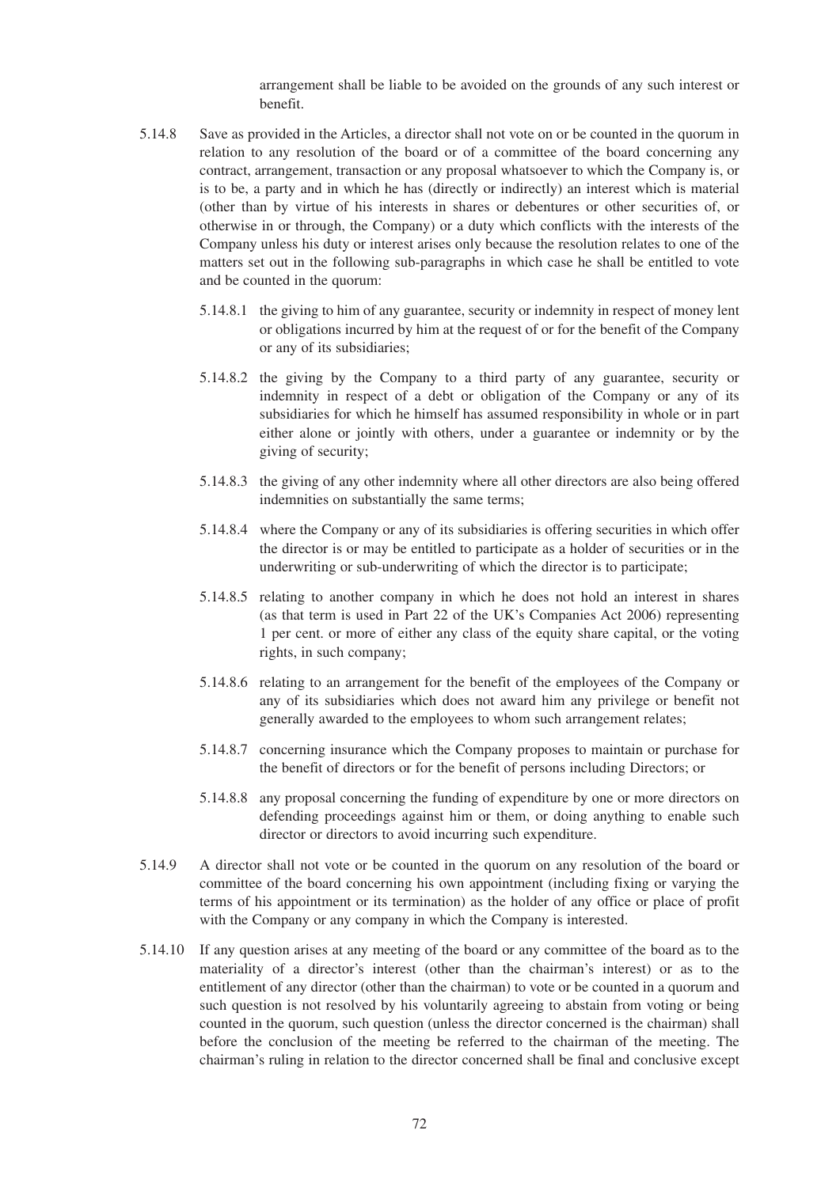arrangement shall be liable to be avoided on the grounds of any such interest or benefit.

- 5.14.8 Save as provided in the Articles, a director shall not vote on or be counted in the quorum in relation to any resolution of the board or of a committee of the board concerning any contract, arrangement, transaction or any proposal whatsoever to which the Company is, or is to be, a party and in which he has (directly or indirectly) an interest which is material (other than by virtue of his interests in shares or debentures or other securities of, or otherwise in or through, the Company) or a duty which conflicts with the interests of the Company unless his duty or interest arises only because the resolution relates to one of the matters set out in the following sub-paragraphs in which case he shall be entitled to vote and be counted in the quorum:
	- 5.14.8.1 the giving to him of any guarantee, security or indemnity in respect of money lent or obligations incurred by him at the request of or for the benefit of the Company or any of its subsidiaries;
	- 5.14.8.2 the giving by the Company to a third party of any guarantee, security or indemnity in respect of a debt or obligation of the Company or any of its subsidiaries for which he himself has assumed responsibility in whole or in part either alone or jointly with others, under a guarantee or indemnity or by the giving of security;
	- 5.14.8.3 the giving of any other indemnity where all other directors are also being offered indemnities on substantially the same terms;
	- 5.14.8.4 where the Company or any of its subsidiaries is offering securities in which offer the director is or may be entitled to participate as a holder of securities or in the underwriting or sub-underwriting of which the director is to participate;
	- 5.14.8.5 relating to another company in which he does not hold an interest in shares (as that term is used in Part 22 of the UK's Companies Act 2006) representing 1 per cent. or more of either any class of the equity share capital, or the voting rights, in such company;
	- 5.14.8.6 relating to an arrangement for the benefit of the employees of the Company or any of its subsidiaries which does not award him any privilege or benefit not generally awarded to the employees to whom such arrangement relates;
	- 5.14.8.7 concerning insurance which the Company proposes to maintain or purchase for the benefit of directors or for the benefit of persons including Directors; or
	- 5.14.8.8 any proposal concerning the funding of expenditure by one or more directors on defending proceedings against him or them, or doing anything to enable such director or directors to avoid incurring such expenditure.
- 5.14.9 A director shall not vote or be counted in the quorum on any resolution of the board or committee of the board concerning his own appointment (including fixing or varying the terms of his appointment or its termination) as the holder of any office or place of profit with the Company or any company in which the Company is interested.
- 5.14.10 If any question arises at any meeting of the board or any committee of the board as to the materiality of a director's interest (other than the chairman's interest) or as to the entitlement of any director (other than the chairman) to vote or be counted in a quorum and such question is not resolved by his voluntarily agreeing to abstain from voting or being counted in the quorum, such question (unless the director concerned is the chairman) shall before the conclusion of the meeting be referred to the chairman of the meeting. The chairman's ruling in relation to the director concerned shall be final and conclusive except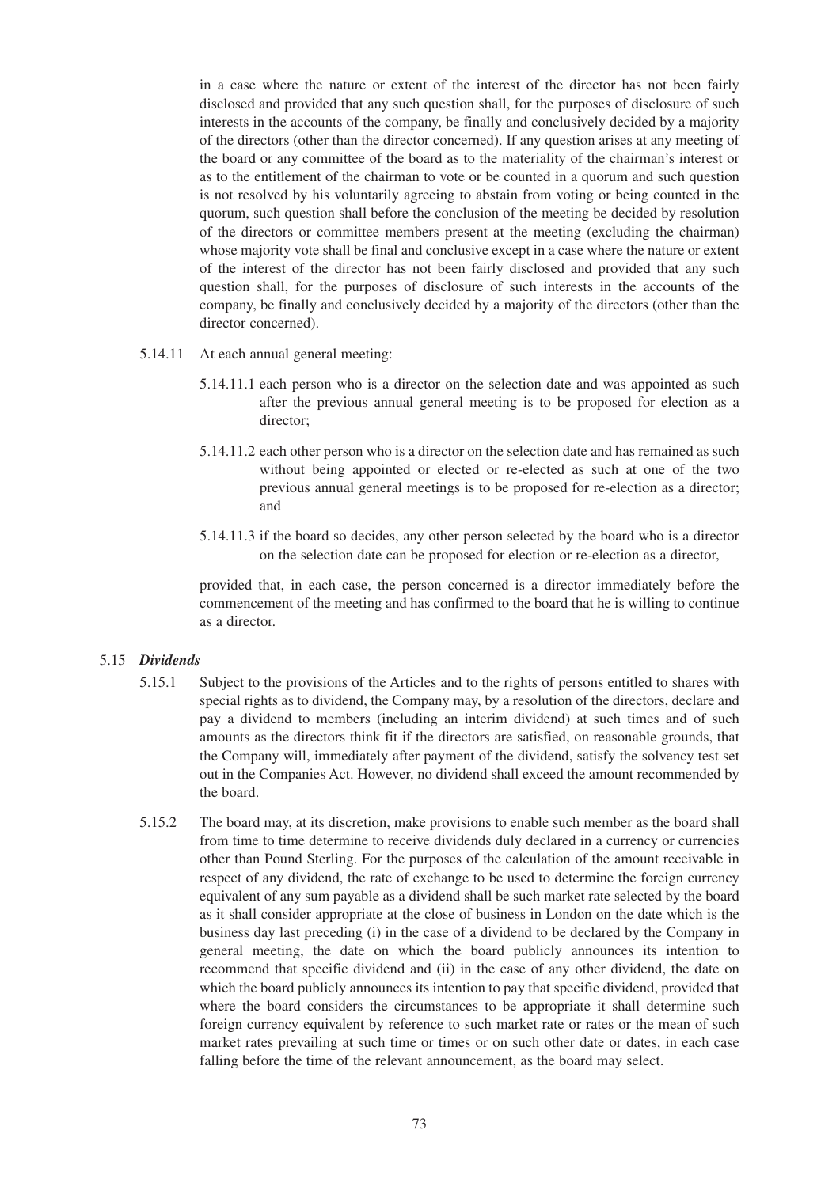in a case where the nature or extent of the interest of the director has not been fairly disclosed and provided that any such question shall, for the purposes of disclosure of such interests in the accounts of the company, be finally and conclusively decided by a majority of the directors (other than the director concerned). If any question arises at any meeting of the board or any committee of the board as to the materiality of the chairman's interest or as to the entitlement of the chairman to vote or be counted in a quorum and such question is not resolved by his voluntarily agreeing to abstain from voting or being counted in the quorum, such question shall before the conclusion of the meeting be decided by resolution of the directors or committee members present at the meeting (excluding the chairman) whose majority vote shall be final and conclusive except in a case where the nature or extent of the interest of the director has not been fairly disclosed and provided that any such question shall, for the purposes of disclosure of such interests in the accounts of the company, be finally and conclusively decided by a majority of the directors (other than the director concerned).

- 5.14.11 At each annual general meeting:
	- 5.14.11.1 each person who is a director on the selection date and was appointed as such after the previous annual general meeting is to be proposed for election as a director;
	- 5.14.11.2 each other person who is a director on the selection date and has remained as such without being appointed or elected or re-elected as such at one of the two previous annual general meetings is to be proposed for re-election as a director; and
	- 5.14.11.3 if the board so decides, any other person selected by the board who is a director on the selection date can be proposed for election or re-election as a director,

provided that, in each case, the person concerned is a director immediately before the commencement of the meeting and has confirmed to the board that he is willing to continue as a director.

## 5.15 *Dividends*

- 5.15.1 Subject to the provisions of the Articles and to the rights of persons entitled to shares with special rights as to dividend, the Company may, by a resolution of the directors, declare and pay a dividend to members (including an interim dividend) at such times and of such amounts as the directors think fit if the directors are satisfied, on reasonable grounds, that the Company will, immediately after payment of the dividend, satisfy the solvency test set out in the Companies Act. However, no dividend shall exceed the amount recommended by the board.
- 5.15.2 The board may, at its discretion, make provisions to enable such member as the board shall from time to time determine to receive dividends duly declared in a currency or currencies other than Pound Sterling. For the purposes of the calculation of the amount receivable in respect of any dividend, the rate of exchange to be used to determine the foreign currency equivalent of any sum payable as a dividend shall be such market rate selected by the board as it shall consider appropriate at the close of business in London on the date which is the business day last preceding (i) in the case of a dividend to be declared by the Company in general meeting, the date on which the board publicly announces its intention to recommend that specific dividend and (ii) in the case of any other dividend, the date on which the board publicly announces its intention to pay that specific dividend, provided that where the board considers the circumstances to be appropriate it shall determine such foreign currency equivalent by reference to such market rate or rates or the mean of such market rates prevailing at such time or times or on such other date or dates, in each case falling before the time of the relevant announcement, as the board may select.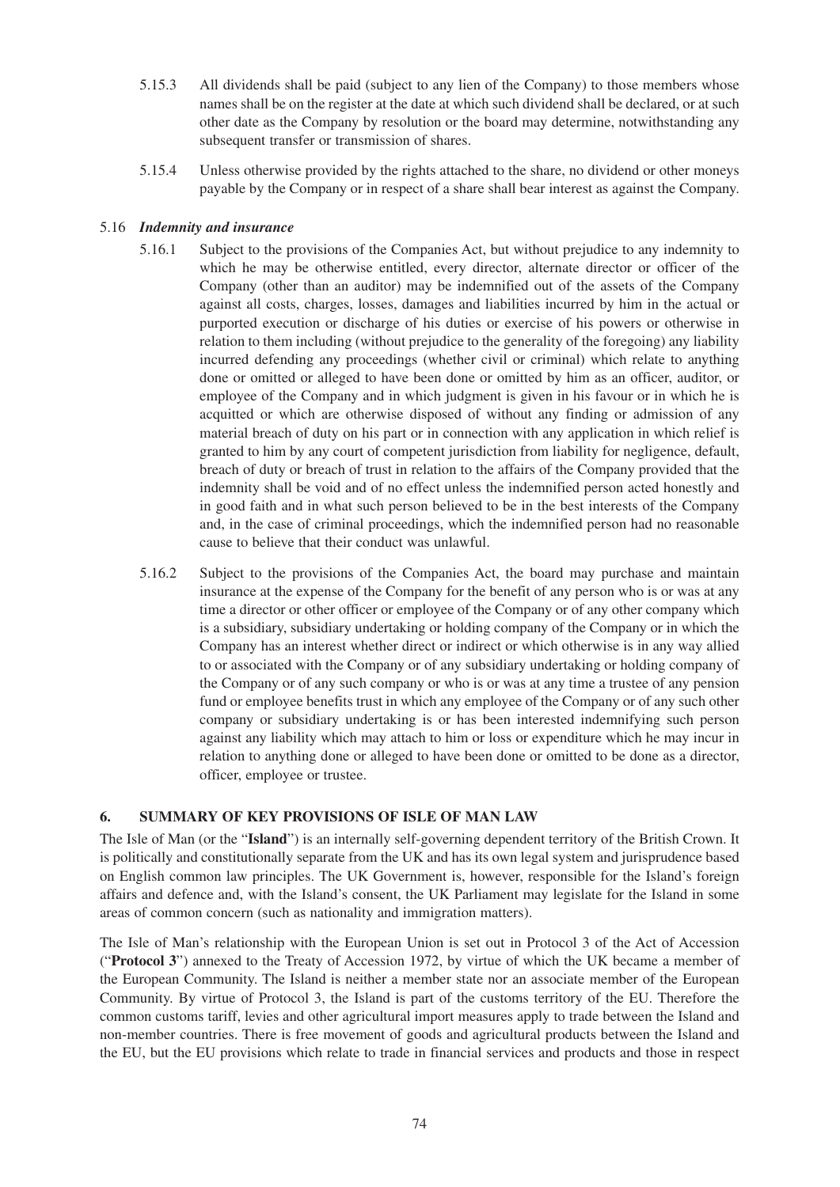- 5.15.3 All dividends shall be paid (subject to any lien of the Company) to those members whose names shall be on the register at the date at which such dividend shall be declared, or at such other date as the Company by resolution or the board may determine, notwithstanding any subsequent transfer or transmission of shares.
- 5.15.4 Unless otherwise provided by the rights attached to the share, no dividend or other moneys payable by the Company or in respect of a share shall bear interest as against the Company.

# 5.16 *Indemnity and insurance*

- 5.16.1 Subject to the provisions of the Companies Act, but without prejudice to any indemnity to which he may be otherwise entitled, every director, alternate director or officer of the Company (other than an auditor) may be indemnified out of the assets of the Company against all costs, charges, losses, damages and liabilities incurred by him in the actual or purported execution or discharge of his duties or exercise of his powers or otherwise in relation to them including (without prejudice to the generality of the foregoing) any liability incurred defending any proceedings (whether civil or criminal) which relate to anything done or omitted or alleged to have been done or omitted by him as an officer, auditor, or employee of the Company and in which judgment is given in his favour or in which he is acquitted or which are otherwise disposed of without any finding or admission of any material breach of duty on his part or in connection with any application in which relief is granted to him by any court of competent jurisdiction from liability for negligence, default, breach of duty or breach of trust in relation to the affairs of the Company provided that the indemnity shall be void and of no effect unless the indemnified person acted honestly and in good faith and in what such person believed to be in the best interests of the Company and, in the case of criminal proceedings, which the indemnified person had no reasonable cause to believe that their conduct was unlawful.
- 5.16.2 Subject to the provisions of the Companies Act, the board may purchase and maintain insurance at the expense of the Company for the benefit of any person who is or was at any time a director or other officer or employee of the Company or of any other company which is a subsidiary, subsidiary undertaking or holding company of the Company or in which the Company has an interest whether direct or indirect or which otherwise is in any way allied to or associated with the Company or of any subsidiary undertaking or holding company of the Company or of any such company or who is or was at any time a trustee of any pension fund or employee benefits trust in which any employee of the Company or of any such other company or subsidiary undertaking is or has been interested indemnifying such person against any liability which may attach to him or loss or expenditure which he may incur in relation to anything done or alleged to have been done or omitted to be done as a director, officer, employee or trustee.

# **6. SUMMARY OF KEY PROVISIONS OF ISLE OF MAN LAW**

The Isle of Man (or the "**Island**") is an internally self-governing dependent territory of the British Crown. It is politically and constitutionally separate from the UK and has its own legal system and jurisprudence based on English common law principles. The UK Government is, however, responsible for the Island's foreign affairs and defence and, with the Island's consent, the UK Parliament may legislate for the Island in some areas of common concern (such as nationality and immigration matters).

The Isle of Man's relationship with the European Union is set out in Protocol 3 of the Act of Accession ("**Protocol 3**") annexed to the Treaty of Accession 1972, by virtue of which the UK became a member of the European Community. The Island is neither a member state nor an associate member of the European Community. By virtue of Protocol 3, the Island is part of the customs territory of the EU. Therefore the common customs tariff, levies and other agricultural import measures apply to trade between the Island and non-member countries. There is free movement of goods and agricultural products between the Island and the EU, but the EU provisions which relate to trade in financial services and products and those in respect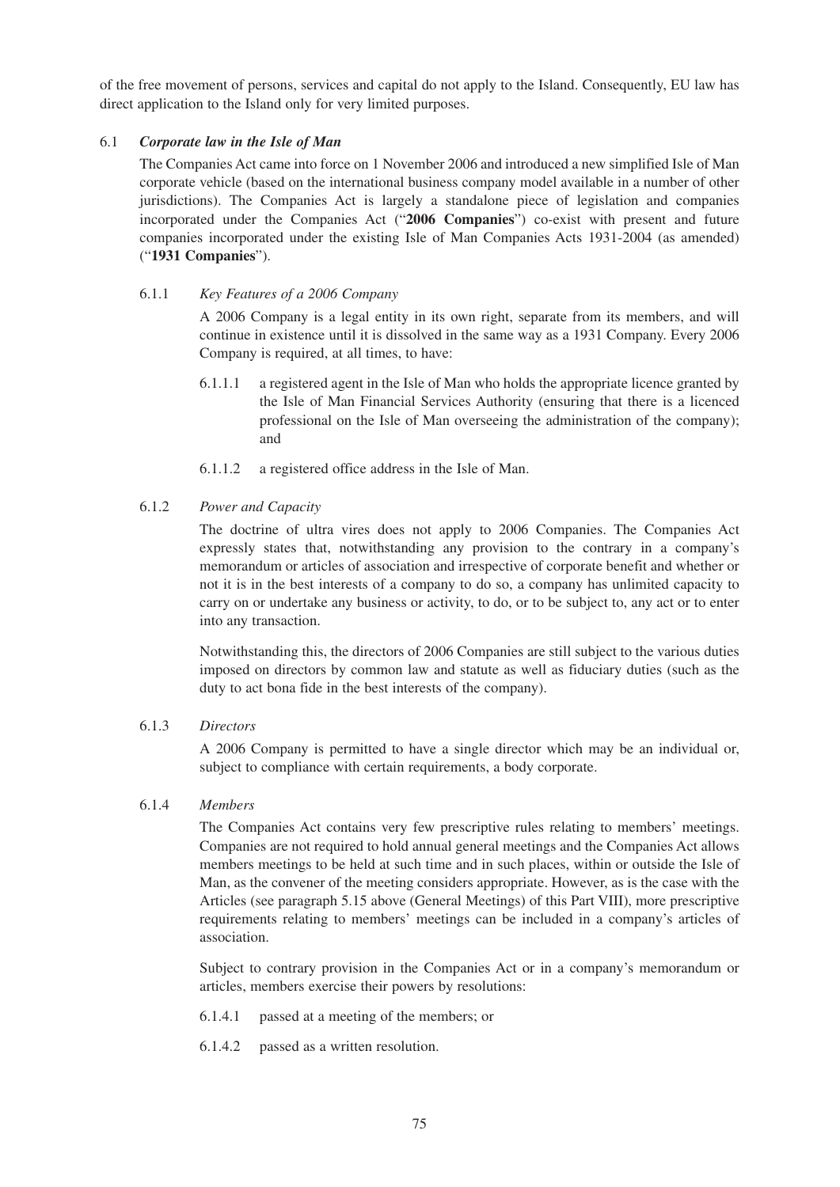of the free movement of persons, services and capital do not apply to the Island. Consequently, EU law has direct application to the Island only for very limited purposes.

# 6.1 *Corporate law in the Isle of Man*

The Companies Act came into force on 1 November 2006 and introduced a new simplified Isle of Man corporate vehicle (based on the international business company model available in a number of other jurisdictions). The Companies Act is largely a standalone piece of legislation and companies incorporated under the Companies Act ("**2006 Companies**") co-exist with present and future companies incorporated under the existing Isle of Man Companies Acts 1931-2004 (as amended) ("**1931 Companies**").

# 6.1.1 *Key Features of a 2006 Company*

A 2006 Company is a legal entity in its own right, separate from its members, and will continue in existence until it is dissolved in the same way as a 1931 Company. Every 2006 Company is required, at all times, to have:

- 6.1.1.1 a registered agent in the Isle of Man who holds the appropriate licence granted by the Isle of Man Financial Services Authority (ensuring that there is a licenced professional on the Isle of Man overseeing the administration of the company); and
- 6.1.1.2 a registered office address in the Isle of Man.

# 6.1.2 *Power and Capacity*

The doctrine of ultra vires does not apply to 2006 Companies. The Companies Act expressly states that, notwithstanding any provision to the contrary in a company's memorandum or articles of association and irrespective of corporate benefit and whether or not it is in the best interests of a company to do so, a company has unlimited capacity to carry on or undertake any business or activity, to do, or to be subject to, any act or to enter into any transaction.

Notwithstanding this, the directors of 2006 Companies are still subject to the various duties imposed on directors by common law and statute as well as fiduciary duties (such as the duty to act bona fide in the best interests of the company).

# 6.1.3 *Directors*

A 2006 Company is permitted to have a single director which may be an individual or, subject to compliance with certain requirements, a body corporate.

# 6.1.4 *Members*

The Companies Act contains very few prescriptive rules relating to members' meetings. Companies are not required to hold annual general meetings and the Companies Act allows members meetings to be held at such time and in such places, within or outside the Isle of Man, as the convener of the meeting considers appropriate. However, as is the case with the Articles (see paragraph 5.15 above (General Meetings) of this Part VIII), more prescriptive requirements relating to members' meetings can be included in a company's articles of association.

Subject to contrary provision in the Companies Act or in a company's memorandum or articles, members exercise their powers by resolutions:

- 6.1.4.1 passed at a meeting of the members; or
- 6.1.4.2 passed as a written resolution.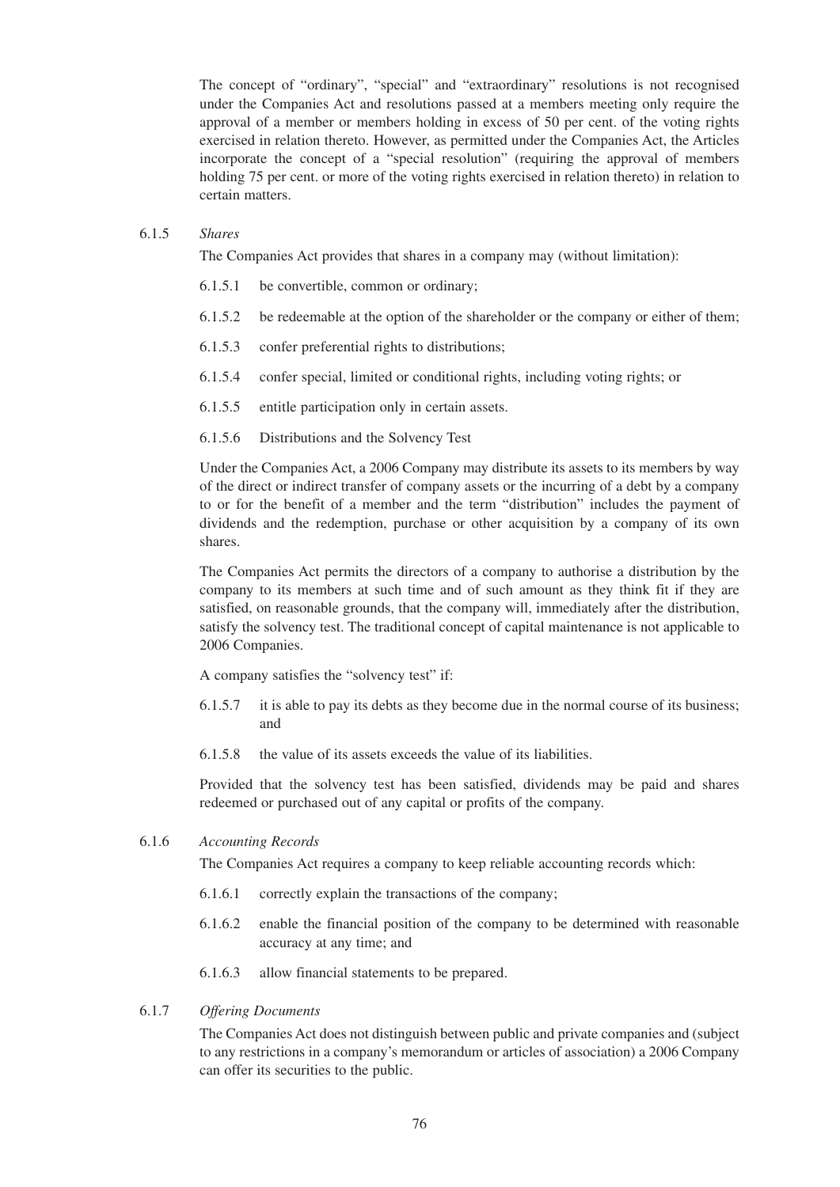The concept of "ordinary", "special" and "extraordinary" resolutions is not recognised under the Companies Act and resolutions passed at a members meeting only require the approval of a member or members holding in excess of 50 per cent. of the voting rights exercised in relation thereto. However, as permitted under the Companies Act, the Articles incorporate the concept of a "special resolution" (requiring the approval of members holding 75 per cent. or more of the voting rights exercised in relation thereto) in relation to certain matters.

#### 6.1.5 *Shares*

The Companies Act provides that shares in a company may (without limitation):

- 6.1.5.1 be convertible, common or ordinary;
- 6.1.5.2 be redeemable at the option of the shareholder or the company or either of them;
- 6.1.5.3 confer preferential rights to distributions;
- 6.1.5.4 confer special, limited or conditional rights, including voting rights; or
- 6.1.5.5 entitle participation only in certain assets.
- 6.1.5.6 Distributions and the Solvency Test

Under the Companies Act, a 2006 Company may distribute its assets to its members by way of the direct or indirect transfer of company assets or the incurring of a debt by a company to or for the benefit of a member and the term "distribution" includes the payment of dividends and the redemption, purchase or other acquisition by a company of its own shares.

The Companies Act permits the directors of a company to authorise a distribution by the company to its members at such time and of such amount as they think fit if they are satisfied, on reasonable grounds, that the company will, immediately after the distribution, satisfy the solvency test. The traditional concept of capital maintenance is not applicable to 2006 Companies.

A company satisfies the "solvency test" if:

- 6.1.5.7 it is able to pay its debts as they become due in the normal course of its business; and
- 6.1.5.8 the value of its assets exceeds the value of its liabilities.

Provided that the solvency test has been satisfied, dividends may be paid and shares redeemed or purchased out of any capital or profits of the company.

6.1.6 *Accounting Records*

The Companies Act requires a company to keep reliable accounting records which:

- 6.1.6.1 correctly explain the transactions of the company;
- 6.1.6.2 enable the financial position of the company to be determined with reasonable accuracy at any time; and
- 6.1.6.3 allow financial statements to be prepared.

#### 6.1.7 *Offering Documents*

The Companies Act does not distinguish between public and private companies and (subject to any restrictions in a company's memorandum or articles of association) a 2006 Company can offer its securities to the public.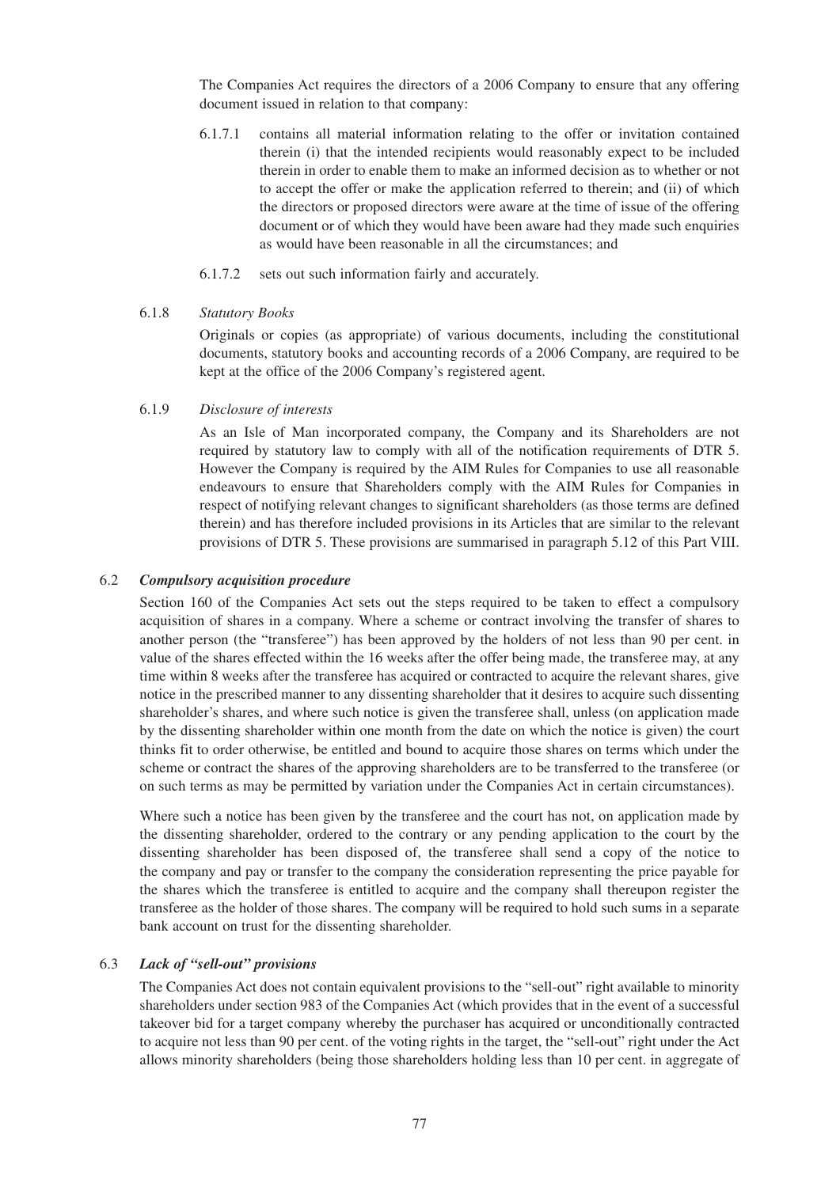The Companies Act requires the directors of a 2006 Company to ensure that any offering document issued in relation to that company:

- 6.1.7.1 contains all material information relating to the offer or invitation contained therein (i) that the intended recipients would reasonably expect to be included therein in order to enable them to make an informed decision as to whether or not to accept the offer or make the application referred to therein; and (ii) of which the directors or proposed directors were aware at the time of issue of the offering document or of which they would have been aware had they made such enquiries as would have been reasonable in all the circumstances; and
- 6.1.7.2 sets out such information fairly and accurately.
- 6.1.8 *Statutory Books*

Originals or copies (as appropriate) of various documents, including the constitutional documents, statutory books and accounting records of a 2006 Company, are required to be kept at the office of the 2006 Company's registered agent.

# 6.1.9 *Disclosure of interests*

As an Isle of Man incorporated company, the Company and its Shareholders are not required by statutory law to comply with all of the notification requirements of DTR 5. However the Company is required by the AIM Rules for Companies to use all reasonable endeavours to ensure that Shareholders comply with the AIM Rules for Companies in respect of notifying relevant changes to significant shareholders (as those terms are defined therein) and has therefore included provisions in its Articles that are similar to the relevant provisions of DTR 5. These provisions are summarised in paragraph 5.12 of this Part VIII.

# 6.2 *Compulsory acquisition procedure*

Section 160 of the Companies Act sets out the steps required to be taken to effect a compulsory acquisition of shares in a company. Where a scheme or contract involving the transfer of shares to another person (the "transferee") has been approved by the holders of not less than 90 per cent. in value of the shares effected within the 16 weeks after the offer being made, the transferee may, at any time within 8 weeks after the transferee has acquired or contracted to acquire the relevant shares, give notice in the prescribed manner to any dissenting shareholder that it desires to acquire such dissenting shareholder's shares, and where such notice is given the transferee shall, unless (on application made by the dissenting shareholder within one month from the date on which the notice is given) the court thinks fit to order otherwise, be entitled and bound to acquire those shares on terms which under the scheme or contract the shares of the approving shareholders are to be transferred to the transferee (or on such terms as may be permitted by variation under the Companies Act in certain circumstances).

Where such a notice has been given by the transferee and the court has not, on application made by the dissenting shareholder, ordered to the contrary or any pending application to the court by the dissenting shareholder has been disposed of, the transferee shall send a copy of the notice to the company and pay or transfer to the company the consideration representing the price payable for the shares which the transferee is entitled to acquire and the company shall thereupon register the transferee as the holder of those shares. The company will be required to hold such sums in a separate bank account on trust for the dissenting shareholder.

# 6.3 *Lack of "sell-out" provisions*

The Companies Act does not contain equivalent provisions to the "sell-out" right available to minority shareholders under section 983 of the Companies Act (which provides that in the event of a successful takeover bid for a target company whereby the purchaser has acquired or unconditionally contracted to acquire not less than 90 per cent. of the voting rights in the target, the "sell-out" right under the Act allows minority shareholders (being those shareholders holding less than 10 per cent. in aggregate of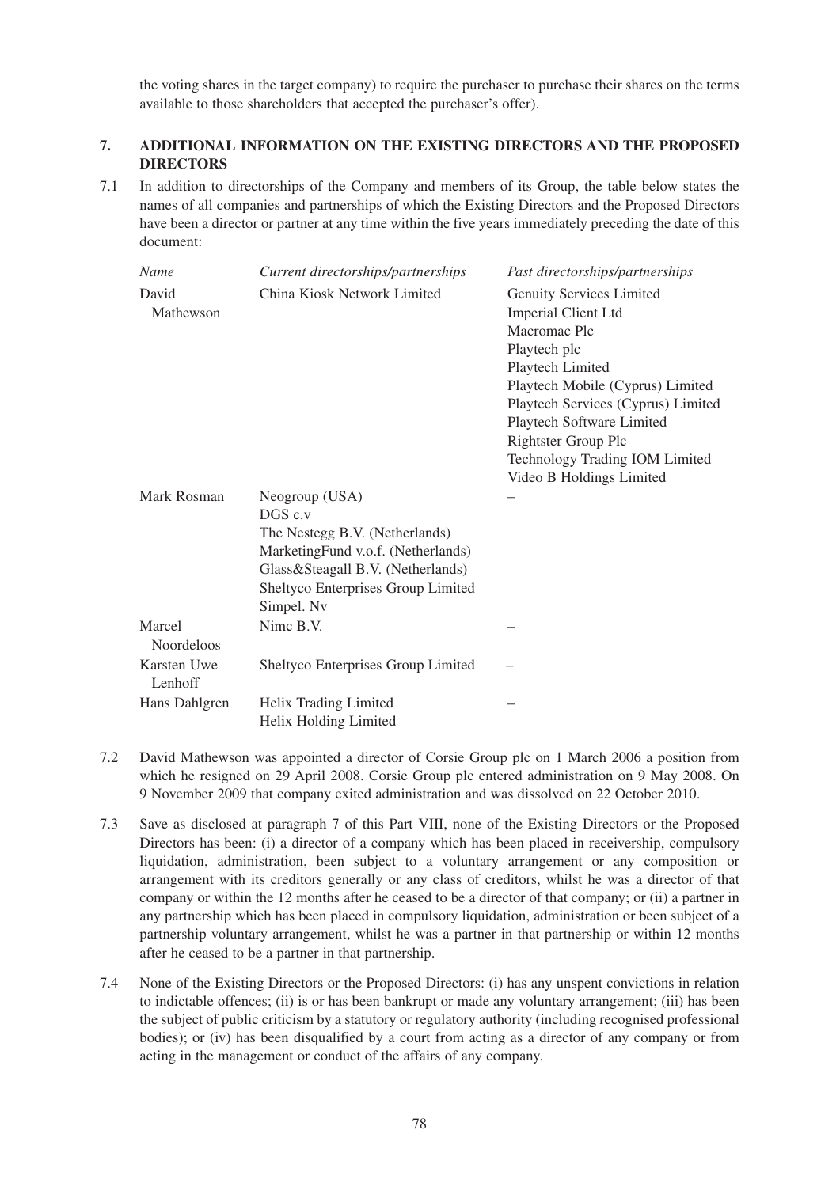the voting shares in the target company) to require the purchaser to purchase their shares on the terms available to those shareholders that accepted the purchaser's offer).

# **7. ADDITIONAL INFORMATION ON THE EXISTING DIRECTORS AND THE PROPOSED DIRECTORS**

7.1 In addition to directorships of the Company and members of its Group, the table below states the names of all companies and partnerships of which the Existing Directors and the Proposed Directors have been a director or partner at any time within the five years immediately preceding the date of this document:

| Name                        | Current directorships/partnerships                                                                                                                                                           | Past directorships/partnerships                                                                                                                                                                                                                                                                               |
|-----------------------------|----------------------------------------------------------------------------------------------------------------------------------------------------------------------------------------------|---------------------------------------------------------------------------------------------------------------------------------------------------------------------------------------------------------------------------------------------------------------------------------------------------------------|
| David<br>Mathewson          | China Kiosk Network Limited                                                                                                                                                                  | <b>Genuity Services Limited</b><br>Imperial Client Ltd<br>Macromac Plc<br>Playtech plc<br>Playtech Limited<br>Playtech Mobile (Cyprus) Limited<br>Playtech Services (Cyprus) Limited<br>Playtech Software Limited<br><b>Rightster Group Plc</b><br>Technology Trading IOM Limited<br>Video B Holdings Limited |
| Mark Rosman                 | Neogroup (USA)<br>$DGS$ c.v<br>The Nestegg B.V. (Netherlands)<br>MarketingFund v.o.f. (Netherlands)<br>Glass&Steagall B.V. (Netherlands)<br>Sheltyco Enterprises Group Limited<br>Simpel. Nv |                                                                                                                                                                                                                                                                                                               |
| Marcel<br><b>Noordeloos</b> | Nime B.V.                                                                                                                                                                                    |                                                                                                                                                                                                                                                                                                               |
| Karsten Uwe<br>Lenhoff      | Sheltyco Enterprises Group Limited                                                                                                                                                           |                                                                                                                                                                                                                                                                                                               |
| Hans Dahlgren               | Helix Trading Limited<br>Helix Holding Limited                                                                                                                                               |                                                                                                                                                                                                                                                                                                               |

- 7.2 David Mathewson was appointed a director of Corsie Group plc on 1 March 2006 a position from which he resigned on 29 April 2008. Corsie Group plc entered administration on 9 May 2008. On 9 November 2009 that company exited administration and was dissolved on 22 October 2010.
- 7.3 Save as disclosed at paragraph 7 of this Part VIII, none of the Existing Directors or the Proposed Directors has been: (i) a director of a company which has been placed in receivership, compulsory liquidation, administration, been subject to a voluntary arrangement or any composition or arrangement with its creditors generally or any class of creditors, whilst he was a director of that company or within the 12 months after he ceased to be a director of that company; or (ii) a partner in any partnership which has been placed in compulsory liquidation, administration or been subject of a partnership voluntary arrangement, whilst he was a partner in that partnership or within 12 months after he ceased to be a partner in that partnership.
- 7.4 None of the Existing Directors or the Proposed Directors: (i) has any unspent convictions in relation to indictable offences; (ii) is or has been bankrupt or made any voluntary arrangement; (iii) has been the subject of public criticism by a statutory or regulatory authority (including recognised professional bodies); or (iv) has been disqualified by a court from acting as a director of any company or from acting in the management or conduct of the affairs of any company.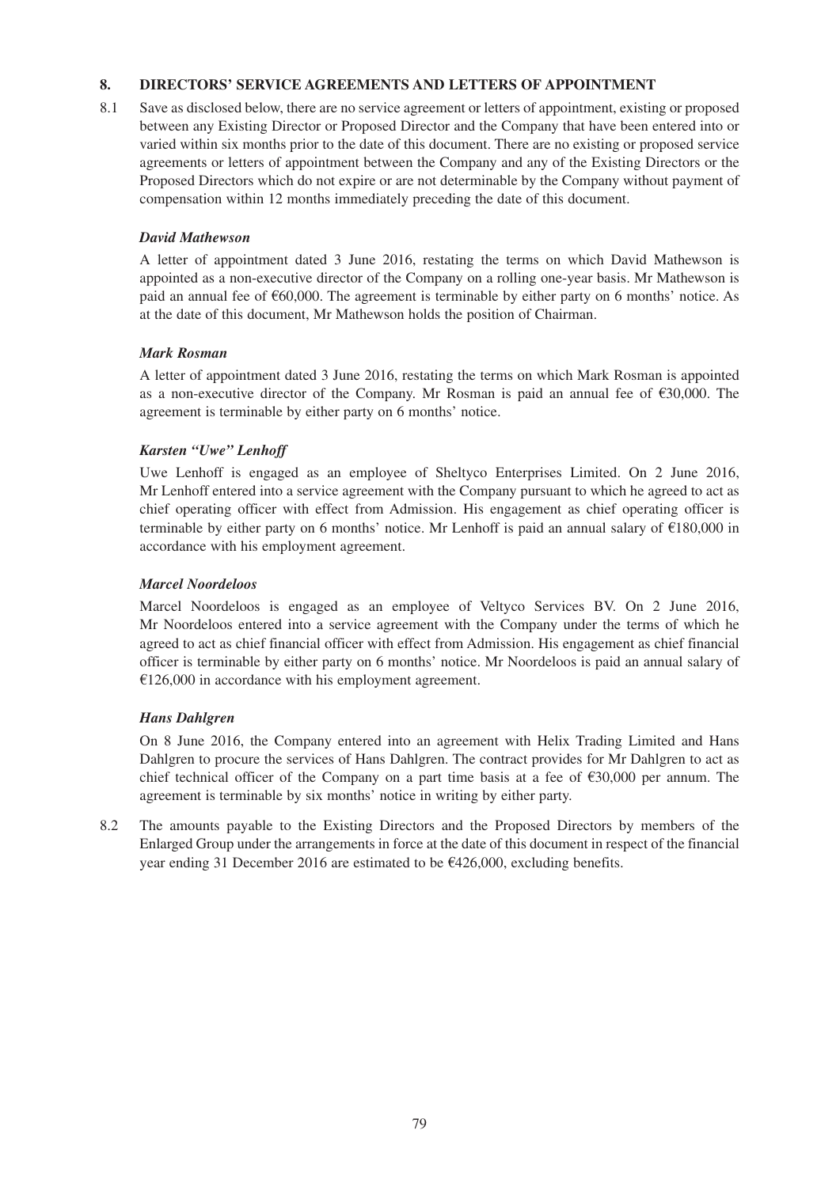## **8. DIRECTORS' SERVICE AGREEMENTS AND LETTERS OF APPOINTMENT**

8.1 Save as disclosed below, there are no service agreement or letters of appointment, existing or proposed between any Existing Director or Proposed Director and the Company that have been entered into or varied within six months prior to the date of this document. There are no existing or proposed service agreements or letters of appointment between the Company and any of the Existing Directors or the Proposed Directors which do not expire or are not determinable by the Company without payment of compensation within 12 months immediately preceding the date of this document.

#### *David Mathewson*

A letter of appointment dated 3 June 2016, restating the terms on which David Mathewson is appointed as a non-executive director of the Company on a rolling one-year basis. Mr Mathewson is paid an annual fee of €60,000. The agreement is terminable by either party on 6 months' notice. As at the date of this document, Mr Mathewson holds the position of Chairman.

#### *Mark Rosman*

A letter of appointment dated 3 June 2016, restating the terms on which Mark Rosman is appointed as a non-executive director of the Company. Mr Rosman is paid an annual fee of €30,000. The agreement is terminable by either party on 6 months' notice.

#### *Karsten "Uwe" Lenhoff*

Uwe Lenhoff is engaged as an employee of Sheltyco Enterprises Limited. On 2 June 2016, Mr Lenhoff entered into a service agreement with the Company pursuant to which he agreed to act as chief operating officer with effect from Admission. His engagement as chief operating officer is terminable by either party on 6 months' notice. Mr Lenhoff is paid an annual salary of €180,000 in accordance with his employment agreement.

#### *Marcel Noordeloos*

Marcel Noordeloos is engaged as an employee of Veltyco Services BV. On 2 June 2016, Mr Noordeloos entered into a service agreement with the Company under the terms of which he agreed to act as chief financial officer with effect from Admission. His engagement as chief financial officer is terminable by either party on 6 months' notice. Mr Noordeloos is paid an annual salary of €126,000 in accordance with his employment agreement.

## *Hans Dahlgren*

On 8 June 2016, the Company entered into an agreement with Helix Trading Limited and Hans Dahlgren to procure the services of Hans Dahlgren. The contract provides for Mr Dahlgren to act as chief technical officer of the Company on a part time basis at a fee of  $\epsilon$ 30,000 per annum. The agreement is terminable by six months' notice in writing by either party.

8.2 The amounts payable to the Existing Directors and the Proposed Directors by members of the Enlarged Group under the arrangements in force at the date of this document in respect of the financial year ending 31 December 2016 are estimated to be €426,000, excluding benefits.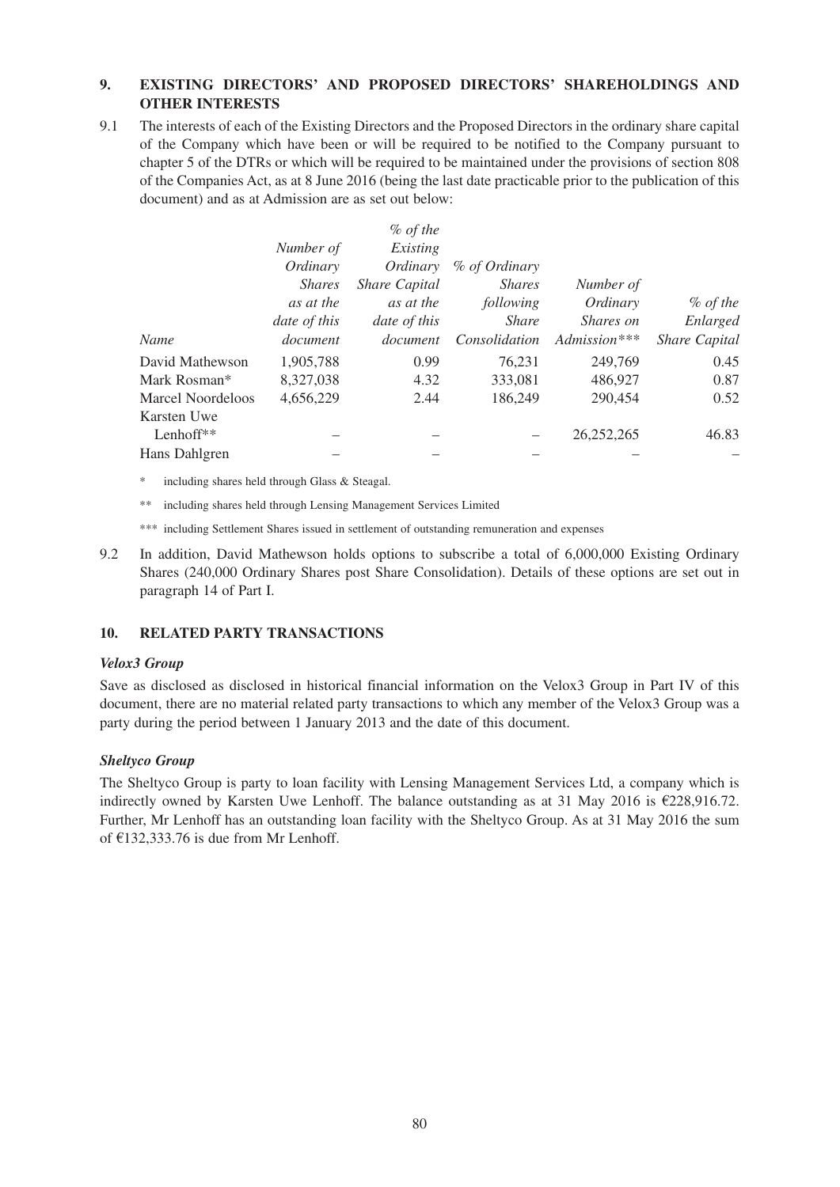# **9. EXISTING DIRECTORS' AND PROPOSED DIRECTORS' SHAREHOLDINGS AND OTHER INTERESTS**

9.1 The interests of each of the Existing Directors and the Proposed Directors in the ordinary share capital of the Company which have been or will be required to be notified to the Company pursuant to chapter 5 of the DTRs or which will be required to be maintained under the provisions of section 808 of the Companies Act, as at 8 June 2016 (being the last date practicable prior to the publication of this document) and as at Admission are as set out below:

|                          |                     | $%$ of the          |               |                |               |
|--------------------------|---------------------|---------------------|---------------|----------------|---------------|
|                          | Number of           | Existing            |               |                |               |
|                          | Ordinary            | Ordinary            | % of Ordinary |                |               |
|                          | <i>Shares</i>       | Share Capital       | <i>Shares</i> | Number of      |               |
|                          | as at the           | as at the           | following     | Ordinary       | $%$ of the    |
|                          | <i>date of this</i> | <i>date of this</i> | <b>Share</b>  | Shares on      | Enlarged      |
| Name                     | document            | document            | Consolidation | $Admission***$ | Share Capital |
| David Mathewson          | 1,905,788           | 0.99                | 76,231        | 249,769        | 0.45          |
| Mark Rosman*             | 8,327,038           | 4.32                | 333.081       | 486,927        | 0.87          |
| <b>Marcel Noordeloos</b> | 4,656,229           | 2.44                | 186,249       | 290,454        | 0.52          |
| Karsten Uwe              |                     |                     |               |                |               |
| Lenhoff**                |                     |                     |               | 26, 252, 265   | 46.83         |
| Hans Dahlgren            |                     |                     |               |                |               |

- including shares held through Glass & Steagal.
- \*\* including shares held through Lensing Management Services Limited
- \*\*\* including Settlement Shares issued in settlement of outstanding remuneration and expenses
- 9.2 In addition, David Mathewson holds options to subscribe a total of 6,000,000 Existing Ordinary Shares (240,000 Ordinary Shares post Share Consolidation). Details of these options are set out in paragraph 14 of Part I.

#### **10. RELATED PARTY TRANSACTIONS**

#### *Velox3 Group*

Save as disclosed as disclosed in historical financial information on the Velox3 Group in Part IV of this document, there are no material related party transactions to which any member of the Velox3 Group was a party during the period between 1 January 2013 and the date of this document.

#### *Sheltyco Group*

The Sheltyco Group is party to loan facility with Lensing Management Services Ltd, a company which is indirectly owned by Karsten Uwe Lenhoff. The balance outstanding as at 31 May 2016 is  $\epsilon$ 228,916.72. Further, Mr Lenhoff has an outstanding loan facility with the Sheltyco Group. As at 31 May 2016 the sum of €132,333.76 is due from Mr Lenhoff.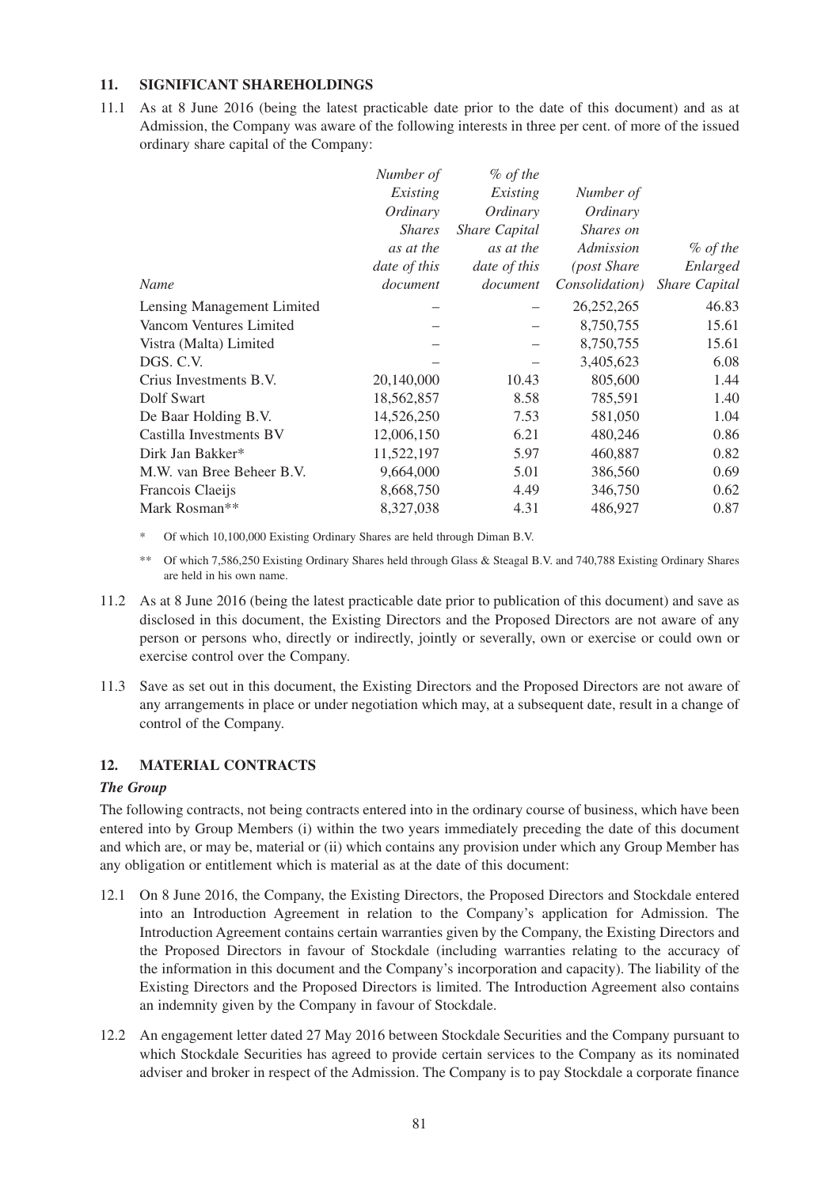# **11. SIGNIFICANT SHAREHOLDINGS**

11.1 As at 8 June 2016 (being the latest practicable date prior to the date of this document) and as at Admission, the Company was aware of the following interests in three per cent. of more of the issued ordinary share capital of the Company:

|                            | Number of     | $\%$ of the          |                     |               |
|----------------------------|---------------|----------------------|---------------------|---------------|
|                            | Existing      | Existing             | Number of           |               |
|                            | Ordinary      | Ordinary             | Ordinary            |               |
|                            | <i>Shares</i> | <b>Share Capital</b> | Shares on           |               |
|                            | as at the     | as at the            | Admission           | $\%$ of the   |
|                            | date of this  | date of this         | <i>(post Share)</i> | Enlarged      |
| Name                       | document      | document             | Consolidation)      | Share Capital |
| Lensing Management Limited |               |                      | 26, 252, 265        | 46.83         |
| Vancom Ventures Limited    |               |                      | 8,750,755           | 15.61         |
| Vistra (Malta) Limited     |               |                      | 8,750,755           | 15.61         |
| DGS. C.V.                  |               |                      | 3,405,623           | 6.08          |
| Crius Investments B.V.     | 20,140,000    | 10.43                | 805,600             | 1.44          |
| Dolf Swart                 | 18,562,857    | 8.58                 | 785,591             | 1.40          |
| De Baar Holding B.V.       | 14,526,250    | 7.53                 | 581,050             | 1.04          |
| Castilla Investments BV    | 12,006,150    | 6.21                 | 480,246             | 0.86          |
| Dirk Jan Bakker*           | 11,522,197    | 5.97                 | 460,887             | 0.82          |
| M.W. van Bree Beheer B.V.  | 9,664,000     | 5.01                 | 386,560             | 0.69          |
| Francois Claeijs           | 8,668,750     | 4.49                 | 346,750             | 0.62          |
| Mark Rosman**              | 8,327,038     | 4.31                 | 486,927             | 0.87          |

Of which 10,100,000 Existing Ordinary Shares are held through Diman B.V.

\*\* Of which 7,586,250 Existing Ordinary Shares held through Glass & Steagal B.V. and 740,788 Existing Ordinary Shares are held in his own name.

- 11.2 As at 8 June 2016 (being the latest practicable date prior to publication of this document) and save as disclosed in this document, the Existing Directors and the Proposed Directors are not aware of any person or persons who, directly or indirectly, jointly or severally, own or exercise or could own or exercise control over the Company.
- 11.3 Save as set out in this document, the Existing Directors and the Proposed Directors are not aware of any arrangements in place or under negotiation which may, at a subsequent date, result in a change of control of the Company.

# **12. MATERIAL CONTRACTS**

## *The Group*

The following contracts, not being contracts entered into in the ordinary course of business, which have been entered into by Group Members (i) within the two years immediately preceding the date of this document and which are, or may be, material or (ii) which contains any provision under which any Group Member has any obligation or entitlement which is material as at the date of this document:

- 12.1 On 8 June 2016, the Company, the Existing Directors, the Proposed Directors and Stockdale entered into an Introduction Agreement in relation to the Company's application for Admission. The Introduction Agreement contains certain warranties given by the Company, the Existing Directors and the Proposed Directors in favour of Stockdale (including warranties relating to the accuracy of the information in this document and the Company's incorporation and capacity). The liability of the Existing Directors and the Proposed Directors is limited. The Introduction Agreement also contains an indemnity given by the Company in favour of Stockdale.
- 12.2 An engagement letter dated 27 May 2016 between Stockdale Securities and the Company pursuant to which Stockdale Securities has agreed to provide certain services to the Company as its nominated adviser and broker in respect of the Admission. The Company is to pay Stockdale a corporate finance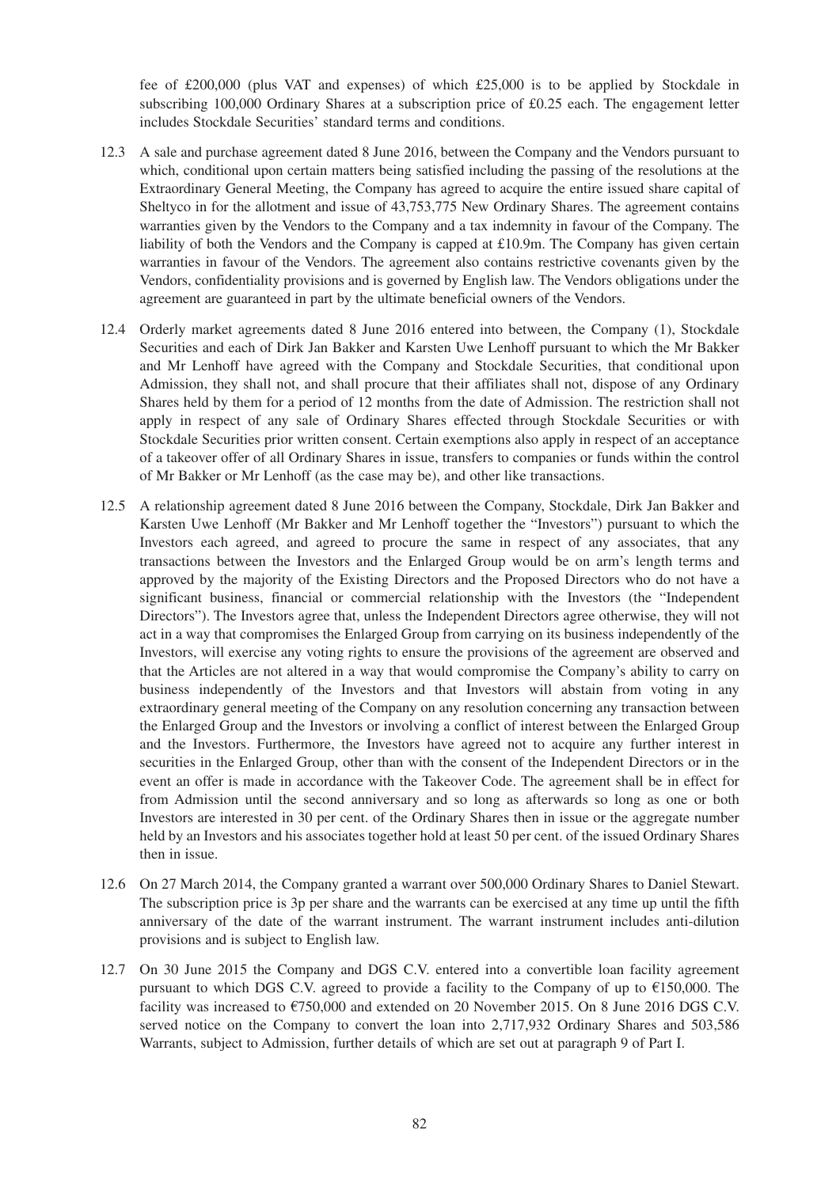fee of £200,000 (plus VAT and expenses) of which £25,000 is to be applied by Stockdale in subscribing 100,000 Ordinary Shares at a subscription price of £0.25 each. The engagement letter includes Stockdale Securities' standard terms and conditions.

- 12.3 A sale and purchase agreement dated 8 June 2016, between the Company and the Vendors pursuant to which, conditional upon certain matters being satisfied including the passing of the resolutions at the Extraordinary General Meeting, the Company has agreed to acquire the entire issued share capital of Sheltyco in for the allotment and issue of 43,753,775 New Ordinary Shares. The agreement contains warranties given by the Vendors to the Company and a tax indemnity in favour of the Company. The liability of both the Vendors and the Company is capped at £10.9m. The Company has given certain warranties in favour of the Vendors. The agreement also contains restrictive covenants given by the Vendors, confidentiality provisions and is governed by English law. The Vendors obligations under the agreement are guaranteed in part by the ultimate beneficial owners of the Vendors.
- 12.4 Orderly market agreements dated 8 June 2016 entered into between, the Company (1), Stockdale Securities and each of Dirk Jan Bakker and Karsten Uwe Lenhoff pursuant to which the Mr Bakker and Mr Lenhoff have agreed with the Company and Stockdale Securities, that conditional upon Admission, they shall not, and shall procure that their affiliates shall not, dispose of any Ordinary Shares held by them for a period of 12 months from the date of Admission. The restriction shall not apply in respect of any sale of Ordinary Shares effected through Stockdale Securities or with Stockdale Securities prior written consent. Certain exemptions also apply in respect of an acceptance of a takeover offer of all Ordinary Shares in issue, transfers to companies or funds within the control of Mr Bakker or Mr Lenhoff (as the case may be), and other like transactions.
- 12.5 A relationship agreement dated 8 June 2016 between the Company, Stockdale, Dirk Jan Bakker and Karsten Uwe Lenhoff (Mr Bakker and Mr Lenhoff together the "Investors") pursuant to which the Investors each agreed, and agreed to procure the same in respect of any associates, that any transactions between the Investors and the Enlarged Group would be on arm's length terms and approved by the majority of the Existing Directors and the Proposed Directors who do not have a significant business, financial or commercial relationship with the Investors (the "Independent Directors"). The Investors agree that, unless the Independent Directors agree otherwise, they will not act in a way that compromises the Enlarged Group from carrying on its business independently of the Investors, will exercise any voting rights to ensure the provisions of the agreement are observed and that the Articles are not altered in a way that would compromise the Company's ability to carry on business independently of the Investors and that Investors will abstain from voting in any extraordinary general meeting of the Company on any resolution concerning any transaction between the Enlarged Group and the Investors or involving a conflict of interest between the Enlarged Group and the Investors. Furthermore, the Investors have agreed not to acquire any further interest in securities in the Enlarged Group, other than with the consent of the Independent Directors or in the event an offer is made in accordance with the Takeover Code. The agreement shall be in effect for from Admission until the second anniversary and so long as afterwards so long as one or both Investors are interested in 30 per cent. of the Ordinary Shares then in issue or the aggregate number held by an Investors and his associates together hold at least 50 per cent. of the issued Ordinary Shares then in issue.
- 12.6 On 27 March 2014, the Company granted a warrant over 500,000 Ordinary Shares to Daniel Stewart. The subscription price is 3p per share and the warrants can be exercised at any time up until the fifth anniversary of the date of the warrant instrument. The warrant instrument includes anti-dilution provisions and is subject to English law.
- 12.7 On 30 June 2015 the Company and DGS C.V. entered into a convertible loan facility agreement pursuant to which DGS C.V. agreed to provide a facility to the Company of up to  $\text{\textsterling}150,000$ . The facility was increased to €750,000 and extended on 20 November 2015. On 8 June 2016 DGS C.V. served notice on the Company to convert the loan into 2,717,932 Ordinary Shares and 503,586 Warrants, subject to Admission, further details of which are set out at paragraph 9 of Part I.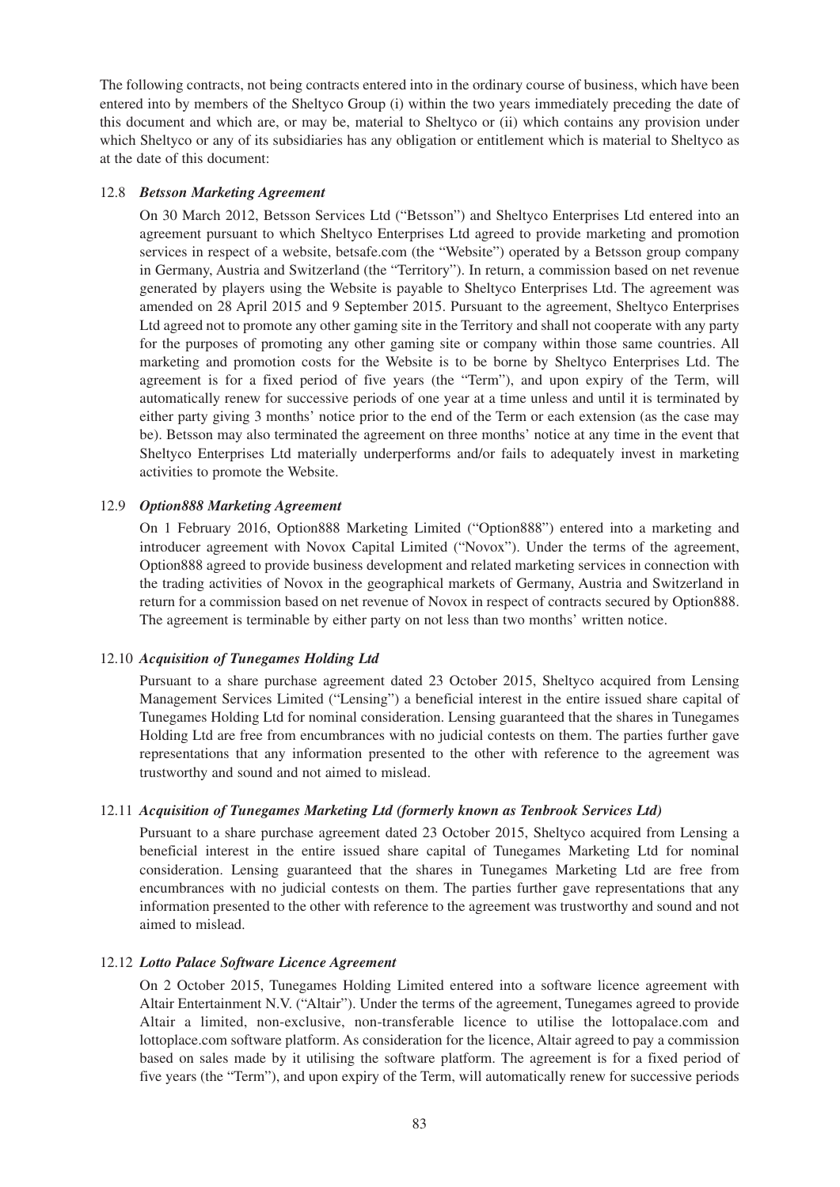The following contracts, not being contracts entered into in the ordinary course of business, which have been entered into by members of the Sheltyco Group (i) within the two years immediately preceding the date of this document and which are, or may be, material to Sheltyco or (ii) which contains any provision under which Sheltyco or any of its subsidiaries has any obligation or entitlement which is material to Sheltyco as at the date of this document:

#### 12.8 *Betsson Marketing Agreement*

On 30 March 2012, Betsson Services Ltd ("Betsson") and Sheltyco Enterprises Ltd entered into an agreement pursuant to which Sheltyco Enterprises Ltd agreed to provide marketing and promotion services in respect of a website, betsafe.com (the "Website") operated by a Betsson group company in Germany, Austria and Switzerland (the "Territory"). In return, a commission based on net revenue generated by players using the Website is payable to Sheltyco Enterprises Ltd. The agreement was amended on 28 April 2015 and 9 September 2015. Pursuant to the agreement, Sheltyco Enterprises Ltd agreed not to promote any other gaming site in the Territory and shall not cooperate with any party for the purposes of promoting any other gaming site or company within those same countries. All marketing and promotion costs for the Website is to be borne by Sheltyco Enterprises Ltd. The agreement is for a fixed period of five years (the "Term"), and upon expiry of the Term, will automatically renew for successive periods of one year at a time unless and until it is terminated by either party giving 3 months' notice prior to the end of the Term or each extension (as the case may be). Betsson may also terminated the agreement on three months' notice at any time in the event that Sheltyco Enterprises Ltd materially underperforms and/or fails to adequately invest in marketing activities to promote the Website.

## 12.9 *Option888 Marketing Agreement*

On 1 February 2016, Option888 Marketing Limited ("Option888") entered into a marketing and introducer agreement with Novox Capital Limited ("Novox"). Under the terms of the agreement, Option888 agreed to provide business development and related marketing services in connection with the trading activities of Novox in the geographical markets of Germany, Austria and Switzerland in return for a commission based on net revenue of Novox in respect of contracts secured by Option888. The agreement is terminable by either party on not less than two months' written notice.

# 12.10 *Acquisition of Tunegames Holding Ltd*

Pursuant to a share purchase agreement dated 23 October 2015, Sheltyco acquired from Lensing Management Services Limited ("Lensing") a beneficial interest in the entire issued share capital of Tunegames Holding Ltd for nominal consideration. Lensing guaranteed that the shares in Tunegames Holding Ltd are free from encumbrances with no judicial contests on them. The parties further gave representations that any information presented to the other with reference to the agreement was trustworthy and sound and not aimed to mislead.

## 12.11 *Acquisition of Tunegames Marketing Ltd (formerly known as Tenbrook Services Ltd)*

Pursuant to a share purchase agreement dated 23 October 2015, Sheltyco acquired from Lensing a beneficial interest in the entire issued share capital of Tunegames Marketing Ltd for nominal consideration. Lensing guaranteed that the shares in Tunegames Marketing Ltd are free from encumbrances with no judicial contests on them. The parties further gave representations that any information presented to the other with reference to the agreement was trustworthy and sound and not aimed to mislead.

#### 12.12 *Lotto Palace Software Licence Agreement*

On 2 October 2015, Tunegames Holding Limited entered into a software licence agreement with Altair Entertainment N.V. ("Altair"). Under the terms of the agreement, Tunegames agreed to provide Altair a limited, non-exclusive, non-transferable licence to utilise the lottopalace.com and lottoplace.com software platform. As consideration for the licence, Altair agreed to pay a commission based on sales made by it utilising the software platform. The agreement is for a fixed period of five years (the "Term"), and upon expiry of the Term, will automatically renew for successive periods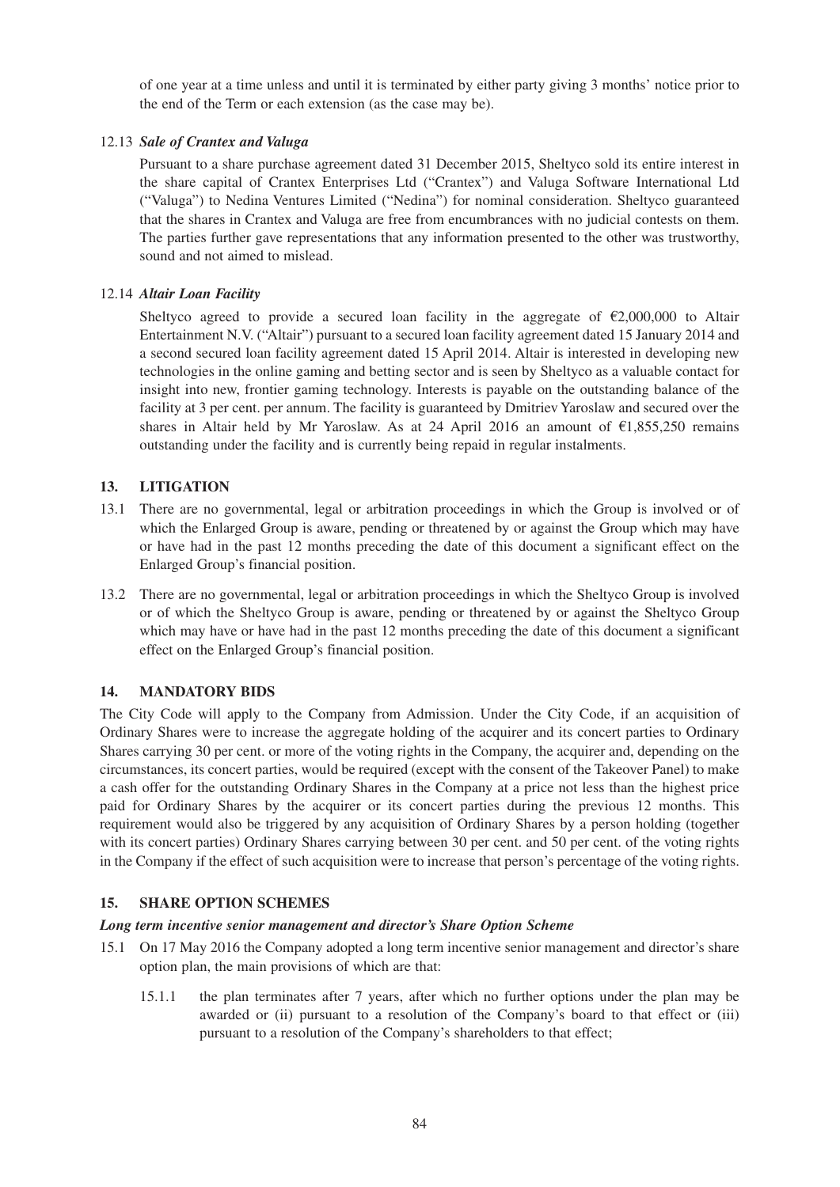of one year at a time unless and until it is terminated by either party giving 3 months' notice prior to the end of the Term or each extension (as the case may be).

# 12.13 *Sale of Crantex and Valuga*

Pursuant to a share purchase agreement dated 31 December 2015, Sheltyco sold its entire interest in the share capital of Crantex Enterprises Ltd ("Crantex") and Valuga Software International Ltd ("Valuga") to Nedina Ventures Limited ("Nedina") for nominal consideration. Sheltyco guaranteed that the shares in Crantex and Valuga are free from encumbrances with no judicial contests on them. The parties further gave representations that any information presented to the other was trustworthy, sound and not aimed to mislead.

# 12.14 *Altair Loan Facility*

Sheltyco agreed to provide a secured loan facility in the aggregate of  $\epsilon$ 2,000,000 to Altair Entertainment N.V. ("Altair") pursuant to a secured loan facility agreement dated 15 January 2014 and a second secured loan facility agreement dated 15 April 2014. Altair is interested in developing new technologies in the online gaming and betting sector and is seen by Sheltyco as a valuable contact for insight into new, frontier gaming technology. Interests is payable on the outstanding balance of the facility at 3 per cent. per annum. The facility is guaranteed by Dmitriev Yaroslaw and secured over the shares in Altair held by Mr Yaroslaw. As at 24 April 2016 an amount of  $\epsilon$ 1,855,250 remains outstanding under the facility and is currently being repaid in regular instalments.

# **13. LITIGATION**

- 13.1 There are no governmental, legal or arbitration proceedings in which the Group is involved or of which the Enlarged Group is aware, pending or threatened by or against the Group which may have or have had in the past 12 months preceding the date of this document a significant effect on the Enlarged Group's financial position.
- 13.2 There are no governmental, legal or arbitration proceedings in which the Sheltyco Group is involved or of which the Sheltyco Group is aware, pending or threatened by or against the Sheltyco Group which may have or have had in the past 12 months preceding the date of this document a significant effect on the Enlarged Group's financial position.

## **14. MANDATORY BIDS**

The City Code will apply to the Company from Admission. Under the City Code, if an acquisition of Ordinary Shares were to increase the aggregate holding of the acquirer and its concert parties to Ordinary Shares carrying 30 per cent. or more of the voting rights in the Company, the acquirer and, depending on the circumstances, its concert parties, would be required (except with the consent of the Takeover Panel) to make a cash offer for the outstanding Ordinary Shares in the Company at a price not less than the highest price paid for Ordinary Shares by the acquirer or its concert parties during the previous 12 months. This requirement would also be triggered by any acquisition of Ordinary Shares by a person holding (together with its concert parties) Ordinary Shares carrying between 30 per cent. and 50 per cent. of the voting rights in the Company if the effect of such acquisition were to increase that person's percentage of the voting rights.

## **15. SHARE OPTION SCHEMES**

## *Long term incentive senior management and director's Share Option Scheme*

- 15.1 On 17 May 2016 the Company adopted a long term incentive senior management and director's share option plan, the main provisions of which are that:
	- 15.1.1 the plan terminates after 7 years, after which no further options under the plan may be awarded or (ii) pursuant to a resolution of the Company's board to that effect or (iii) pursuant to a resolution of the Company's shareholders to that effect;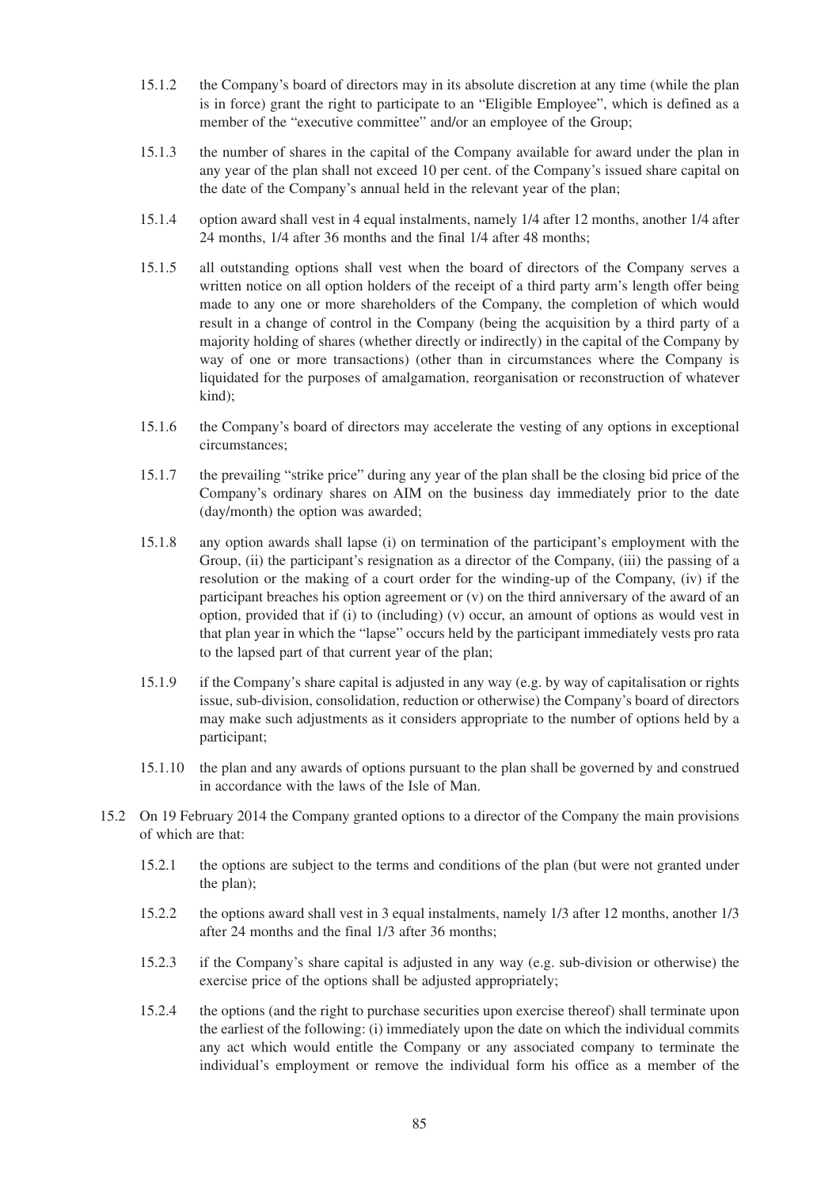- 15.1.2 the Company's board of directors may in its absolute discretion at any time (while the plan is in force) grant the right to participate to an "Eligible Employee", which is defined as a member of the "executive committee" and/or an employee of the Group;
- 15.1.3 the number of shares in the capital of the Company available for award under the plan in any year of the plan shall not exceed 10 per cent. of the Company's issued share capital on the date of the Company's annual held in the relevant year of the plan;
- 15.1.4 option award shall vest in 4 equal instalments, namely 1/4 after 12 months, another 1/4 after 24 months, 1/4 after 36 months and the final 1/4 after 48 months;
- 15.1.5 all outstanding options shall vest when the board of directors of the Company serves a written notice on all option holders of the receipt of a third party arm's length offer being made to any one or more shareholders of the Company, the completion of which would result in a change of control in the Company (being the acquisition by a third party of a majority holding of shares (whether directly or indirectly) in the capital of the Company by way of one or more transactions) (other than in circumstances where the Company is liquidated for the purposes of amalgamation, reorganisation or reconstruction of whatever kind);
- 15.1.6 the Company's board of directors may accelerate the vesting of any options in exceptional circumstances;
- 15.1.7 the prevailing "strike price" during any year of the plan shall be the closing bid price of the Company's ordinary shares on AIM on the business day immediately prior to the date (day/month) the option was awarded;
- 15.1.8 any option awards shall lapse (i) on termination of the participant's employment with the Group, (ii) the participant's resignation as a director of the Company, (iii) the passing of a resolution or the making of a court order for the winding-up of the Company, (iv) if the participant breaches his option agreement or (v) on the third anniversary of the award of an option, provided that if (i) to (including) (v) occur, an amount of options as would vest in that plan year in which the "lapse" occurs held by the participant immediately vests pro rata to the lapsed part of that current year of the plan;
- 15.1.9 if the Company's share capital is adjusted in any way (e.g. by way of capitalisation or rights issue, sub-division, consolidation, reduction or otherwise) the Company's board of directors may make such adjustments as it considers appropriate to the number of options held by a participant;
- 15.1.10 the plan and any awards of options pursuant to the plan shall be governed by and construed in accordance with the laws of the Isle of Man.
- 15.2 On 19 February 2014 the Company granted options to a director of the Company the main provisions of which are that:
	- 15.2.1 the options are subject to the terms and conditions of the plan (but were not granted under the plan);
	- 15.2.2 the options award shall vest in 3 equal instalments, namely 1/3 after 12 months, another 1/3 after 24 months and the final 1/3 after 36 months;
	- 15.2.3 if the Company's share capital is adjusted in any way (e.g. sub-division or otherwise) the exercise price of the options shall be adjusted appropriately;
	- 15.2.4 the options (and the right to purchase securities upon exercise thereof) shall terminate upon the earliest of the following: (i) immediately upon the date on which the individual commits any act which would entitle the Company or any associated company to terminate the individual's employment or remove the individual form his office as a member of the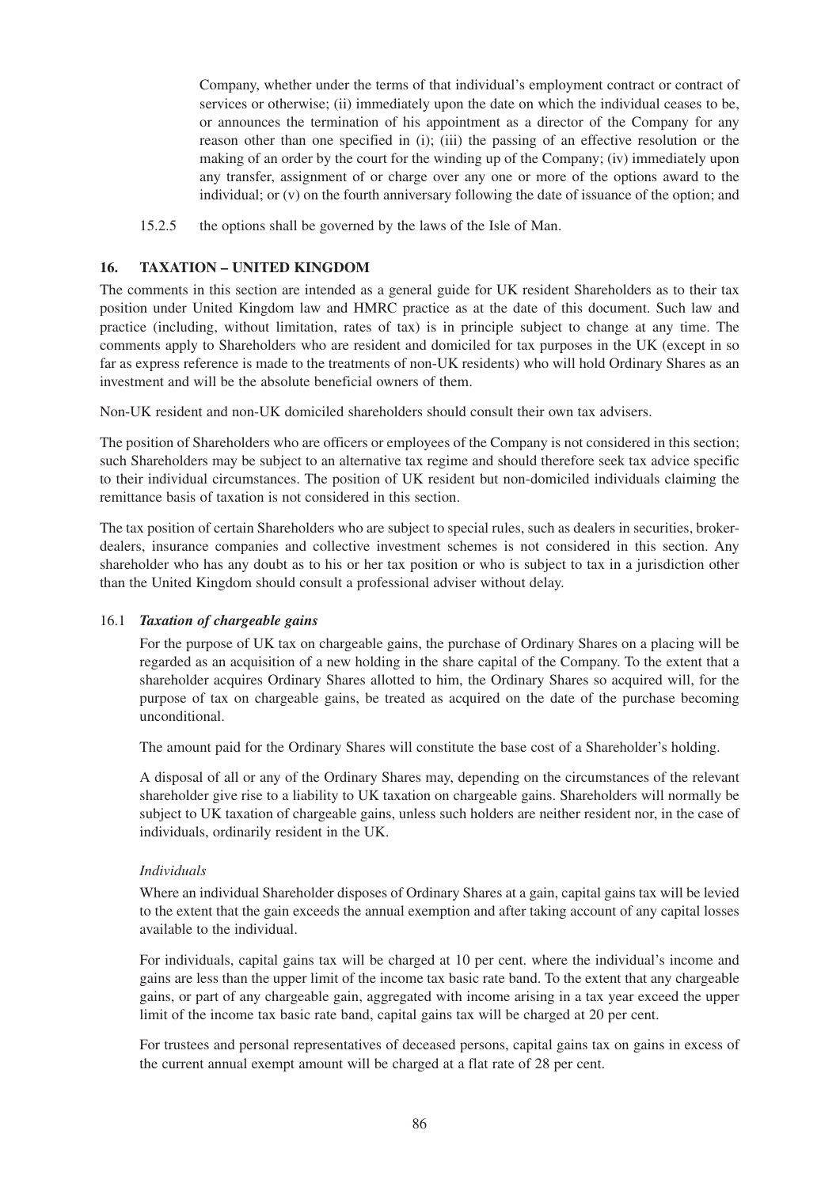Company, whether under the terms of that individual's employment contract or contract of services or otherwise; (ii) immediately upon the date on which the individual ceases to be, or announces the termination of his appointment as a director of the Company for any reason other than one specified in (i); (iii) the passing of an effective resolution or the making of an order by the court for the winding up of the Company; (iv) immediately upon any transfer, assignment of or charge over any one or more of the options award to the individual; or (v) on the fourth anniversary following the date of issuance of the option; and

15.2.5 the options shall be governed by the laws of the Isle of Man.

# **16. TAXATION – UNITED KINGDOM**

The comments in this section are intended as a general guide for UK resident Shareholders as to their tax position under United Kingdom law and HMRC practice as at the date of this document. Such law and practice (including, without limitation, rates of tax) is in principle subject to change at any time. The comments apply to Shareholders who are resident and domiciled for tax purposes in the UK (except in so far as express reference is made to the treatments of non-UK residents) who will hold Ordinary Shares as an investment and will be the absolute beneficial owners of them.

Non-UK resident and non-UK domiciled shareholders should consult their own tax advisers.

The position of Shareholders who are officers or employees of the Company is not considered in this section; such Shareholders may be subject to an alternative tax regime and should therefore seek tax advice specific to their individual circumstances. The position of UK resident but non-domiciled individuals claiming the remittance basis of taxation is not considered in this section.

The tax position of certain Shareholders who are subject to special rules, such as dealers in securities, brokerdealers, insurance companies and collective investment schemes is not considered in this section. Any shareholder who has any doubt as to his or her tax position or who is subject to tax in a jurisdiction other than the United Kingdom should consult a professional adviser without delay.

## 16.1 *Taxation of chargeable gains*

For the purpose of UK tax on chargeable gains, the purchase of Ordinary Shares on a placing will be regarded as an acquisition of a new holding in the share capital of the Company. To the extent that a shareholder acquires Ordinary Shares allotted to him, the Ordinary Shares so acquired will, for the purpose of tax on chargeable gains, be treated as acquired on the date of the purchase becoming unconditional.

The amount paid for the Ordinary Shares will constitute the base cost of a Shareholder's holding.

A disposal of all or any of the Ordinary Shares may, depending on the circumstances of the relevant shareholder give rise to a liability to UK taxation on chargeable gains. Shareholders will normally be subject to UK taxation of chargeable gains, unless such holders are neither resident nor, in the case of individuals, ordinarily resident in the UK.

## *Individuals*

Where an individual Shareholder disposes of Ordinary Shares at a gain, capital gains tax will be levied to the extent that the gain exceeds the annual exemption and after taking account of any capital losses available to the individual.

For individuals, capital gains tax will be charged at 10 per cent. where the individual's income and gains are less than the upper limit of the income tax basic rate band. To the extent that any chargeable gains, or part of any chargeable gain, aggregated with income arising in a tax year exceed the upper limit of the income tax basic rate band, capital gains tax will be charged at 20 per cent.

For trustees and personal representatives of deceased persons, capital gains tax on gains in excess of the current annual exempt amount will be charged at a flat rate of 28 per cent.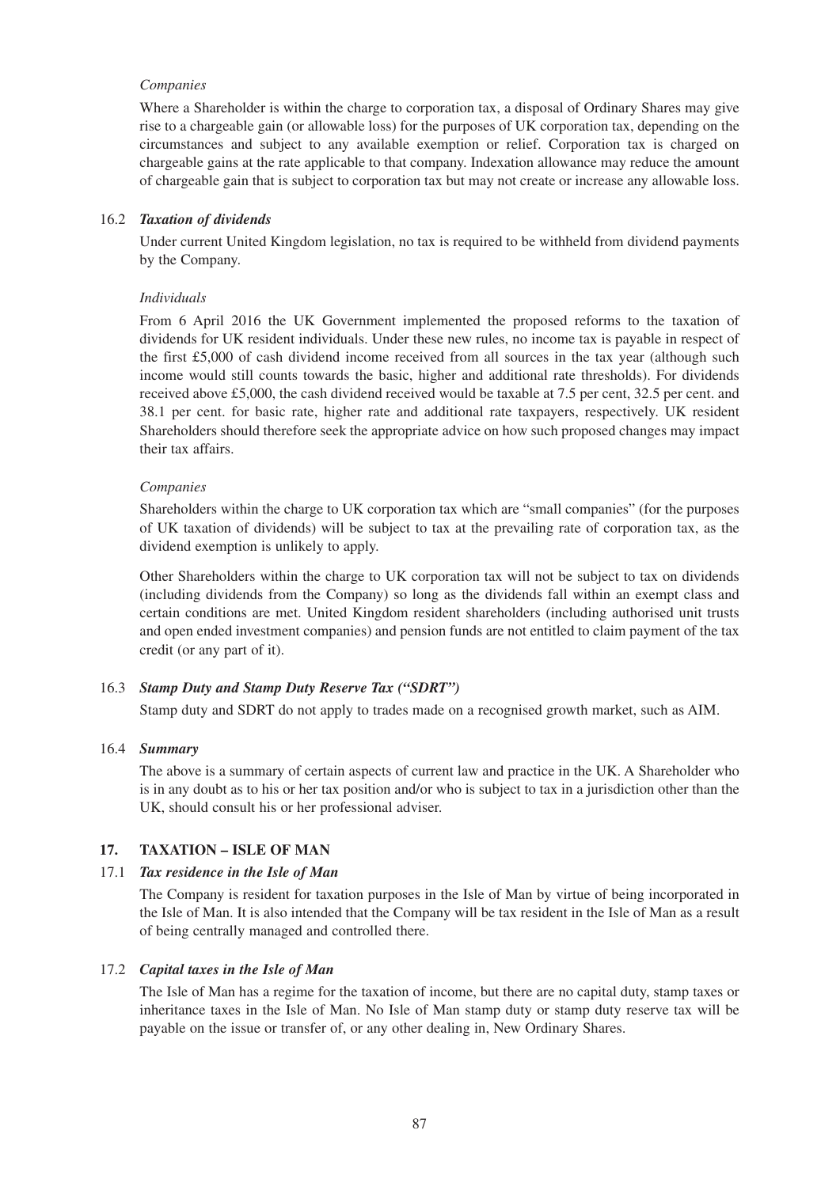#### *Companies*

Where a Shareholder is within the charge to corporation tax, a disposal of Ordinary Shares may give rise to a chargeable gain (or allowable loss) for the purposes of UK corporation tax, depending on the circumstances and subject to any available exemption or relief. Corporation tax is charged on chargeable gains at the rate applicable to that company. Indexation allowance may reduce the amount of chargeable gain that is subject to corporation tax but may not create or increase any allowable loss.

#### 16.2 *Taxation of dividends*

Under current United Kingdom legislation, no tax is required to be withheld from dividend payments by the Company.

#### *Individuals*

From 6 April 2016 the UK Government implemented the proposed reforms to the taxation of dividends for UK resident individuals. Under these new rules, no income tax is payable in respect of the first £5,000 of cash dividend income received from all sources in the tax year (although such income would still counts towards the basic, higher and additional rate thresholds). For dividends received above £5,000, the cash dividend received would be taxable at 7.5 per cent, 32.5 per cent. and 38.1 per cent. for basic rate, higher rate and additional rate taxpayers, respectively. UK resident Shareholders should therefore seek the appropriate advice on how such proposed changes may impact their tax affairs.

#### *Companies*

Shareholders within the charge to UK corporation tax which are "small companies" (for the purposes of UK taxation of dividends) will be subject to tax at the prevailing rate of corporation tax, as the dividend exemption is unlikely to apply.

Other Shareholders within the charge to UK corporation tax will not be subject to tax on dividends (including dividends from the Company) so long as the dividends fall within an exempt class and certain conditions are met. United Kingdom resident shareholders (including authorised unit trusts and open ended investment companies) and pension funds are not entitled to claim payment of the tax credit (or any part of it).

## 16.3 *Stamp Duty and Stamp Duty Reserve Tax ("SDRT")*

Stamp duty and SDRT do not apply to trades made on a recognised growth market, such as AIM.

#### 16.4 *Summary*

The above is a summary of certain aspects of current law and practice in the UK. A Shareholder who is in any doubt as to his or her tax position and/or who is subject to tax in a jurisdiction other than the UK, should consult his or her professional adviser.

## **17. TAXATION – ISLE OF MAN**

#### 17.1 *Tax residence in the Isle of Man*

The Company is resident for taxation purposes in the Isle of Man by virtue of being incorporated in the Isle of Man. It is also intended that the Company will be tax resident in the Isle of Man as a result of being centrally managed and controlled there.

# 17.2 *Capital taxes in the Isle of Man*

The Isle of Man has a regime for the taxation of income, but there are no capital duty, stamp taxes or inheritance taxes in the Isle of Man. No Isle of Man stamp duty or stamp duty reserve tax will be payable on the issue or transfer of, or any other dealing in, New Ordinary Shares.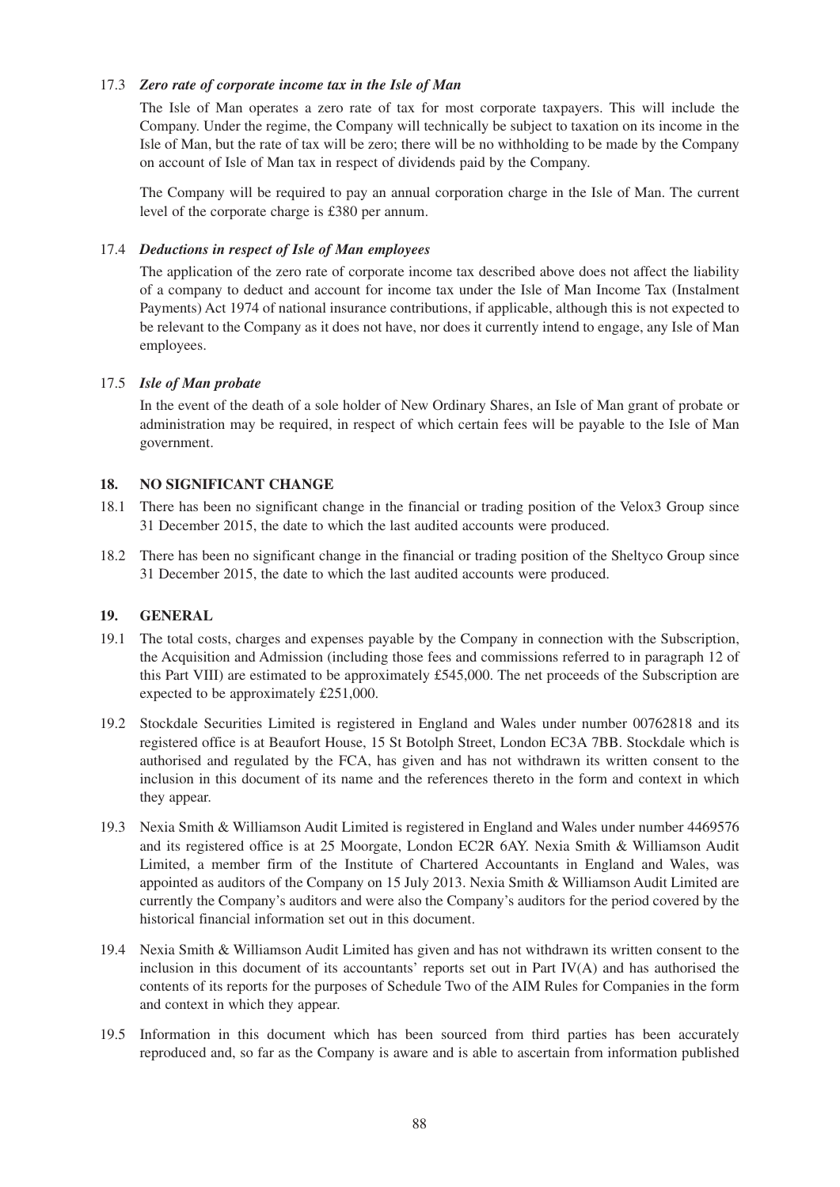## 17.3 *Zero rate of corporate income tax in the Isle of Man*

The Isle of Man operates a zero rate of tax for most corporate taxpayers. This will include the Company. Under the regime, the Company will technically be subject to taxation on its income in the Isle of Man, but the rate of tax will be zero; there will be no withholding to be made by the Company on account of Isle of Man tax in respect of dividends paid by the Company.

The Company will be required to pay an annual corporation charge in the Isle of Man. The current level of the corporate charge is £380 per annum.

#### 17.4 *Deductions in respect of Isle of Man employees*

The application of the zero rate of corporate income tax described above does not affect the liability of a company to deduct and account for income tax under the Isle of Man Income Tax (Instalment Payments) Act 1974 of national insurance contributions, if applicable, although this is not expected to be relevant to the Company as it does not have, nor does it currently intend to engage, any Isle of Man employees.

#### 17.5 *Isle of Man probate*

In the event of the death of a sole holder of New Ordinary Shares, an Isle of Man grant of probate or administration may be required, in respect of which certain fees will be payable to the Isle of Man government.

#### **18. NO SIGNIFICANT CHANGE**

- 18.1 There has been no significant change in the financial or trading position of the Velox3 Group since 31 December 2015, the date to which the last audited accounts were produced.
- 18.2 There has been no significant change in the financial or trading position of the Sheltyco Group since 31 December 2015, the date to which the last audited accounts were produced.

# **19. GENERAL**

- 19.1 The total costs, charges and expenses payable by the Company in connection with the Subscription, the Acquisition and Admission (including those fees and commissions referred to in paragraph 12 of this Part VIII) are estimated to be approximately £545,000. The net proceeds of the Subscription are expected to be approximately £251,000.
- 19.2 Stockdale Securities Limited is registered in England and Wales under number 00762818 and its registered office is at Beaufort House, 15 St Botolph Street, London EC3A 7BB. Stockdale which is authorised and regulated by the FCA, has given and has not withdrawn its written consent to the inclusion in this document of its name and the references thereto in the form and context in which they appear.
- 19.3 Nexia Smith & Williamson Audit Limited is registered in England and Wales under number 4469576 and its registered office is at 25 Moorgate, London EC2R 6AY. Nexia Smith & Williamson Audit Limited, a member firm of the Institute of Chartered Accountants in England and Wales, was appointed as auditors of the Company on 15 July 2013. Nexia Smith & Williamson Audit Limited are currently the Company's auditors and were also the Company's auditors for the period covered by the historical financial information set out in this document.
- 19.4 Nexia Smith & Williamson Audit Limited has given and has not withdrawn its written consent to the inclusion in this document of its accountants' reports set out in Part IV(A) and has authorised the contents of its reports for the purposes of Schedule Two of the AIM Rules for Companies in the form and context in which they appear.
- 19.5 Information in this document which has been sourced from third parties has been accurately reproduced and, so far as the Company is aware and is able to ascertain from information published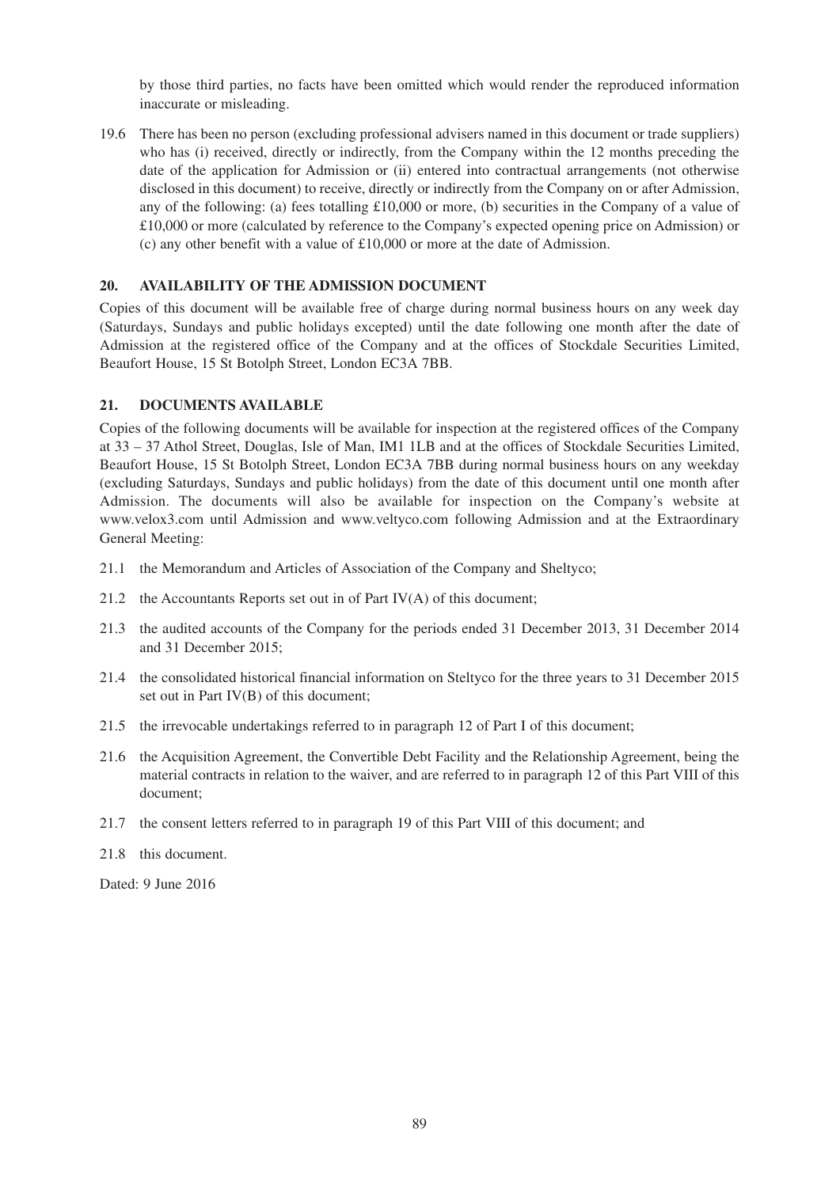by those third parties, no facts have been omitted which would render the reproduced information inaccurate or misleading.

19.6 There has been no person (excluding professional advisers named in this document or trade suppliers) who has (i) received, directly or indirectly, from the Company within the 12 months preceding the date of the application for Admission or (ii) entered into contractual arrangements (not otherwise disclosed in this document) to receive, directly or indirectly from the Company on or after Admission, any of the following: (a) fees totalling £10,000 or more, (b) securities in the Company of a value of £10,000 or more (calculated by reference to the Company's expected opening price on Admission) or (c) any other benefit with a value of £10,000 or more at the date of Admission.

# **20. AVAILABILITY OF THE ADMISSION DOCUMENT**

Copies of this document will be available free of charge during normal business hours on any week day (Saturdays, Sundays and public holidays excepted) until the date following one month after the date of Admission at the registered office of the Company and at the offices of Stockdale Securities Limited, Beaufort House, 15 St Botolph Street, London EC3A 7BB.

## **21. DOCUMENTS AVAILABLE**

Copies of the following documents will be available for inspection at the registered offices of the Company at 33 – 37 Athol Street, Douglas, Isle of Man, IM1 1LB and at the offices of Stockdale Securities Limited, Beaufort House, 15 St Botolph Street, London EC3A 7BB during normal business hours on any weekday (excluding Saturdays, Sundays and public holidays) from the date of this document until one month after Admission. The documents will also be available for inspection on the Company's website at www.velox3.com until Admission and www.veltyco.com following Admission and at the Extraordinary General Meeting:

- 21.1 the Memorandum and Articles of Association of the Company and Sheltyco;
- 21.2 the Accountants Reports set out in of Part IV(A) of this document;
- 21.3 the audited accounts of the Company for the periods ended 31 December 2013, 31 December 2014 and 31 December 2015;
- 21.4 the consolidated historical financial information on Steltyco for the three years to 31 December 2015 set out in Part IV(B) of this document;
- 21.5 the irrevocable undertakings referred to in paragraph 12 of Part I of this document;
- 21.6 the Acquisition Agreement, the Convertible Debt Facility and the Relationship Agreement, being the material contracts in relation to the waiver, and are referred to in paragraph 12 of this Part VIII of this document;
- 21.7 the consent letters referred to in paragraph 19 of this Part VIII of this document; and
- 21.8 this document.

Dated: 9 June 2016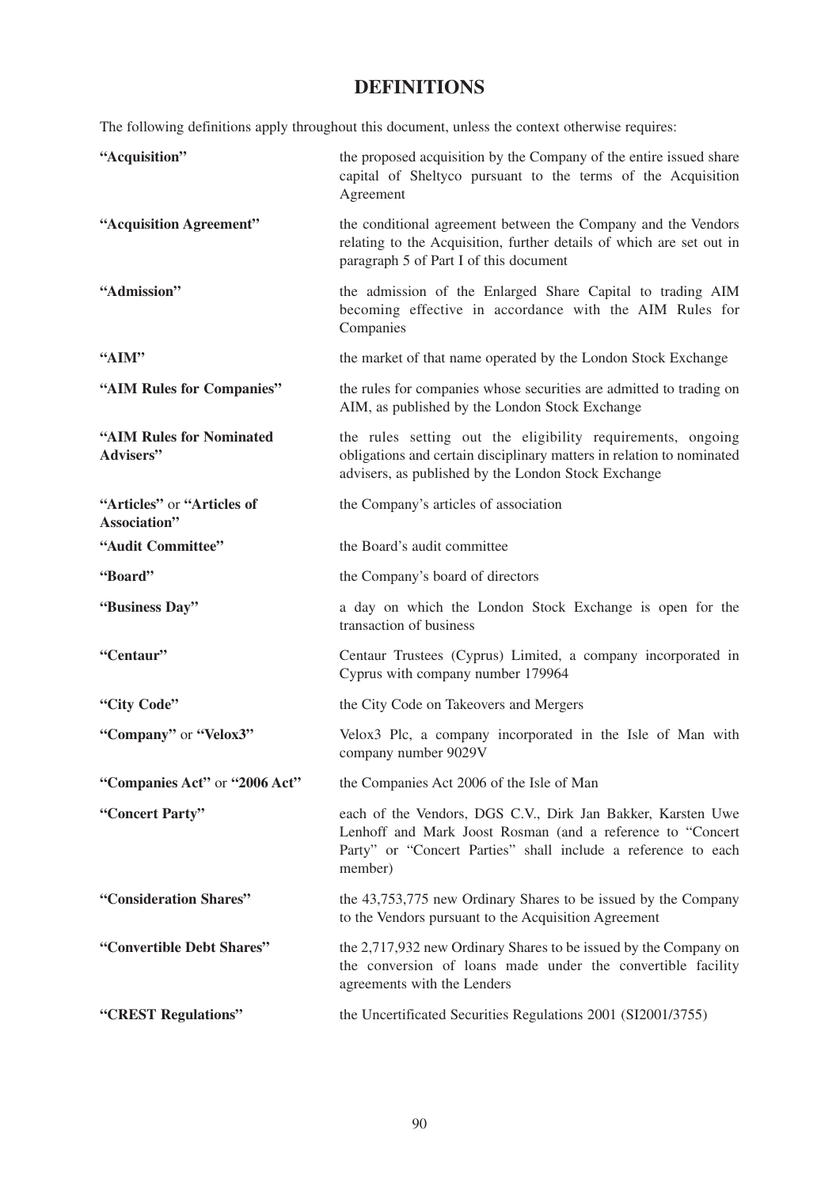# **DEFINITIONS**

The following definitions apply throughout this document, unless the context otherwise requires:

| "Acquisition"                              | the proposed acquisition by the Company of the entire issued share<br>capital of Sheltyco pursuant to the terms of the Acquisition<br>Agreement                                                       |
|--------------------------------------------|-------------------------------------------------------------------------------------------------------------------------------------------------------------------------------------------------------|
| "Acquisition Agreement"                    | the conditional agreement between the Company and the Vendors<br>relating to the Acquisition, further details of which are set out in<br>paragraph 5 of Part I of this document                       |
| "Admission"                                | the admission of the Enlarged Share Capital to trading AIM<br>becoming effective in accordance with the AIM Rules for<br>Companies                                                                    |
| "AIM"                                      | the market of that name operated by the London Stock Exchange                                                                                                                                         |
| "AIM Rules for Companies"                  | the rules for companies whose securities are admitted to trading on<br>AIM, as published by the London Stock Exchange                                                                                 |
| "AIM Rules for Nominated<br>Advisers"      | the rules setting out the eligibility requirements, ongoing<br>obligations and certain disciplinary matters in relation to nominated<br>advisers, as published by the London Stock Exchange           |
| "Articles" or "Articles of<br>Association" | the Company's articles of association                                                                                                                                                                 |
| "Audit Committee"                          | the Board's audit committee                                                                                                                                                                           |
| "Board"                                    | the Company's board of directors                                                                                                                                                                      |
| "Business Day"                             | a day on which the London Stock Exchange is open for the<br>transaction of business                                                                                                                   |
| "Centaur"                                  | Centaur Trustees (Cyprus) Limited, a company incorporated in<br>Cyprus with company number 179964                                                                                                     |
| "City Code"                                | the City Code on Takeovers and Mergers                                                                                                                                                                |
| "Company" or "Velox3"                      | Velox3 Plc, a company incorporated in the Isle of Man with<br>company number 9029V                                                                                                                    |
| "Companies Act" or "2006 Act"              | the Companies Act 2006 of the Isle of Man                                                                                                                                                             |
| "Concert Party"                            | each of the Vendors, DGS C.V., Dirk Jan Bakker, Karsten Uwe<br>Lenhoff and Mark Joost Rosman (and a reference to "Concert<br>Party" or "Concert Parties" shall include a reference to each<br>member) |
| "Consideration Shares"                     | the 43,753,775 new Ordinary Shares to be issued by the Company<br>to the Vendors pursuant to the Acquisition Agreement                                                                                |
| "Convertible Debt Shares"                  | the 2,717,932 new Ordinary Shares to be issued by the Company on<br>the conversion of loans made under the convertible facility<br>agreements with the Lenders                                        |
| "CREST Regulations"                        | the Uncertificated Securities Regulations 2001 (SI2001/3755)                                                                                                                                          |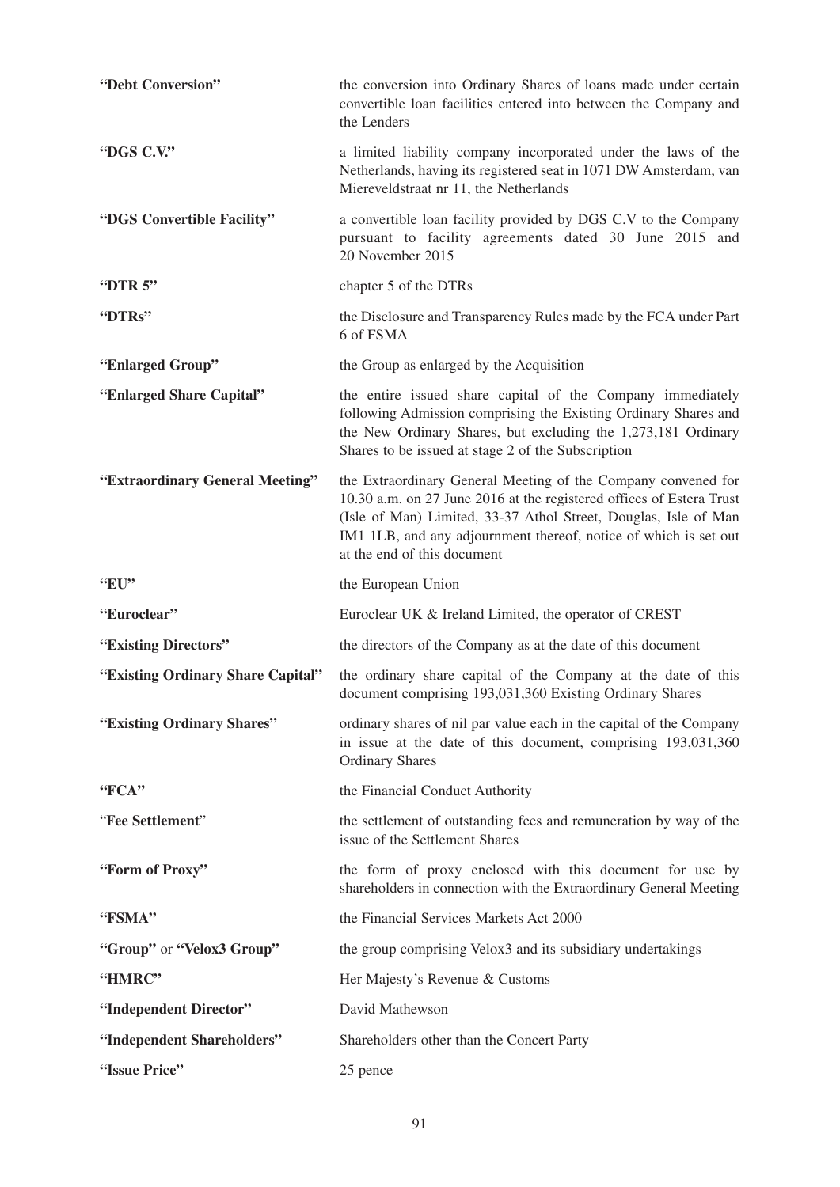| "Debt Conversion"                 | the conversion into Ordinary Shares of loans made under certain<br>convertible loan facilities entered into between the Company and<br>the Lenders                                                                                                                                                          |
|-----------------------------------|-------------------------------------------------------------------------------------------------------------------------------------------------------------------------------------------------------------------------------------------------------------------------------------------------------------|
| "DGS C.V."                        | a limited liability company incorporated under the laws of the<br>Netherlands, having its registered seat in 1071 DW Amsterdam, van<br>Miereveldstraat nr 11, the Netherlands                                                                                                                               |
| "DGS Convertible Facility"        | a convertible loan facility provided by DGS C.V to the Company<br>pursuant to facility agreements dated 30 June 2015 and<br>20 November 2015                                                                                                                                                                |
| "DTR $5$ "                        | chapter 5 of the DTRs                                                                                                                                                                                                                                                                                       |
| "DTRs"                            | the Disclosure and Transparency Rules made by the FCA under Part<br>6 of FSMA                                                                                                                                                                                                                               |
| "Enlarged Group"                  | the Group as enlarged by the Acquisition                                                                                                                                                                                                                                                                    |
| "Enlarged Share Capital"          | the entire issued share capital of the Company immediately<br>following Admission comprising the Existing Ordinary Shares and<br>the New Ordinary Shares, but excluding the 1,273,181 Ordinary<br>Shares to be issued at stage 2 of the Subscription                                                        |
| "Extraordinary General Meeting"   | the Extraordinary General Meeting of the Company convened for<br>10.30 a.m. on 27 June 2016 at the registered offices of Estera Trust<br>(Isle of Man) Limited, 33-37 Athol Street, Douglas, Isle of Man<br>IM1 1LB, and any adjournment thereof, notice of which is set out<br>at the end of this document |
| "EU"                              | the European Union                                                                                                                                                                                                                                                                                          |
|                                   |                                                                                                                                                                                                                                                                                                             |
| "Euroclear"                       | Euroclear UK & Ireland Limited, the operator of CREST                                                                                                                                                                                                                                                       |
| "Existing Directors"              | the directors of the Company as at the date of this document                                                                                                                                                                                                                                                |
| "Existing Ordinary Share Capital" | the ordinary share capital of the Company at the date of this<br>document comprising 193,031,360 Existing Ordinary Shares                                                                                                                                                                                   |
| "Existing Ordinary Shares"        | ordinary shares of nil par value each in the capital of the Company<br>in issue at the date of this document, comprising 193,031,360<br><b>Ordinary Shares</b>                                                                                                                                              |
| "FCA"                             | the Financial Conduct Authority                                                                                                                                                                                                                                                                             |
| "Fee Settlement"                  | the settlement of outstanding fees and remuneration by way of the<br>issue of the Settlement Shares                                                                                                                                                                                                         |
| "Form of Proxy"                   | the form of proxy enclosed with this document for use by<br>shareholders in connection with the Extraordinary General Meeting                                                                                                                                                                               |
| "FSMA"                            | the Financial Services Markets Act 2000                                                                                                                                                                                                                                                                     |
| "Group" or "Velox3 Group"         | the group comprising Velox3 and its subsidiary undertakings                                                                                                                                                                                                                                                 |
| "HMRC"                            | Her Majesty's Revenue & Customs                                                                                                                                                                                                                                                                             |
| "Independent Director"            | David Mathewson                                                                                                                                                                                                                                                                                             |
| "Independent Shareholders"        | Shareholders other than the Concert Party                                                                                                                                                                                                                                                                   |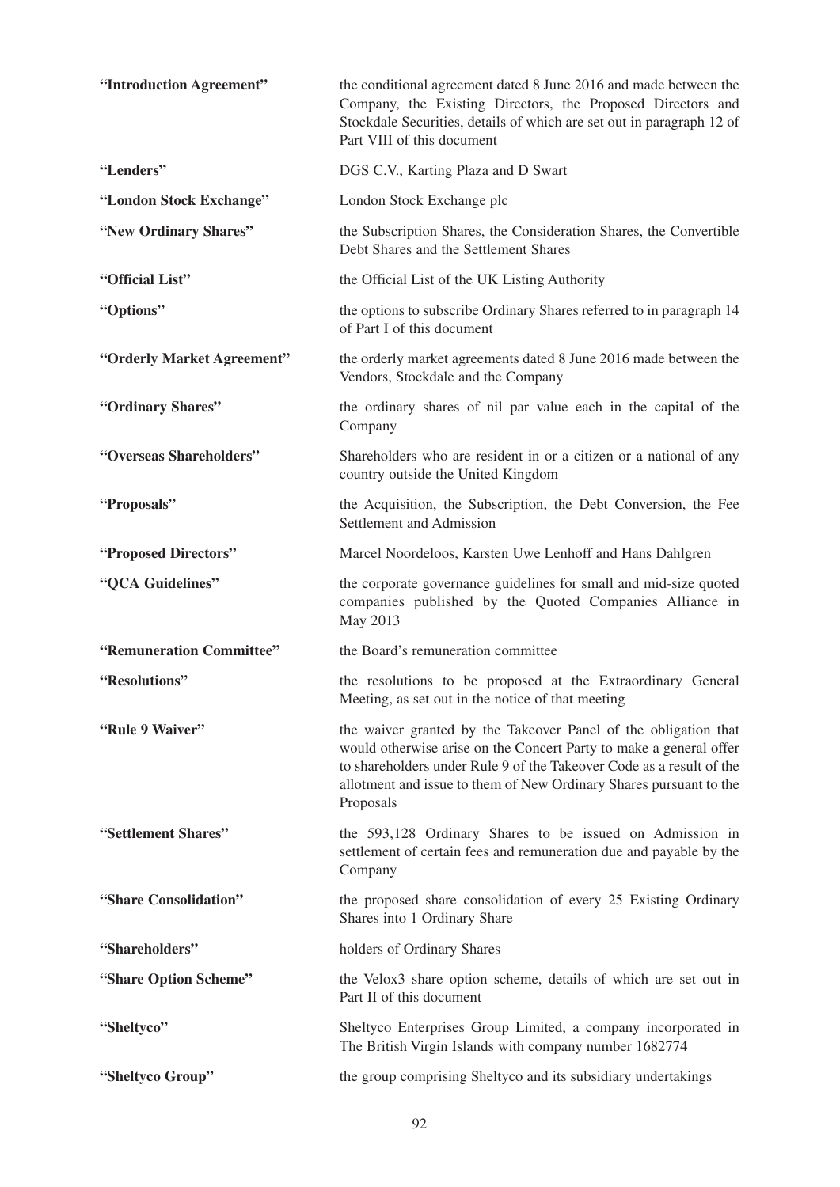| "Introduction Agreement"   | the conditional agreement dated 8 June 2016 and made between the<br>Company, the Existing Directors, the Proposed Directors and<br>Stockdale Securities, details of which are set out in paragraph 12 of<br>Part VIII of this document                                                           |
|----------------------------|--------------------------------------------------------------------------------------------------------------------------------------------------------------------------------------------------------------------------------------------------------------------------------------------------|
| "Lenders"                  | DGS C.V., Karting Plaza and D Swart                                                                                                                                                                                                                                                              |
| "London Stock Exchange"    | London Stock Exchange plc                                                                                                                                                                                                                                                                        |
| "New Ordinary Shares"      | the Subscription Shares, the Consideration Shares, the Convertible<br>Debt Shares and the Settlement Shares                                                                                                                                                                                      |
| "Official List"            | the Official List of the UK Listing Authority                                                                                                                                                                                                                                                    |
| "Options"                  | the options to subscribe Ordinary Shares referred to in paragraph 14<br>of Part I of this document                                                                                                                                                                                               |
| "Orderly Market Agreement" | the orderly market agreements dated 8 June 2016 made between the<br>Vendors, Stockdale and the Company                                                                                                                                                                                           |
| "Ordinary Shares"          | the ordinary shares of nil par value each in the capital of the<br>Company                                                                                                                                                                                                                       |
| "Overseas Shareholders"    | Shareholders who are resident in or a citizen or a national of any<br>country outside the United Kingdom                                                                                                                                                                                         |
| "Proposals"                | the Acquisition, the Subscription, the Debt Conversion, the Fee<br>Settlement and Admission                                                                                                                                                                                                      |
| "Proposed Directors"       | Marcel Noordeloos, Karsten Uwe Lenhoff and Hans Dahlgren                                                                                                                                                                                                                                         |
| "QCA Guidelines"           | the corporate governance guidelines for small and mid-size quoted<br>companies published by the Quoted Companies Alliance in<br>May 2013                                                                                                                                                         |
| "Remuneration Committee"   | the Board's remuneration committee                                                                                                                                                                                                                                                               |
| "Resolutions"              | the resolutions to be proposed at the Extraordinary General<br>Meeting, as set out in the notice of that meeting                                                                                                                                                                                 |
| "Rule 9 Waiver"            | the waiver granted by the Takeover Panel of the obligation that<br>would otherwise arise on the Concert Party to make a general offer<br>to shareholders under Rule 9 of the Takeover Code as a result of the<br>allotment and issue to them of New Ordinary Shares pursuant to the<br>Proposals |
| "Settlement Shares"        | the 593,128 Ordinary Shares to be issued on Admission in<br>settlement of certain fees and remuneration due and payable by the<br>Company                                                                                                                                                        |
| "Share Consolidation"      | the proposed share consolidation of every 25 Existing Ordinary<br>Shares into 1 Ordinary Share                                                                                                                                                                                                   |
| "Shareholders"             | holders of Ordinary Shares                                                                                                                                                                                                                                                                       |
| "Share Option Scheme"      | the Velox3 share option scheme, details of which are set out in<br>Part II of this document                                                                                                                                                                                                      |
| "Sheltyco"                 | Sheltyco Enterprises Group Limited, a company incorporated in<br>The British Virgin Islands with company number 1682774                                                                                                                                                                          |
| "Sheltyco Group"           | the group comprising Sheltyco and its subsidiary undertakings                                                                                                                                                                                                                                    |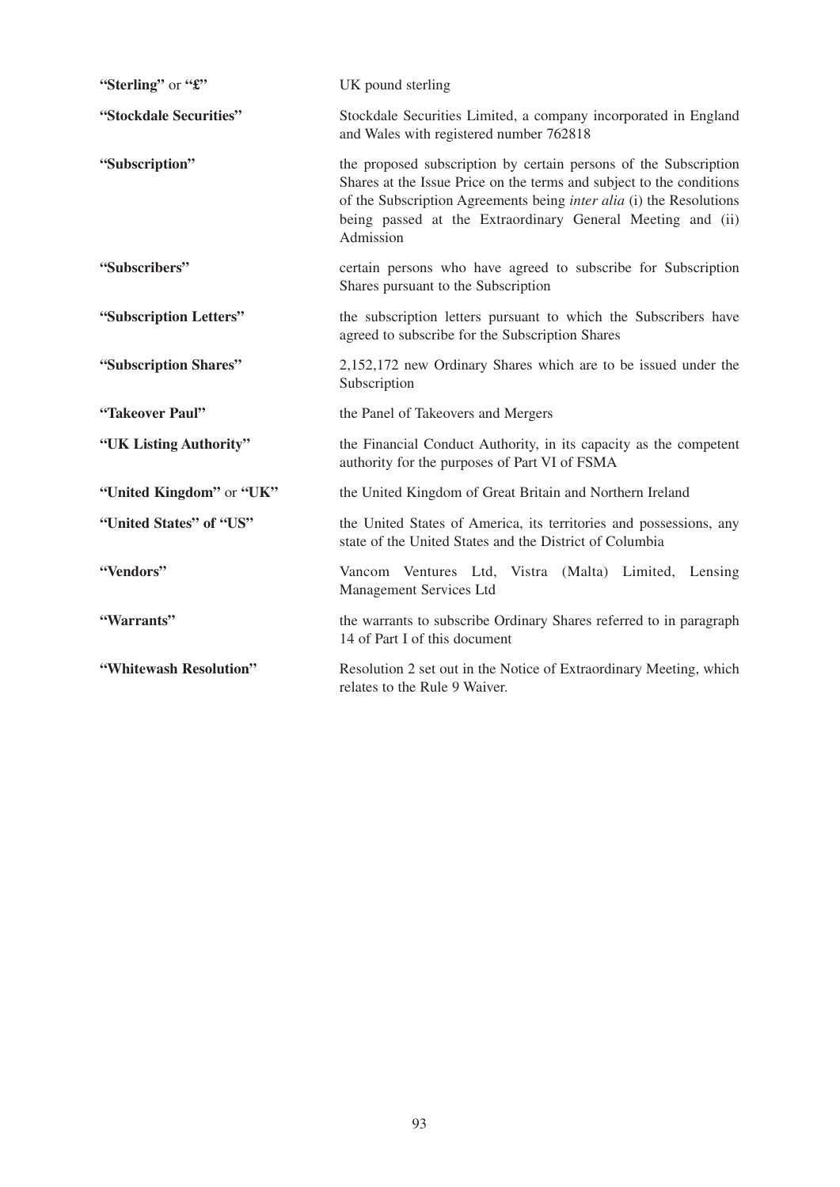| "Sterling" or "£"        | UK pound sterling                                                                                                                                                                                                                                                                                 |
|--------------------------|---------------------------------------------------------------------------------------------------------------------------------------------------------------------------------------------------------------------------------------------------------------------------------------------------|
| "Stockdale Securities"   | Stockdale Securities Limited, a company incorporated in England<br>and Wales with registered number 762818                                                                                                                                                                                        |
| "Subscription"           | the proposed subscription by certain persons of the Subscription<br>Shares at the Issue Price on the terms and subject to the conditions<br>of the Subscription Agreements being <i>inter alia</i> (i) the Resolutions<br>being passed at the Extraordinary General Meeting and (ii)<br>Admission |
| "Subscribers"            | certain persons who have agreed to subscribe for Subscription<br>Shares pursuant to the Subscription                                                                                                                                                                                              |
| "Subscription Letters"   | the subscription letters pursuant to which the Subscribers have<br>agreed to subscribe for the Subscription Shares                                                                                                                                                                                |
| "Subscription Shares"    | 2,152,172 new Ordinary Shares which are to be issued under the<br>Subscription                                                                                                                                                                                                                    |
| "Takeover Paul"          | the Panel of Takeovers and Mergers                                                                                                                                                                                                                                                                |
| "UK Listing Authority"   | the Financial Conduct Authority, in its capacity as the competent<br>authority for the purposes of Part VI of FSMA                                                                                                                                                                                |
| "United Kingdom" or "UK" | the United Kingdom of Great Britain and Northern Ireland                                                                                                                                                                                                                                          |
| "United States" of "US"  | the United States of America, its territories and possessions, any<br>state of the United States and the District of Columbia                                                                                                                                                                     |
| "Vendors"                | Vancom Ventures Ltd, Vistra (Malta) Limited, Lensing<br>Management Services Ltd                                                                                                                                                                                                                   |
| "Warrants"               | the warrants to subscribe Ordinary Shares referred to in paragraph<br>14 of Part I of this document                                                                                                                                                                                               |
| "Whitewash Resolution"   | Resolution 2 set out in the Notice of Extraordinary Meeting, which<br>relates to the Rule 9 Waiver.                                                                                                                                                                                               |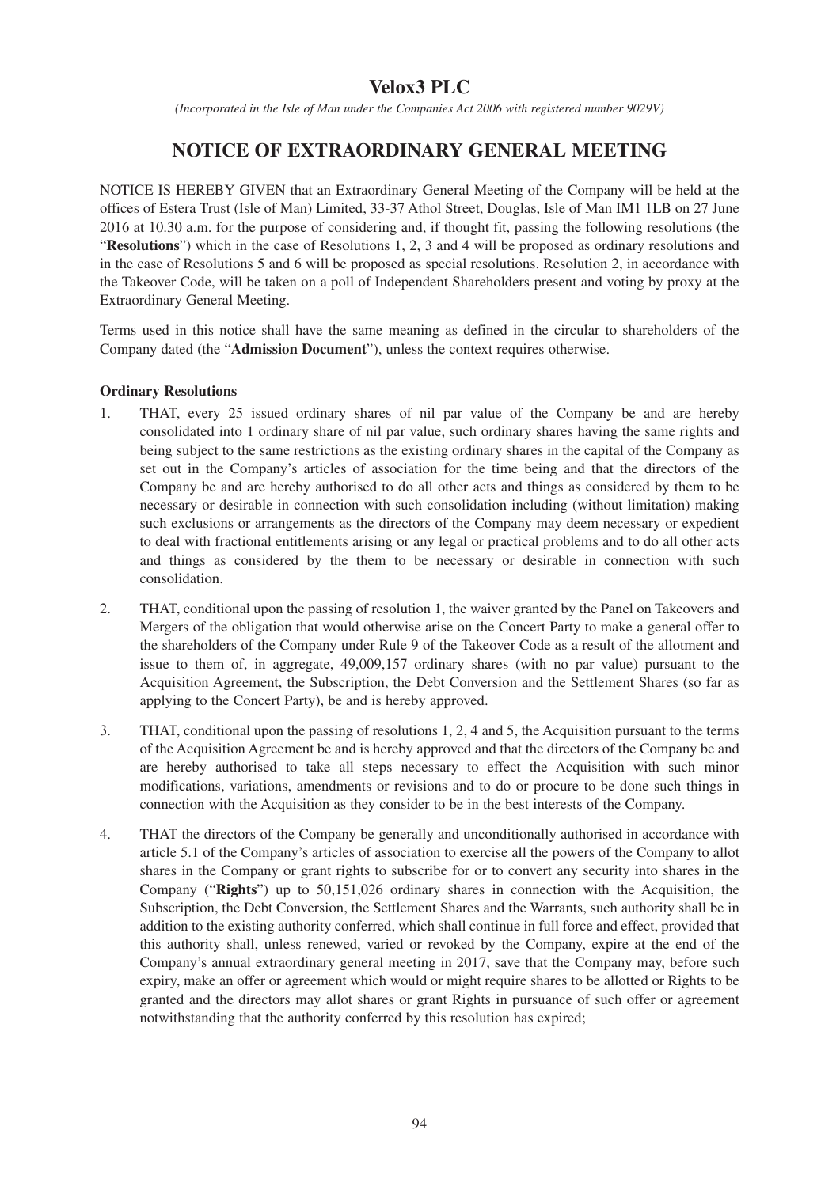# **Velox3 PLC**

*(Incorporated in the Isle of Man under the Companies Act 2006 with registered number 9029V)*

# **NOTICE OF EXTRAORDINARY GENERAL MEETING**

NOTICE IS HEREBY GIVEN that an Extraordinary General Meeting of the Company will be held at the offices of Estera Trust (Isle of Man) Limited, 33-37 Athol Street, Douglas, Isle of Man IM1 1LB on 27 June 2016 at 10.30 a.m. for the purpose of considering and, if thought fit, passing the following resolutions (the "**Resolutions**") which in the case of Resolutions 1, 2, 3 and 4 will be proposed as ordinary resolutions and in the case of Resolutions 5 and 6 will be proposed as special resolutions. Resolution 2, in accordance with the Takeover Code, will be taken on a poll of Independent Shareholders present and voting by proxy at the Extraordinary General Meeting.

Terms used in this notice shall have the same meaning as defined in the circular to shareholders of the Company dated (the "**Admission Document**"), unless the context requires otherwise.

## **Ordinary Resolutions**

- 1. THAT, every 25 issued ordinary shares of nil par value of the Company be and are hereby consolidated into 1 ordinary share of nil par value, such ordinary shares having the same rights and being subject to the same restrictions as the existing ordinary shares in the capital of the Company as set out in the Company's articles of association for the time being and that the directors of the Company be and are hereby authorised to do all other acts and things as considered by them to be necessary or desirable in connection with such consolidation including (without limitation) making such exclusions or arrangements as the directors of the Company may deem necessary or expedient to deal with fractional entitlements arising or any legal or practical problems and to do all other acts and things as considered by the them to be necessary or desirable in connection with such consolidation.
- 2. THAT, conditional upon the passing of resolution 1, the waiver granted by the Panel on Takeovers and Mergers of the obligation that would otherwise arise on the Concert Party to make a general offer to the shareholders of the Company under Rule 9 of the Takeover Code as a result of the allotment and issue to them of, in aggregate, 49,009,157 ordinary shares (with no par value) pursuant to the Acquisition Agreement, the Subscription, the Debt Conversion and the Settlement Shares (so far as applying to the Concert Party), be and is hereby approved.
- 3. THAT, conditional upon the passing of resolutions 1, 2, 4 and 5, the Acquisition pursuant to the terms of the Acquisition Agreement be and is hereby approved and that the directors of the Company be and are hereby authorised to take all steps necessary to effect the Acquisition with such minor modifications, variations, amendments or revisions and to do or procure to be done such things in connection with the Acquisition as they consider to be in the best interests of the Company.
- 4. THAT the directors of the Company be generally and unconditionally authorised in accordance with article 5.1 of the Company's articles of association to exercise all the powers of the Company to allot shares in the Company or grant rights to subscribe for or to convert any security into shares in the Company ("**Rights**") up to 50,151,026 ordinary shares in connection with the Acquisition, the Subscription, the Debt Conversion, the Settlement Shares and the Warrants, such authority shall be in addition to the existing authority conferred, which shall continue in full force and effect, provided that this authority shall, unless renewed, varied or revoked by the Company, expire at the end of the Company's annual extraordinary general meeting in 2017, save that the Company may, before such expiry, make an offer or agreement which would or might require shares to be allotted or Rights to be granted and the directors may allot shares or grant Rights in pursuance of such offer or agreement notwithstanding that the authority conferred by this resolution has expired;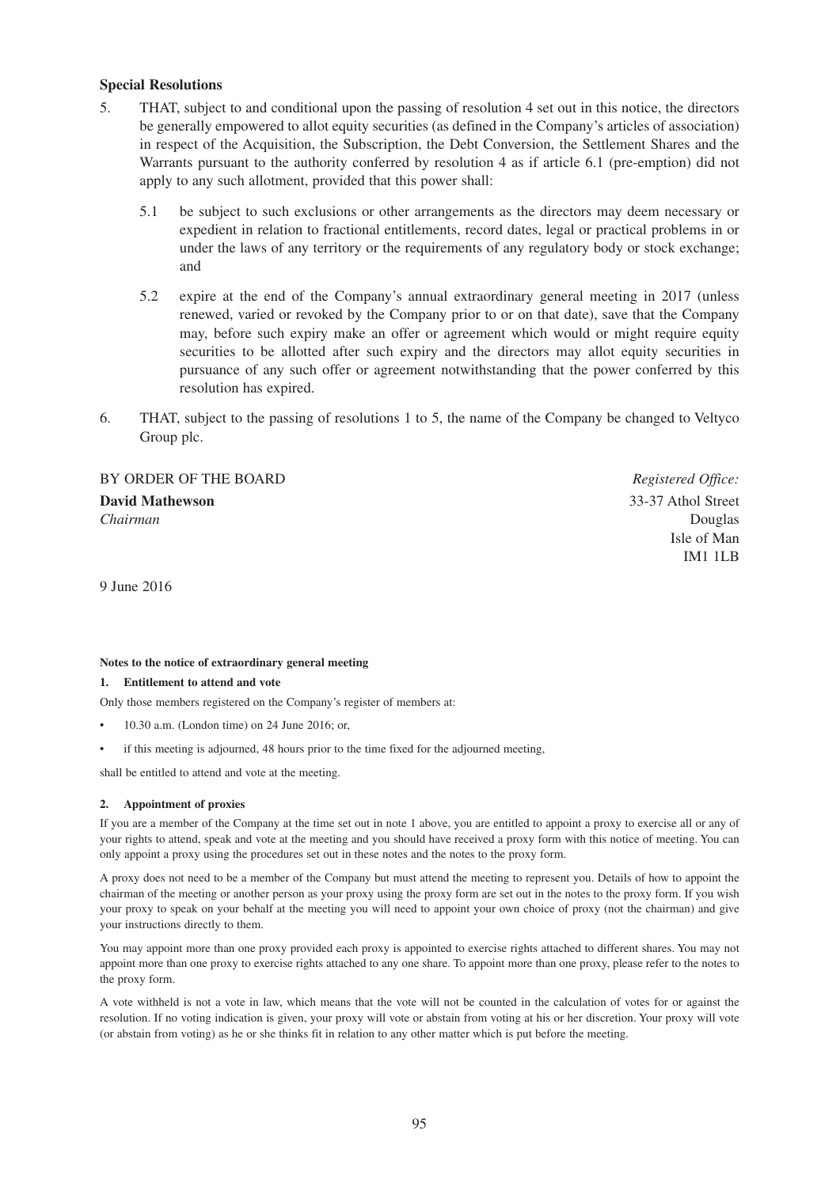#### **Special Resolutions**

- 5. THAT, subject to and conditional upon the passing of resolution 4 set out in this notice, the directors be generally empowered to allot equity securities (as defined in the Company's articles of association) in respect of the Acquisition, the Subscription, the Debt Conversion, the Settlement Shares and the Warrants pursuant to the authority conferred by resolution 4 as if article 6.1 (pre-emption) did not apply to any such allotment, provided that this power shall:
	- 5.1 be subject to such exclusions or other arrangements as the directors may deem necessary or expedient in relation to fractional entitlements, record dates, legal or practical problems in or under the laws of any territory or the requirements of any regulatory body or stock exchange; and
	- 5.2 expire at the end of the Company's annual extraordinary general meeting in 2017 (unless renewed, varied or revoked by the Company prior to or on that date), save that the Company may, before such expiry make an offer or agreement which would or might require equity securities to be allotted after such expiry and the directors may allot equity securities in pursuance of any such offer or agreement notwithstanding that the power conferred by this resolution has expired.
- 6. THAT, subject to the passing of resolutions 1 to 5, the name of the Company be changed to Veltyco Group plc.

# BY ORDER OF THE BOARD *Registered Office:* **David Mathewson** 33-37 Athol Street

*Chairman* Douglas Isle of Man IM1 1LB

9 June 2016

#### **Notes to the notice of extraordinary general meeting**

#### **1. Entitlement to attend and vote**

Only those members registered on the Company's register of members at:

- 10.30 a.m. (London time) on 24 June 2016; or,
- if this meeting is adjourned, 48 hours prior to the time fixed for the adjourned meeting,

shall be entitled to attend and vote at the meeting.

#### **2. Appointment of proxies**

If you are a member of the Company at the time set out in note 1 above, you are entitled to appoint a proxy to exercise all or any of your rights to attend, speak and vote at the meeting and you should have received a proxy form with this notice of meeting. You can only appoint a proxy using the procedures set out in these notes and the notes to the proxy form.

A proxy does not need to be a member of the Company but must attend the meeting to represent you. Details of how to appoint the chairman of the meeting or another person as your proxy using the proxy form are set out in the notes to the proxy form. If you wish your proxy to speak on your behalf at the meeting you will need to appoint your own choice of proxy (not the chairman) and give your instructions directly to them.

You may appoint more than one proxy provided each proxy is appointed to exercise rights attached to different shares. You may not appoint more than one proxy to exercise rights attached to any one share. To appoint more than one proxy, please refer to the notes to the proxy form.

A vote withheld is not a vote in law, which means that the vote will not be counted in the calculation of votes for or against the resolution. If no voting indication is given, your proxy will vote or abstain from voting at his or her discretion. Your proxy will vote (or abstain from voting) as he or she thinks fit in relation to any other matter which is put before the meeting.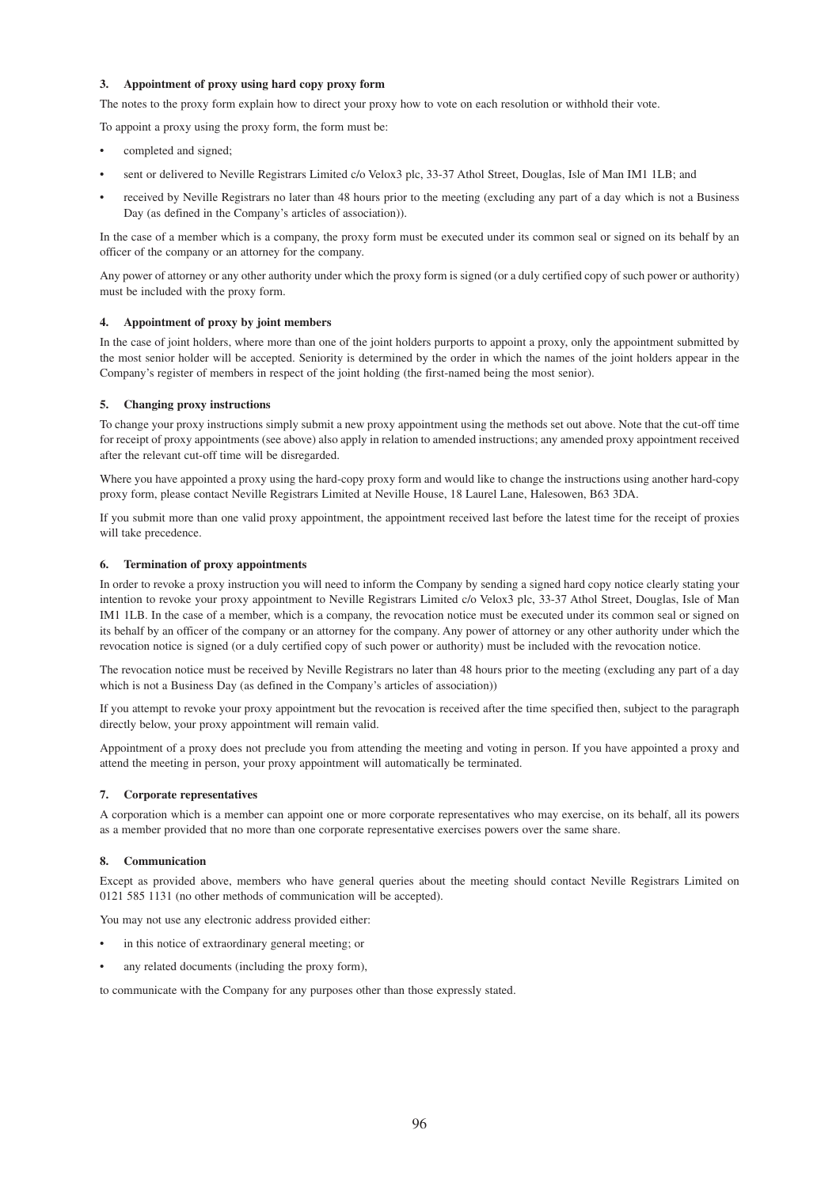#### **3. Appointment of proxy using hard copy proxy form**

The notes to the proxy form explain how to direct your proxy how to vote on each resolution or withhold their vote.

To appoint a proxy using the proxy form, the form must be:

- completed and signed:
- sent or delivered to Neville Registrars Limited c/o Velox3 plc, 33-37 Athol Street, Douglas, Isle of Man IM1 1LB; and
- received by Neville Registrars no later than 48 hours prior to the meeting (excluding any part of a day which is not a Business Day (as defined in the Company's articles of association)).

In the case of a member which is a company, the proxy form must be executed under its common seal or signed on its behalf by an officer of the company or an attorney for the company.

Any power of attorney or any other authority under which the proxy form is signed (or a duly certified copy of such power or authority) must be included with the proxy form.

#### **4. Appointment of proxy by joint members**

In the case of joint holders, where more than one of the joint holders purports to appoint a proxy, only the appointment submitted by the most senior holder will be accepted. Seniority is determined by the order in which the names of the joint holders appear in the Company's register of members in respect of the joint holding (the first-named being the most senior).

#### **5. Changing proxy instructions**

To change your proxy instructions simply submit a new proxy appointment using the methods set out above. Note that the cut-off time for receipt of proxy appointments (see above) also apply in relation to amended instructions; any amended proxy appointment received after the relevant cut-off time will be disregarded.

Where you have appointed a proxy using the hard-copy proxy form and would like to change the instructions using another hard-copy proxy form, please contact Neville Registrars Limited at Neville House, 18 Laurel Lane, Halesowen, B63 3DA.

If you submit more than one valid proxy appointment, the appointment received last before the latest time for the receipt of proxies will take precedence.

#### **6. Termination of proxy appointments**

In order to revoke a proxy instruction you will need to inform the Company by sending a signed hard copy notice clearly stating your intention to revoke your proxy appointment to Neville Registrars Limited c/o Velox3 plc, 33-37 Athol Street, Douglas, Isle of Man IM1 1LB. In the case of a member, which is a company, the revocation notice must be executed under its common seal or signed on its behalf by an officer of the company or an attorney for the company. Any power of attorney or any other authority under which the revocation notice is signed (or a duly certified copy of such power or authority) must be included with the revocation notice.

The revocation notice must be received by Neville Registrars no later than 48 hours prior to the meeting (excluding any part of a day which is not a Business Day (as defined in the Company's articles of association))

If you attempt to revoke your proxy appointment but the revocation is received after the time specified then, subject to the paragraph directly below, your proxy appointment will remain valid.

Appointment of a proxy does not preclude you from attending the meeting and voting in person. If you have appointed a proxy and attend the meeting in person, your proxy appointment will automatically be terminated.

#### **7. Corporate representatives**

A corporation which is a member can appoint one or more corporate representatives who may exercise, on its behalf, all its powers as a member provided that no more than one corporate representative exercises powers over the same share.

#### **8. Communication**

Except as provided above, members who have general queries about the meeting should contact Neville Registrars Limited on 0121 585 1131 (no other methods of communication will be accepted).

You may not use any electronic address provided either:

- in this notice of extraordinary general meeting; or
- any related documents (including the proxy form).

to communicate with the Company for any purposes other than those expressly stated.